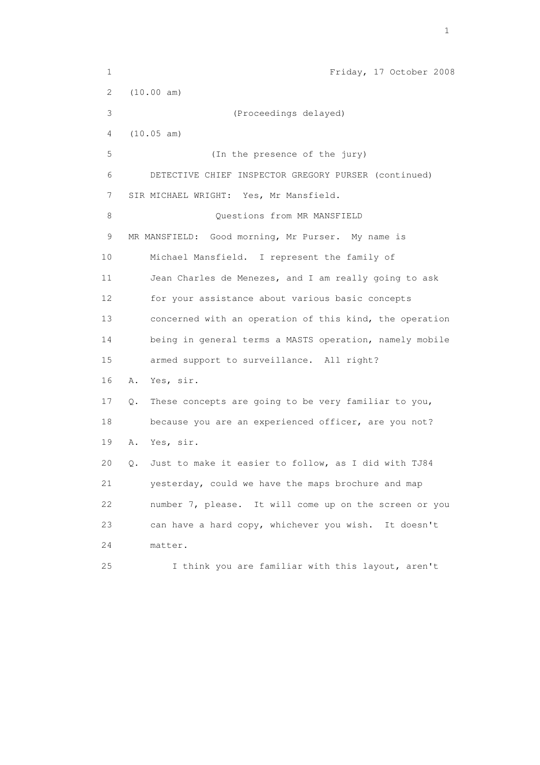1 Friday, 17 October 2008 2 (10.00 am) 3 (Proceedings delayed) 4 (10.05 am) 5 (In the presence of the jury) 6 DETECTIVE CHIEF INSPECTOR GREGORY PURSER (continued) 7 SIR MICHAEL WRIGHT: Yes, Mr Mansfield. 8 Ouestions from MR MANSFIELD 9 MR MANSFIELD: Good morning, Mr Purser. My name is 10 Michael Mansfield. I represent the family of 11 Jean Charles de Menezes, and I am really going to ask 12 for your assistance about various basic concepts 13 concerned with an operation of this kind, the operation 14 being in general terms a MASTS operation, namely mobile 15 armed support to surveillance. All right? 16 A. Yes, sir. 17 Q. These concepts are going to be very familiar to you, 18 because you are an experienced officer, are you not? 19 A. Yes, sir. 20 Q. Just to make it easier to follow, as I did with TJ84 21 yesterday, could we have the maps brochure and map 22 number 7, please. It will come up on the screen or you 23 can have a hard copy, whichever you wish. It doesn't 24 matter. 25 I think you are familiar with this layout, aren't

the contract of the contract of the contract of the contract of the contract of the contract of the contract of the contract of the contract of the contract of the contract of the contract of the contract of the contract o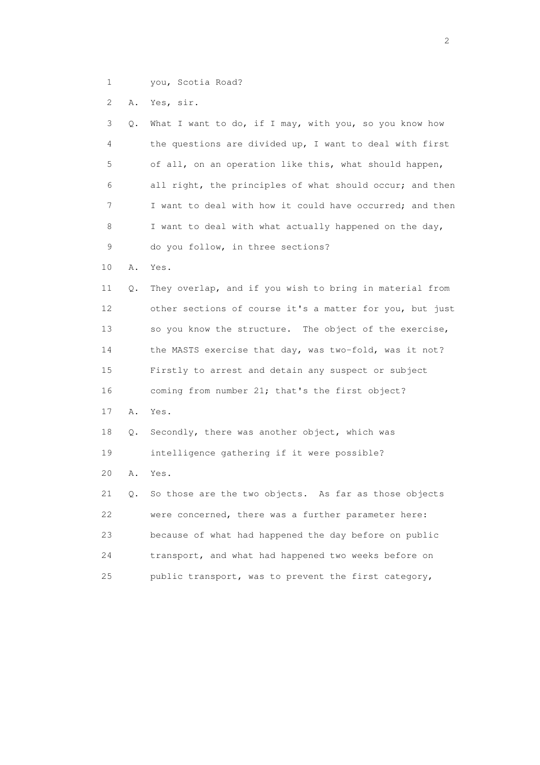1 you, Scotia Road?

2 A. Yes, sir.

| 3<br>Q.  | What I want to do, if I may, with you, so you know how   |
|----------|----------------------------------------------------------|
| 4        | the questions are divided up, I want to deal with first  |
| 5        | of all, on an operation like this, what should happen,   |
| 6        | all right, the principles of what should occur; and then |
| 7        | I want to deal with how it could have occurred; and then |
| 8        | I want to deal with what actually happened on the day,   |
| 9        | do you follow, in three sections?                        |
| 10<br>Α. | Yes.                                                     |
| 11<br>Q. | They overlap, and if you wish to bring in material from  |
| 12       | other sections of course it's a matter for you, but just |
| 13       | so you know the structure. The object of the exercise,   |
| 14       | the MASTS exercise that day, was two-fold, was it not?   |
| 15       | Firstly to arrest and detain any suspect or subject      |
| 16       | coming from number 21; that's the first object?          |
| 17<br>Α. | Yes.                                                     |
| 18<br>Q. | Secondly, there was another object, which was            |
| 19       | intelligence gathering if it were possible?              |
| 20<br>Α. | Yes.                                                     |
| 21<br>Q. | So those are the two objects. As far as those objects    |
| 22       | were concerned, there was a further parameter here:      |
| 23       | because of what had happened the day before on public    |
| 24       | transport, and what had happened two weeks before on     |
| 25       | public transport, was to prevent the first category,     |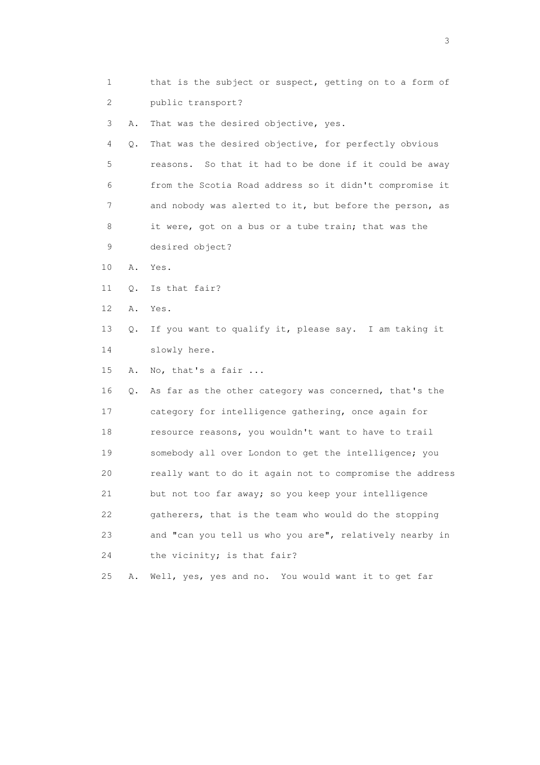| 1  |    | that is the subject or suspect, getting on to a form of   |
|----|----|-----------------------------------------------------------|
| 2  |    | public transport?                                         |
| 3  | Α. | That was the desired objective, yes.                      |
| 4  | Q. | That was the desired objective, for perfectly obvious     |
| 5  |    | So that it had to be done if it could be away<br>reasons. |
| 6  |    | from the Scotia Road address so it didn't compromise it   |
| 7  |    | and nobody was alerted to it, but before the person, as   |
| 8  |    | it were, got on a bus or a tube train; that was the       |
| 9  |    | desired object?                                           |
| 10 | Α. | Yes.                                                      |
| 11 | Q. | Is that fair?                                             |
| 12 | Α. | Yes.                                                      |
| 13 | Q. | If you want to qualify it, please say. I am taking it     |
| 14 |    | slowly here.                                              |
| 15 | Α. | No, that's a fair                                         |
| 16 | Q. | As far as the other category was concerned, that's the    |
| 17 |    | category for intelligence gathering, once again for       |
| 18 |    | resource reasons, you wouldn't want to have to trail      |
| 19 |    | somebody all over London to get the intelligence; you     |
| 20 |    | really want to do it again not to compromise the address  |
| 21 |    | but not too far away; so you keep your intelligence       |
| 22 |    | gatherers, that is the team who would do the stopping     |
| 23 |    | and "can you tell us who you are", relatively nearby in   |
| 24 |    | the vicinity; is that fair?                               |
| 25 | Α. | Well, yes, yes and no. You would want it to get far       |

 $\sim$  3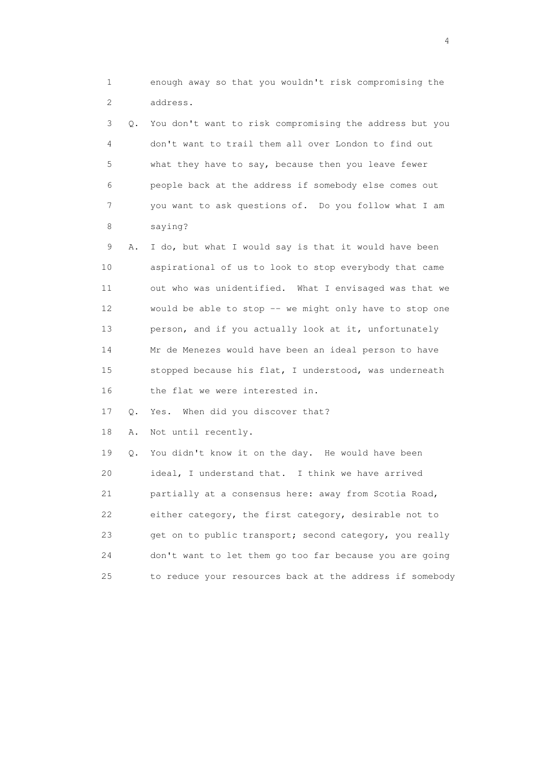1 enough away so that you wouldn't risk compromising the 2 address.

 3 Q. You don't want to risk compromising the address but you 4 don't want to trail them all over London to find out 5 what they have to say, because then you leave fewer 6 people back at the address if somebody else comes out 7 you want to ask questions of. Do you follow what I am 8 saying?

 9 A. I do, but what I would say is that it would have been 10 aspirational of us to look to stop everybody that came 11 out who was unidentified. What I envisaged was that we 12 would be able to stop -- we might only have to stop one 13 person, and if you actually look at it, unfortunately 14 Mr de Menezes would have been an ideal person to have 15 stopped because his flat, I understood, was underneath 16 the flat we were interested in.

17 Q. Yes. When did you discover that?

18 A. Not until recently.

 19 Q. You didn't know it on the day. He would have been 20 ideal, I understand that. I think we have arrived 21 partially at a consensus here: away from Scotia Road, 22 either category, the first category, desirable not to 23 get on to public transport; second category, you really 24 don't want to let them go too far because you are going 25 to reduce your resources back at the address if somebody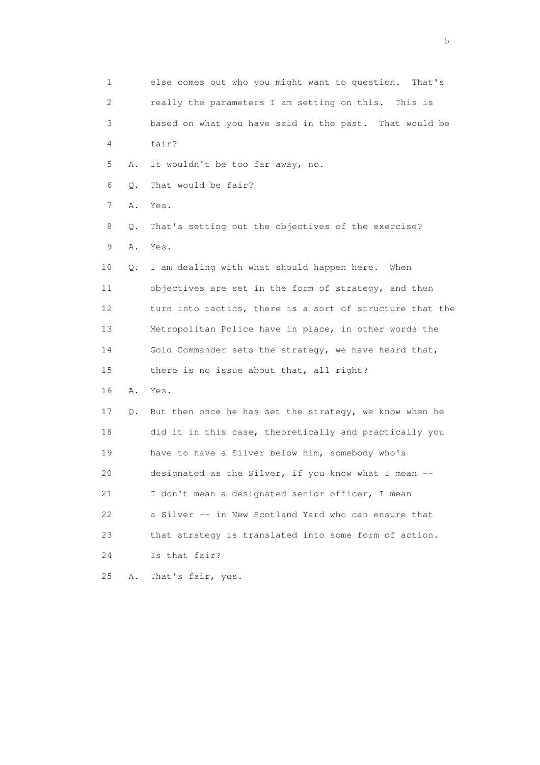1 else comes out who you might want to question. That's 2 really the parameters I am setting on this. This is 3 based on what you have said in the past. That would be 4 fair? 5 A. It wouldn't be too far away, no. 6 Q. That would be fair? 7 A. Yes. 8 Q. That's setting out the objectives of the exercise? 9 A. Yes. 10 Q. I am dealing with what should happen here. When 11 objectives are set in the form of strategy, and then 12 turn into tactics, there is a sort of structure that the 13 Metropolitan Police have in place, in other words the 14 Gold Commander sets the strategy, we have heard that, 15 there is no issue about that, all right? 16 A. Yes. 17 Q. But then once he has set the strategy, we know when he 18 did it in this case, theoretically and practically you 19 have to have a Silver below him, somebody who's 20 designated as the Silver, if you know what I mean -- 21 I don't mean a designated senior officer, I mean 22 a Silver -- in New Scotland Yard who can ensure that 23 that strategy is translated into some form of action. 24 Is that fair? 25 A. That's fair, yes.

 $\sim$  5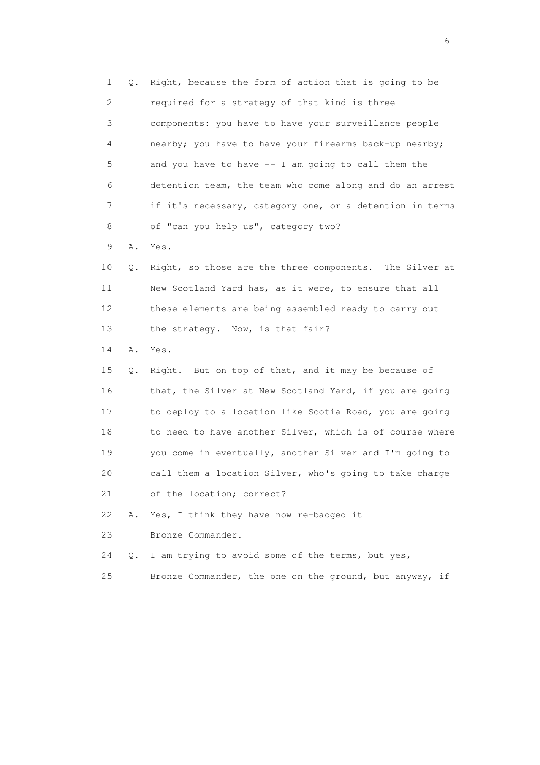1 Q. Right, because the form of action that is going to be 2 required for a strategy of that kind is three 3 components: you have to have your surveillance people 4 nearby; you have to have your firearms back-up nearby; 5 and you have to have -- I am going to call them the 6 detention team, the team who come along and do an arrest 7 if it's necessary, category one, or a detention in terms 8 of "can you help us", category two?

9 A. Yes.

 10 Q. Right, so those are the three components. The Silver at 11 New Scotland Yard has, as it were, to ensure that all 12 these elements are being assembled ready to carry out 13 the strategy. Now, is that fair?

14 A. Yes.

 15 Q. Right. But on top of that, and it may be because of 16 that, the Silver at New Scotland Yard, if you are going 17 to deploy to a location like Scotia Road, you are going 18 to need to have another Silver, which is of course where 19 you come in eventually, another Silver and I'm going to 20 call them a location Silver, who's going to take charge 21 of the location; correct?

22 A. Yes, I think they have now re-badged it

23 Bronze Commander.

24 Q. I am trying to avoid some of the terms, but yes,

25 Bronze Commander, the one on the ground, but anyway, if

 $\sim$  6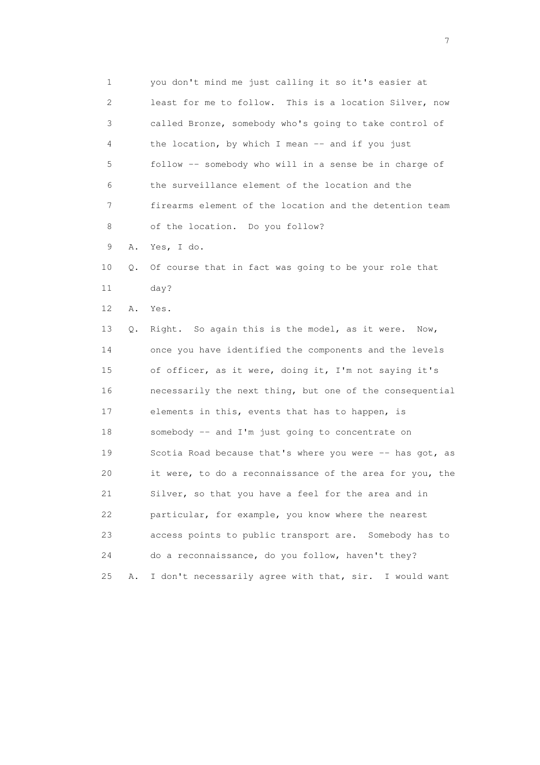1 you don't mind me just calling it so it's easier at 2 least for me to follow. This is a location Silver, now 3 called Bronze, somebody who's going to take control of 4 the location, by which I mean -- and if you just 5 follow -- somebody who will in a sense be in charge of 6 the surveillance element of the location and the 7 firearms element of the location and the detention team 8 of the location. Do you follow? 9 A. Yes, I do. 10 Q. Of course that in fact was going to be your role that 11 day? 12 A. Yes. 13 Q. Right. So again this is the model, as it were. Now, 14 once you have identified the components and the levels 15 of officer, as it were, doing it, I'm not saying it's 16 necessarily the next thing, but one of the consequential 17 elements in this, events that has to happen, is 18 somebody -- and I'm just going to concentrate on 19 Scotia Road because that's where you were -- has got, as 20 it were, to do a reconnaissance of the area for you, the 21 Silver, so that you have a feel for the area and in 22 particular, for example, you know where the nearest 23 access points to public transport are. Somebody has to

25 A. I don't necessarily agree with that, sir. I would want

24 do a reconnaissance, do you follow, haven't they?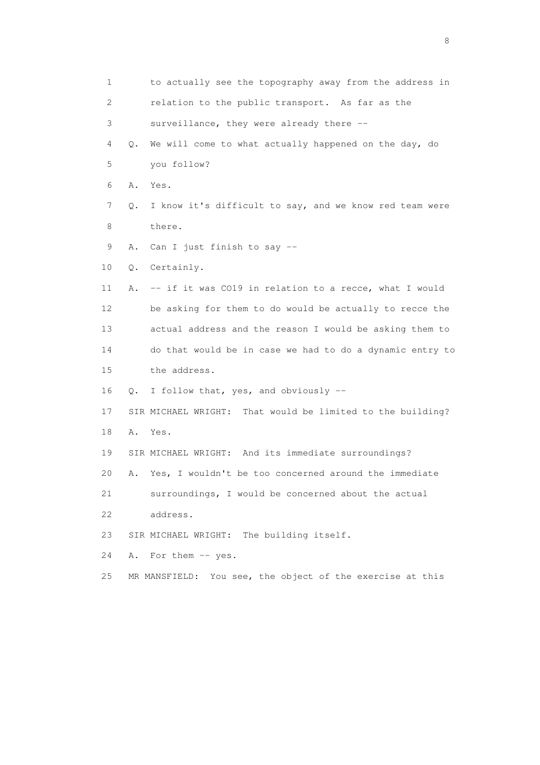1 to actually see the topography away from the address in 2 relation to the public transport. As far as the 3 surveillance, they were already there -- 4 Q. We will come to what actually happened on the day, do 5 you follow? 6 A. Yes. 7 Q. I know it's difficult to say, and we know red team were 8 there. 9 A. Can I just finish to say -- 10 Q. Certainly. 11 A. -- if it was CO19 in relation to a recce, what I would 12 be asking for them to do would be actually to recce the 13 actual address and the reason I would be asking them to 14 do that would be in case we had to do a dynamic entry to 15 the address. 16 Q. I follow that, yes, and obviously -- 17 SIR MICHAEL WRIGHT: That would be limited to the building? 18 A. Yes. 19 SIR MICHAEL WRIGHT: And its immediate surroundings? 20 A. Yes, I wouldn't be too concerned around the immediate 21 surroundings, I would be concerned about the actual 22 address. 23 SIR MICHAEL WRIGHT: The building itself. 24 A. For them -- yes. 25 MR MANSFIELD: You see, the object of the exercise at this

en de la construction de la construction de la construction de la construction de la construction de la constr<br>18 de juny : la construction de la construction de la construction de la construction de la construction de l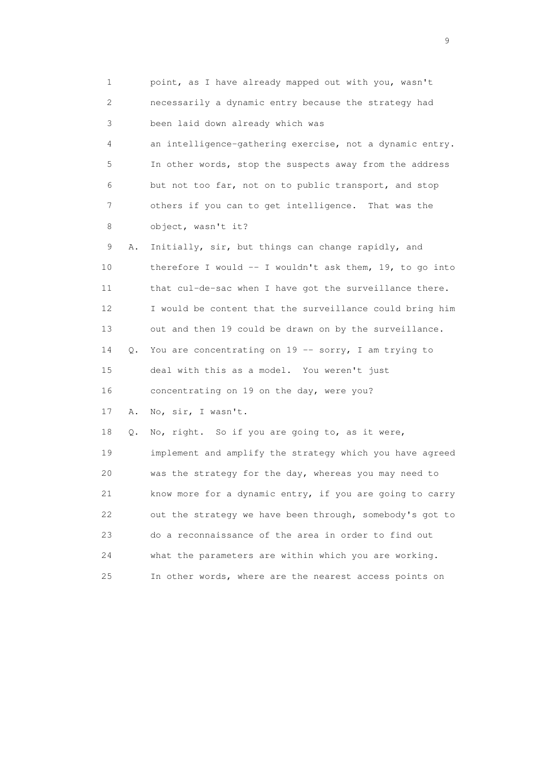| $\mathbf 1$ |    | point, as I have already mapped out with you, wasn't       |
|-------------|----|------------------------------------------------------------|
| 2           |    | necessarily a dynamic entry because the strategy had       |
| 3           |    | been laid down already which was                           |
| 4           |    | an intelligence-gathering exercise, not a dynamic entry.   |
| 5           |    | In other words, stop the suspects away from the address    |
| 6           |    | but not too far, not on to public transport, and stop      |
| 7           |    | others if you can to get intelligence. That was the        |
| 8           |    | object, wasn't it?                                         |
| 9           | Α. | Initially, sir, but things can change rapidly, and         |
| 10          |    | therefore I would $--$ I wouldn't ask them, 19, to go into |
| 11          |    | that cul-de-sac when I have got the surveillance there.    |
| 12          |    | I would be content that the surveillance could bring him   |
| 13          |    | out and then 19 could be drawn on by the surveillance.     |
| 14          | Q. | You are concentrating on 19 -- sorry, I am trying to       |
| 15          |    | deal with this as a model. You weren't just                |
| 16          |    | concentrating on 19 on the day, were you?                  |
| 17          | Α. | No, sir, I wasn't.                                         |
| 18          | Q. | No, right. So if you are going to, as it were,             |
| 19          |    | implement and amplify the strategy which you have agreed   |
| 20          |    | was the strategy for the day, whereas you may need to      |
| 21          |    | know more for a dynamic entry, if you are going to carry   |
| 22          |    | out the strategy we have been through, somebody's got to   |
| 23          |    | do a reconnaissance of the area in order to find out       |
| 24          |    | what the parameters are within which you are working.      |
| 25          |    | In other words, where are the nearest access points on     |

en de la construction de la construction de la construction de la construction de la construction de la constr<br>1911 : la construction de la construction de la construction de la construction de la construction de la const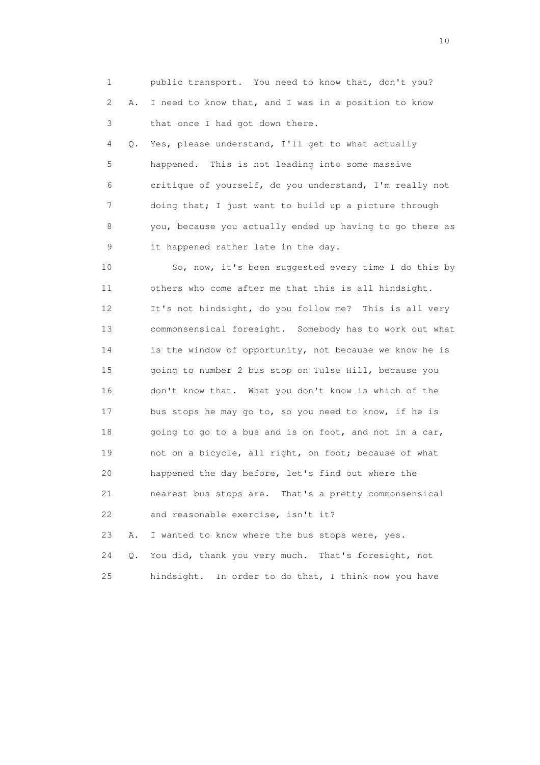1 public transport. You need to know that, don't you? 2 A. I need to know that, and I was in a position to know 3 that once I had got down there.

 4 Q. Yes, please understand, I'll get to what actually 5 happened. This is not leading into some massive 6 critique of yourself, do you understand, I'm really not 7 doing that; I just want to build up a picture through 8 you, because you actually ended up having to go there as 9 it happened rather late in the day.

 10 So, now, it's been suggested every time I do this by 11 others who come after me that this is all hindsight. 12 It's not hindsight, do you follow me? This is all very 13 commonsensical foresight. Somebody has to work out what 14 is the window of opportunity, not because we know he is 15 going to number 2 bus stop on Tulse Hill, because you 16 don't know that. What you don't know is which of the 17 bus stops he may go to, so you need to know, if he is 18 going to go to a bus and is on foot, and not in a car, 19 not on a bicycle, all right, on foot; because of what 20 happened the day before, let's find out where the 21 nearest bus stops are. That's a pretty commonsensical 22 and reasonable exercise, isn't it?

 23 A. I wanted to know where the bus stops were, yes. 24 Q. You did, thank you very much. That's foresight, not 25 hindsight. In order to do that, I think now you have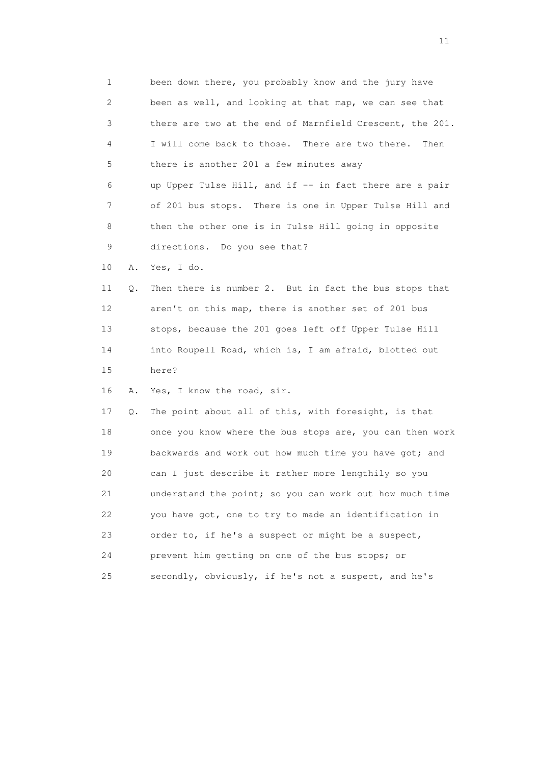1 been down there, you probably know and the jury have 2 been as well, and looking at that map, we can see that 3 there are two at the end of Marnfield Crescent, the 201. 4 I will come back to those. There are two there. Then 5 there is another 201 a few minutes away 6 up Upper Tulse Hill, and if -- in fact there are a pair 7 of 201 bus stops. There is one in Upper Tulse Hill and 8 then the other one is in Tulse Hill going in opposite 9 directions. Do you see that? 10 A. Yes, I do. 11 Q. Then there is number 2. But in fact the bus stops that 12 aren't on this map, there is another set of 201 bus 13 stops, because the 201 goes left off Upper Tulse Hill 14 into Roupell Road, which is, I am afraid, blotted out 15 here? 16 A. Yes, I know the road, sir. 17 Q. The point about all of this, with foresight, is that 18 once you know where the bus stops are, you can then work 19 backwards and work out how much time you have got; and 20 can I just describe it rather more lengthily so you 21 understand the point; so you can work out how much time 22 you have got, one to try to made an identification in 23 order to, if he's a suspect or might be a suspect, 24 prevent him getting on one of the bus stops; or 25 secondly, obviously, if he's not a suspect, and he's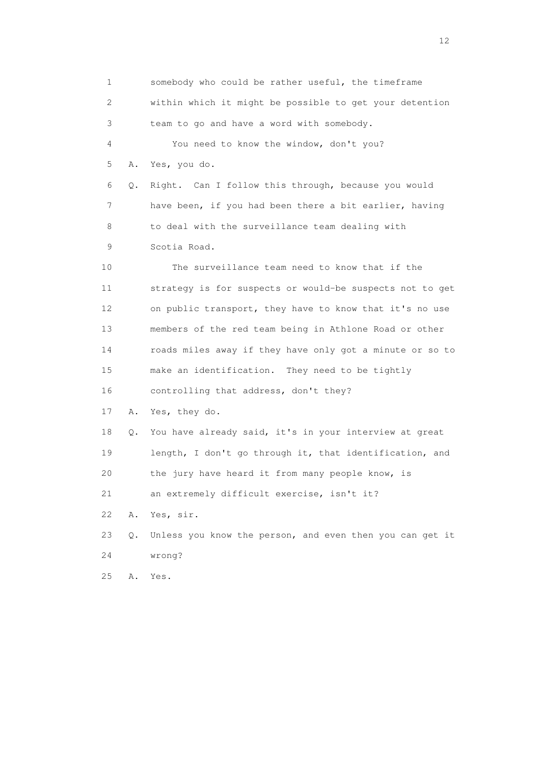1 somebody who could be rather useful, the timeframe 2 within which it might be possible to get your detention 3 team to go and have a word with somebody. 4 You need to know the window, don't you? 5 A. Yes, you do. 6 Q. Right. Can I follow this through, because you would 7 have been, if you had been there a bit earlier, having 8 to deal with the surveillance team dealing with 9 Scotia Road. 10 The surveillance team need to know that if the 11 strategy is for suspects or would-be suspects not to get 12 on public transport, they have to know that it's no use 13 members of the red team being in Athlone Road or other 14 roads miles away if they have only got a minute or so to 15 make an identification. They need to be tightly 16 controlling that address, don't they? 17 A. Yes, they do. 18 Q. You have already said, it's in your interview at great 19 length, I don't go through it, that identification, and 20 the jury have heard it from many people know, is 21 an extremely difficult exercise, isn't it? 22 A. Yes, sir. 23 Q. Unless you know the person, and even then you can get it 24 wrong? 25 A. Yes.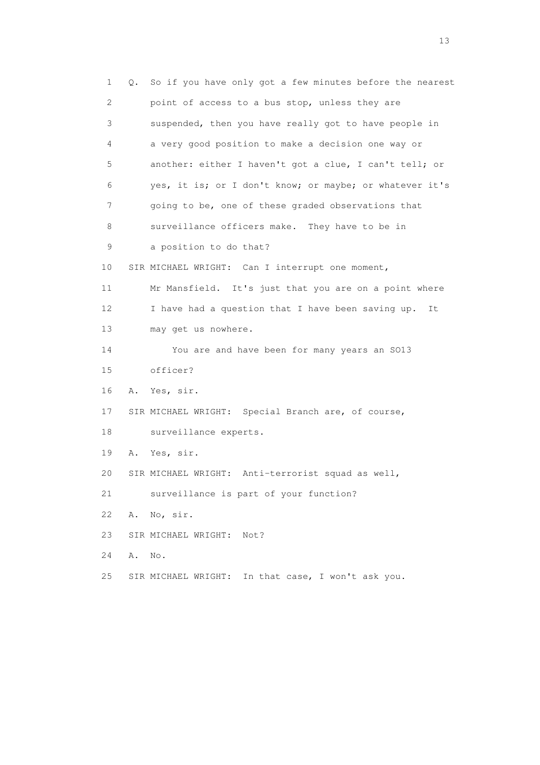1 Q. So if you have only got a few minutes before the nearest 2 point of access to a bus stop, unless they are 3 suspended, then you have really got to have people in 4 a very good position to make a decision one way or 5 another: either I haven't got a clue, I can't tell; or 6 yes, it is; or I don't know; or maybe; or whatever it's 7 going to be, one of these graded observations that 8 surveillance officers make. They have to be in 9 a position to do that? 10 SIR MICHAEL WRIGHT: Can I interrupt one moment, 11 Mr Mansfield. It's just that you are on a point where 12 I have had a question that I have been saving up. It 13 may get us nowhere. 14 You are and have been for many years an SO13 15 officer? 16 A. Yes, sir. 17 SIR MICHAEL WRIGHT: Special Branch are, of course, 18 surveillance experts. 19 A. Yes, sir. 20 SIR MICHAEL WRIGHT: Anti-terrorist squad as well, 21 surveillance is part of your function? 22 A. No, sir. 23 SIR MICHAEL WRIGHT: Not? 24 A. No. 25 SIR MICHAEL WRIGHT: In that case, I won't ask you.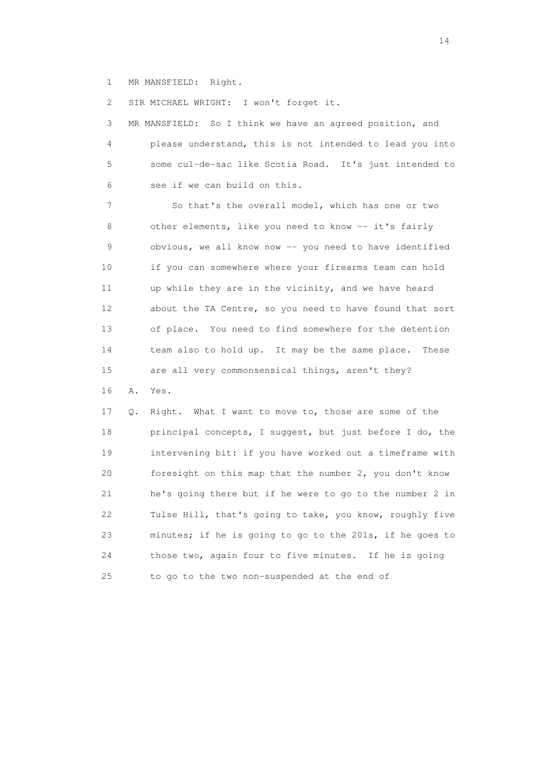1 MR MANSFIELD: Right.

2 SIR MICHAEL WRIGHT: I won't forget it.

 3 MR MANSFIELD: So I think we have an agreed position, and 4 please understand, this is not intended to lead you into 5 some cul-de-sac like Scotia Road. It's just intended to 6 see if we can build on this.

 7 So that's the overall model, which has one or two 8 other elements, like you need to know -- it's fairly 9 obvious, we all know now -- you need to have identified 10 if you can somewhere where your firearms team can hold 11 up while they are in the vicinity, and we have heard 12 about the TA Centre, so you need to have found that sort 13 of place. You need to find somewhere for the detention 14 team also to hold up. It may be the same place. These 15 are all very commonsensical things, aren't they? 16 A. Yes.

 17 Q. Right. What I want to move to, those are some of the 18 principal concepts, I suggest, but just before I do, the 19 intervening bit: if you have worked out a timeframe with 20 foresight on this map that the number 2, you don't know 21 he's going there but if he were to go to the number 2 in 22 Tulse Hill, that's going to take, you know, roughly five 23 minutes; if he is going to go to the 201s, if he goes to 24 those two, again four to five minutes. If he is going 25 to go to the two non-suspended at the end of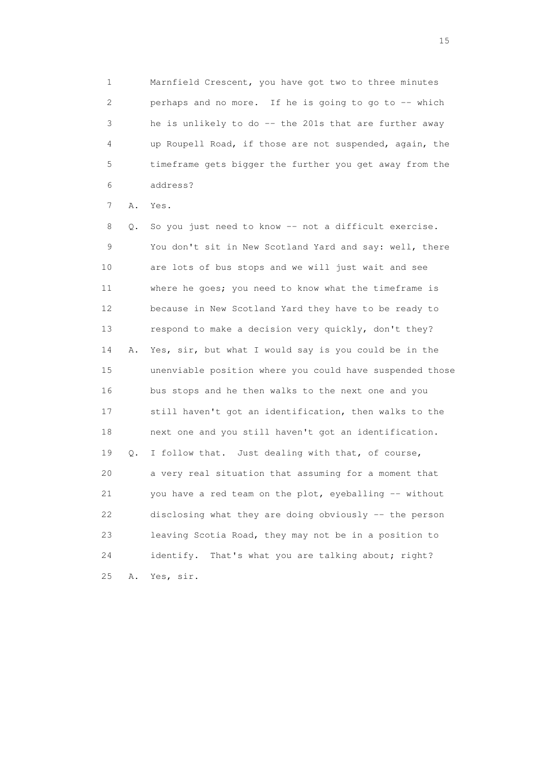1 Marnfield Crescent, you have got two to three minutes 2 perhaps and no more. If he is going to go to -- which 3 he is unlikely to do -- the 201s that are further away 4 up Roupell Road, if those are not suspended, again, the 5 timeframe gets bigger the further you get away from the 6 address?

7 A. Yes.

 8 Q. So you just need to know -- not a difficult exercise. 9 You don't sit in New Scotland Yard and say: well, there 10 are lots of bus stops and we will just wait and see 11 where he goes; you need to know what the timeframe is 12 because in New Scotland Yard they have to be ready to 13 respond to make a decision very quickly, don't they? 14 A. Yes, sir, but what I would say is you could be in the 15 unenviable position where you could have suspended those 16 bus stops and he then walks to the next one and you 17 still haven't got an identification, then walks to the 18 next one and you still haven't got an identification. 19 Q. I follow that. Just dealing with that, of course, 20 a very real situation that assuming for a moment that 21 you have a red team on the plot, eyeballing -- without 22 disclosing what they are doing obviously -- the person 23 leaving Scotia Road, they may not be in a position to 24 identify. That's what you are talking about; right? 25 A. Yes, sir.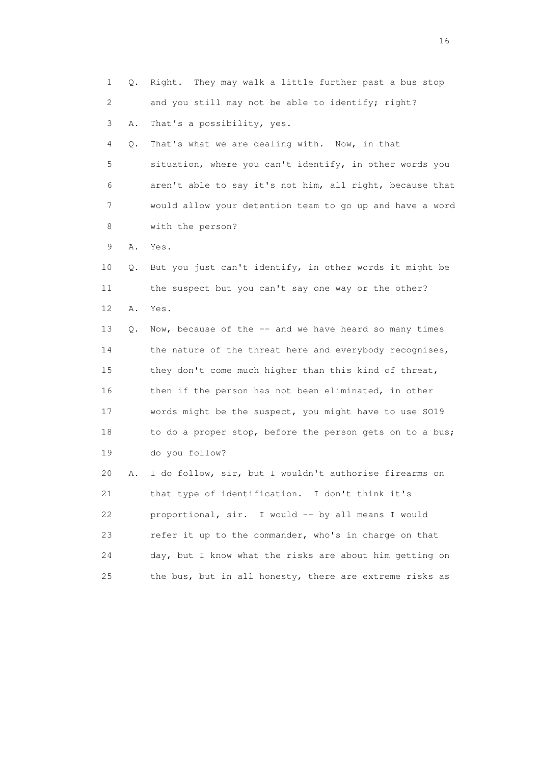| $\mathbf 1$ | Q. | They may walk a little further past a bus stop<br>Right. |
|-------------|----|----------------------------------------------------------|
| 2           |    | and you still may not be able to identify; right?        |
| 3           | Α. | That's a possibility, yes.                               |
| 4           | Q. | That's what we are dealing with. Now, in that            |
| 5           |    | situation, where you can't identify, in other words you  |
| 6           |    | aren't able to say it's not him, all right, because that |
| 7           |    | would allow your detention team to go up and have a word |
| 8           |    | with the person?                                         |
| 9           | Α. | Yes.                                                     |
| 10          | Q. | But you just can't identify, in other words it might be  |
| 11          |    | the suspect but you can't say one way or the other?      |
| 12          | Α. | Yes.                                                     |
| 13          | Q. | Now, because of the -- and we have heard so many times   |
| 14          |    | the nature of the threat here and everybody recognises,  |
| 15          |    | they don't come much higher than this kind of threat,    |
| 16          |    | then if the person has not been eliminated, in other     |
| 17          |    | words might be the suspect, you might have to use S019   |
| 18          |    | to do a proper stop, before the person gets on to a bus; |
| 19          |    | do you follow?                                           |
| 20          | Α. | I do follow, sir, but I wouldn't authorise firearms on   |
| 21          |    | that type of identification. I don't think it's          |
| 22          |    | proportional, sir. I would -- by all means I would       |
| 23          |    | refer it up to the commander, who's in charge on that    |
| 24          |    | day, but I know what the risks are about him getting on  |
| 25          |    | the bus, but in all honesty, there are extreme risks as  |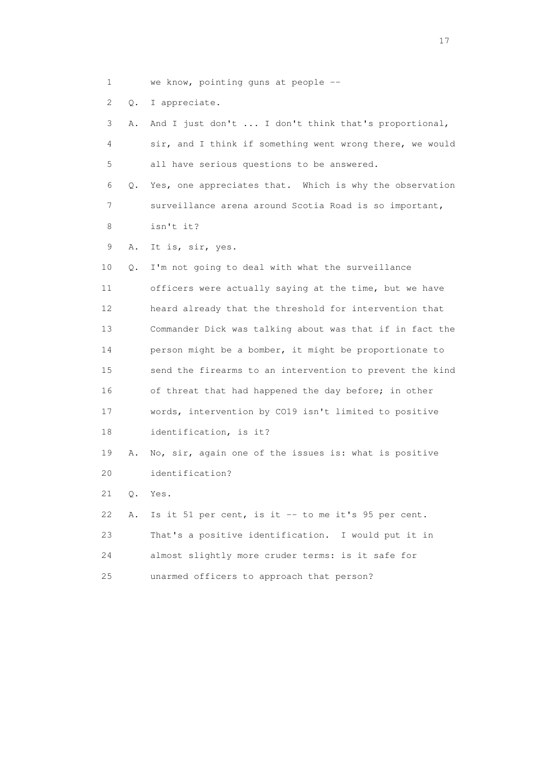1 we know, pointing guns at people --

2 Q. I appreciate.

 3 A. And I just don't ... I don't think that's proportional, 4 sir, and I think if something went wrong there, we would 5 all have serious questions to be answered. 6 Q. Yes, one appreciates that. Which is why the observation 7 surveillance arena around Scotia Road is so important, 8 isn't it? 9 A. It is, sir, yes. 10 Q. I'm not going to deal with what the surveillance 11 officers were actually saying at the time, but we have 12 heard already that the threshold for intervention that 13 Commander Dick was talking about was that if in fact the 14 person might be a bomber, it might be proportionate to 15 send the firearms to an intervention to prevent the kind 16 of threat that had happened the day before; in other 17 words, intervention by CO19 isn't limited to positive 18 identification, is it? 19 A. No, sir, again one of the issues is: what is positive 20 identification? 21 Q. Yes. 22 A. Is it 51 per cent, is it -- to me it's 95 per cent. 23 That's a positive identification. I would put it in 24 almost slightly more cruder terms: is it safe for 25 unarmed officers to approach that person?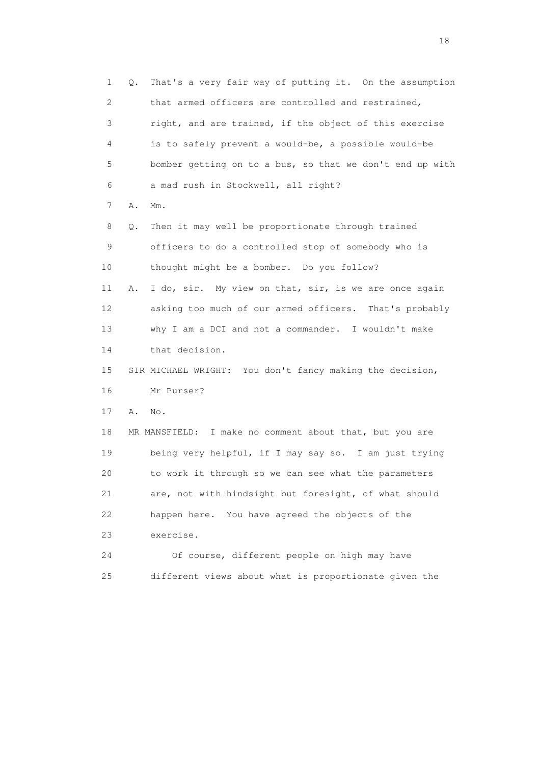1 Q. That's a very fair way of putting it. On the assumption 2 that armed officers are controlled and restrained, 3 right, and are trained, if the object of this exercise 4 is to safely prevent a would-be, a possible would-be 5 bomber getting on to a bus, so that we don't end up with 6 a mad rush in Stockwell, all right? 7 A. Mm. 8 Q. Then it may well be proportionate through trained 9 officers to do a controlled stop of somebody who is 10 thought might be a bomber. Do you follow? 11 A. I do, sir. My view on that, sir, is we are once again 12 asking too much of our armed officers. That's probably 13 why I am a DCI and not a commander. I wouldn't make 14 that decision. 15 SIR MICHAEL WRIGHT: You don't fancy making the decision, 16 Mr Purser? 17 A. No. 18 MR MANSFIELD: I make no comment about that, but you are 19 being very helpful, if I may say so. I am just trying 20 to work it through so we can see what the parameters 21 are, not with hindsight but foresight, of what should 22 happen here. You have agreed the objects of the 23 exercise. 24 Of course, different people on high may have 25 different views about what is proportionate given the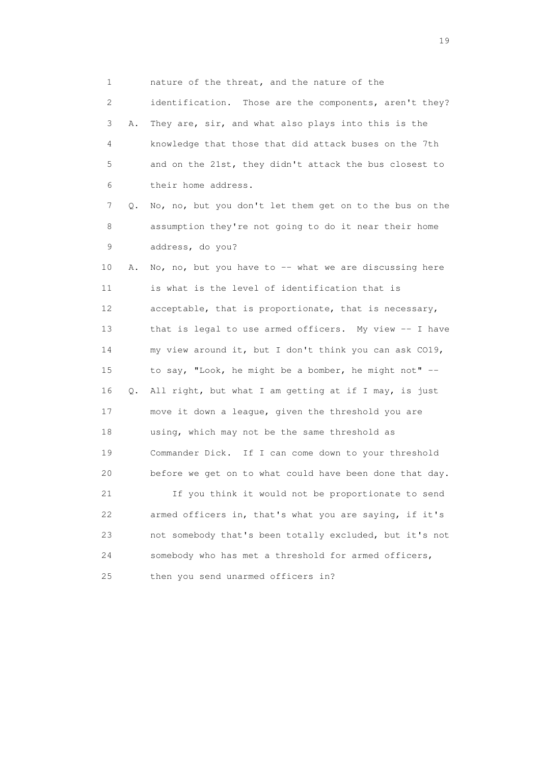1 nature of the threat, and the nature of the 2 identification. Those are the components, aren't they? 3 A. They are, sir, and what also plays into this is the 4 knowledge that those that did attack buses on the 7th 5 and on the 21st, they didn't attack the bus closest to 6 their home address. 7 Q. No, no, but you don't let them get on to the bus on the 8 assumption they're not going to do it near their home 9 address, do you? 10 A. No, no, but you have to -- what we are discussing here 11 is what is the level of identification that is 12 acceptable, that is proportionate, that is necessary, 13 that is legal to use armed officers. My view -- I have 14 my view around it, but I don't think you can ask CO19, 15 to say, "Look, he might be a bomber, he might not" -- 16 Q. All right, but what I am getting at if I may, is just 17 move it down a league, given the threshold you are 18 using, which may not be the same threshold as 19 Commander Dick. If I can come down to your threshold 20 before we get on to what could have been done that day. 21 If you think it would not be proportionate to send 22 armed officers in, that's what you are saying, if it's 23 not somebody that's been totally excluded, but it's not 24 somebody who has met a threshold for armed officers, 25 then you send unarmed officers in?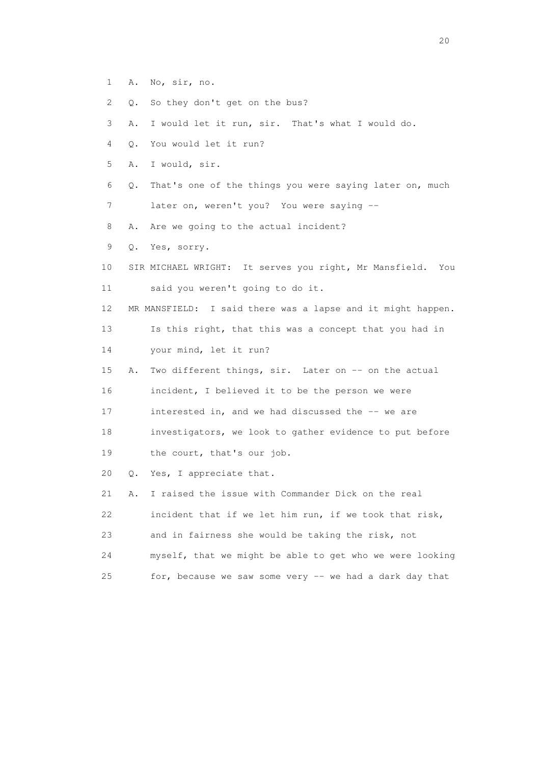- 1 A. No, sir, no.
- 2 Q. So they don't get on the bus?
- 3 A. I would let it run, sir. That's what I would do.
- 4 Q. You would let it run?
- 5 A. I would, sir.
- 6 Q. That's one of the things you were saying later on, much
- 7 later on, weren't you? You were saying --
- 8 A. Are we going to the actual incident?
- 9 Q. Yes, sorry.
- 10 SIR MICHAEL WRIGHT: It serves you right, Mr Mansfield. You 11 said you weren't going to do it.
- 12 MR MANSFIELD: I said there was a lapse and it might happen.
- 13 Is this right, that this was a concept that you had in
- 14 your mind, let it run?
- 15 A. Two different things, sir. Later on -- on the actual 16 incident, I believed it to be the person we were
- 17 interested in, and we had discussed the -- we are
- 18 investigators, we look to gather evidence to put before
- 19 the court, that's our job.
- 20 Q. Yes, I appreciate that.

 21 A. I raised the issue with Commander Dick on the real 22 incident that if we let him run, if we took that risk, 23 and in fairness she would be taking the risk, not 24 myself, that we might be able to get who we were looking 25 for, because we saw some very -- we had a dark day that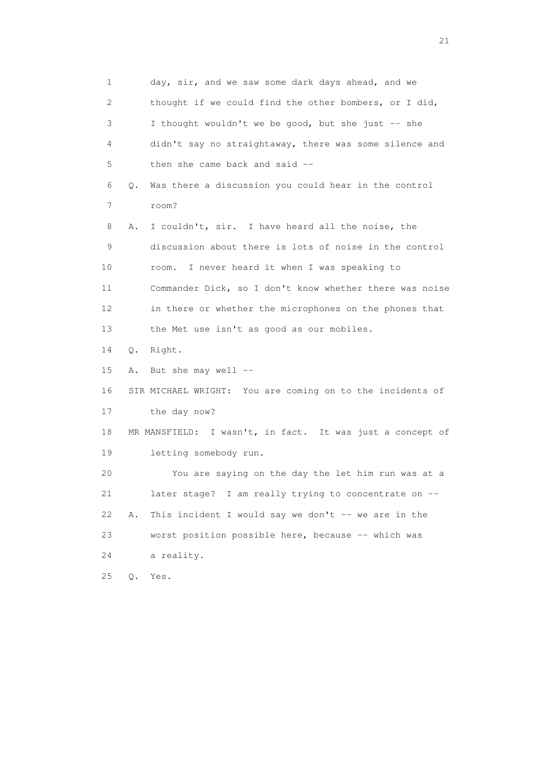1 day, sir, and we saw some dark days ahead, and we 2 thought if we could find the other bombers, or I did, 3 I thought wouldn't we be good, but she just -- she 4 didn't say no straightaway, there was some silence and 5 then she came back and said -- 6 Q. Was there a discussion you could hear in the control 7 room? 8 A. I couldn't, sir. I have heard all the noise, the 9 discussion about there is lots of noise in the control 10 room. I never heard it when I was speaking to 11 Commander Dick, so I don't know whether there was noise 12 in there or whether the microphones on the phones that 13 the Met use isn't as good as our mobiles. 14 Q. Right. 15 A. But she may well -- 16 SIR MICHAEL WRIGHT: You are coming on to the incidents of 17 the day now? 18 MR MANSFIELD: I wasn't, in fact. It was just a concept of 19 letting somebody run. 20 You are saying on the day the let him run was at a 21 later stage? I am really trying to concentrate on -- 22 A. This incident I would say we don't  $-$ - we are in the 23 worst position possible here, because -- which was 24 a reality. 25 Q. Yes.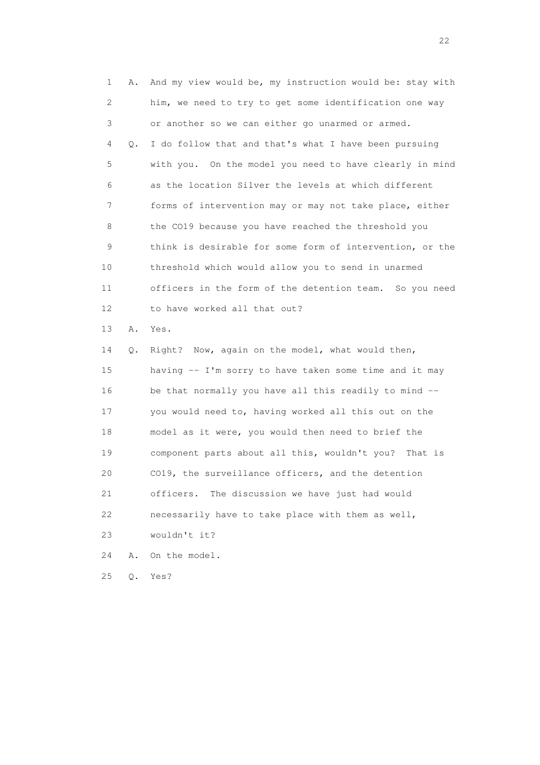1 A. And my view would be, my instruction would be: stay with 2 him, we need to try to get some identification one way 3 or another so we can either go unarmed or armed. 4 Q. I do follow that and that's what I have been pursuing 5 with you. On the model you need to have clearly in mind 6 as the location Silver the levels at which different 7 forms of intervention may or may not take place, either 8 the CO19 because you have reached the threshold you 9 think is desirable for some form of intervention, or the 10 threshold which would allow you to send in unarmed 11 officers in the form of the detention team. So you need 12 to have worked all that out? 13 A. Yes. 14 Q. Right? Now, again on the model, what would then, 15 having -- I'm sorry to have taken some time and it may 16 be that normally you have all this readily to mind -- 17 you would need to, having worked all this out on the 18 model as it were, you would then need to brief the 19 component parts about all this, wouldn't you? That is 20 CO19, the surveillance officers, and the detention 21 officers. The discussion we have just had would 22 necessarily have to take place with them as well, 23 wouldn't it? 24 A. On the model.

25 Q. Yes?

22 and 22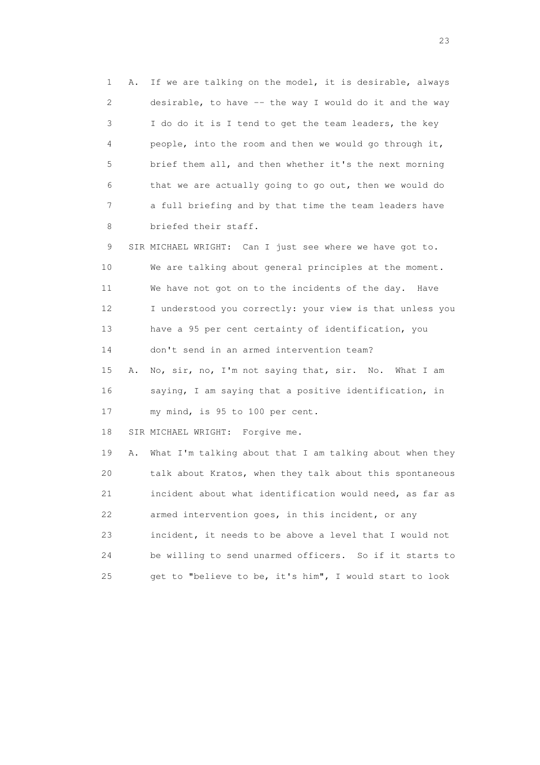1 A. If we are talking on the model, it is desirable, always 2 desirable, to have -- the way I would do it and the way 3 I do do it is I tend to get the team leaders, the key 4 people, into the room and then we would go through it, 5 brief them all, and then whether it's the next morning 6 that we are actually going to go out, then we would do 7 a full briefing and by that time the team leaders have 8 briefed their staff.

 9 SIR MICHAEL WRIGHT: Can I just see where we have got to. 10 We are talking about general principles at the moment. 11 We have not got on to the incidents of the day. Have 12 I understood you correctly: your view is that unless you 13 have a 95 per cent certainty of identification, you 14 don't send in an armed intervention team?

 15 A. No, sir, no, I'm not saying that, sir. No. What I am 16 saying, I am saying that a positive identification, in 17 my mind, is 95 to 100 per cent.

18 SIR MICHAEL WRIGHT: Forgive me.

 19 A. What I'm talking about that I am talking about when they 20 talk about Kratos, when they talk about this spontaneous 21 incident about what identification would need, as far as 22 armed intervention goes, in this incident, or any 23 incident, it needs to be above a level that I would not 24 be willing to send unarmed officers. So if it starts to 25 get to "believe to be, it's him", I would start to look

23 and 23 and 23 and 23 and 23 and 23 and 23 and 23 and 23 and 23 and 23 and 23 and 23 and 23 and 23 and 23 and 24 and 25 and 25 and 25 and 26 and 26 and 26 and 26 and 26 and 26 and 26 and 26 and 26 and 26 and 26 and 26 an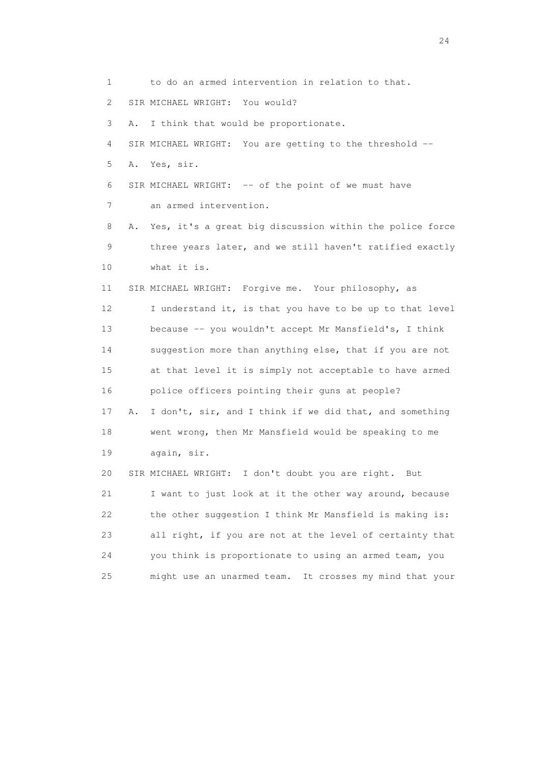1 to do an armed intervention in relation to that. 2 SIR MICHAEL WRIGHT: You would? 3 A. I think that would be proportionate. 4 SIR MICHAEL WRIGHT: You are getting to the threshold -- 5 A. Yes, sir. 6 SIR MICHAEL WRIGHT: -- of the point of we must have 7 an armed intervention. 8 A. Yes, it's a great big discussion within the police force 9 three years later, and we still haven't ratified exactly 10 what it is. 11 SIR MICHAEL WRIGHT: Forgive me. Your philosophy, as 12 I understand it, is that you have to be up to that level 13 because -- you wouldn't accept Mr Mansfield's, I think 14 suggestion more than anything else, that if you are not 15 at that level it is simply not acceptable to have armed 16 police officers pointing their guns at people? 17 A. I don't, sir, and I think if we did that, and something 18 went wrong, then Mr Mansfield would be speaking to me 19 again, sir. 20 SIR MICHAEL WRIGHT: I don't doubt you are right. But 21 I want to just look at it the other way around, because 22 the other suggestion I think Mr Mansfield is making is: 23 all right, if you are not at the level of certainty that 24 you think is proportionate to using an armed team, you 25 might use an unarmed team. It crosses my mind that your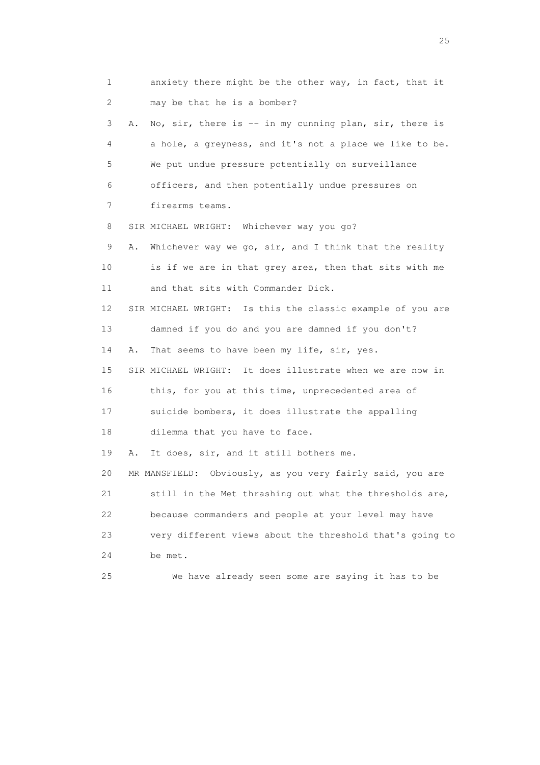1 anxiety there might be the other way, in fact, that it 2 may be that he is a bomber? 3 A. No, sir, there is -- in my cunning plan, sir, there is 4 a hole, a greyness, and it's not a place we like to be. 5 We put undue pressure potentially on surveillance 6 officers, and then potentially undue pressures on 7 firearms teams. 8 SIR MICHAEL WRIGHT: Whichever way you go? 9 A. Whichever way we go, sir, and I think that the reality 10 is if we are in that grey area, then that sits with me 11 and that sits with Commander Dick. 12 SIR MICHAEL WRIGHT: Is this the classic example of you are 13 damned if you do and you are damned if you don't? 14 A. That seems to have been my life, sir, yes. 15 SIR MICHAEL WRIGHT: It does illustrate when we are now in 16 this, for you at this time, unprecedented area of 17 suicide bombers, it does illustrate the appalling 18 dilemma that you have to face. 19 A. It does, sir, and it still bothers me. 20 MR MANSFIELD: Obviously, as you very fairly said, you are 21 still in the Met thrashing out what the thresholds are, 22 because commanders and people at your level may have 23 very different views about the threshold that's going to 24 be met. 25 We have already seen some are saying it has to be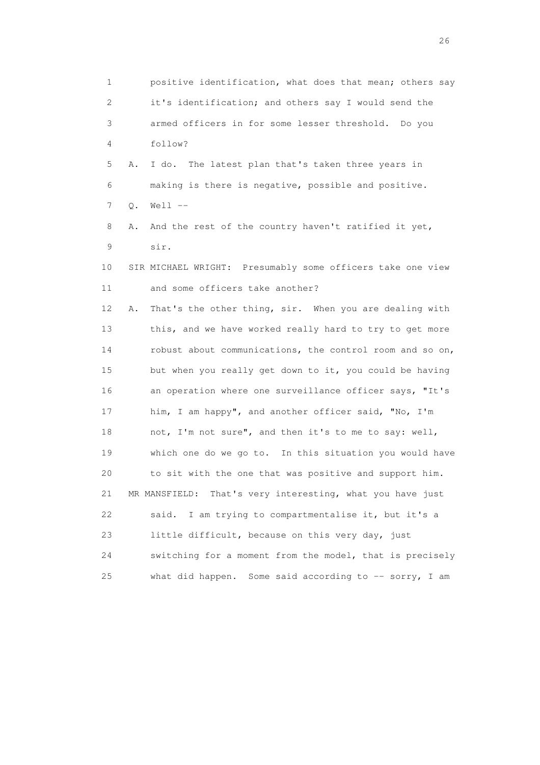1 positive identification, what does that mean; others say 2 it's identification; and others say I would send the 3 armed officers in for some lesser threshold. Do you 4 follow? 5 A. I do. The latest plan that's taken three years in 6 making is there is negative, possible and positive. 7 Q. Well -- 8 A. And the rest of the country haven't ratified it yet, 9 sir. 10 SIR MICHAEL WRIGHT: Presumably some officers take one view 11 and some officers take another? 12 A. That's the other thing, sir. When you are dealing with 13 this, and we have worked really hard to try to get more 14 robust about communications, the control room and so on, 15 but when you really get down to it, you could be having 16 an operation where one surveillance officer says, "It's 17 him, I am happy", and another officer said, "No, I'm 18 not, I'm not sure", and then it's to me to say: well, 19 which one do we go to. In this situation you would have 20 to sit with the one that was positive and support him. 21 MR MANSFIELD: That's very interesting, what you have just 22 said. I am trying to compartmentalise it, but it's a 23 little difficult, because on this very day, just 24 switching for a moment from the model, that is precisely 25 what did happen. Some said according to -- sorry, I am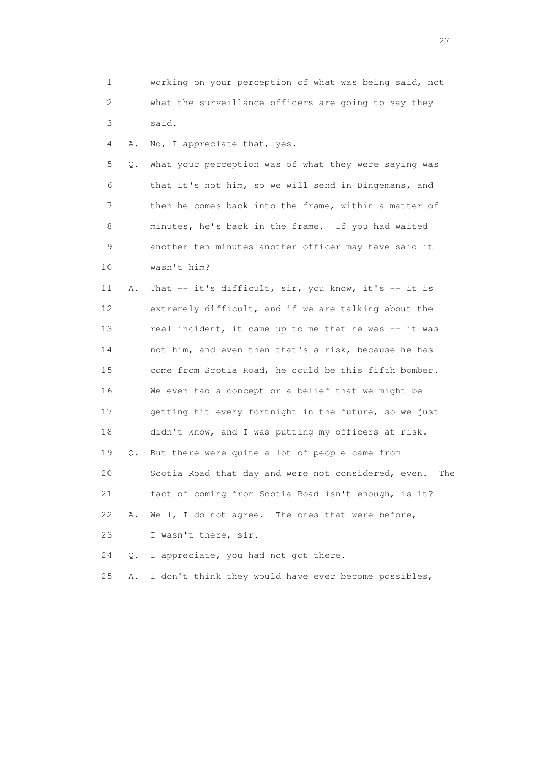1 working on your perception of what was being said, not 2 what the surveillance officers are going to say they 3 said.

4 A. No, I appreciate that, yes.

 5 Q. What your perception was of what they were saying was 6 that it's not him, so we will send in Dingemans, and 7 then he comes back into the frame, within a matter of 8 minutes, he's back in the frame. If you had waited 9 another ten minutes another officer may have said it 10 wasn't him?

 11 A. That -- it's difficult, sir, you know, it's -- it is 12 extremely difficult, and if we are talking about the 13 real incident, it came up to me that he was -- it was 14 not him, and even then that's a risk, because he has 15 come from Scotia Road, he could be this fifth bomber. 16 We even had a concept or a belief that we might be 17 getting hit every fortnight in the future, so we just 18 didn't know, and I was putting my officers at risk. 19 Q. But there were quite a lot of people came from 20 Scotia Road that day and were not considered, even. The 21 fact of coming from Scotia Road isn't enough, is it? 22 A. Well, I do not agree. The ones that were before, 23 I wasn't there, sir.

24 Q. I appreciate, you had not got there.

25 A. I don't think they would have ever become possibles,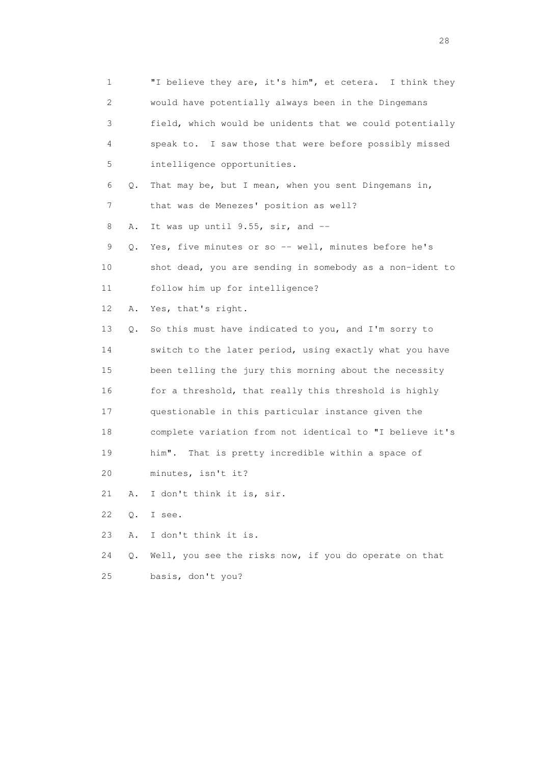1 "I believe they are, it's him", et cetera. I think they 2 would have potentially always been in the Dingemans 3 field, which would be unidents that we could potentially 4 speak to. I saw those that were before possibly missed 5 intelligence opportunities. 6 Q. That may be, but I mean, when you sent Dingemans in, 7 that was de Menezes' position as well? 8 A. It was up until 9.55, sir, and --9 Q. Yes, five minutes or so -- well, minutes before he's 10 shot dead, you are sending in somebody as a non-ident to 11 follow him up for intelligence? 12 A. Yes, that's right. 13 Q. So this must have indicated to you, and I'm sorry to 14 switch to the later period, using exactly what you have 15 been telling the jury this morning about the necessity 16 for a threshold, that really this threshold is highly 17 questionable in this particular instance given the 18 complete variation from not identical to "I believe it's 19 him". That is pretty incredible within a space of 20 minutes, isn't it? 21 A. I don't think it is, sir. 22 Q. I see. 23 A. I don't think it is. 24 Q. Well, you see the risks now, if you do operate on that 25 basis, don't you?

28 and 28 and 28 and 28 and 28 and 28 and 28 and 28 and 28 and 28 and 28 and 28 and 28 and 28 and 28 and 28 and 28 and 28 and 28 and 28 and 28 and 28 and 28 and 28 and 28 and 28 and 28 and 28 and 28 and 28 and 28 and 28 an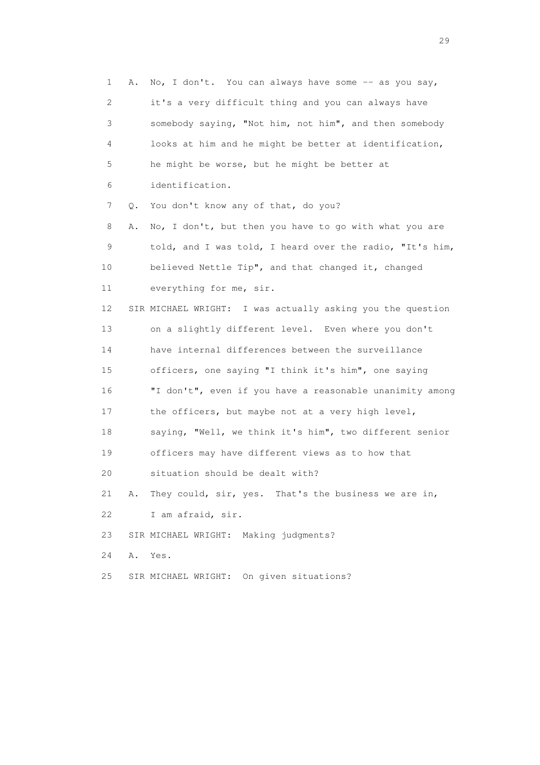1 A. No, I don't. You can always have some -- as you say, 2 it's a very difficult thing and you can always have 3 somebody saying, "Not him, not him", and then somebody 4 looks at him and he might be better at identification, 5 he might be worse, but he might be better at 6 identification. 7 Q. You don't know any of that, do you? 8 A. No, I don't, but then you have to go with what you are 9 told, and I was told, I heard over the radio, "It's him, 10 believed Nettle Tip", and that changed it, changed 11 everything for me, sir. 12 SIR MICHAEL WRIGHT: I was actually asking you the question 13 on a slightly different level. Even where you don't 14 have internal differences between the surveillance 15 officers, one saying "I think it's him", one saying 16 "I don't", even if you have a reasonable unanimity among 17 the officers, but maybe not at a very high level, 18 saying, "Well, we think it's him", two different senior 19 officers may have different views as to how that 20 situation should be dealt with? 21 A. They could, sir, yes. That's the business we are in, 22 I am afraid, sir. 23 SIR MICHAEL WRIGHT: Making judgments? 24 A. Yes. 25 SIR MICHAEL WRIGHT: On given situations?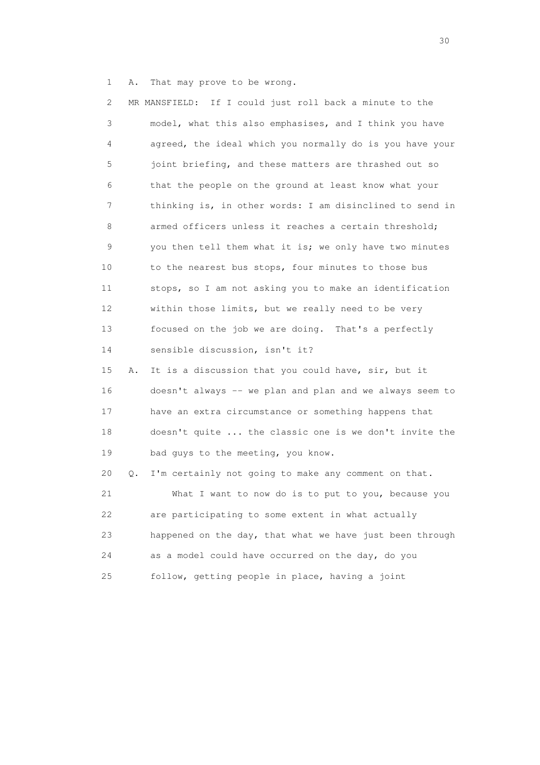1 A. That may prove to be wrong.

| $\mathbf{2}^{\mathsf{I}}$ |    | MR MANSFIELD: If I could just roll back a minute to the  |
|---------------------------|----|----------------------------------------------------------|
| 3                         |    | model, what this also emphasises, and I think you have   |
| 4                         |    | agreed, the ideal which you normally do is you have your |
| 5                         |    | joint briefing, and these matters are thrashed out so    |
| 6                         |    | that the people on the ground at least know what your    |
| 7                         |    | thinking is, in other words: I am disinclined to send in |
| 8                         |    | armed officers unless it reaches a certain threshold;    |
| 9                         |    | you then tell them what it is; we only have two minutes  |
| 10                        |    | to the nearest bus stops, four minutes to those bus      |
| 11                        |    | stops, so I am not asking you to make an identification  |
| 12                        |    | within those limits, but we really need to be very       |
| 13                        |    | focused on the job we are doing. That's a perfectly      |
| 14                        |    | sensible discussion, isn't it?                           |
| 15                        | Α. | It is a discussion that you could have, sir, but it      |
| 16                        |    | doesn't always -- we plan and plan and we always seem to |
| 17                        |    | have an extra circumstance or something happens that     |
| 18                        |    | doesn't quite  the classic one is we don't invite the    |
| 19                        |    | bad guys to the meeting, you know.                       |
| 20                        | Q. | I'm certainly not going to make any comment on that.     |
| 21                        |    | What I want to now do is to put to you, because you      |
| 22                        |    | are participating to some extent in what actually        |
| 23                        |    | happened on the day, that what we have just been through |
| 24                        |    | as a model could have occurred on the day, do you        |
| 25                        |    | follow, getting people in place, having a joint          |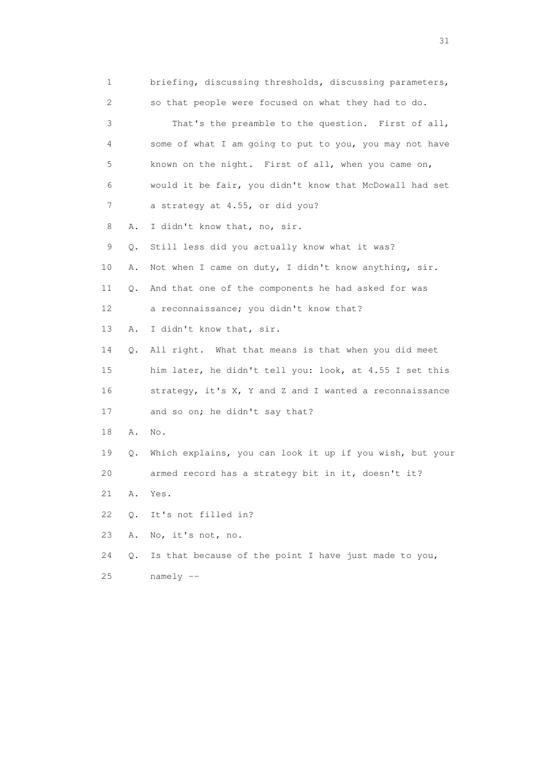| $\mathbf 1$ |       | briefing, discussing thresholds, discussing parameters,  |
|-------------|-------|----------------------------------------------------------|
| 2           |       | so that people were focused on what they had to do.      |
| 3           |       | That's the preamble to the question. First of all,       |
| 4           |       | some of what I am going to put to you, you may not have  |
| 5           |       | known on the night. First of all, when you came on,      |
| 6           |       | would it be fair, you didn't know that McDowall had set  |
| 7           |       | a strategy at 4.55, or did you?                          |
| 8           | Α.    | I didn't know that, no, sir.                             |
| 9           | Q.    | Still less did you actually know what it was?            |
| 10          | Α.    | Not when I came on duty, I didn't know anything, sir.    |
| 11          | Q.    | And that one of the components he had asked for was      |
| 12          |       | a reconnaissance; you didn't know that?                  |
| 13          | Α.    | I didn't know that, sir.                                 |
| 14          | Q.    | All right. What that means is that when you did meet     |
| 15          |       | him later, he didn't tell you: look, at 4.55 I set this  |
| 16          |       | strategy, it's X, Y and Z and I wanted a reconnaissance  |
| 17          |       | and so on; he didn't say that?                           |
| 18          | Α.    | No.                                                      |
| 19          | Q.    | Which explains, you can look it up if you wish, but your |
| 20          |       | armed record has a strategy bit in it, doesn't it?       |
| 21          | Α.    | Yes.                                                     |
| 22          | $Q$ . | It's not filled in?                                      |
| 23          | Α.    | No, it's not, no.                                        |
| 24          | Q.    | Is that because of the point I have just made to you,    |
| 25          |       | $namely --$                                              |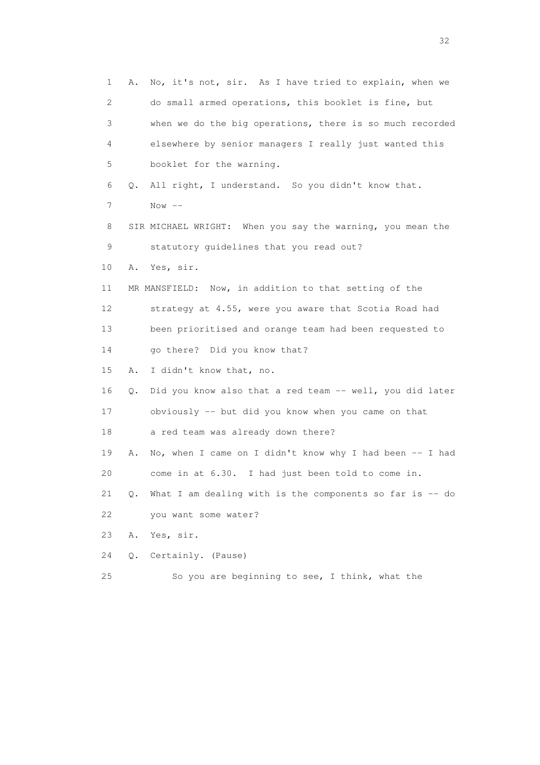1 A. No, it's not, sir. As I have tried to explain, when we 2 do small armed operations, this booklet is fine, but 3 when we do the big operations, there is so much recorded 4 elsewhere by senior managers I really just wanted this 5 booklet for the warning. 6 Q. All right, I understand. So you didn't know that. 7 Now -- 8 SIR MICHAEL WRIGHT: When you say the warning, you mean the 9 statutory guidelines that you read out? 10 A. Yes, sir. 11 MR MANSFIELD: Now, in addition to that setting of the 12 strategy at 4.55, were you aware that Scotia Road had 13 been prioritised and orange team had been requested to 14 go there? Did you know that? 15 A. I didn't know that, no. 16 Q. Did you know also that a red team -- well, you did later 17 obviously -- but did you know when you came on that 18 a red team was already down there? 19 A. No, when I came on I didn't know why I had been -- I had 20 come in at 6.30. I had just been told to come in. 21  $Q$ . What I am dealing with is the components so far is  $-$  do 22 you want some water? 23 A. Yes, sir. 24 Q. Certainly. (Pause) 25 So you are beginning to see, I think, what the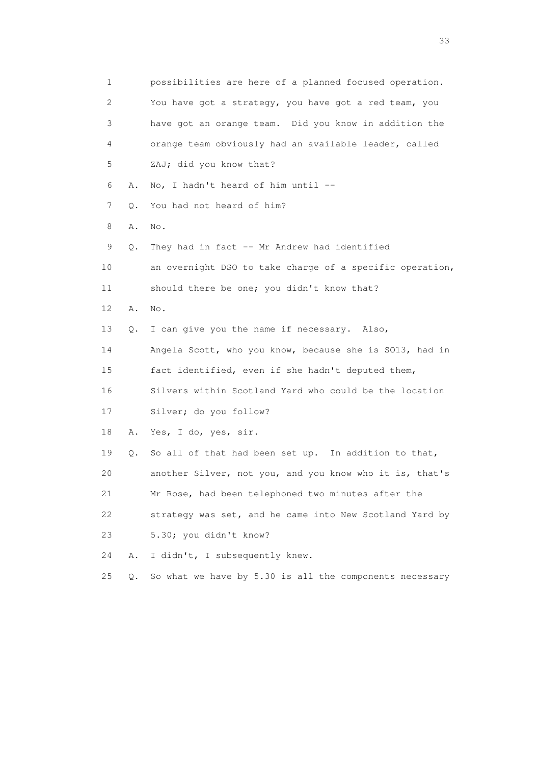1 possibilities are here of a planned focused operation. 2 You have got a strategy, you have got a red team, you 3 have got an orange team. Did you know in addition the 4 orange team obviously had an available leader, called 5 ZAJ; did you know that? 6 A. No, I hadn't heard of him until -- 7 Q. You had not heard of him? 8 A. No. 9 Q. They had in fact -- Mr Andrew had identified 10 an overnight DSO to take charge of a specific operation, 11 should there be one; you didn't know that? 12 A. No. 13 Q. I can give you the name if necessary. Also, 14 Angela Scott, who you know, because she is SO13, had in 15 fact identified, even if she hadn't deputed them, 16 Silvers within Scotland Yard who could be the location 17 Silver; do you follow? 18 A. Yes, I do, yes, sir. 19 Q. So all of that had been set up. In addition to that, 20 another Silver, not you, and you know who it is, that's 21 Mr Rose, had been telephoned two minutes after the 22 strategy was set, and he came into New Scotland Yard by 23 5.30; you didn't know? 24 A. I didn't, I subsequently knew. 25 Q. So what we have by 5.30 is all the components necessary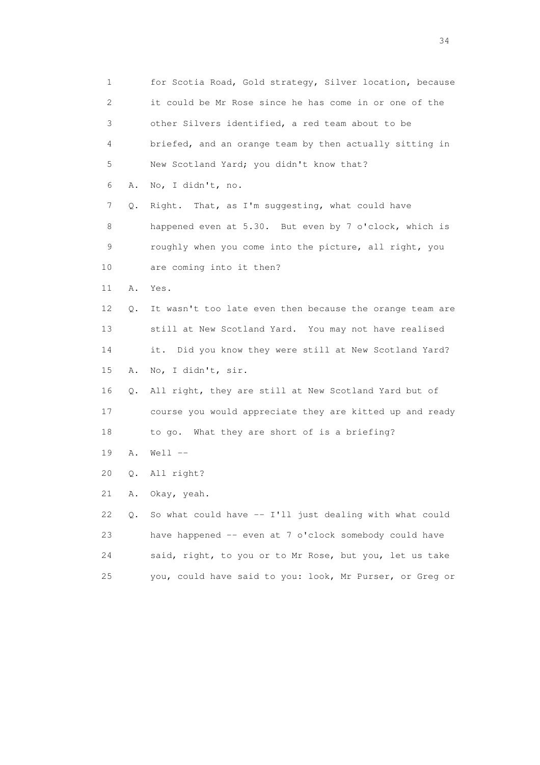1 for Scotia Road, Gold strategy, Silver location, because 2 it could be Mr Rose since he has come in or one of the 3 other Silvers identified, a red team about to be 4 briefed, and an orange team by then actually sitting in 5 New Scotland Yard; you didn't know that? 6 A. No, I didn't, no. 7 Q. Right. That, as I'm suggesting, what could have 8 happened even at 5.30. But even by 7 o'clock, which is 9 roughly when you come into the picture, all right, you 10 are coming into it then? 11 A. Yes. 12 Q. It wasn't too late even then because the orange team are 13 still at New Scotland Yard. You may not have realised 14 it. Did you know they were still at New Scotland Yard? 15 A. No, I didn't, sir. 16 Q. All right, they are still at New Scotland Yard but of 17 course you would appreciate they are kitted up and ready 18 to go. What they are short of is a briefing? 19 A. Well -- 20 Q. All right? 21 A. Okay, yeah. 22 Q. So what could have -- I'll just dealing with what could 23 have happened -- even at 7 o'clock somebody could have 24 said, right, to you or to Mr Rose, but you, let us take 25 you, could have said to you: look, Mr Purser, or Greg or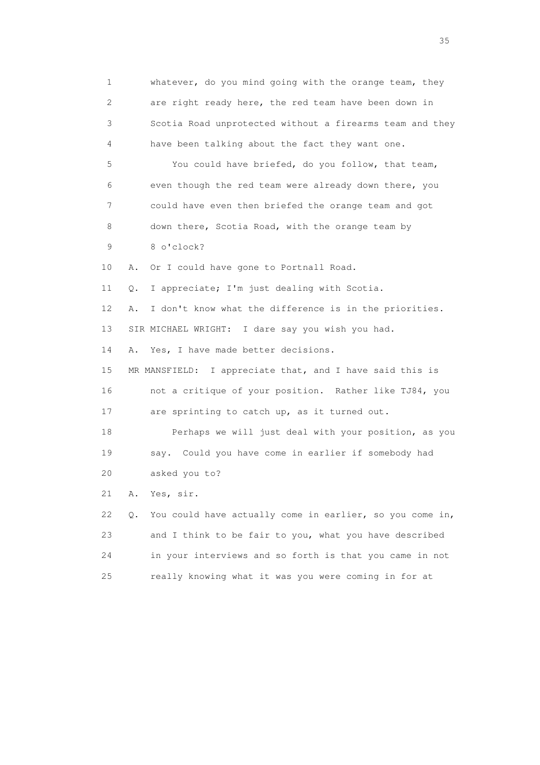1 whatever, do you mind going with the orange team, they 2 are right ready here, the red team have been down in 3 Scotia Road unprotected without a firearms team and they 4 have been talking about the fact they want one. 5 You could have briefed, do you follow, that team, 6 even though the red team were already down there, you 7 could have even then briefed the orange team and got 8 down there, Scotia Road, with the orange team by 9 8 o'clock? 10 A. Or I could have gone to Portnall Road. 11 Q. I appreciate; I'm just dealing with Scotia. 12 A. I don't know what the difference is in the priorities. 13 SIR MICHAEL WRIGHT: I dare say you wish you had. 14 A. Yes, I have made better decisions. 15 MR MANSFIELD: I appreciate that, and I have said this is 16 not a critique of your position. Rather like TJ84, you 17 are sprinting to catch up, as it turned out. 18 Perhaps we will just deal with your position, as you 19 say. Could you have come in earlier if somebody had 20 asked you to? 21 A. Yes, sir. 22 Q. You could have actually come in earlier, so you come in, 23 and I think to be fair to you, what you have described 24 in your interviews and so forth is that you came in not 25 really knowing what it was you were coming in for at

<u>35</u> and the state of the state of the state of the state of the state of the state of the state of the state of the state of the state of the state of the state of the state of the state of the state of the state of the s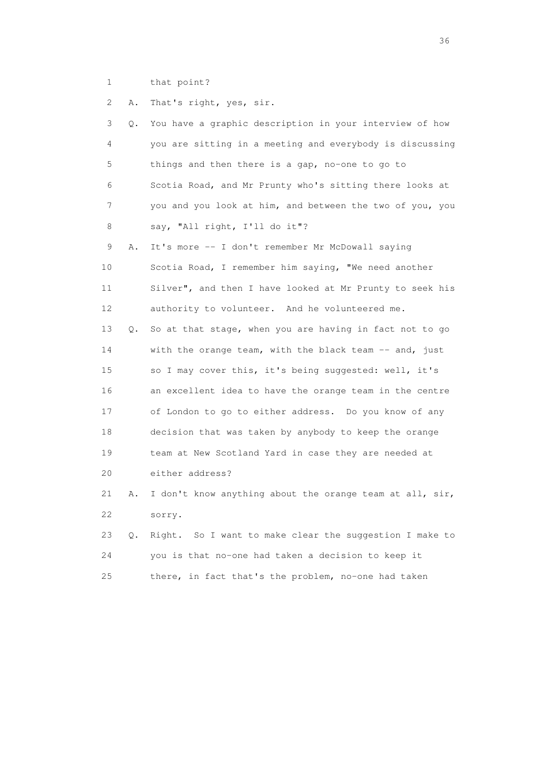1 that point?

2 A. That's right, yes, sir.

| 3  | О. | You have a graphic description in your interview of how  |
|----|----|----------------------------------------------------------|
| 4  |    | you are sitting in a meeting and everybody is discussing |
| 5  |    | things and then there is a gap, no-one to go to          |
| 6  |    | Scotia Road, and Mr Prunty who's sitting there looks at  |
| 7  |    | you and you look at him, and between the two of you, you |
| 8  |    | say, "All right, I'll do it"?                            |
| 9  | Α. | It's more -- I don't remember Mr McDowall saying         |
| 10 |    | Scotia Road, I remember him saying, "We need another     |
| 11 |    | Silver", and then I have looked at Mr Prunty to seek his |
| 12 |    | authority to volunteer. And he volunteered me.           |
| 13 | О. | So at that stage, when you are having in fact not to go  |
| 14 |    | with the orange team, with the black team -- and, just   |
| 15 |    | so I may cover this, it's being suggested: well, it's    |
| 16 |    | an excellent idea to have the orange team in the centre  |
| 17 |    | of London to go to either address. Do you know of any    |
| 18 |    | decision that was taken by anybody to keep the orange    |
| 19 |    | team at New Scotland Yard in case they are needed at     |
| 20 |    | either address?                                          |
| 21 | Α. | I don't know anything about the orange team at all, sir, |
| 22 |    | sorry.                                                   |
| 23 | О. | Right. So I want to make clear the suggestion I make to  |
| 24 |    | you is that no-one had taken a decision to keep it       |
| 25 |    | there, in fact that's the problem, no-one had taken      |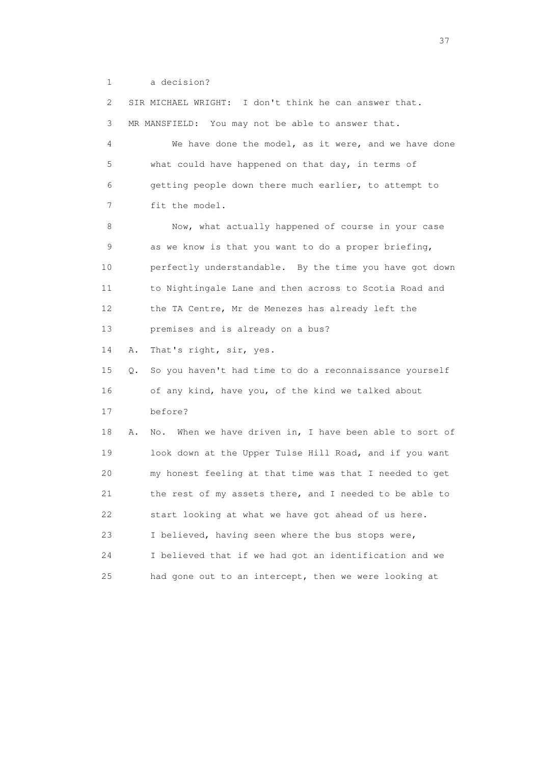1 a decision?

 2 SIR MICHAEL WRIGHT: I don't think he can answer that. 3 MR MANSFIELD: You may not be able to answer that. 4 We have done the model, as it were, and we have done 5 what could have happened on that day, in terms of 6 getting people down there much earlier, to attempt to 7 fit the model. 8 Now, what actually happened of course in your case 9 as we know is that you want to do a proper briefing, 10 perfectly understandable. By the time you have got down 11 to Nightingale Lane and then across to Scotia Road and 12 the TA Centre, Mr de Menezes has already left the 13 premises and is already on a bus? 14 A. That's right, sir, yes. 15 Q. So you haven't had time to do a reconnaissance yourself 16 of any kind, have you, of the kind we talked about 17 before? 18 A. No. When we have driven in, I have been able to sort of 19 look down at the Upper Tulse Hill Road, and if you want 20 my honest feeling at that time was that I needed to get 21 the rest of my assets there, and I needed to be able to 22 start looking at what we have got ahead of us here. 23 I believed, having seen where the bus stops were, 24 I believed that if we had got an identification and we 25 had gone out to an intercept, then we were looking at

<u>37</u>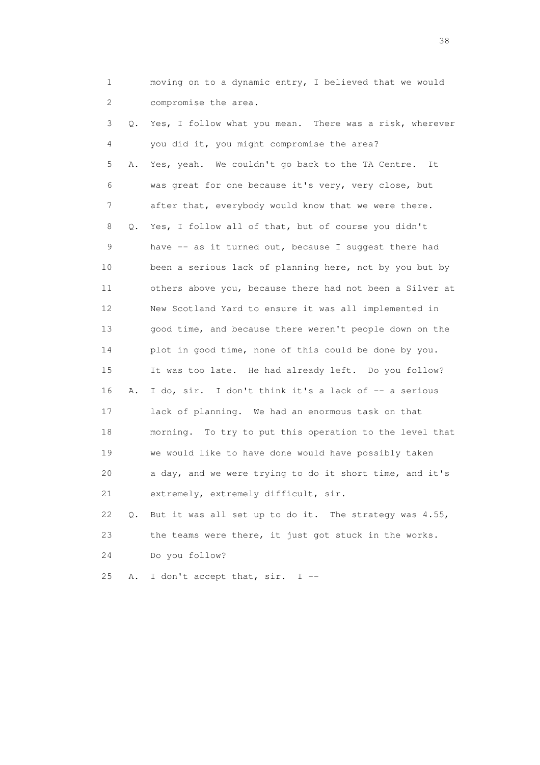1 moving on to a dynamic entry, I believed that we would 2 compromise the area.

 3 Q. Yes, I follow what you mean. There was a risk, wherever 4 you did it, you might compromise the area? 5 A. Yes, yeah. We couldn't go back to the TA Centre. It 6 was great for one because it's very, very close, but 7 after that, everybody would know that we were there. 8 Q. Yes, I follow all of that, but of course you didn't 9 have -- as it turned out, because I suggest there had 10 been a serious lack of planning here, not by you but by 11 others above you, because there had not been a Silver at 12 New Scotland Yard to ensure it was all implemented in 13 good time, and because there weren't people down on the 14 plot in good time, none of this could be done by you. 15 It was too late. He had already left. Do you follow? 16 A. I do, sir. I don't think it's a lack of -- a serious 17 lack of planning. We had an enormous task on that 18 morning. To try to put this operation to the level that 19 we would like to have done would have possibly taken 20 a day, and we were trying to do it short time, and it's 21 extremely, extremely difficult, sir. 22 Q. But it was all set up to do it. The strategy was 4.55, 23 the teams were there, it just got stuck in the works.

24 Do you follow?

25 A. I don't accept that, sir. I --

and the state of the state of the state of the state of the state of the state of the state of the state of the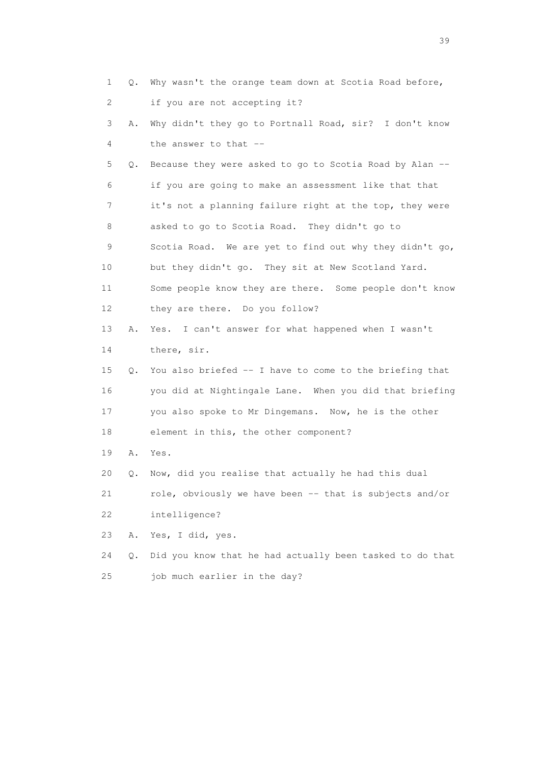|    | 1<br>Q.                   | Why wasn't the orange team down at Scotia Road before,   |
|----|---------------------------|----------------------------------------------------------|
|    | $\mathbf{2}^{\mathsf{I}}$ | if you are not accepting it?                             |
|    | 3<br>Α.                   | Why didn't they go to Portnall Road, sir? I don't know   |
|    | 4                         | the answer to that --                                    |
|    | 5<br>Q.                   | Because they were asked to go to Scotia Road by Alan --  |
|    | 6                         | if you are going to make an assessment like that that    |
|    | 7                         | it's not a planning failure right at the top, they were  |
|    | 8                         | asked to go to Scotia Road. They didn't go to            |
|    | 9                         | Scotia Road. We are yet to find out why they didn't go,  |
| 10 |                           | but they didn't go. They sit at New Scotland Yard.       |
| 11 |                           | Some people know they are there. Some people don't know  |
| 12 |                           | they are there. Do you follow?                           |
| 13 | Α.                        | I can't answer for what happened when I wasn't<br>Yes.   |
| 14 |                           | there, sir.                                              |
| 15 | Q.                        | You also briefed -- I have to come to the briefing that  |
| 16 |                           | you did at Nightingale Lane. When you did that briefing  |
| 17 |                           | you also spoke to Mr Dingemans. Now, he is the other     |
| 18 |                           | element in this, the other component?                    |
| 19 | Α.                        | Yes.                                                     |
| 20 | Q.                        | Now, did you realise that actually he had this dual      |
| 21 |                           | role, obviously we have been -- that is subjects and/or  |
| 22 |                           | intelligence?                                            |
| 23 | Α.                        | Yes, I did, yes.                                         |
| 24 | Q.                        | Did you know that he had actually been tasked to do that |
| 25 |                           | job much earlier in the day?                             |

 $39<sup>2</sup>$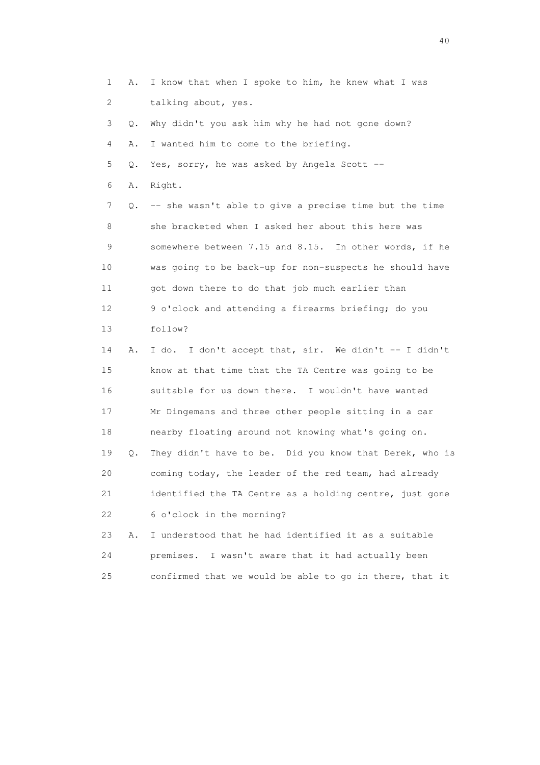1 A. I know that when I spoke to him, he knew what I was 2 talking about, yes.

3 Q. Why didn't you ask him why he had not gone down?

4 A. I wanted him to come to the briefing.

5 Q. Yes, sorry, he was asked by Angela Scott --

6 A. Right.

 7 Q. -- she wasn't able to give a precise time but the time 8 she bracketed when I asked her about this here was 9 somewhere between 7.15 and 8.15. In other words, if he 10 was going to be back-up for non-suspects he should have 11 got down there to do that job much earlier than 12 9 o'clock and attending a firearms briefing; do you 13 follow?

 14 A. I do. I don't accept that, sir. We didn't -- I didn't 15 know at that time that the TA Centre was going to be 16 suitable for us down there. I wouldn't have wanted 17 Mr Dingemans and three other people sitting in a car 18 nearby floating around not knowing what's going on. 19 Q. They didn't have to be. Did you know that Derek, who is 20 coming today, the leader of the red team, had already 21 identified the TA Centre as a holding centre, just gone 22 6 o'clock in the morning?

 23 A. I understood that he had identified it as a suitable 24 premises. I wasn't aware that it had actually been 25 confirmed that we would be able to go in there, that it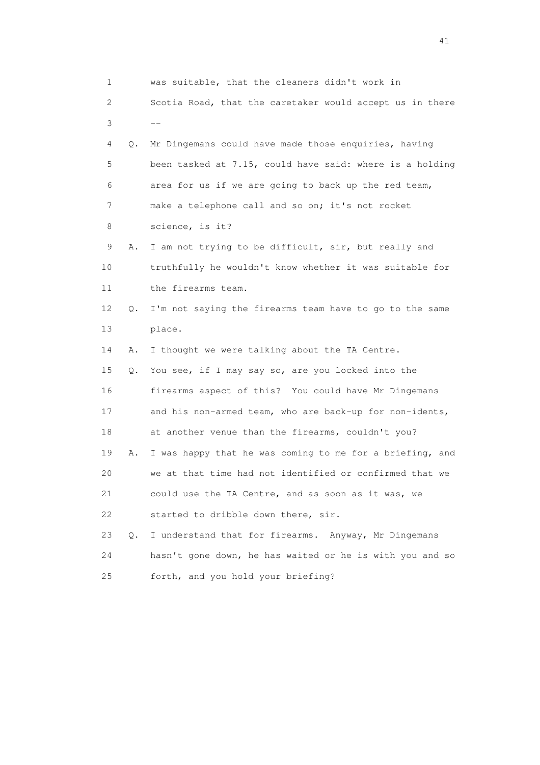| 1  |           | was suitable, that the cleaners didn't work in           |
|----|-----------|----------------------------------------------------------|
| 2  |           | Scotia Road, that the caretaker would accept us in there |
| 3  |           |                                                          |
| 4  | Q.        | Mr Dingemans could have made those enquiries, having     |
| 5  |           | been tasked at 7.15, could have said: where is a holding |
| 6  |           | area for us if we are going to back up the red team,     |
| 7  |           | make a telephone call and so on; it's not rocket         |
| 8  |           | science, is it?                                          |
| 9  | Α.        | I am not trying to be difficult, sir, but really and     |
| 10 |           | truthfully he wouldn't know whether it was suitable for  |
| 11 |           | the firearms team.                                       |
| 12 | Q.        | I'm not saying the firearms team have to go to the same  |
| 13 |           | place.                                                   |
| 14 | Α.        | I thought we were talking about the TA Centre.           |
| 15 | Q.        | You see, if I may say so, are you locked into the        |
| 16 |           | firearms aspect of this? You could have Mr Dingemans     |
| 17 |           | and his non-armed team, who are back-up for non-idents,  |
| 18 |           | at another venue than the firearms, couldn't you?        |
| 19 | Α.        | I was happy that he was coming to me for a briefing, and |
| 20 |           | we at that time had not identified or confirmed that we  |
| 21 |           | could use the TA Centre, and as soon as it was, we       |
| 22 |           | started to dribble down there, sir.                      |
| 23 | $\circ$ . | I understand that for firearms. Anyway, Mr Dingemans     |
| 24 |           | hasn't gone down, he has waited or he is with you and so |
| 25 |           | forth, and you hold your briefing?                       |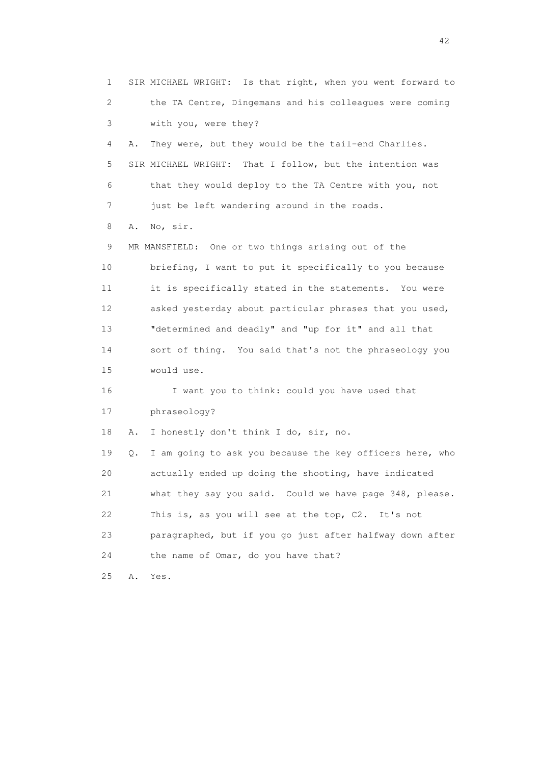1 SIR MICHAEL WRIGHT: Is that right, when you went forward to 2 the TA Centre, Dingemans and his colleagues were coming 3 with you, were they? 4 A. They were, but they would be the tail-end Charlies. 5 SIR MICHAEL WRIGHT: That I follow, but the intention was 6 that they would deploy to the TA Centre with you, not 7 just be left wandering around in the roads. 8 A. No, sir. 9 MR MANSFIELD: One or two things arising out of the 10 briefing, I want to put it specifically to you because 11 it is specifically stated in the statements. You were 12 asked yesterday about particular phrases that you used, 13 "determined and deadly" and "up for it" and all that 14 sort of thing. You said that's not the phraseology you 15 would use. 16 I want you to think: could you have used that 17 phraseology? 18 A. I honestly don't think I do, sir, no. 19 Q. I am going to ask you because the key officers here, who 20 actually ended up doing the shooting, have indicated 21 what they say you said. Could we have page 348, please. 22 This is, as you will see at the top, C2. It's not 23 paragraphed, but if you go just after halfway down after 24 the name of Omar, do you have that? 25 A. Yes.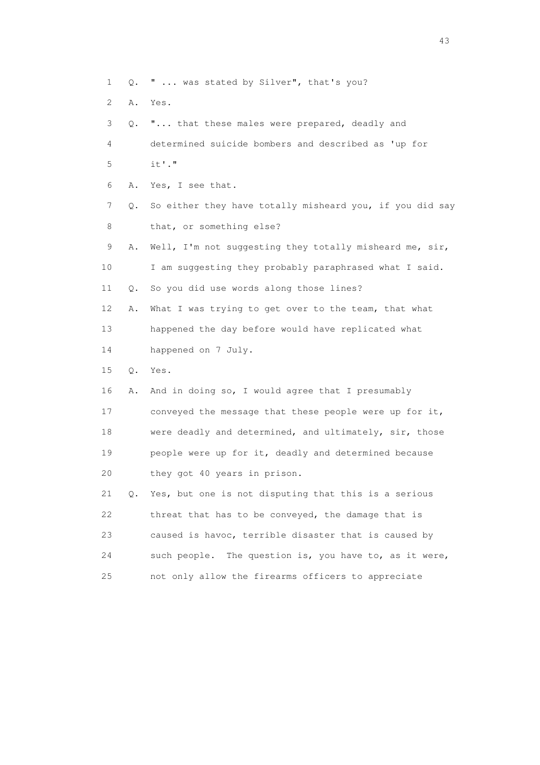1 Q. " ... was stated by Silver", that's you?

2 A. Yes.

 3 Q. "... that these males were prepared, deadly and 4 determined suicide bombers and described as 'up for 5 it'." 6 A. Yes, I see that. 7 Q. So either they have totally misheard you, if you did say 8 that, or something else? 9 A. Well, I'm not suggesting they totally misheard me, sir, 10 I am suggesting they probably paraphrased what I said. 11 Q. So you did use words along those lines? 12 A. What I was trying to get over to the team, that what 13 happened the day before would have replicated what 14 happened on 7 July. 15 Q. Yes. 16 A. And in doing so, I would agree that I presumably 17 conveyed the message that these people were up for it, 18 were deadly and determined, and ultimately, sir, those 19 people were up for it, deadly and determined because 20 they got 40 years in prison. 21 Q. Yes, but one is not disputing that this is a serious 22 threat that has to be conveyed, the damage that is 23 caused is havoc, terrible disaster that is caused by 24 such people. The question is, you have to, as it were, 25 not only allow the firearms officers to appreciate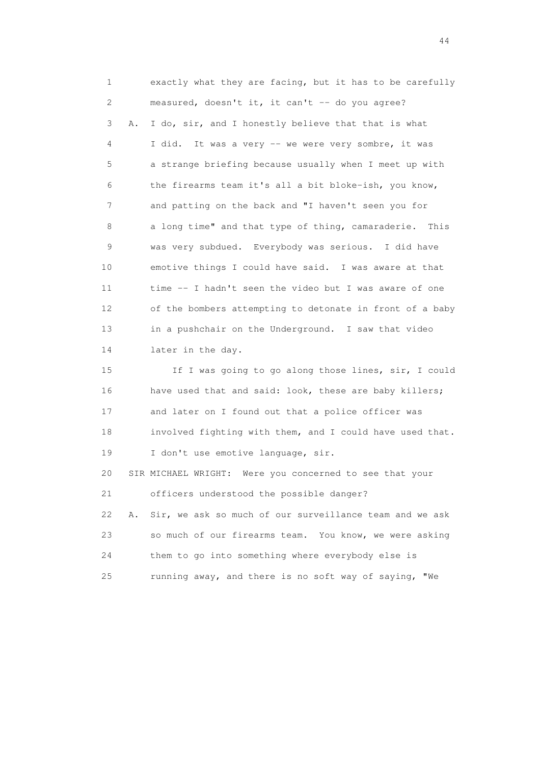1 exactly what they are facing, but it has to be carefully 2 measured, doesn't it, it can't -- do you agree? 3 A. I do, sir, and I honestly believe that that is what 4 I did. It was a very -- we were very sombre, it was 5 a strange briefing because usually when I meet up with 6 the firearms team it's all a bit bloke-ish, you know, 7 and patting on the back and "I haven't seen you for 8 a long time" and that type of thing, camaraderie. This 9 was very subdued. Everybody was serious. I did have 10 emotive things I could have said. I was aware at that 11 time -- I hadn't seen the video but I was aware of one 12 of the bombers attempting to detonate in front of a baby 13 in a pushchair on the Underground. I saw that video 14 later in the day. 15 If I was going to go along those lines, sir, I could 16 have used that and said: look, these are baby killers; 17 and later on I found out that a police officer was 18 involved fighting with them, and I could have used that.

19 I don't use emotive language, sir.

 20 SIR MICHAEL WRIGHT: Were you concerned to see that your 21 officers understood the possible danger? 22 A. Sir, we ask so much of our surveillance team and we ask

 23 so much of our firearms team. You know, we were asking 24 them to go into something where everybody else is 25 running away, and there is no soft way of saying, "We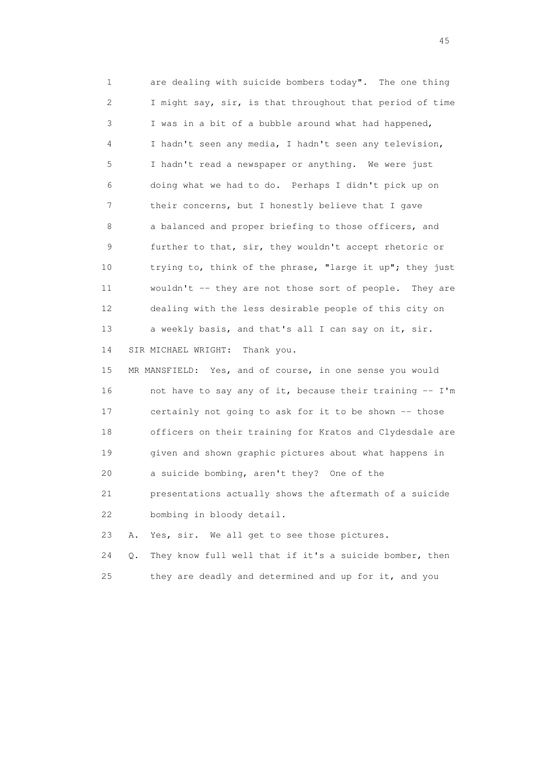1 are dealing with suicide bombers today". The one thing 2 I might say, sir, is that throughout that period of time 3 I was in a bit of a bubble around what had happened, 4 I hadn't seen any media, I hadn't seen any television, 5 I hadn't read a newspaper or anything. We were just 6 doing what we had to do. Perhaps I didn't pick up on 7 their concerns, but I honestly believe that I gave 8 a balanced and proper briefing to those officers, and 9 further to that, sir, they wouldn't accept rhetoric or 10 trying to, think of the phrase, "large it up"; they just 11 wouldn't -- they are not those sort of people. They are 12 dealing with the less desirable people of this city on 13 a weekly basis, and that's all I can say on it, sir. 14 SIR MICHAEL WRIGHT: Thank you. 15 MR MANSFIELD: Yes, and of course, in one sense you would

 16 not have to say any of it, because their training -- I'm 17 certainly not going to ask for it to be shown -- those 18 officers on their training for Kratos and Clydesdale are 19 given and shown graphic pictures about what happens in 20 a suicide bombing, aren't they? One of the 21 presentations actually shows the aftermath of a suicide 22 bombing in bloody detail.

23 A. Yes, sir. We all get to see those pictures.

 24 Q. They know full well that if it's a suicide bomber, then 25 they are deadly and determined and up for it, and you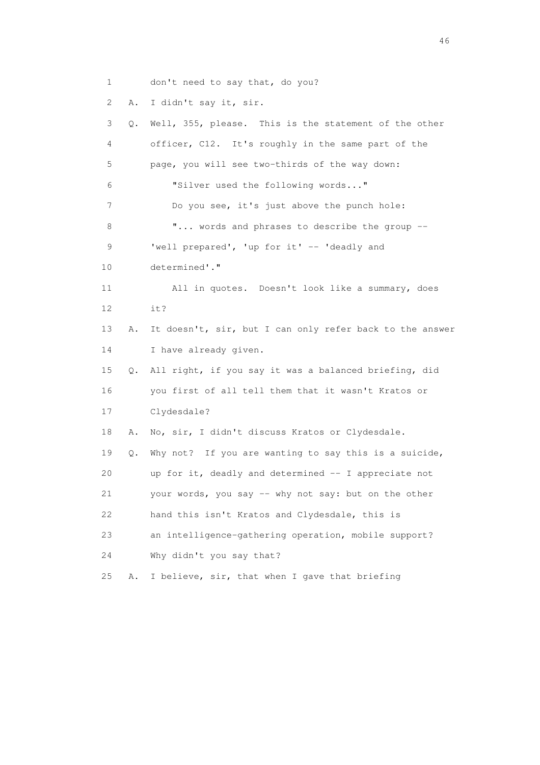1 don't need to say that, do you?

2 A. I didn't say it, sir.

 3 Q. Well, 355, please. This is the statement of the other 4 officer, C12. It's roughly in the same part of the 5 page, you will see two-thirds of the way down: 6 "Silver used the following words..." 7 Do you see, it's just above the punch hole: 8 **"...** words and phrases to describe the group --9 'well prepared', 'up for it' -- 'deadly and 10 determined'." 11 All in quotes. Doesn't look like a summary, does 12 it? 13 A. It doesn't, sir, but I can only refer back to the answer 14 I have already given. 15 Q. All right, if you say it was a balanced briefing, did 16 you first of all tell them that it wasn't Kratos or 17 Clydesdale? 18 A. No, sir, I didn't discuss Kratos or Clydesdale. 19 Q. Why not? If you are wanting to say this is a suicide, 20 up for it, deadly and determined -- I appreciate not 21 your words, you say -- why not say: but on the other 22 hand this isn't Kratos and Clydesdale, this is 23 an intelligence-gathering operation, mobile support? 24 Why didn't you say that? 25 A. I believe, sir, that when I gave that briefing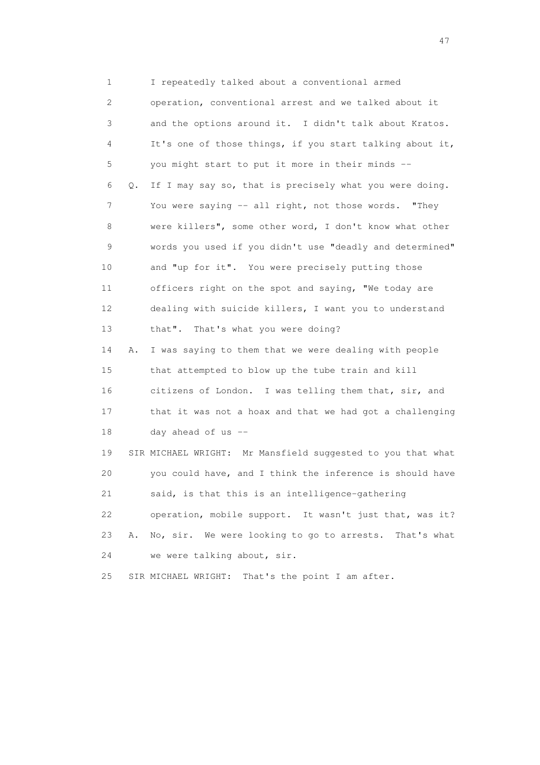1 I repeatedly talked about a conventional armed 2 operation, conventional arrest and we talked about it 3 and the options around it. I didn't talk about Kratos. 4 It's one of those things, if you start talking about it, 5 you might start to put it more in their minds -- 6 Q. If I may say so, that is precisely what you were doing. 7 You were saying -- all right, not those words. "They 8 were killers", some other word, I don't know what other 9 words you used if you didn't use "deadly and determined" 10 and "up for it". You were precisely putting those 11 officers right on the spot and saying, "We today are 12 dealing with suicide killers, I want you to understand 13 that". That's what you were doing? 14 A. I was saying to them that we were dealing with people 15 that attempted to blow up the tube train and kill 16 citizens of London. I was telling them that, sir, and 17 that it was not a hoax and that we had got a challenging 18 day ahead of us -- 19 SIR MICHAEL WRIGHT: Mr Mansfield suggested to you that what 20 you could have, and I think the inference is should have 21 said, is that this is an intelligence-gathering

 22 operation, mobile support. It wasn't just that, was it? 23 A. No, sir. We were looking to go to arrests. That's what 24 we were talking about, sir.

25 SIR MICHAEL WRIGHT: That's the point I am after.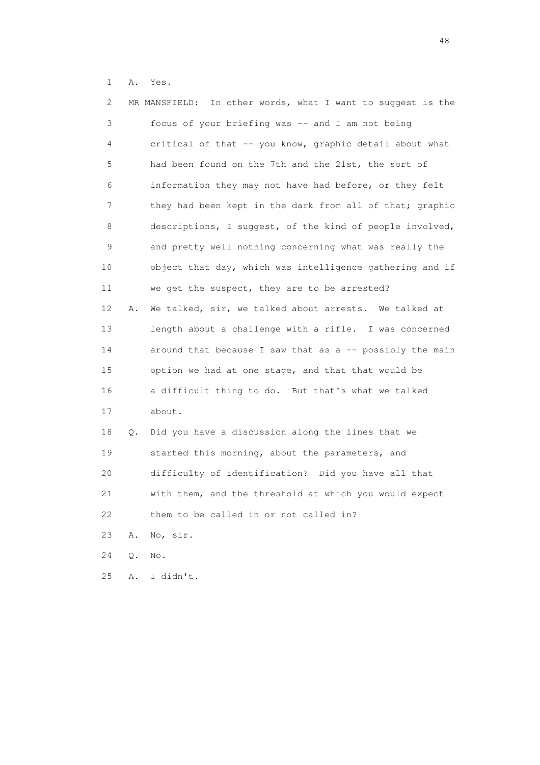1 A. Yes.

| 2  |    | MR MANSFIELD: In other words, what I want to suggest is the |
|----|----|-------------------------------------------------------------|
| 3  |    | focus of your briefing was -- and I am not being            |
| 4  |    | critical of that -- you know, graphic detail about what     |
| 5  |    | had been found on the 7th and the 21st, the sort of         |
| 6  |    | information they may not have had before, or they felt      |
| 7  |    | they had been kept in the dark from all of that; graphic    |
| 8  |    | descriptions, I suggest, of the kind of people involved,    |
| 9  |    | and pretty well nothing concerning what was really the      |
| 10 |    | object that day, which was intelligence gathering and if    |
| 11 |    | we get the suspect, they are to be arrested?                |
| 12 | Α. | We talked, sir, we talked about arrests. We talked at       |
| 13 |    | length about a challenge with a rifle. I was concerned      |
| 14 |    | around that because I saw that as a -- possibly the main    |
| 15 |    | option we had at one stage, and that that would be          |
| 16 |    | a difficult thing to do. But that's what we talked          |
| 17 |    | about.                                                      |
| 18 | Q. | Did you have a discussion along the lines that we           |
| 19 |    | started this morning, about the parameters, and             |
| 20 |    | difficulty of identification? Did you have all that         |
| 21 |    | with them, and the threshold at which you would expect      |
| 22 |    | them to be called in or not called in?                      |
| 23 | Α. | No, sir.                                                    |
| 24 | Q. | No.                                                         |
| 25 | Α. | I didn't.                                                   |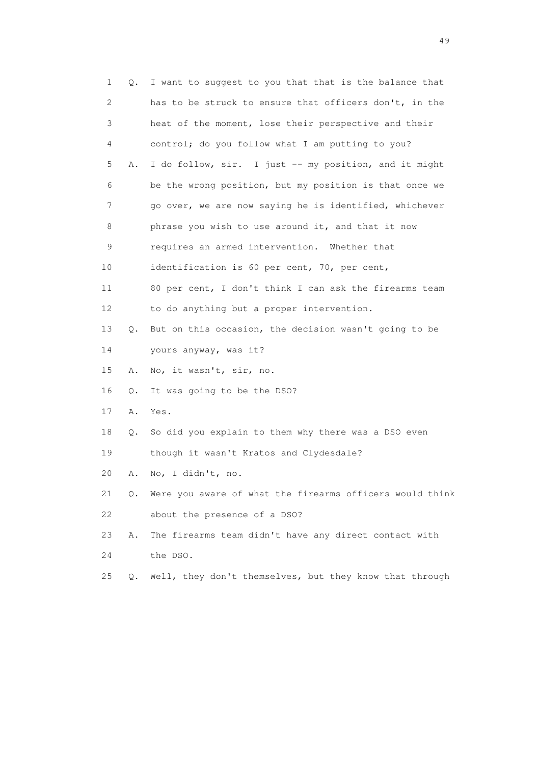| 1  | Q.        | I want to suggest to you that that is the balance that   |
|----|-----------|----------------------------------------------------------|
| 2  |           | has to be struck to ensure that officers don't, in the   |
| 3  |           | heat of the moment, lose their perspective and their     |
| 4  |           | control; do you follow what I am putting to you?         |
| 5  | Α.        | I do follow, sir. I just -- my position, and it might    |
| 6  |           | be the wrong position, but my position is that once we   |
| 7  |           | go over, we are now saying he is identified, whichever   |
| 8  |           | phrase you wish to use around it, and that it now        |
| 9  |           | requires an armed intervention. Whether that             |
| 10 |           | identification is 60 per cent, 70, per cent,             |
| 11 |           | 80 per cent, I don't think I can ask the firearms team   |
| 12 |           | to do anything but a proper intervention.                |
| 13 | $\circ$ . | But on this occasion, the decision wasn't going to be    |
| 14 |           | yours anyway, was it?                                    |
| 15 | Α.        | No, it wasn't, sir, no.                                  |
| 16 | Q.        | It was going to be the DSO?                              |
| 17 | Α.        | Yes.                                                     |
| 18 | Q.        | So did you explain to them why there was a DSO even      |
| 19 |           | though it wasn't Kratos and Clydesdale?                  |
| 20 | Α.        | No, I didn't, no.                                        |
| 21 | Q.        | Were you aware of what the firearms officers would think |
| 22 |           | about the presence of a DSO?                             |
| 23 | Α.        | The firearms team didn't have any direct contact with    |
| 24 |           | the DSO.                                                 |
| 25 | О.        | Well, they don't themselves, but they know that through  |
|    |           |                                                          |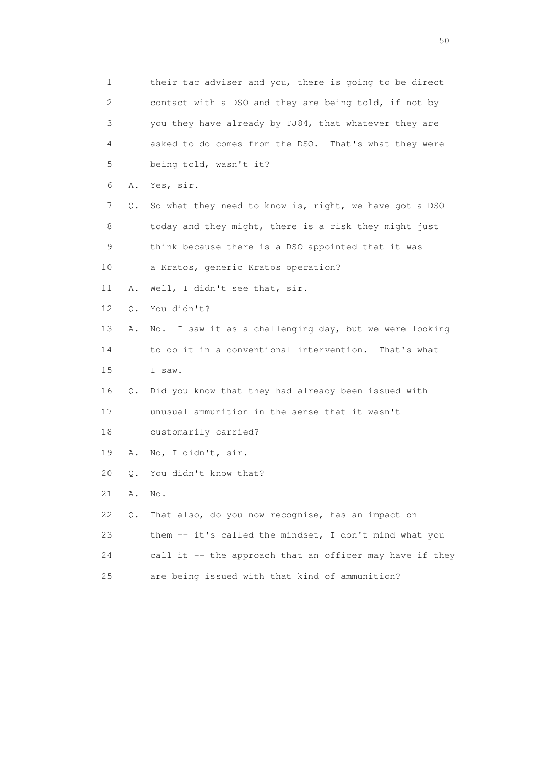1 their tac adviser and you, there is going to be direct 2 contact with a DSO and they are being told, if not by 3 you they have already by TJ84, that whatever they are 4 asked to do comes from the DSO. That's what they were 5 being told, wasn't it? 6 A. Yes, sir. 7 Q. So what they need to know is, right, we have got a DSO 8 today and they might, there is a risk they might just 9 think because there is a DSO appointed that it was 10 a Kratos, generic Kratos operation? 11 A. Well, I didn't see that, sir. 12 Q. You didn't? 13 A. No. I saw it as a challenging day, but we were looking 14 to do it in a conventional intervention. That's what 15 I saw. 16 Q. Did you know that they had already been issued with 17 unusual ammunition in the sense that it wasn't 18 customarily carried? 19 A. No, I didn't, sir. 20 Q. You didn't know that? 21 A. No. 22 Q. That also, do you now recognise, has an impact on 23 them -- it's called the mindset, I don't mind what you 24 call it -- the approach that an officer may have if they 25 are being issued with that kind of ammunition?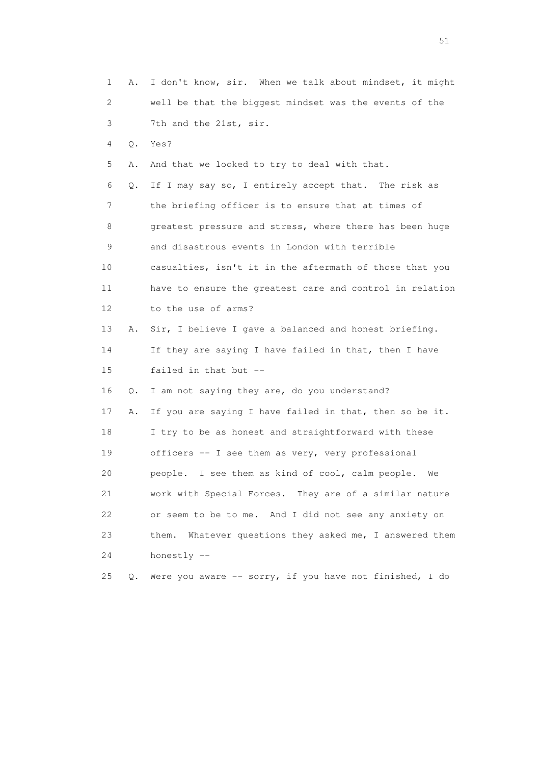1 A. I don't know, sir. When we talk about mindset, it might 2 well be that the biggest mindset was the events of the 3 7th and the 21st, sir. 4 Q. Yes? 5 A. And that we looked to try to deal with that. 6 Q. If I may say so, I entirely accept that. The risk as 7 the briefing officer is to ensure that at times of 8 greatest pressure and stress, where there has been huge 9 and disastrous events in London with terrible 10 casualties, isn't it in the aftermath of those that you 11 have to ensure the greatest care and control in relation 12 to the use of arms? 13 A. Sir, I believe I gave a balanced and honest briefing. 14 If they are saying I have failed in that, then I have 15 failed in that but -- 16 Q. I am not saying they are, do you understand? 17 A. If you are saying I have failed in that, then so be it. 18 I try to be as honest and straightforward with these 19 officers -- I see them as very, very professional 20 people. I see them as kind of cool, calm people. We 21 work with Special Forces. They are of a similar nature 22 or seem to be to me. And I did not see any anxiety on 23 them. Whatever questions they asked me, I answered them 24 honestly -- 25 Q. Were you aware -- sorry, if you have not finished, I do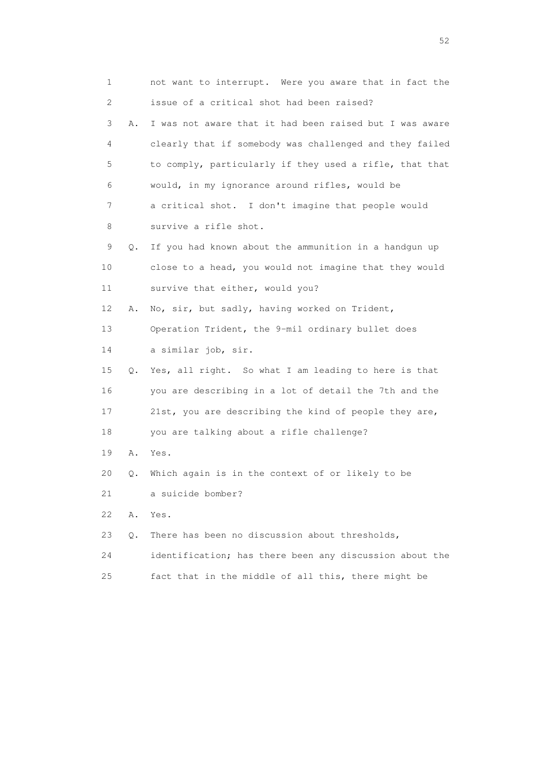1 not want to interrupt. Were you aware that in fact the 2 issue of a critical shot had been raised? 3 A. I was not aware that it had been raised but I was aware 4 clearly that if somebody was challenged and they failed 5 to comply, particularly if they used a rifle, that that 6 would, in my ignorance around rifles, would be 7 a critical shot. I don't imagine that people would 8 survive a rifle shot. 9 Q. If you had known about the ammunition in a handgun up 10 close to a head, you would not imagine that they would 11 survive that either, would you? 12 A. No, sir, but sadly, having worked on Trident, 13 Operation Trident, the 9-mil ordinary bullet does 14 a similar job, sir. 15 Q. Yes, all right. So what I am leading to here is that 16 you are describing in a lot of detail the 7th and the 17 21st, you are describing the kind of people they are, 18 you are talking about a rifle challenge? 19 A. Yes. 20 Q. Which again is in the context of or likely to be 21 a suicide bomber? 22 A. Yes. 23 Q. There has been no discussion about thresholds, 24 identification; has there been any discussion about the 25 fact that in the middle of all this, there might be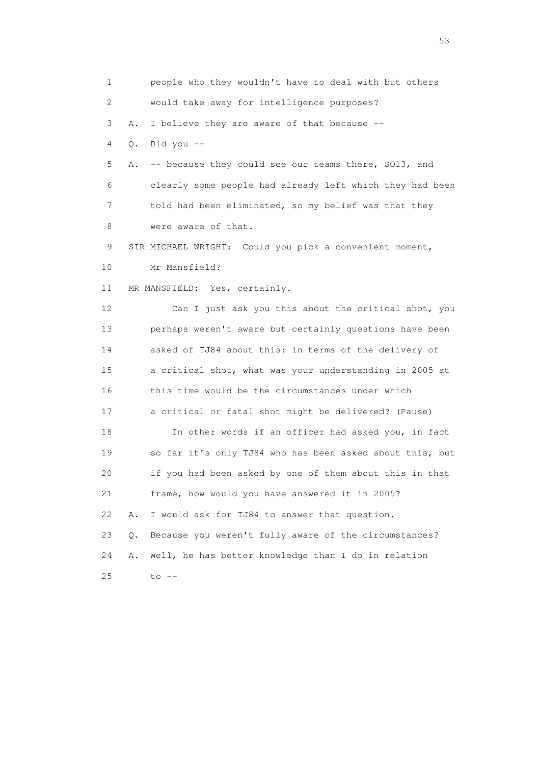1 people who they wouldn't have to deal with but others 2 would take away for intelligence purposes? 3 A. I believe they are aware of that because -- 4 Q. Did you -- 5 A. -- because they could see our teams there, SO13, and 6 clearly some people had already left which they had been 7 told had been eliminated, so my belief was that they 8 were aware of that. 9 SIR MICHAEL WRIGHT: Could you pick a convenient moment, 10 Mr Mansfield? 11 MR MANSFIELD: Yes, certainly. 12 Can I just ask you this about the critical shot, you 13 perhaps weren't aware but certainly questions have been 14 asked of TJ84 about this: in terms of the delivery of 15 a critical shot, what was your understanding in 2005 at 16 this time would be the circumstances under which 17 a critical or fatal shot might be delivered? (Pause) 18 In other words if an officer had asked you, in fact 19 so far it's only TJ84 who has been asked about this, but 20 if you had been asked by one of them about this in that 21 frame, how would you have answered it in 2005? 22 A. I would ask for TJ84 to answer that question. 23 Q. Because you weren't fully aware of the circumstances? 24 A. Well, he has better knowledge than I do in relation 25 to --

 $\sim$  53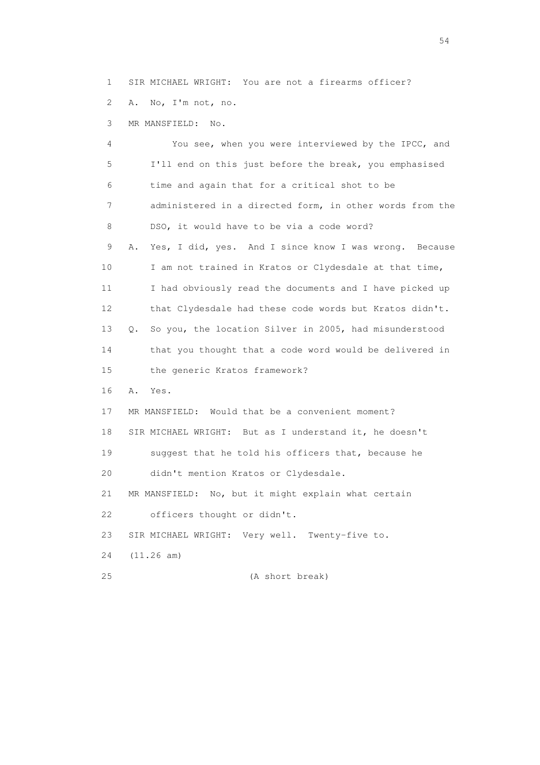1 SIR MICHAEL WRIGHT: You are not a firearms officer?

2 A. No, I'm not, no.

3 MR MANSFIELD: No.

 4 You see, when you were interviewed by the IPCC, and 5 I'll end on this just before the break, you emphasised 6 time and again that for a critical shot to be 7 administered in a directed form, in other words from the 8 DSO, it would have to be via a code word? 9 A. Yes, I did, yes. And I since know I was wrong. Because 10 I am not trained in Kratos or Clydesdale at that time, 11 I had obviously read the documents and I have picked up 12 that Clydesdale had these code words but Kratos didn't. 13 Q. So you, the location Silver in 2005, had misunderstood 14 that you thought that a code word would be delivered in 15 the generic Kratos framework? 16 A. Yes. 17 MR MANSFIELD: Would that be a convenient moment? 18 SIR MICHAEL WRIGHT: But as I understand it, he doesn't 19 suggest that he told his officers that, because he 20 didn't mention Kratos or Clydesdale. 21 MR MANSFIELD: No, but it might explain what certain 22 officers thought or didn't. 23 SIR MICHAEL WRIGHT: Very well. Twenty-five to. 24 (11.26 am) 25 (A short break)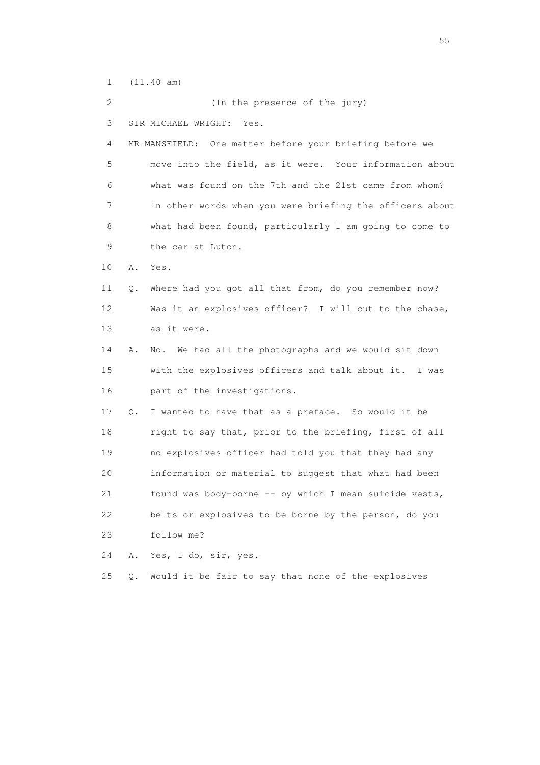1 (11.40 am)

 2 (In the presence of the jury) 3 SIR MICHAEL WRIGHT: Yes. 4 MR MANSFIELD: One matter before your briefing before we 5 move into the field, as it were. Your information about 6 what was found on the 7th and the 21st came from whom? 7 In other words when you were briefing the officers about 8 what had been found, particularly I am going to come to 9 the car at Luton. 10 A. Yes. 11 Q. Where had you got all that from, do you remember now? 12 Was it an explosives officer? I will cut to the chase, 13 as it were. 14 A. No. We had all the photographs and we would sit down 15 with the explosives officers and talk about it. I was 16 part of the investigations. 17 Q. I wanted to have that as a preface. So would it be 18 right to say that, prior to the briefing, first of all 19 no explosives officer had told you that they had any 20 information or material to suggest that what had been 21 found was body-borne -- by which I mean suicide vests, 22 belts or explosives to be borne by the person, do you 23 follow me? 24 A. Yes, I do, sir, yes. 25 Q. Would it be fair to say that none of the explosives

the state of the state of the state of the state of the state of the state of the state of the state of the state of the state of the state of the state of the state of the state of the state of the state of the state of t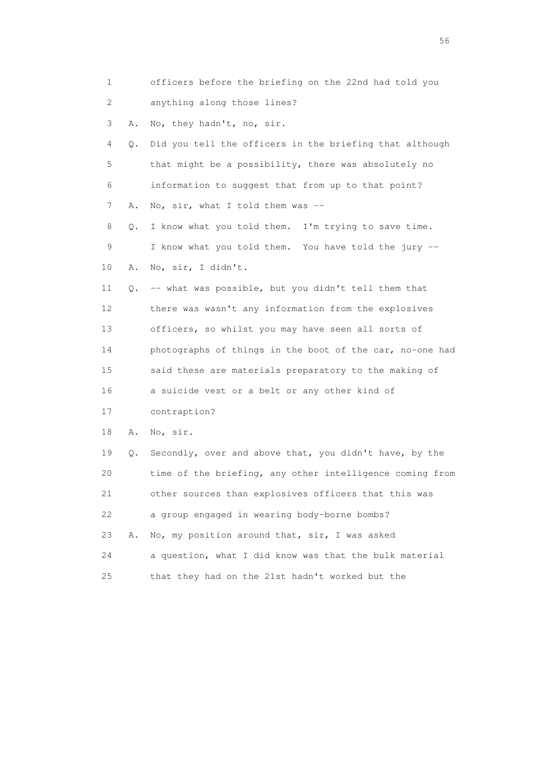| 1  |    | officers before the briefing on the 22nd had told you    |
|----|----|----------------------------------------------------------|
| 2  |    | anything along those lines?                              |
| 3  | Α. | No, they hadn't, no, sir.                                |
| 4  | Q. | Did you tell the officers in the briefing that although  |
| 5  |    | that might be a possibility, there was absolutely no     |
| 6  |    | information to suggest that from up to that point?       |
| 7  | Α. | No, sir, what I told them was $-$                        |
| 8  | Q. | I know what you told them. I'm trying to save time.      |
| 9  |    | I know what you told them. You have told the jury --     |
| 10 | Α. | No, sir, I didn't.                                       |
| 11 | Q. | -- what was possible, but you didn't tell them that      |
| 12 |    | there was wasn't any information from the explosives     |
| 13 |    | officers, so whilst you may have seen all sorts of       |
| 14 |    | photographs of things in the boot of the car, no-one had |
| 15 |    | said these are materials preparatory to the making of    |
| 16 |    | a suicide vest or a belt or any other kind of            |
| 17 |    | contraption?                                             |
| 18 | Α. | No, sir.                                                 |
| 19 | Q. | Secondly, over and above that, you didn't have, by the   |
| 20 |    | time of the briefing, any other intelligence coming from |
| 21 |    | other sources than explosives officers that this was     |
| 22 |    | a group engaged in wearing body-borne bombs?             |
| 23 | Α. | No, my position around that, sir, I was asked            |
| 24 |    | a question, what I did know was that the bulk material   |
| 25 |    | that they had on the 21st hadn't worked but the          |

 $56<sup>o</sup>$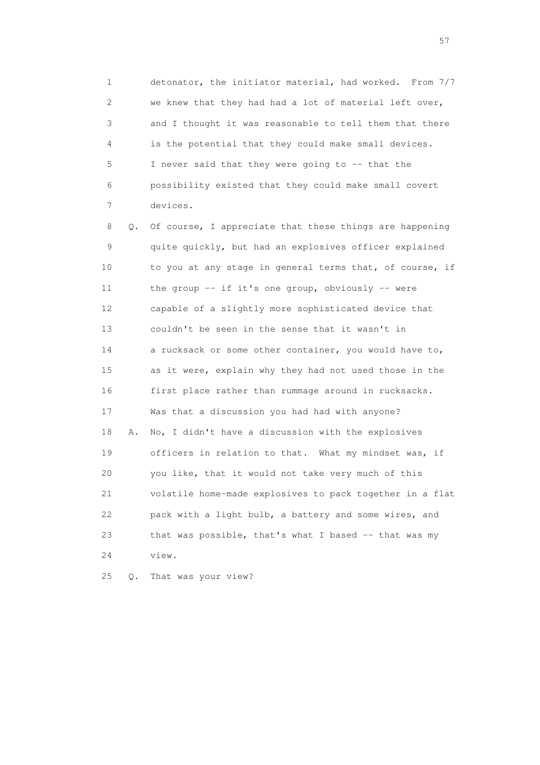1 detonator, the initiator material, had worked. From 7/7 2 we knew that they had had a lot of material left over, 3 and I thought it was reasonable to tell them that there 4 is the potential that they could make small devices. 5 I never said that they were going to -- that the 6 possibility existed that they could make small covert 7 devices.

 8 Q. Of course, I appreciate that these things are happening 9 quite quickly, but had an explosives officer explained 10 to you at any stage in general terms that, of course, if 11 the group -- if it's one group, obviously -- were 12 capable of a slightly more sophisticated device that 13 couldn't be seen in the sense that it wasn't in 14 a rucksack or some other container, you would have to, 15 as it were, explain why they had not used those in the 16 first place rather than rummage around in rucksacks. 17 Was that a discussion you had had with anyone? 18 A. No, I didn't have a discussion with the explosives 19 officers in relation to that. What my mindset was, if 20 you like, that it would not take very much of this 21 volatile home-made explosives to pack together in a flat 22 pack with a light bulb, a battery and some wires, and 23 that was possible, that's what I based -- that was my 24 view.

25 Q. That was your view?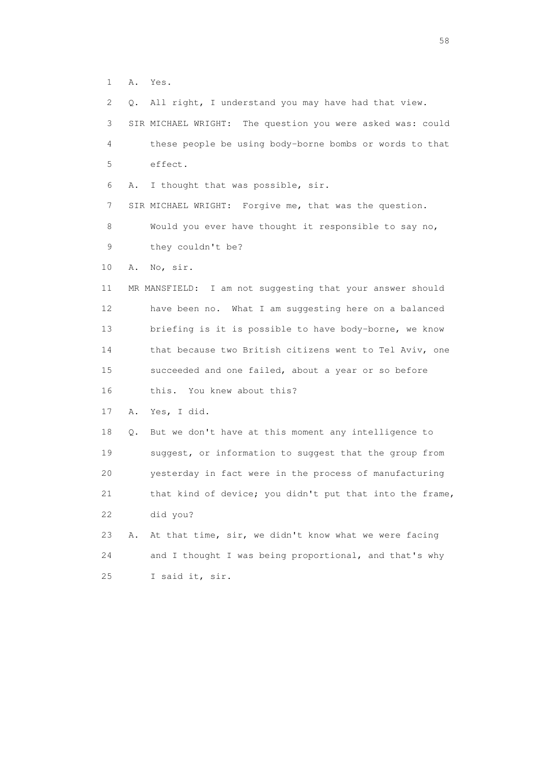1 A. Yes.

 2 Q. All right, I understand you may have had that view. 3 SIR MICHAEL WRIGHT: The question you were asked was: could 4 these people be using body-borne bombs or words to that 5 effect. 6 A. I thought that was possible, sir. 7 SIR MICHAEL WRIGHT: Forgive me, that was the question. 8 Would you ever have thought it responsible to say no, 9 they couldn't be? 10 A. No, sir. 11 MR MANSFIELD: I am not suggesting that your answer should 12 have been no. What I am suggesting here on a balanced 13 briefing is it is possible to have body-borne, we know 14 that because two British citizens went to Tel Aviv, one 15 succeeded and one failed, about a year or so before 16 this. You knew about this? 17 A. Yes, I did. 18 Q. But we don't have at this moment any intelligence to 19 suggest, or information to suggest that the group from 20 yesterday in fact were in the process of manufacturing 21 that kind of device; you didn't put that into the frame, 22 did you? 23 A. At that time, sir, we didn't know what we were facing 24 and I thought I was being proportional, and that's why 25 I said it, sir.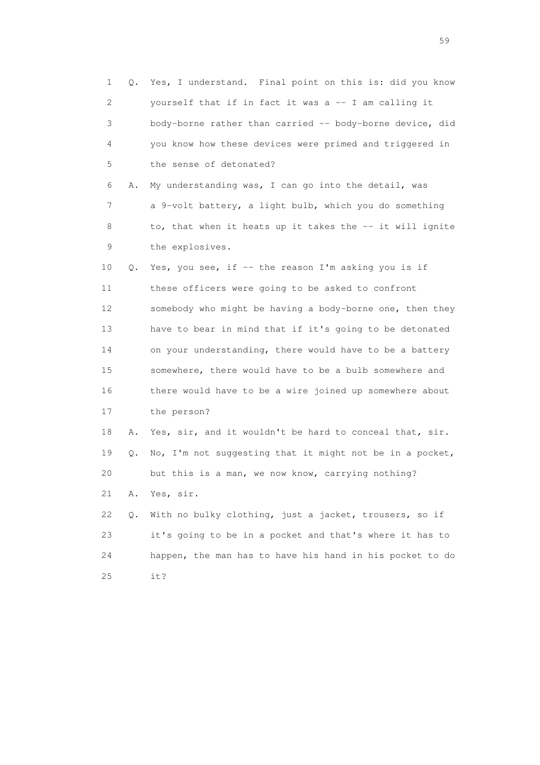1 Q. Yes, I understand. Final point on this is: did you know 2 yourself that if in fact it was a -- I am calling it 3 body-borne rather than carried -- body-borne device, did 4 you know how these devices were primed and triggered in 5 the sense of detonated? 6 A. My understanding was, I can go into the detail, was 7 a 9-volt battery, a light bulb, which you do something 8 to, that when it heats up it takes the -- it will ignite 9 the explosives. 10 Q. Yes, you see, if -- the reason I'm asking you is if 11 these officers were going to be asked to confront 12 somebody who might be having a body-borne one, then they 13 have to bear in mind that if it's going to be detonated 14 on your understanding, there would have to be a battery 15 somewhere, there would have to be a bulb somewhere and 16 there would have to be a wire joined up somewhere about 17 the person? 18 A. Yes, sir, and it wouldn't be hard to conceal that, sir. 19 Q. No, I'm not suggesting that it might not be in a pocket, 20 but this is a man, we now know, carrying nothing? 21 A. Yes, sir. 22 Q. With no bulky clothing, just a jacket, trousers, so if 23 it's going to be in a pocket and that's where it has to 24 happen, the man has to have his hand in his pocket to do 25 it?

the contract of the contract of the contract of the contract of the contract of the contract of the contract of the contract of the contract of the contract of the contract of the contract of the contract of the contract o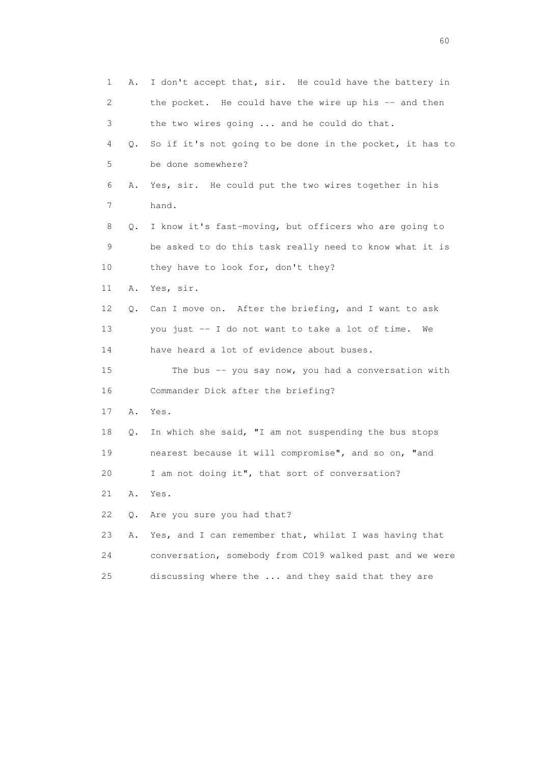| 1  | Α. | I don't accept that, sir. He could have the battery in   |
|----|----|----------------------------------------------------------|
| 2  |    | the pocket. He could have the wire up his -- and then    |
| 3  |    | the two wires going  and he could do that.               |
| 4  | Q. | So if it's not going to be done in the pocket, it has to |
| 5  |    | be done somewhere?                                       |
| 6  | Α. | Yes, sir. He could put the two wires together in his     |
| 7  |    | hand.                                                    |
| 8  | Q. | I know it's fast-moving, but officers who are going to   |
| 9  |    | be asked to do this task really need to know what it is  |
| 10 |    | they have to look for, don't they?                       |
| 11 | Α. | Yes, sir.                                                |
| 12 | Q. | Can I move on. After the briefing, and I want to ask     |
| 13 |    | you just -- I do not want to take a lot of time.<br>We   |
| 14 |    | have heard a lot of evidence about buses.                |
| 15 |    | The bus $-$ you say now, you had a conversation with     |
| 16 |    | Commander Dick after the briefing?                       |
| 17 | Α. | Yes.                                                     |
| 18 | Q. | In which she said, "I am not suspending the bus stops    |
| 19 |    | nearest because it will compromise", and so on, "and     |
| 20 |    | I am not doing it", that sort of conversation?           |
| 21 | Α. | Yes.                                                     |
| 22 | Q. | Are you sure you had that?                               |
| 23 | Α. | Yes, and I can remember that, whilst I was having that   |
| 24 |    | conversation, somebody from CO19 walked past and we were |
| 25 |    | discussing where the  and they said that they are        |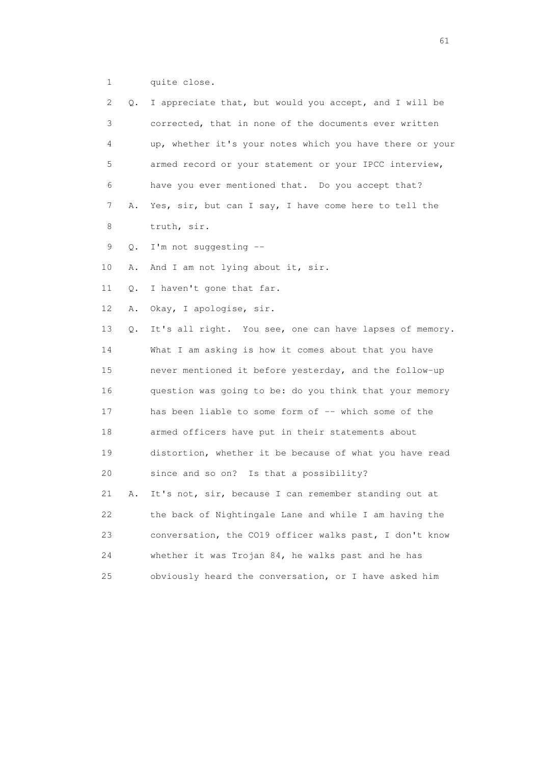1 quite close.

| 2  | Q. | I appreciate that, but would you accept, and I will be   |
|----|----|----------------------------------------------------------|
| 3  |    | corrected, that in none of the documents ever written    |
| 4  |    | up, whether it's your notes which you have there or your |
| 5  |    | armed record or your statement or your IPCC interview,   |
| 6  |    | have you ever mentioned that. Do you accept that?        |
| 7  | Α. | Yes, sir, but can I say, I have come here to tell the    |
| 8  |    | truth, sir.                                              |
| 9  | Q. | I'm not suggesting --                                    |
| 10 | Α. | And I am not lying about it, sir.                        |
| 11 | Q. | I haven't gone that far.                                 |
| 12 | Α. | Okay, I apologise, sir.                                  |
| 13 | Q. | It's all right. You see, one can have lapses of memory.  |
| 14 |    | What I am asking is how it comes about that you have     |
| 15 |    | never mentioned it before yesterday, and the follow-up   |
| 16 |    | question was going to be: do you think that your memory  |
| 17 |    | has been liable to some form of -- which some of the     |
| 18 |    | armed officers have put in their statements about        |
| 19 |    | distortion, whether it be because of what you have read  |
| 20 |    | since and so on? Is that a possibility?                  |
| 21 | Α. | It's not, sir, because I can remember standing out at    |
| 22 |    | the back of Nightingale Lane and while I am having the   |
| 23 |    | conversation, the CO19 officer walks past, I don't know  |
| 24 |    | whether it was Trojan 84, he walks past and he has       |
| 25 |    | obviously heard the conversation, or I have asked him    |
|    |    |                                                          |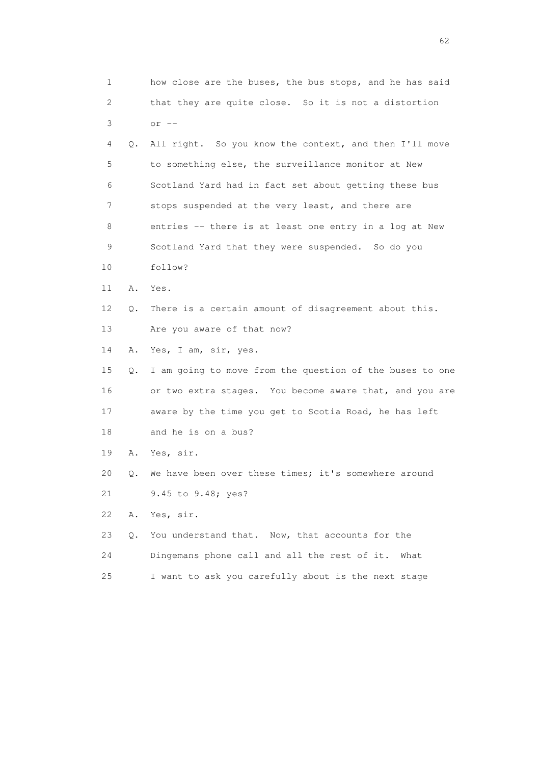| 1  |    | how close are the buses, the bus stops, and he has said  |
|----|----|----------------------------------------------------------|
| 2  |    | that they are quite close. So it is not a distortion     |
| 3  |    | $or$ $--$                                                |
| 4  | Q. | All right. So you know the context, and then I'll move   |
| 5  |    | to something else, the surveillance monitor at New       |
| 6  |    | Scotland Yard had in fact set about getting these bus    |
| 7  |    | stops suspended at the very least, and there are         |
| 8  |    | entries -- there is at least one entry in a log at New   |
| 9  |    | Scotland Yard that they were suspended. So do you        |
| 10 |    | follow?                                                  |
| 11 | Α. | Yes.                                                     |
| 12 | Q. | There is a certain amount of disagreement about this.    |
| 13 |    | Are you aware of that now?                               |
| 14 | Α. | Yes, I am, sir, yes.                                     |
| 15 | Q. | I am going to move from the question of the buses to one |
| 16 |    | or two extra stages. You become aware that, and you are  |
| 17 |    | aware by the time you get to Scotia Road, he has left    |
| 18 |    | and he is on a bus?                                      |
| 19 | Α. | Yes, sir.                                                |
| 20 | Q. | We have been over these times; it's somewhere around     |
| 21 |    | 9.45 to 9.48; yes?                                       |
| 22 | Α. | Yes, sir.                                                |
| 23 | Q. | You understand that. Now, that accounts for the          |
| 24 |    | Dingemans phone call and all the rest of it.<br>What     |
| 25 |    | I want to ask you carefully about is the next stage      |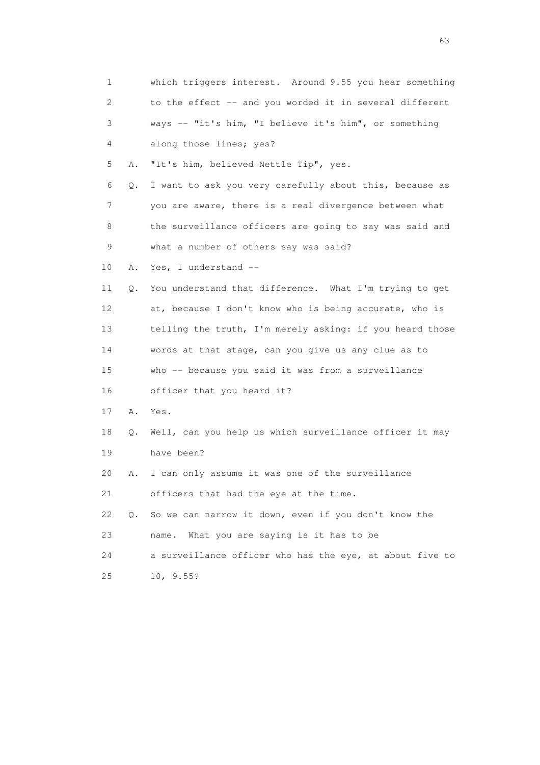| 1                         |           | which triggers interest. Around 9.55 you hear something    |
|---------------------------|-----------|------------------------------------------------------------|
| $\mathbf{2}^{\mathsf{I}}$ |           | to the effect -- and you worded it in several different    |
| 3                         |           | ways -- "it's him, "I believe it's him", or something      |
| 4                         |           | along those lines; yes?                                    |
| 5                         | Α.        | "It's him, believed Nettle Tip", yes.                      |
| 6                         | Q.        | I want to ask you very carefully about this, because as    |
| 7                         |           | you are aware, there is a real divergence between what     |
| 8                         |           | the surveillance officers are going to say was said and    |
| 9                         |           | what a number of others say was said?                      |
| 10                        | Α.        | Yes, I understand --                                       |
| 11                        | $\circ$ . | You understand that difference. What I'm trying to get     |
| 12                        |           | at, because I don't know who is being accurate, who is     |
| 13                        |           | telling the truth, I'm merely asking: if you heard those   |
| 14                        |           | words at that stage, can you give us any clue as to        |
| 15                        |           | who -- because you said it was from a surveillance         |
| 16                        |           | officer that you heard it?                                 |
| 17                        | Α.        | Yes.                                                       |
| 18                        |           | Q. Well, can you help us which surveillance officer it may |
| 19                        |           | have been?                                                 |
| 20                        | Α.        | I can only assume it was one of the surveillance           |
| 21                        |           | officers that had the eye at the time.                     |
| 22                        | Q.        | So we can narrow it down, even if you don't know the       |
| 23                        |           | What you are saying is it has to be<br>name.               |
| 24                        |           | a surveillance officer who has the eye, at about five to   |
| 25                        |           | 10, 9.55?                                                  |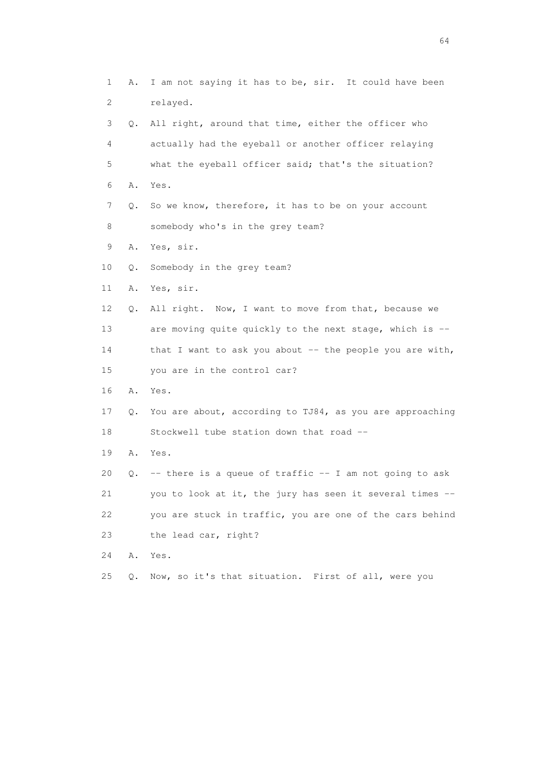1 A. I am not saying it has to be, sir. It could have been 2 relayed. 3 Q. All right, around that time, either the officer who 4 actually had the eyeball or another officer relaying 5 what the eyeball officer said; that's the situation? 6 A. Yes. 7 Q. So we know, therefore, it has to be on your account 8 somebody who's in the grey team? 9 A. Yes, sir. 10 Q. Somebody in the grey team? 11 A. Yes, sir. 12 Q. All right. Now, I want to move from that, because we 13 are moving quite quickly to the next stage, which is -- 14 that I want to ask you about -- the people you are with, 15 you are in the control car? 16 A. Yes. 17 Q. You are about, according to TJ84, as you are approaching 18 Stockwell tube station down that road -- 19 A. Yes. 20  $Q.$  -- there is a queue of traffic -- I am not going to ask 21 you to look at it, the jury has seen it several times -- 22 you are stuck in traffic, you are one of the cars behind 23 the lead car, right? 24 A. Yes. 25 Q. Now, so it's that situation. First of all, were you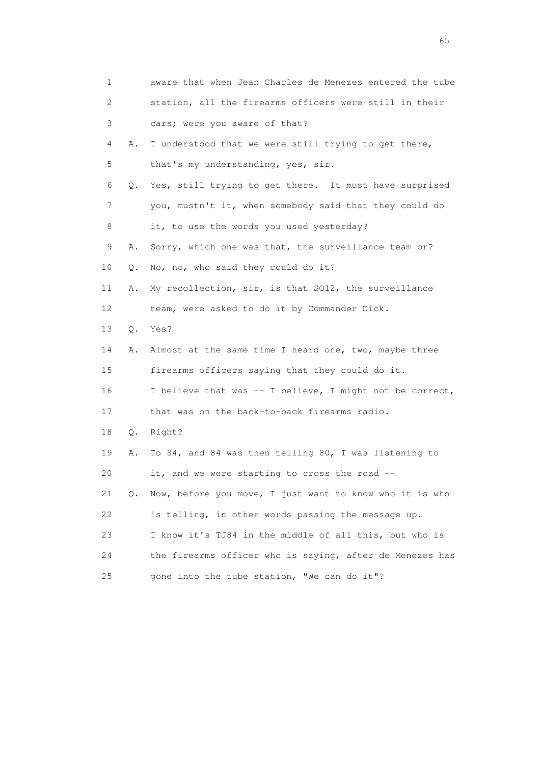|    | 1                         | aware that when Jean Charles de Menezes entered the tube |
|----|---------------------------|----------------------------------------------------------|
|    | $\mathbf{2}^{\mathsf{I}}$ | station, all the firearms officers were still in their   |
| 3  |                           | cars; were you aware of that?                            |
|    | 4<br>Α.                   | I understood that we were still trying to get there,     |
| 5  |                           | that's my understanding, yes, sir.                       |
| 6  | Q.                        | Yes, still trying to get there. It must have surprised   |
|    | 7                         | you, mustn't it, when somebody said that they could do   |
| 8  |                           | it, to use the words you used yesterday?                 |
| 9  | Α.                        | Sorry, which one was that, the surveillance team or?     |
| 10 | Q.                        | No, no, who said they could do it?                       |
| 11 | Α.                        | My recollection, sir, is that SO12, the surveillance     |
| 12 |                           | team, were asked to do it by Commander Dick.             |
| 13 | $Q$ .                     | Yes?                                                     |
| 14 | Α.                        | Almost at the same time I heard one, two, maybe three    |
| 15 |                           | firearms officers saying that they could do it.          |
| 16 |                           | I believe that was -- I believe, I might not be correct, |
| 17 |                           | that was on the back-to-back firearms radio.             |
| 18 | Q.                        | Right?                                                   |
| 19 | Α.                        | To 84, and 84 was then telling 80, I was listening to    |
| 20 |                           | it, and we were starting to cross the road --            |
| 21 | 0.                        | Now, before you move, I just want to know who it is who  |
| 22 |                           | is telling, in other words passing the message up.       |
| 23 |                           | I know it's TJ84 in the middle of all this, but who is   |
| 24 |                           | the firearms officer who is saying, after de Menezes has |
| 25 |                           | gone into the tube station, "We can do it"?              |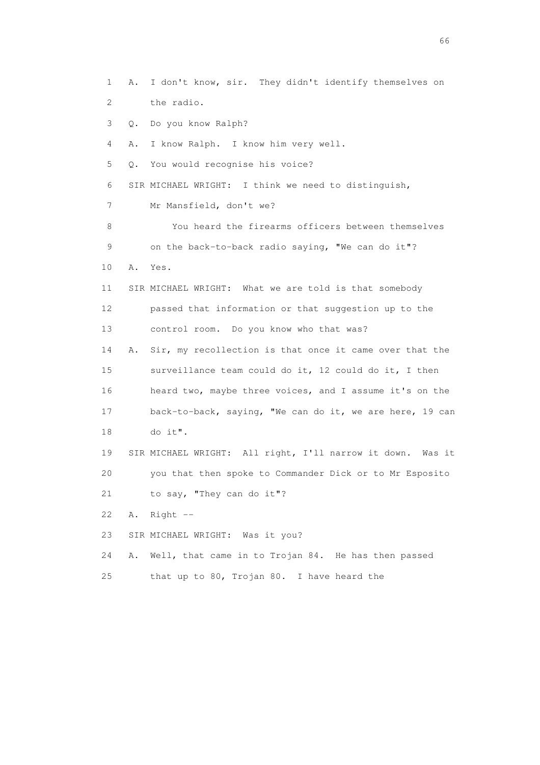1 A. I don't know, sir. They didn't identify themselves on 2 the radio. 3 Q. Do you know Ralph? 4 A. I know Ralph. I know him very well. 5 Q. You would recognise his voice? 6 SIR MICHAEL WRIGHT: I think we need to distinguish, 7 Mr Mansfield, don't we? 8 You heard the firearms officers between themselves 9 on the back-to-back radio saying, "We can do it"? 10 A. Yes. 11 SIR MICHAEL WRIGHT: What we are told is that somebody 12 passed that information or that suggestion up to the 13 control room. Do you know who that was? 14 A. Sir, my recollection is that once it came over that the 15 surveillance team could do it, 12 could do it, I then 16 heard two, maybe three voices, and I assume it's on the 17 back-to-back, saying, "We can do it, we are here, 19 can 18 do it". 19 SIR MICHAEL WRIGHT: All right, I'll narrow it down. Was it 20 you that then spoke to Commander Dick or to Mr Esposito 21 to say, "They can do it"? 22 A. Right -- 23 SIR MICHAEL WRIGHT: Was it you? 24 A. Well, that came in to Trojan 84. He has then passed 25 that up to 80, Trojan 80. I have heard the

 $\sim$  66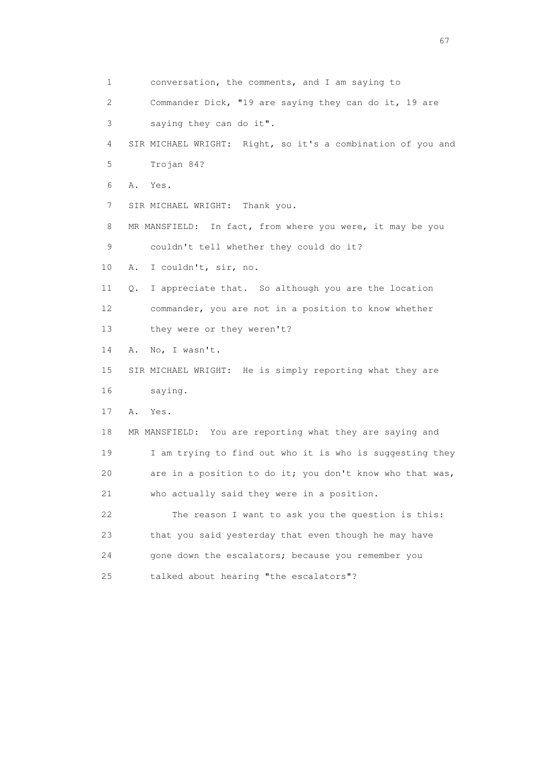1 conversation, the comments, and I am saying to 2 Commander Dick, "19 are saying they can do it, 19 are 3 saying they can do it". 4 SIR MICHAEL WRIGHT: Right, so it's a combination of you and 5 Trojan 84? 6 A. Yes. 7 SIR MICHAEL WRIGHT: Thank you. 8 MR MANSFIELD: In fact, from where you were, it may be you 9 couldn't tell whether they could do it? 10 A. I couldn't, sir, no. 11 Q. I appreciate that. So although you are the location 12 commander, you are not in a position to know whether 13 they were or they weren't? 14 A. No, I wasn't. 15 SIR MICHAEL WRIGHT: He is simply reporting what they are 16 saying. 17 A. Yes. 18 MR MANSFIELD: You are reporting what they are saying and 19 I am trying to find out who it is who is suggesting they 20 are in a position to do it; you don't know who that was, 21 who actually said they were in a position. 22 The reason I want to ask you the question is this: 23 that you said yesterday that even though he may have 24 gone down the escalators; because you remember you 25 talked about hearing "the escalators"?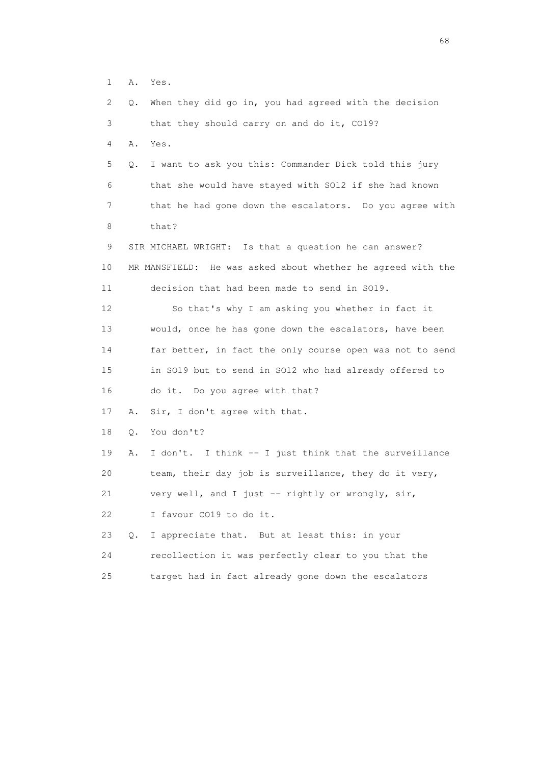1 A. Yes.

| 2. | Q.        | When they did go in, you had agreed with the decision       |
|----|-----------|-------------------------------------------------------------|
| 3  |           | that they should carry on and do it, CO19?                  |
| 4  | Α.        | Yes.                                                        |
| 5  | Q.        | I want to ask you this: Commander Dick told this jury       |
| 6  |           | that she would have stayed with SO12 if she had known       |
| 7  |           | that he had gone down the escalators. Do you agree with     |
| 8  |           | that?                                                       |
| 9  |           | SIR MICHAEL WRIGHT: Is that a question he can answer?       |
| 10 |           | MR MANSFIELD: He was asked about whether he agreed with the |
| 11 |           | decision that had been made to send in SO19.                |
| 12 |           | So that's why I am asking you whether in fact it            |
| 13 |           | would, once he has gone down the escalators, have been      |
| 14 |           | far better, in fact the only course open was not to send    |
| 15 |           | in SO19 but to send in SO12 who had already offered to      |
| 16 |           | do it. Do you agree with that?                              |
| 17 | Α.        | Sir, I don't agree with that.                               |
| 18 | Q.        | You don't?                                                  |
| 19 | Α.        | I don't. I think -- I just think that the surveillance      |
| 20 |           | team, their day job is surveillance, they do it very,       |
| 21 |           | very well, and I just -- rightly or wrongly, sir,           |
| 22 |           | I favour CO19 to do it.                                     |
| 23 | $\circ$ . | I appreciate that. But at least this: in your               |
| 24 |           | recollection it was perfectly clear to you that the         |
| 25 |           | target had in fact already gone down the escalators         |

en de la construction de la construction de la construction de la construction de la construction de la construction de la construction de la construction de la construction de la construction de la construction de la cons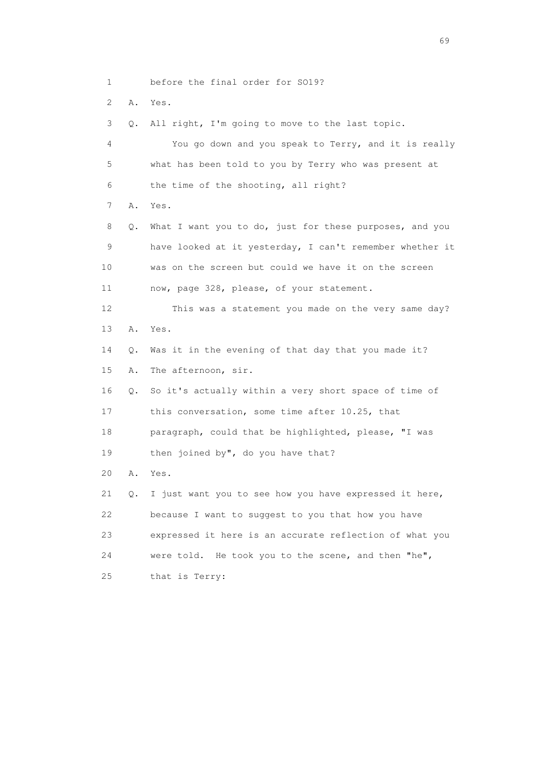1 before the final order for SO19?

2 A. Yes.

3 Q. All right, I'm going to move to the last topic.

 4 You go down and you speak to Terry, and it is really 5 what has been told to you by Terry who was present at 6 the time of the shooting, all right? 7 A. Yes. 8 Q. What I want you to do, just for these purposes, and you 9 have looked at it yesterday, I can't remember whether it 10 was on the screen but could we have it on the screen 11 now, page 328, please, of your statement. 12 This was a statement you made on the very same day? 13 A. Yes. 14 Q. Was it in the evening of that day that you made it? 15 A. The afternoon, sir. 16 Q. So it's actually within a very short space of time of 17 this conversation, some time after 10.25, that 18 paragraph, could that be highlighted, please, "I was 19 then joined by", do you have that? 20 A. Yes. 21 Q. I just want you to see how you have expressed it here, 22 because I want to suggest to you that how you have 23 expressed it here is an accurate reflection of what you 24 were told. He took you to the scene, and then "he", 25 that is Terry: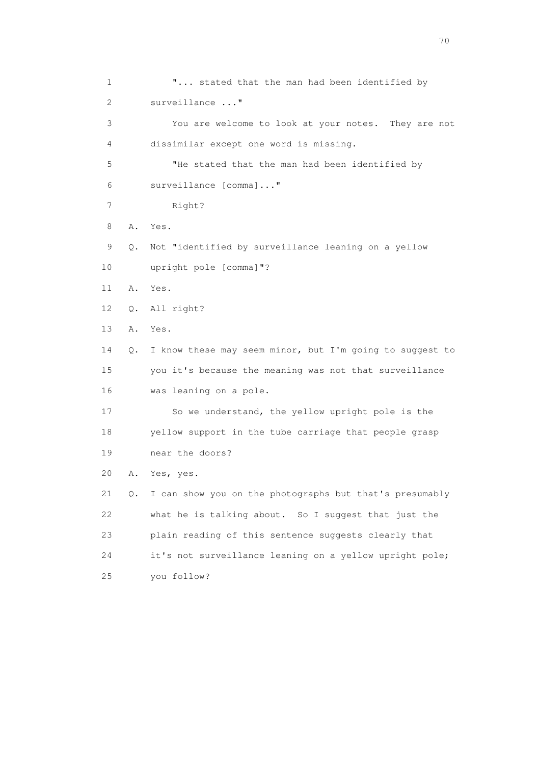1 **"...** stated that the man had been identified by 2 surveillance ..." 3 You are welcome to look at your notes. They are not 4 dissimilar except one word is missing. 5 "He stated that the man had been identified by 6 surveillance [comma]..." 7 Right? 8 A. Yes. 9 Q. Not "identified by surveillance leaning on a yellow 10 upright pole [comma]"? 11 A. Yes. 12 Q. All right? 13 A. Yes. 14 Q. I know these may seem minor, but I'm going to suggest to 15 you it's because the meaning was not that surveillance 16 was leaning on a pole. 17 So we understand, the yellow upright pole is the 18 yellow support in the tube carriage that people grasp 19 near the doors? 20 A. Yes, yes. 21 Q. I can show you on the photographs but that's presumably 22 what he is talking about. So I suggest that just the 23 plain reading of this sentence suggests clearly that 24 it's not surveillance leaning on a yellow upright pole; 25 you follow?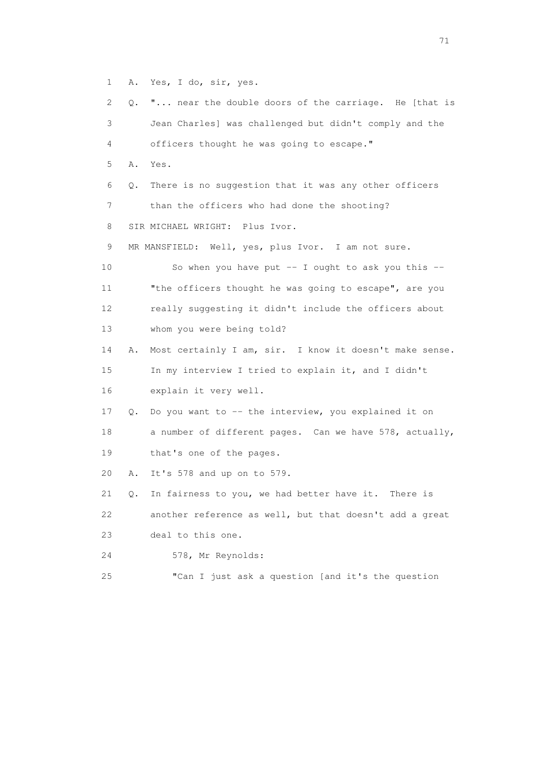1 A. Yes, I do, sir, yes.

| $\mathbf{2}^{\mathsf{I}}$ | 0. | " near the double doors of the carriage. He [that is    |
|---------------------------|----|---------------------------------------------------------|
| 3                         |    | Jean Charles] was challenged but didn't comply and the  |
| 4                         |    | officers thought he was going to escape."               |
| 5                         |    | A. Yes.                                                 |
| 6                         | Q. | There is no suggestion that it was any other officers   |
| 7                         |    | than the officers who had done the shooting?            |
| 8                         |    | SIR MICHAEL WRIGHT: Plus Ivor.                          |
| 9                         |    | MR MANSFIELD: Well, yes, plus Ivor. I am not sure.      |
| 10                        |    | So when you have put $-$ I ought to ask you this $-$    |
| 11                        |    | "the officers thought he was going to escape", are you  |
| 12                        |    | really suggesting it didn't include the officers about  |
| 13                        |    | whom you were being told?                               |
| 14                        | Α. | Most certainly I am, sir. I know it doesn't make sense. |
| 15                        |    | In my interview I tried to explain it, and I didn't     |
| 16                        |    | explain it very well.                                   |
| 17                        | Q. | Do you want to -- the interview, you explained it on    |
| 18                        |    | a number of different pages. Can we have 578, actually, |
| 19                        |    | that's one of the pages.                                |
| 20                        | Α. | It's 578 and up on to 579.                              |
| 21                        | Q. | In fairness to you, we had better have it.<br>There is  |
| 22                        |    | another reference as well, but that doesn't add a great |
| 23                        |    | deal to this one.                                       |
| 24                        |    | 578, Mr Reynolds:                                       |
| 25                        |    | "Can I just ask a question [and it's the question       |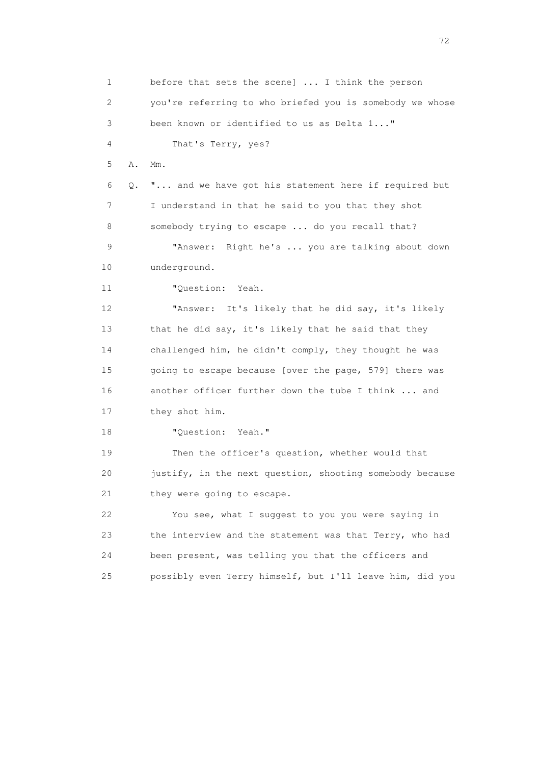1 before that sets the scene] ... I think the person 2 you're referring to who briefed you is somebody we whose 3 been known or identified to us as Delta 1..." 4 That's Terry, yes? 5 A. Mm. 6 Q. "... and we have got his statement here if required but 7 I understand in that he said to you that they shot 8 somebody trying to escape ... do you recall that? 9 "Answer: Right he's ... you are talking about down 10 underground. 11 "Ouestion: Yeah. 12 "Answer: It's likely that he did say, it's likely 13 that he did say, it's likely that he said that they 14 challenged him, he didn't comply, they thought he was 15 going to escape because [over the page, 579] there was 16 another officer further down the tube I think ... and 17 they shot him. 18 "Question: Yeah." 19 Then the officer's question, whether would that 20 justify, in the next question, shooting somebody because 21 they were going to escape. 22 You see, what I suggest to you you were saying in 23 the interview and the statement was that Terry, who had 24 been present, was telling you that the officers and 25 possibly even Terry himself, but I'll leave him, did you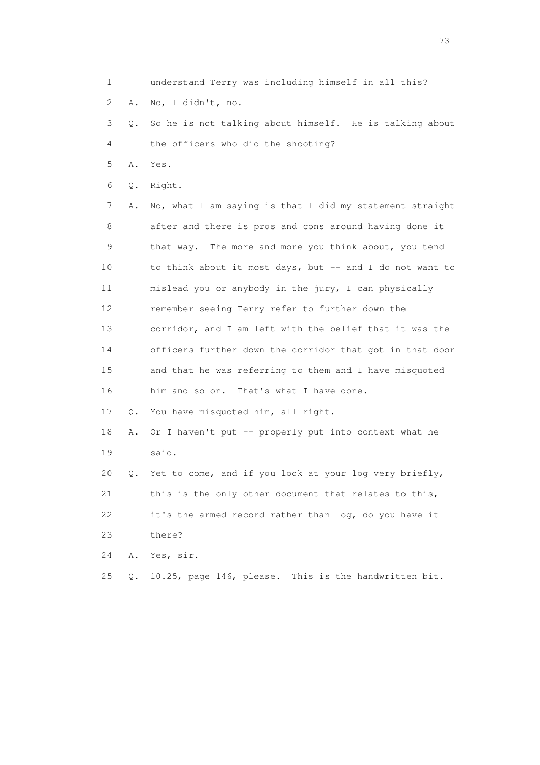1 understand Terry was including himself in all this?

2 A. No, I didn't, no.

 3 Q. So he is not talking about himself. He is talking about 4 the officers who did the shooting?

5 A. Yes.

6 Q. Right.

 7 A. No, what I am saying is that I did my statement straight 8 after and there is pros and cons around having done it 9 that way. The more and more you think about, you tend 10 to think about it most days, but -- and I do not want to 11 mislead you or anybody in the jury, I can physically 12 remember seeing Terry refer to further down the 13 corridor, and I am left with the belief that it was the 14 officers further down the corridor that got in that door 15 and that he was referring to them and I have misquoted 16 him and so on. That's what I have done.

17 Q. You have misquoted him, all right.

 18 A. Or I haven't put -- properly put into context what he 19 said.

 20 Q. Yet to come, and if you look at your log very briefly, 21 this is the only other document that relates to this, 22 it's the armed record rather than log, do you have it 23 there?

24 A. Yes, sir.

25 Q. 10.25, page 146, please. This is the handwritten bit.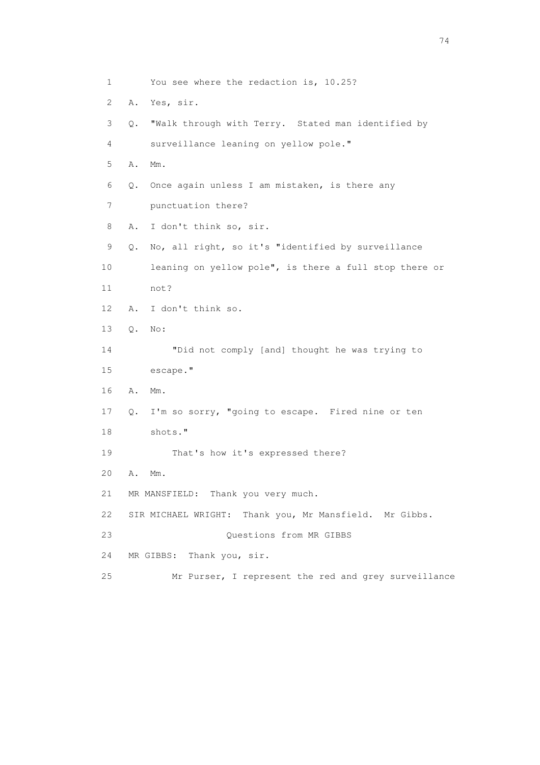1 You see where the redaction is, 10.25? 2 A. Yes, sir. 3 Q. "Walk through with Terry. Stated man identified by 4 surveillance leaning on yellow pole." 5 A. Mm. 6 Q. Once again unless I am mistaken, is there any 7 punctuation there? 8 A. I don't think so, sir. 9 Q. No, all right, so it's "identified by surveillance 10 leaning on yellow pole", is there a full stop there or 11 not? 12 A. I don't think so. 13 Q. No: 14 "Did not comply [and] thought he was trying to 15 escape." 16 A. Mm. 17 Q. I'm so sorry, "going to escape. Fired nine or ten 18 shots." 19 That's how it's expressed there? 20 A. Mm. 21 MR MANSFIELD: Thank you very much. 22 SIR MICHAEL WRIGHT: Thank you, Mr Mansfield. Mr Gibbs. 23 Questions from MR GIBBS 24 MR GIBBS: Thank you, sir. 25 Mr Purser, I represent the red and grey surveillance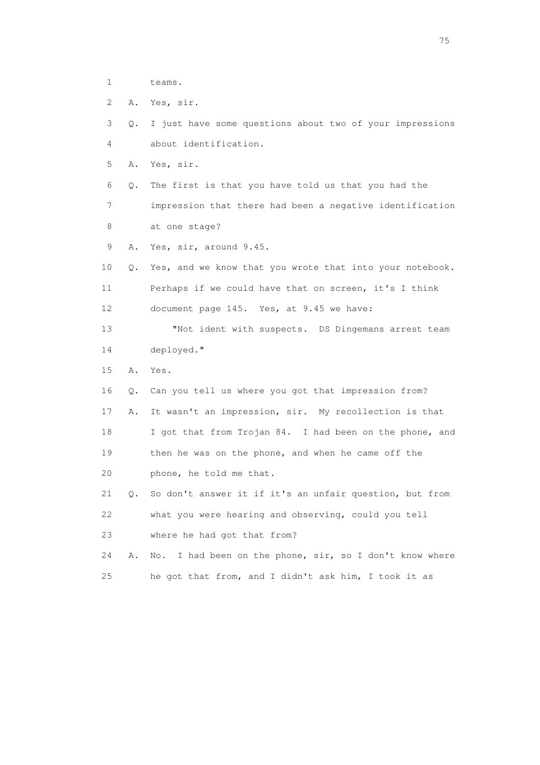- 1 teams.
- 2 A. Yes, sir.
- 3 Q. I just have some questions about two of your impressions 4 about identification.
- 5 A. Yes, sir.
- 6 Q. The first is that you have told us that you had the 7 impression that there had been a negative identification 8 at one stage?
- 9 A. Yes, sir, around 9.45.
- 10 Q. Yes, and we know that you wrote that into your notebook. 11 Perhaps if we could have that on screen, it's I think 12 document page 145. Yes, at 9.45 we have:
- 13 "Not ident with suspects. DS Dingemans arrest team 14 deployed."
- 15 A. Yes.
- 16 Q. Can you tell us where you got that impression from?
- 17 A. It wasn't an impression, sir. My recollection is that
- 18 I got that from Trojan 84. I had been on the phone, and 19 then he was on the phone, and when he came off the 20 phone, he told me that.
- 21 Q. So don't answer it if it's an unfair question, but from 22 what you were hearing and observing, could you tell 23 where he had got that from?
- 24 A. No. I had been on the phone, sir, so I don't know where 25 he got that from, and I didn't ask him, I took it as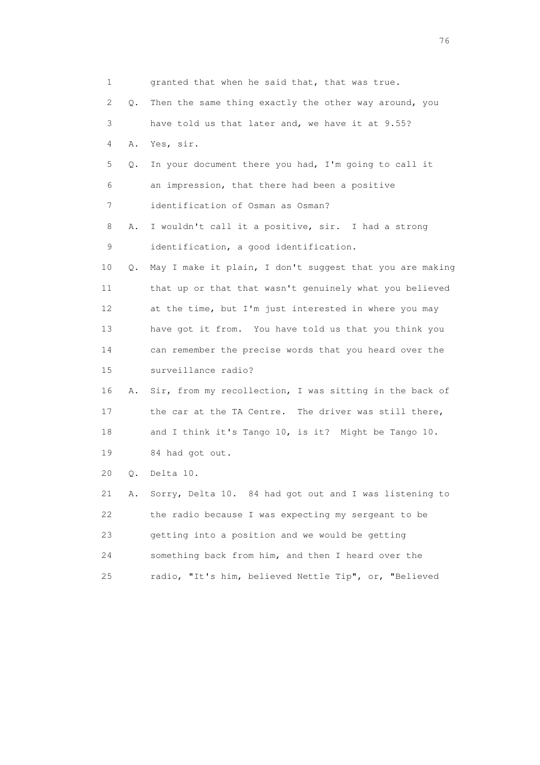| 1  |    | granted that when he said that, that was true.           |
|----|----|----------------------------------------------------------|
| 2  | О. | Then the same thing exactly the other way around, you    |
| 3  |    | have told us that later and, we have it at 9.55?         |
| 4  | Α. | Yes, sir.                                                |
| 5  | Q. | In your document there you had, I'm going to call it     |
| 6  |    | an impression, that there had been a positive            |
| 7  |    | identification of Osman as Osman?                        |
| 8  | Α. | I wouldn't call it a positive, sir. I had a strong       |
| 9  |    | identification, a good identification.                   |
| 10 | Q. | May I make it plain, I don't suggest that you are making |
| 11 |    | that up or that that wasn't genuinely what you believed  |
| 12 |    | at the time, but I'm just interested in where you may    |
| 13 |    | have got it from. You have told us that you think you    |
| 14 |    | can remember the precise words that you heard over the   |
| 15 |    | surveillance radio?                                      |
| 16 | Α. | Sir, from my recollection, I was sitting in the back of  |
| 17 |    | the car at the TA Centre. The driver was still there,    |
| 18 |    | and I think it's Tango 10, is it? Might be Tango 10.     |
| 19 |    | 84 had got out.                                          |
| 20 | Q. | Delta 10.                                                |
| 21 | Α. | Sorry, Delta 10. 84 had got out and I was listening to   |
| 22 |    | the radio because I was expecting my sergeant to be      |
| 23 |    | getting into a position and we would be getting          |
| 24 |    | something back from him, and then I heard over the       |
| 25 |    | radio, "It's him, believed Nettle Tip", or, "Believed    |
|    |    |                                                          |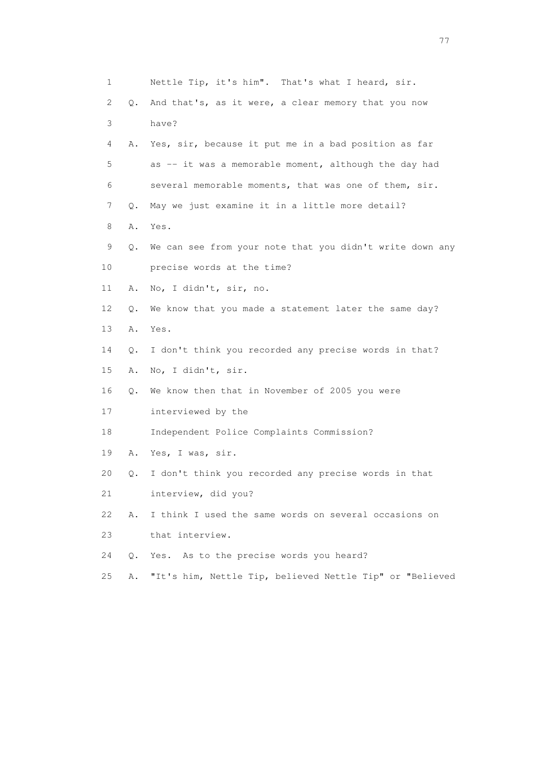| 1  |    | Nettle Tip, it's him". That's what I heard, sir.         |
|----|----|----------------------------------------------------------|
| 2  | Q. | And that's, as it were, a clear memory that you now      |
| 3  |    | have?                                                    |
| 4  | Α. | Yes, sir, because it put me in a bad position as far     |
| 5  |    | as -- it was a memorable moment, although the day had    |
| 6  |    | several memorable moments, that was one of them, sir.    |
| 7  | Q. | May we just examine it in a little more detail?          |
| 8  | Α. | Yes.                                                     |
| 9  | Q. | We can see from your note that you didn't write down any |
| 10 |    | precise words at the time?                               |
| 11 | Α. | No, I didn't, sir, no.                                   |
| 12 | Q. | We know that you made a statement later the same day?    |
| 13 | Α. | Yes.                                                     |
| 14 | Q. | I don't think you recorded any precise words in that?    |
| 15 | Α. | No, I didn't, sir.                                       |
| 16 | Q. | We know then that in November of 2005 you were           |
| 17 |    | interviewed by the                                       |
| 18 |    | Independent Police Complaints Commission?                |
| 19 | Α. | Yes, I was, sir.                                         |
| 20 | Q. | I don't think you recorded any precise words in that     |
| 21 |    | interview, did you?                                      |
| 22 | Α. | I think I used the same words on several occasions on    |
| 23 |    | that interview.                                          |
| 24 | О. | Yes. As to the precise words you heard?                  |
| 25 | Α. | "It's him, Nettle Tip, believed Nettle Tip" or "Believed |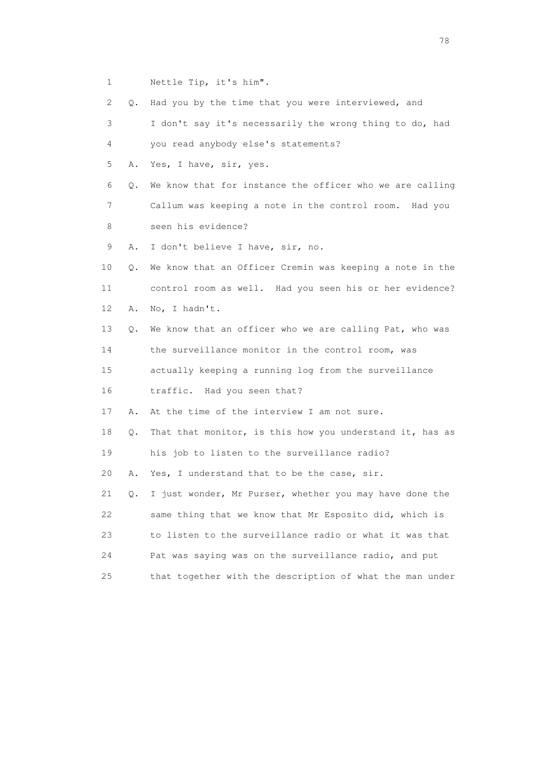1 Nettle Tip, it's him".

2 Q. Had you by the time that you were interviewed, and

 3 I don't say it's necessarily the wrong thing to do, had 4 you read anybody else's statements?

5 A. Yes, I have, sir, yes.

 6 Q. We know that for instance the officer who we are calling 7 Callum was keeping a note in the control room. Had you 8 seen his evidence?

9 A. I don't believe I have, sir, no.

 10 Q. We know that an Officer Cremin was keeping a note in the 11 control room as well. Had you seen his or her evidence? 12 A. No, I hadn't.

13 Q. We know that an officer who we are calling Pat, who was

14 the surveillance monitor in the control room, was

 15 actually keeping a running log from the surveillance 16 traffic. Had you seen that?

17 A. At the time of the interview I am not sure.

18 Q. That that monitor, is this how you understand it, has as 19 his job to listen to the surveillance radio?

20 A. Yes, I understand that to be the case, sir.

 21 Q. I just wonder, Mr Purser, whether you may have done the 22 same thing that we know that Mr Esposito did, which is 23 to listen to the surveillance radio or what it was that 24 Pat was saying was on the surveillance radio, and put 25 that together with the description of what the man under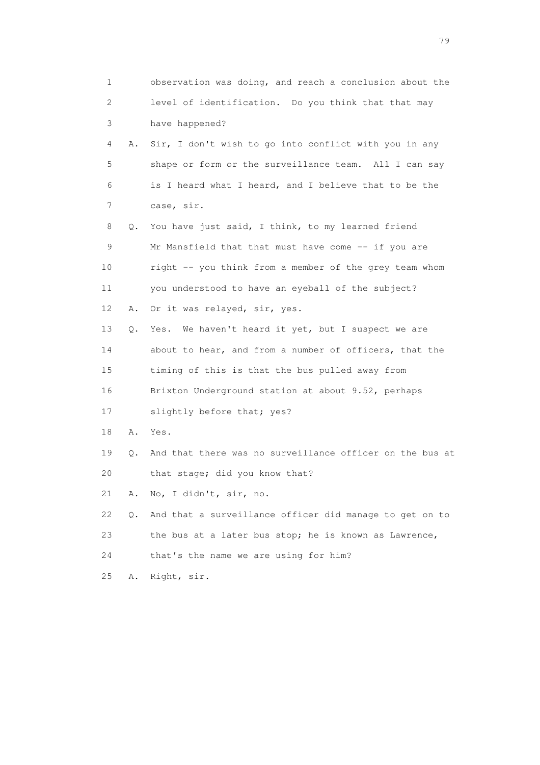| 1  |    | observation was doing, and reach a conclusion about the  |
|----|----|----------------------------------------------------------|
| 2  |    | level of identification. Do you think that that may      |
| 3  |    | have happened?                                           |
| 4  | Α. | Sir, I don't wish to go into conflict with you in any    |
| 5  |    | shape or form or the surveillance team. All I can say    |
| 6  |    | is I heard what I heard, and I believe that to be the    |
| 7  |    | case, sir.                                               |
| 8  | Q. | You have just said, I think, to my learned friend        |
| 9  |    | Mr Mansfield that that must have come -- if you are      |
| 10 |    | right -- you think from a member of the grey team whom   |
| 11 |    | you understood to have an eyeball of the subject?        |
| 12 | Α. | Or it was relayed, sir, yes.                             |
| 13 | О. | We haven't heard it yet, but I suspect we are<br>Yes.    |
| 14 |    | about to hear, and from a number of officers, that the   |
| 15 |    | timing of this is that the bus pulled away from          |
| 16 |    | Brixton Underground station at about 9.52, perhaps       |
| 17 |    | slightly before that; yes?                               |
| 18 | Α. | Yes.                                                     |
| 19 | Q. | And that there was no surveillance officer on the bus at |
| 20 |    | that stage; did you know that?                           |
| 21 | Α. | No, I didn't, sir, no.                                   |
| 22 | Q. | And that a surveillance officer did manage to get on to  |
| 23 |    | the bus at a later bus stop; he is known as Lawrence,    |
| 24 |    | that's the name we are using for him?                    |
| 25 | Α. | Right, sir.                                              |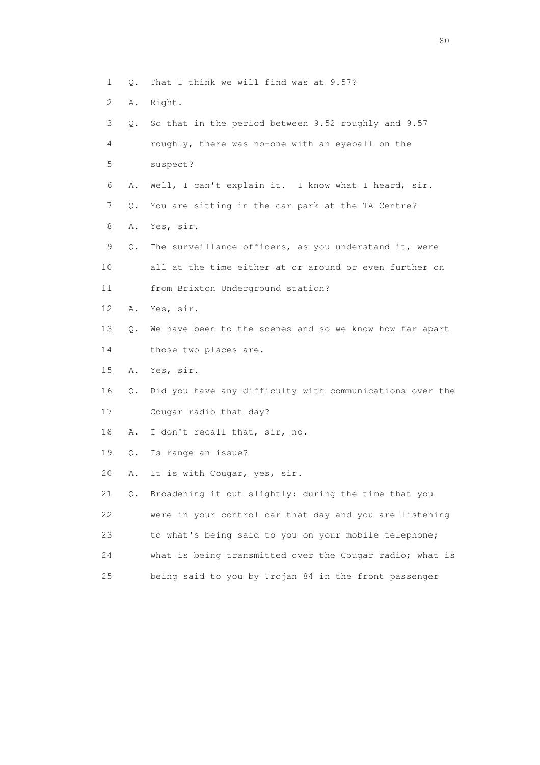- 1 Q. That I think we will find was at 9.57?
- 2 A. Right.

|    | 3<br>Q. | So that in the period between 9.52 roughly and 9.57      |
|----|---------|----------------------------------------------------------|
|    | 4       | roughly, there was no-one with an eyeball on the         |
| 5  |         | suspect?                                                 |
|    | 6<br>Α. | Well, I can't explain it. I know what I heard, sir.      |
|    | 7<br>Q. | You are sitting in the car park at the TA Centre?        |
| 8  | Α.      | Yes, sir.                                                |
|    | 9<br>Q. | The surveillance officers, as you understand it, were    |
| 10 |         | all at the time either at or around or even further on   |
| 11 |         | from Brixton Underground station?                        |
| 12 | Α.      | Yes, sir.                                                |
| 13 | Q.      | We have been to the scenes and so we know how far apart  |
| 14 |         | those two places are.                                    |
| 15 | Α.      | Yes, sir.                                                |
| 16 | Q.      | Did you have any difficulty with communications over the |
| 17 |         | Cougar radio that day?                                   |
| 18 | Α.      | I don't recall that, sir, no.                            |
| 19 | Q.      | Is range an issue?                                       |
| 20 | Α.      | It is with Cougar, yes, sir.                             |
| 21 | Q.      | Broadening it out slightly: during the time that you     |
| 22 |         | were in your control car that day and you are listening  |
| 23 |         | to what's being said to you on your mobile telephone;    |
| 24 |         | what is being transmitted over the Cougar radio; what is |
| 25 |         | being said to you by Trojan 84 in the front passenger    |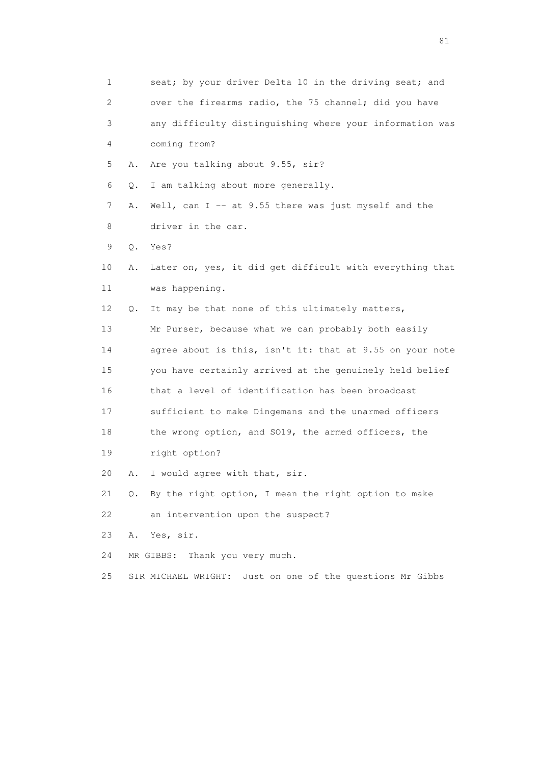| 1  |    | seat; by your driver Delta 10 in the driving seat; and       |
|----|----|--------------------------------------------------------------|
| 2  |    | over the firearms radio, the 75 channel; did you have        |
| 3  |    | any difficulty distinguishing where your information was     |
| 4  |    | coming from?                                                 |
| 5  | Α. | Are you talking about 9.55, sir?                             |
| 6  | Q. | I am talking about more generally.                           |
| 7  | Α. | Well, can I -- at 9.55 there was just myself and the         |
| 8  |    | driver in the car.                                           |
| 9  | Q. | Yes?                                                         |
| 10 | Α. | Later on, yes, it did get difficult with everything that     |
| 11 |    | was happening.                                               |
| 12 | Q. | It may be that none of this ultimately matters,              |
| 13 |    | Mr Purser, because what we can probably both easily          |
| 14 |    | agree about is this, isn't it: that at 9.55 on your note     |
| 15 |    | you have certainly arrived at the genuinely held belief      |
| 16 |    | that a level of identification has been broadcast            |
| 17 |    | sufficient to make Dingemans and the unarmed officers        |
| 18 |    | the wrong option, and SO19, the armed officers, the          |
| 19 |    | right option?                                                |
| 20 | Α. | I would agree with that, sir.                                |
| 21 |    | Q. By the right option, I mean the right option to make      |
| 22 |    | an intervention upon the suspect?                            |
| 23 | Α. | Yes, sir.                                                    |
| 24 |    | Thank you very much.<br>MR GIBBS:                            |
| 25 |    | Just on one of the questions Mr Gibbs<br>SIR MICHAEL WRIGHT: |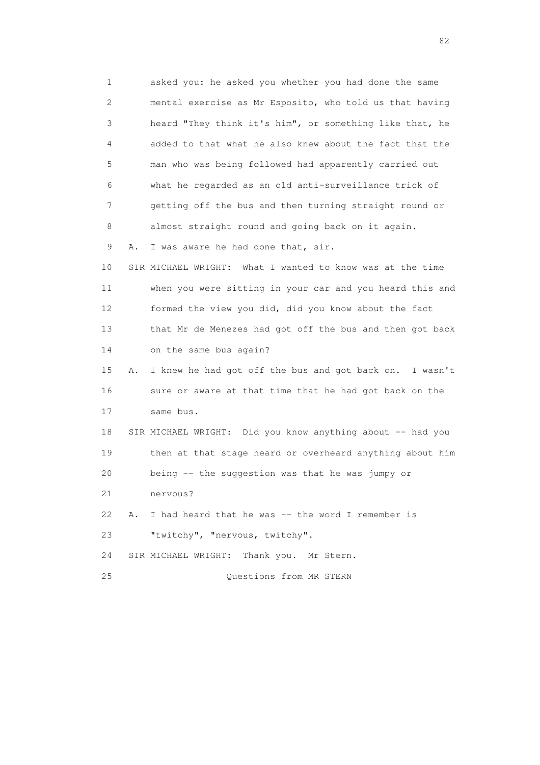1 asked you: he asked you whether you had done the same 2 mental exercise as Mr Esposito, who told us that having 3 heard "They think it's him", or something like that, he 4 added to that what he also knew about the fact that the 5 man who was being followed had apparently carried out 6 what he regarded as an old anti-surveillance trick of 7 getting off the bus and then turning straight round or 8 almost straight round and going back on it again. 9 A. I was aware he had done that, sir. 10 SIR MICHAEL WRIGHT: What I wanted to know was at the time 11 when you were sitting in your car and you heard this and 12 formed the view you did, did you know about the fact 13 that Mr de Menezes had got off the bus and then got back 14 on the same bus again? 15 A. I knew he had got off the bus and got back on. I wasn't 16 sure or aware at that time that he had got back on the 17 same bus. 18 SIR MICHAEL WRIGHT: Did you know anything about -- had you 19 then at that stage heard or overheard anything about him 20 being -- the suggestion was that he was jumpy or 21 nervous? 22 A. I had heard that he was -- the word I remember is 23 "twitchy", "nervous, twitchy". 24 SIR MICHAEL WRIGHT: Thank you. Mr Stern. 25 Questions from MR STERN

experience of the state of the state of the state of the state of the state of the state of the state of the s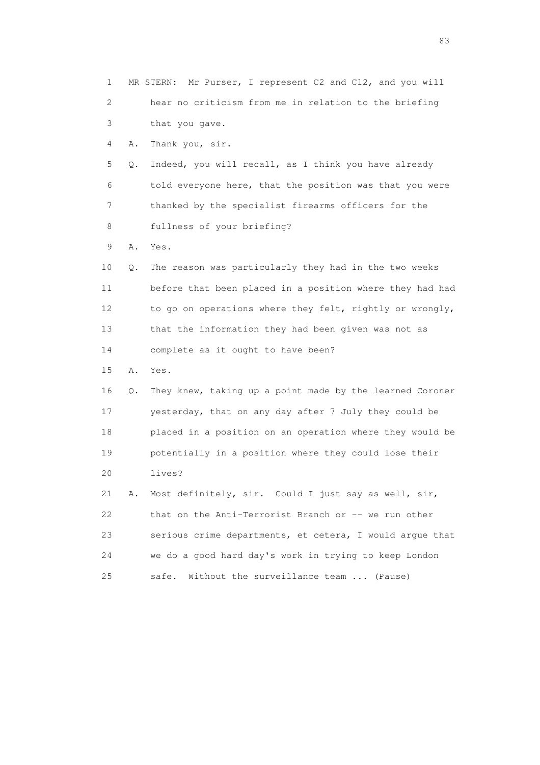1 MR STERN: Mr Purser, I represent C2 and C12, and you will 2 hear no criticism from me in relation to the briefing 3 that you gave. 4 A. Thank you, sir. 5 Q. Indeed, you will recall, as I think you have already 6 told everyone here, that the position was that you were 7 thanked by the specialist firearms officers for the 8 fullness of your briefing? 9 A. Yes. 10 Q. The reason was particularly they had in the two weeks 11 before that been placed in a position where they had had 12 to go on operations where they felt, rightly or wrongly, 13 that the information they had been given was not as 14 complete as it ought to have been? 15 A. Yes. 16 Q. They knew, taking up a point made by the learned Coroner 17 yesterday, that on any day after 7 July they could be 18 placed in a position on an operation where they would be 19 potentially in a position where they could lose their 20 lives? 21 A. Most definitely, sir. Could I just say as well, sir, 22 that on the Anti-Terrorist Branch or -- we run other 23 serious crime departments, et cetera, I would argue that 24 we do a good hard day's work in trying to keep London 25 safe. Without the surveillance team ... (Pause)

experience and the contract of the contract of the contract of the contract of the contract of the contract of the contract of the contract of the contract of the contract of the contract of the contract of the contract of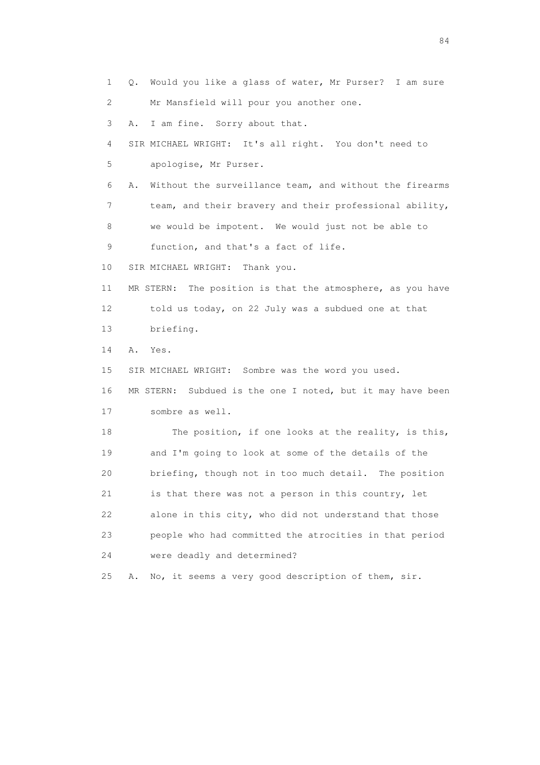1 Q. Would you like a glass of water, Mr Purser? I am sure 2 Mr Mansfield will pour you another one. 3 A. I am fine. Sorry about that. 4 SIR MICHAEL WRIGHT: It's all right. You don't need to 5 apologise, Mr Purser. 6 A. Without the surveillance team, and without the firearms 7 team, and their bravery and their professional ability, 8 we would be impotent. We would just not be able to 9 function, and that's a fact of life. 10 SIR MICHAEL WRIGHT: Thank you. 11 MR STERN: The position is that the atmosphere, as you have 12 told us today, on 22 July was a subdued one at that 13 briefing. 14 A. Yes. 15 SIR MICHAEL WRIGHT: Sombre was the word you used. 16 MR STERN: Subdued is the one I noted, but it may have been 17 sombre as well. 18 The position, if one looks at the reality, is this, 19 and I'm going to look at some of the details of the 20 briefing, though not in too much detail. The position 21 is that there was not a person in this country, let 22 alone in this city, who did not understand that those 23 people who had committed the atrocities in that period 24 were deadly and determined? 25 A. No, it seems a very good description of them, sir.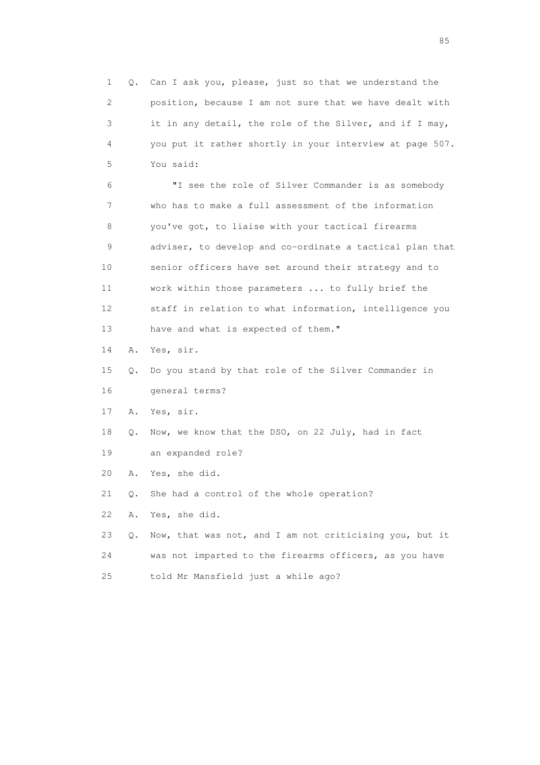1 Q. Can I ask you, please, just so that we understand the 2 position, because I am not sure that we have dealt with 3 it in any detail, the role of the Silver, and if I may, 4 you put it rather shortly in your interview at page 507. 5 You said: 6 "I see the role of Silver Commander is as somebody 7 who has to make a full assessment of the information 8 you've got, to liaise with your tactical firearms 9 adviser, to develop and co-ordinate a tactical plan that 10 senior officers have set around their strategy and to 11 work within those parameters ... to fully brief the 12 staff in relation to what information, intelligence you 13 have and what is expected of them." 14 A. Yes, sir. 15 Q. Do you stand by that role of the Silver Commander in 16 general terms? 17 A. Yes, sir. 18 Q. Now, we know that the DSO, on 22 July, had in fact 19 an expanded role? 20 A. Yes, she did. 21 Q. She had a control of the whole operation? 22 A. Yes, she did. 23 Q. Now, that was not, and I am not criticising you, but it 24 was not imparted to the firearms officers, as you have 25 told Mr Mansfield just a while ago?

experience of the contract of the contract of the contract of the contract of the contract of the contract of the contract of the contract of the contract of the contract of the contract of the contract of the contract of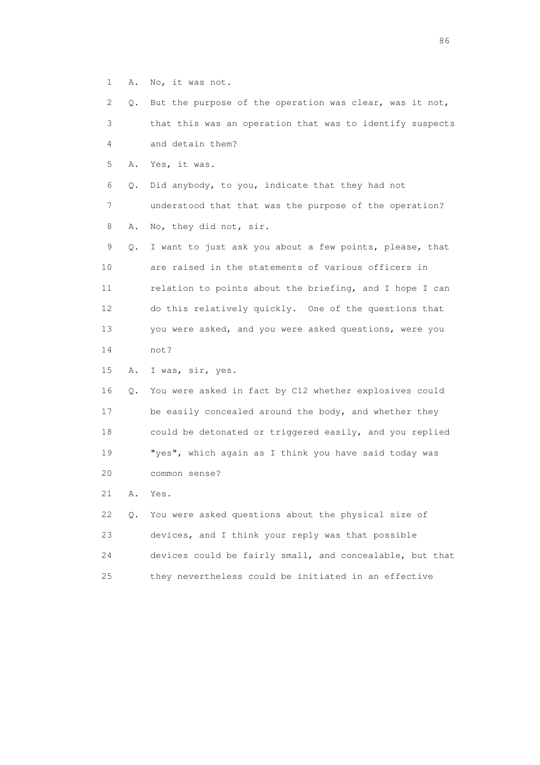1 A. No, it was not.

 2 Q. But the purpose of the operation was clear, was it not, 3 that this was an operation that was to identify suspects 4 and detain them? 5 A. Yes, it was. 6 Q. Did anybody, to you, indicate that they had not 7 understood that that was the purpose of the operation? 8 A. No, they did not, sir. 9 Q. I want to just ask you about a few points, please, that 10 are raised in the statements of various officers in 11 relation to points about the briefing, and I hope I can 12 do this relatively quickly. One of the questions that 13 you were asked, and you were asked questions, were you 14 not? 15 A. I was, sir, yes. 16 Q. You were asked in fact by C12 whether explosives could 17 be easily concealed around the body, and whether they 18 could be detonated or triggered easily, and you replied 19 "yes", which again as I think you have said today was 20 common sense?

21 A. Yes.

 22 Q. You were asked questions about the physical size of 23 devices, and I think your reply was that possible 24 devices could be fairly small, and concealable, but that 25 they nevertheless could be initiated in an effective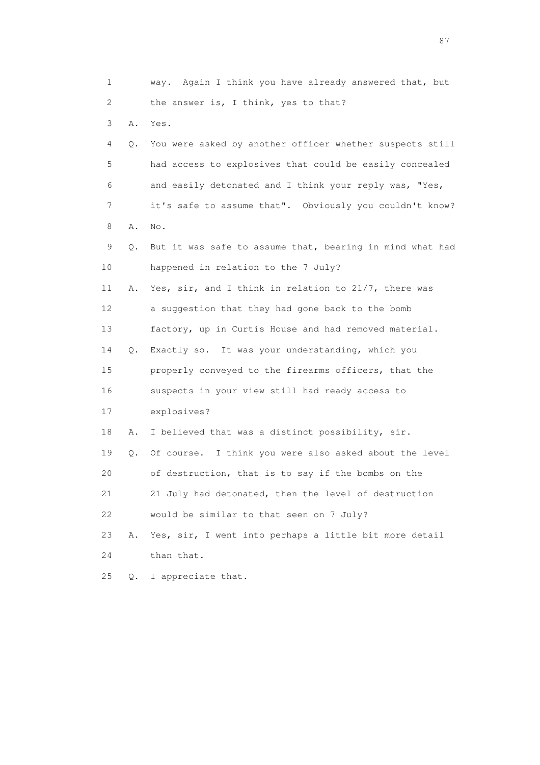1 way. Again I think you have already answered that, but 2 the answer is, I think, yes to that? 3 A. Yes. 4 Q. You were asked by another officer whether suspects still 5 had access to explosives that could be easily concealed 6 and easily detonated and I think your reply was, "Yes, 7 it's safe to assume that". Obviously you couldn't know? 8 A. No. 9 Q. But it was safe to assume that, bearing in mind what had 10 happened in relation to the 7 July? 11 A. Yes, sir, and I think in relation to 21/7, there was 12 a suggestion that they had gone back to the bomb 13 factory, up in Curtis House and had removed material. 14 Q. Exactly so. It was your understanding, which you 15 properly conveyed to the firearms officers, that the 16 suspects in your view still had ready access to 17 explosives? 18 A. I believed that was a distinct possibility, sir. 19 Q. Of course. I think you were also asked about the level 20 of destruction, that is to say if the bombs on the 21 21 July had detonated, then the level of destruction 22 would be similar to that seen on 7 July? 23 A. Yes, sir, I went into perhaps a little bit more detail 24 than that. 25 Q. I appreciate that.

experience of the state of the state of the state of the state of the state of the state of the state of the state of the state of the state of the state of the state of the state of the state of the state of the state of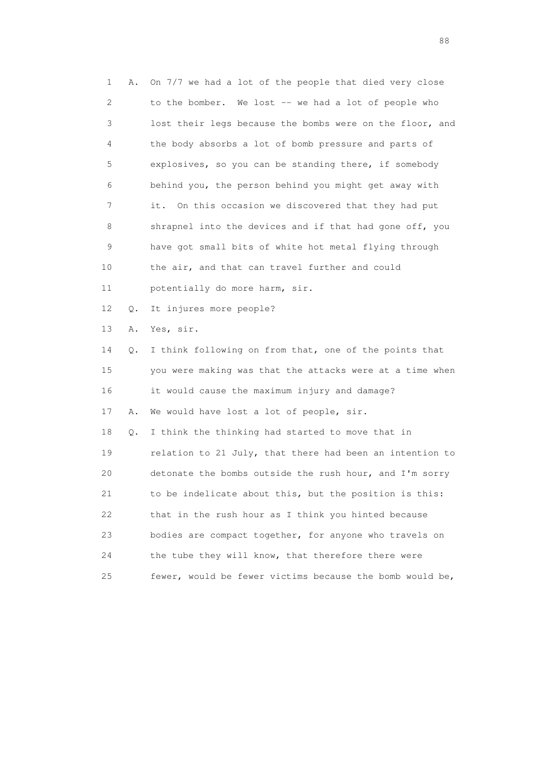1 A. On 7/7 we had a lot of the people that died very close 2 to the bomber. We lost -- we had a lot of people who 3 lost their legs because the bombs were on the floor, and 4 the body absorbs a lot of bomb pressure and parts of 5 explosives, so you can be standing there, if somebody 6 behind you, the person behind you might get away with 7 it. On this occasion we discovered that they had put 8 shrapnel into the devices and if that had gone off, you 9 have got small bits of white hot metal flying through 10 the air, and that can travel further and could 11 potentially do more harm, sir. 12 Q. It injures more people? 13 A. Yes, sir. 14 Q. I think following on from that, one of the points that 15 you were making was that the attacks were at a time when 16 it would cause the maximum injury and damage? 17 A. We would have lost a lot of people, sir. 18 Q. I think the thinking had started to move that in 19 relation to 21 July, that there had been an intention to 20 detonate the bombs outside the rush hour, and I'm sorry 21 to be indelicate about this, but the position is this: 22 that in the rush hour as I think you hinted because 23 bodies are compact together, for anyone who travels on 24 the tube they will know, that therefore there were 25 fewer, would be fewer victims because the bomb would be,

en de la construction de la construction de la construction de la construction de la construction de la constr<br>1880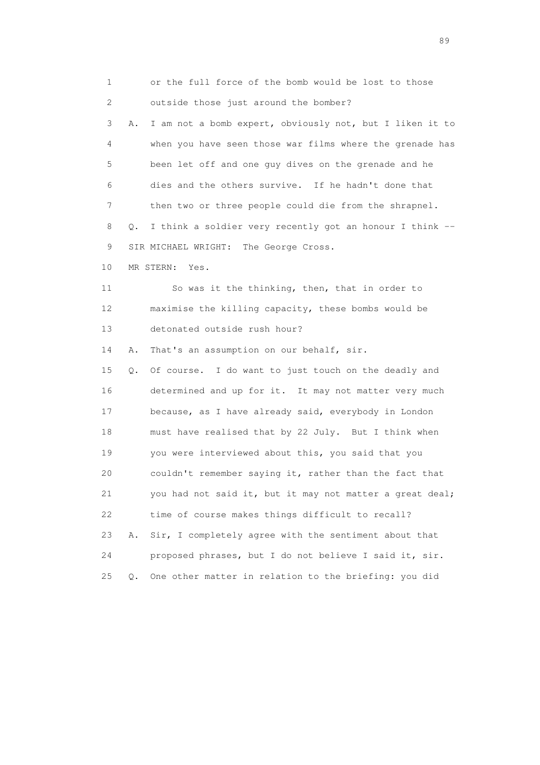1 or the full force of the bomb would be lost to those 2 outside those just around the bomber? 3 A. I am not a bomb expert, obviously not, but I liken it to 4 when you have seen those war films where the grenade has 5 been let off and one guy dives on the grenade and he 6 dies and the others survive. If he hadn't done that 7 then two or three people could die from the shrapnel. 8 Q. I think a soldier very recently got an honour I think -- 9 SIR MICHAEL WRIGHT: The George Cross. 10 MR STERN: Yes. 11 So was it the thinking, then, that in order to 12 maximise the killing capacity, these bombs would be 13 detonated outside rush hour? 14 A. That's an assumption on our behalf, sir. 15 Q. Of course. I do want to just touch on the deadly and 16 determined and up for it. It may not matter very much 17 because, as I have already said, everybody in London 18 must have realised that by 22 July. But I think when 19 you were interviewed about this, you said that you 20 couldn't remember saying it, rather than the fact that 21 you had not said it, but it may not matter a great deal; 22 time of course makes things difficult to recall? 23 A. Sir, I completely agree with the sentiment about that 24 proposed phrases, but I do not believe I said it, sir.

25 Q. One other matter in relation to the briefing: you did

en andere en de la seule de la constantin de la constantin de la constantin de la constantin de la constantin<br>189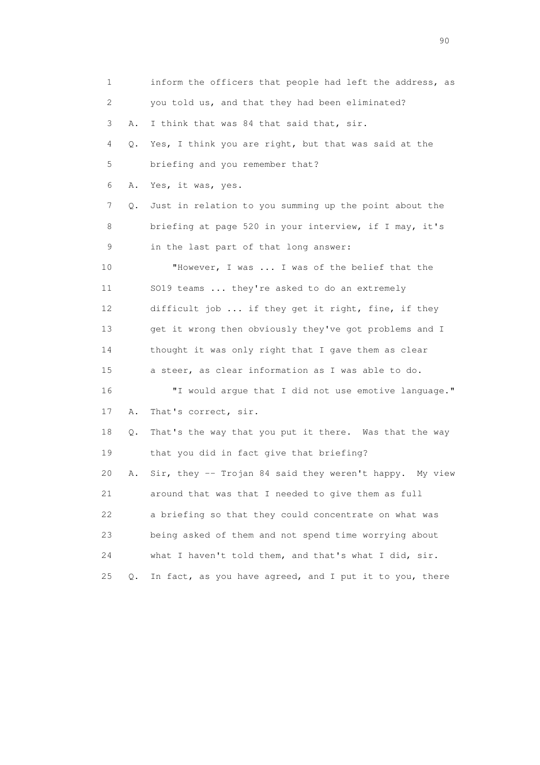| $\mathbf 1$ |    | inform the officers that people had left the address, as |
|-------------|----|----------------------------------------------------------|
| 2           |    | you told us, and that they had been eliminated?          |
| 3           | Α. | I think that was 84 that said that, sir.                 |
| 4           | Q. | Yes, I think you are right, but that was said at the     |
| 5           |    | briefing and you remember that?                          |
| 6           | Α. | Yes, it was, yes.                                        |
| 7           | Q. | Just in relation to you summing up the point about the   |
| 8           |    | briefing at page 520 in your interview, if I may, it's   |
| 9           |    | in the last part of that long answer:                    |
| 10          |    | "However, I was  I was of the belief that the            |
| 11          |    | SO19 teams  they're asked to do an extremely             |
| 12          |    | difficult job  if they get it right, fine, if they       |
| 13          |    | get it wrong then obviously they've got problems and I   |
| 14          |    | thought it was only right that I gave them as clear      |
| 15          |    | a steer, as clear information as I was able to do.       |
| 16          |    | "I would argue that I did not use emotive language."     |
| 17          | Α. | That's correct, sir.                                     |
| 18          | Q. | That's the way that you put it there. Was that the way   |
| 19          |    | that you did in fact give that briefing?                 |
| 20          | Α. | Sir, they -- Trojan 84 said they weren't happy. My view  |
| 21          |    | around that was that I needed to give them as full       |
| 22          |    | a briefing so that they could concentrate on what was    |
| 23          |    | being asked of them and not spend time worrying about    |
| 24          |    | what I haven't told them, and that's what I did, sir.    |
| 25          | Q. | In fact, as you have agreed, and I put it to you, there  |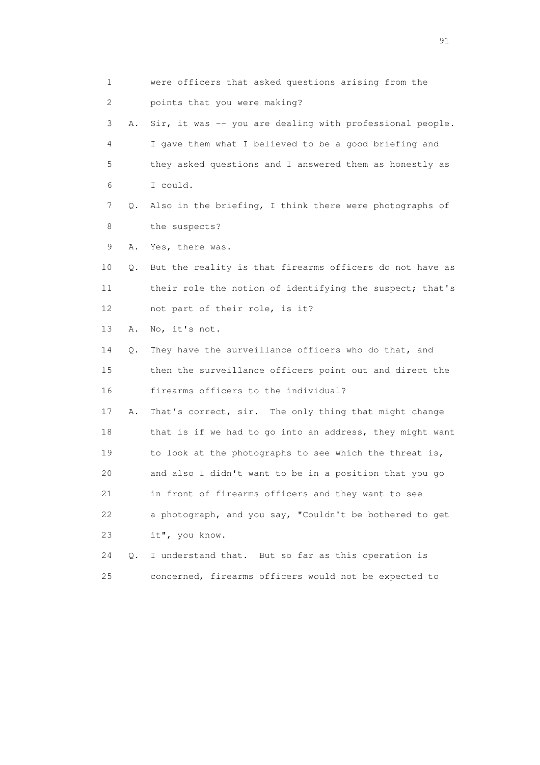1 were officers that asked questions arising from the 2 points that you were making? 3 A. Sir, it was -- you are dealing with professional people. 4 I gave them what I believed to be a good briefing and 5 they asked questions and I answered them as honestly as 6 I could. 7 Q. Also in the briefing, I think there were photographs of 8 the suspects? 9 A. Yes, there was. 10 Q. But the reality is that firearms officers do not have as 11 their role the notion of identifying the suspect; that's 12 not part of their role, is it? 13 A. No, it's not. 14 Q. They have the surveillance officers who do that, and 15 then the surveillance officers point out and direct the 16 firearms officers to the individual? 17 A. That's correct, sir. The only thing that might change 18 that is if we had to go into an address, they might want 19 to look at the photographs to see which the threat is, 20 and also I didn't want to be in a position that you go 21 in front of firearms officers and they want to see 22 a photograph, and you say, "Couldn't be bothered to get 23 it", you know. 24 Q. I understand that. But so far as this operation is 25 concerned, firearms officers would not be expected to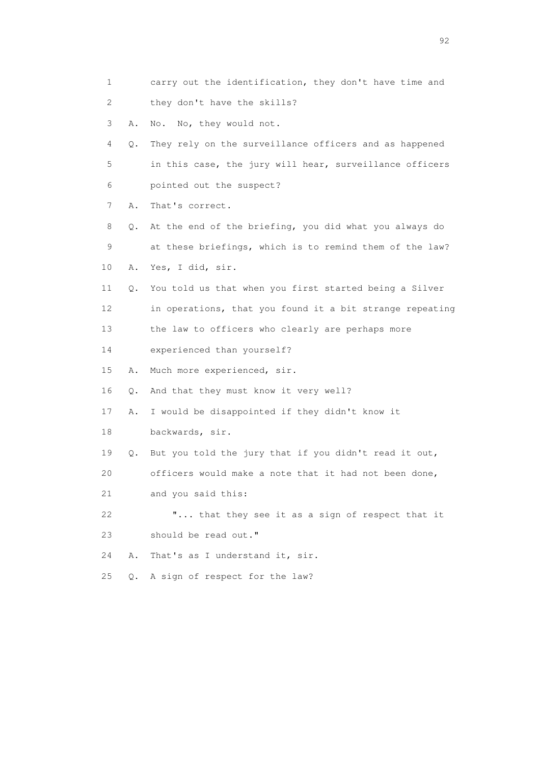| 1               |       | carry out the identification, they don't have time and   |
|-----------------|-------|----------------------------------------------------------|
| 2               |       | they don't have the skills?                              |
| 3               | Α.    | No, they would not.<br>No.                               |
| 4               | Q.    | They rely on the surveillance officers and as happened   |
| 5               |       | in this case, the jury will hear, surveillance officers  |
| 6               |       | pointed out the suspect?                                 |
| 7               | Α.    | That's correct.                                          |
| 8               | Q.    | At the end of the briefing, you did what you always do   |
| 9               |       | at these briefings, which is to remind them of the law?  |
| 10              | Α.    | Yes, I did, sir.                                         |
| 11              | Q.    | You told us that when you first started being a Silver   |
| 12 <sup>°</sup> |       | in operations, that you found it a bit strange repeating |
| 13              |       | the law to officers who clearly are perhaps more         |
| 14              |       | experienced than yourself?                               |
| 15              | Α.    | Much more experienced, sir.                              |
| 16              | Q.    | And that they must know it very well?                    |
| 17              | Α.    | I would be disappointed if they didn't know it           |
| 18              |       | backwards, sir.                                          |
| 19              | Q.    | But you told the jury that if you didn't read it out,    |
| 20              |       | officers would make a note that it had not been done,    |
| 21              |       | and you said this:                                       |
| 22              |       | " that they see it as a sign of respect that it          |
| 23              |       | should be read out."                                     |
| 24              | Α.    | That's as I understand it, sir.                          |
| 25              | $Q$ . | A sign of respect for the law?                           |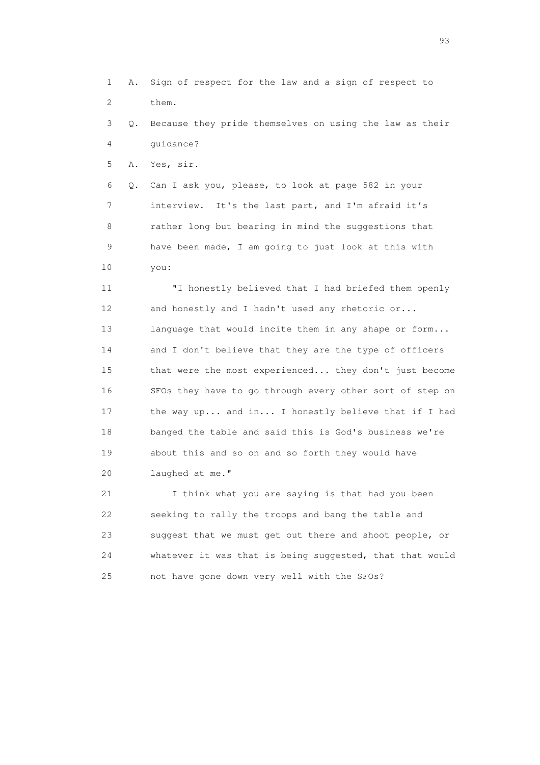1 A. Sign of respect for the law and a sign of respect to 2 them.

 3 Q. Because they pride themselves on using the law as their 4 guidance?

5 A. Yes, sir.

 6 Q. Can I ask you, please, to look at page 582 in your 7 interview. It's the last part, and I'm afraid it's 8 rather long but bearing in mind the suggestions that 9 have been made, I am going to just look at this with 10 you:

 11 "I honestly believed that I had briefed them openly 12 and honestly and I hadn't used any rhetoric or... 13 language that would incite them in any shape or form... 14 and I don't believe that they are the type of officers 15 that were the most experienced... they don't just become 16 SFOs they have to go through every other sort of step on 17 the way up... and in... I honestly believe that if I had 18 banged the table and said this is God's business we're 19 about this and so on and so forth they would have 20 laughed at me."

 21 I think what you are saying is that had you been 22 seeking to rally the troops and bang the table and 23 suggest that we must get out there and shoot people, or 24 whatever it was that is being suggested, that that would 25 not have gone down very well with the SFOs?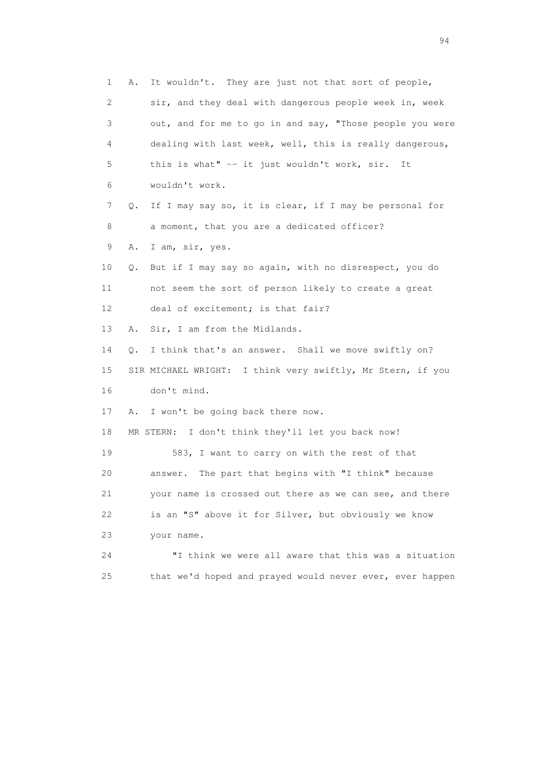1 A. It wouldn't. They are just not that sort of people, 2 sir, and they deal with dangerous people week in, week 3 out, and for me to go in and say, "Those people you were 4 dealing with last week, well, this is really dangerous, 5 this is what" -- it just wouldn't work, sir. It 6 wouldn't work. 7 Q. If I may say so, it is clear, if I may be personal for 8 a moment, that you are a dedicated officer? 9 A. I am, sir, yes. 10 Q. But if I may say so again, with no disrespect, you do 11 not seem the sort of person likely to create a great 12 deal of excitement; is that fair? 13 A. Sir, I am from the Midlands. 14 Q. I think that's an answer. Shall we move swiftly on? 15 SIR MICHAEL WRIGHT: I think very swiftly, Mr Stern, if you 16 don't mind. 17 A. I won't be going back there now. 18 MR STERN: I don't think they'll let you back now! 19 583, I want to carry on with the rest of that 20 answer. The part that begins with "I think" because 21 your name is crossed out there as we can see, and there 22 is an "S" above it for Silver, but obviously we know 23 your name. 24 "I think we were all aware that this was a situation 25 that we'd hoped and prayed would never ever, ever happen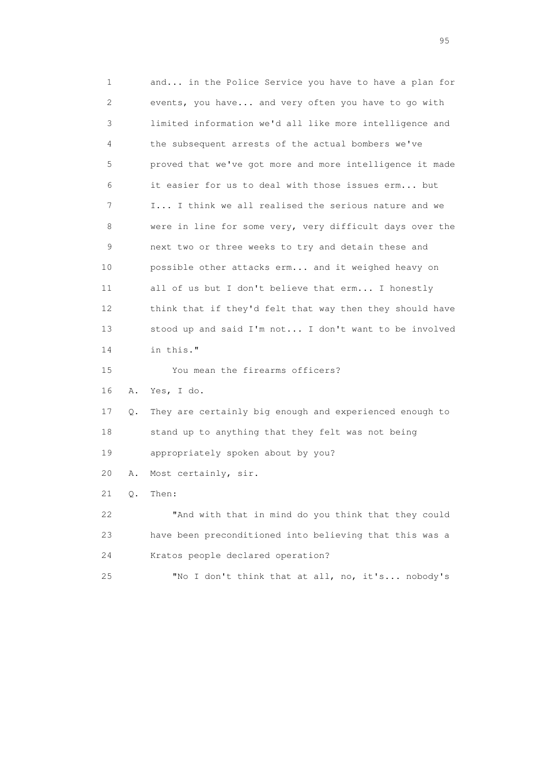1 and... in the Police Service you have to have a plan for 2 events, you have... and very often you have to go with 3 limited information we'd all like more intelligence and 4 the subsequent arrests of the actual bombers we've 5 proved that we've got more and more intelligence it made 6 it easier for us to deal with those issues erm... but 7 I... I think we all realised the serious nature and we 8 were in line for some very, very difficult days over the 9 next two or three weeks to try and detain these and 10 possible other attacks erm... and it weighed heavy on 11 all of us but I don't believe that erm... I honestly 12 think that if they'd felt that way then they should have 13 stood up and said I'm not... I don't want to be involved 14 in this." 15 You mean the firearms officers? 16 A. Yes, I do. 17 Q. They are certainly big enough and experienced enough to 18 stand up to anything that they felt was not being 19 appropriately spoken about by you? 20 A. Most certainly, sir. 21 Q. Then: 22 "And with that in mind do you think that they could 23 have been preconditioned into believing that this was a 24 Kratos people declared operation? 25 "No I don't think that at all, no, it's... nobody's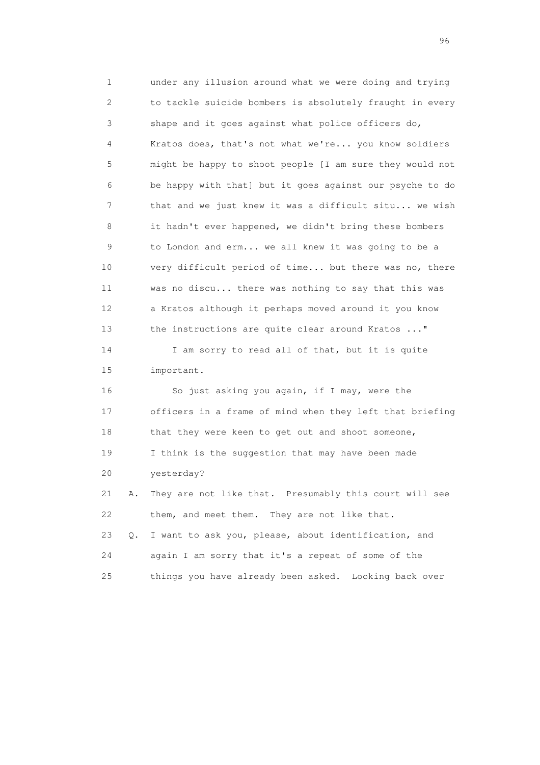1 under any illusion around what we were doing and trying 2 to tackle suicide bombers is absolutely fraught in every 3 shape and it goes against what police officers do, 4 Kratos does, that's not what we're... you know soldiers 5 might be happy to shoot people [I am sure they would not 6 be happy with that] but it goes against our psyche to do 7 that and we just knew it was a difficult situ... we wish 8 it hadn't ever happened, we didn't bring these bombers 9 to London and erm... we all knew it was going to be a 10 very difficult period of time... but there was no, there 11 was no discu... there was nothing to say that this was 12 a Kratos although it perhaps moved around it you know 13 the instructions are quite clear around Kratos ..." 14 I am sorry to read all of that, but it is quite 15 important. 16 So just asking you again, if I may, were the 17 officers in a frame of mind when they left that briefing 18 that they were keen to get out and shoot someone, 19 I think is the suggestion that may have been made 20 yesterday? 21 A. They are not like that. Presumably this court will see 22 them, and meet them. They are not like that. 23 Q. I want to ask you, please, about identification, and 24 again I am sorry that it's a repeat of some of the 25 things you have already been asked. Looking back over

<u>96 and the state of the state of the state of the state of the state of the state of the state of the state of the state of the state of the state of the state of the state of the state of the state of the state of the st</u>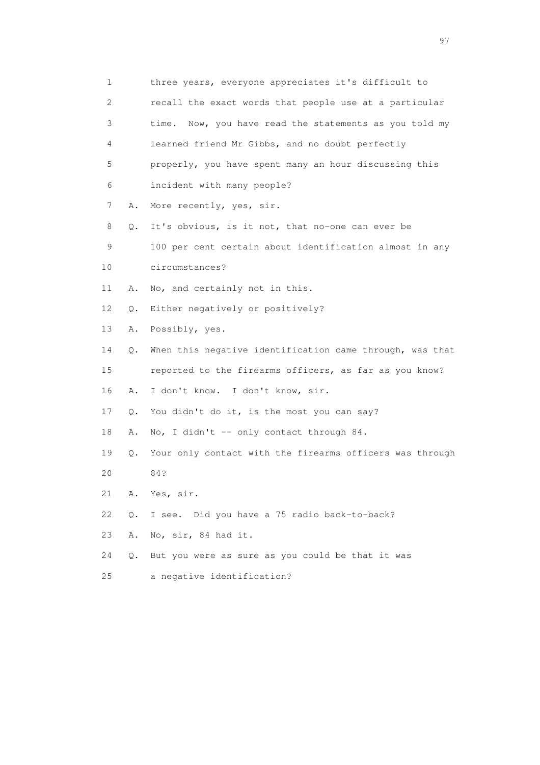| 1  |    | three years, everyone appreciates it's difficult to       |
|----|----|-----------------------------------------------------------|
| 2  |    | recall the exact words that people use at a particular    |
| 3  |    | Now, you have read the statements as you told my<br>time. |
| 4  |    | learned friend Mr Gibbs, and no doubt perfectly           |
| 5  |    | properly, you have spent many an hour discussing this     |
| 6  |    | incident with many people?                                |
| 7  | Α. | More recently, yes, sir.                                  |
| 8  | Q. | It's obvious, is it not, that no-one can ever be          |
| 9  |    | 100 per cent certain about identification almost in any   |
| 10 |    | circumstances?                                            |
| 11 | Α. | No, and certainly not in this.                            |
| 12 | Q. | Either negatively or positively?                          |
| 13 | Α. | Possibly, yes.                                            |
| 14 | Q. | When this negative identification came through, was that  |
| 15 |    | reported to the firearms officers, as far as you know?    |
| 16 | Α. | I don't know. I don't know, sir.                          |
| 17 | Q. | You didn't do it, is the most you can say?                |
| 18 | Α. | No, I didn't -- only contact through 84.                  |
| 19 | Q. | Your only contact with the firearms officers was through  |
| 20 |    | 84?                                                       |
| 21 | Α. | Yes, sir.                                                 |
| 22 | Q. | I see. Did you have a 75 radio back-to-back?              |
| 23 | Α. | No, sir, 84 had it.                                       |
| 24 | Q. | But you were as sure as you could be that it was          |
| 25 |    | a negative identification?                                |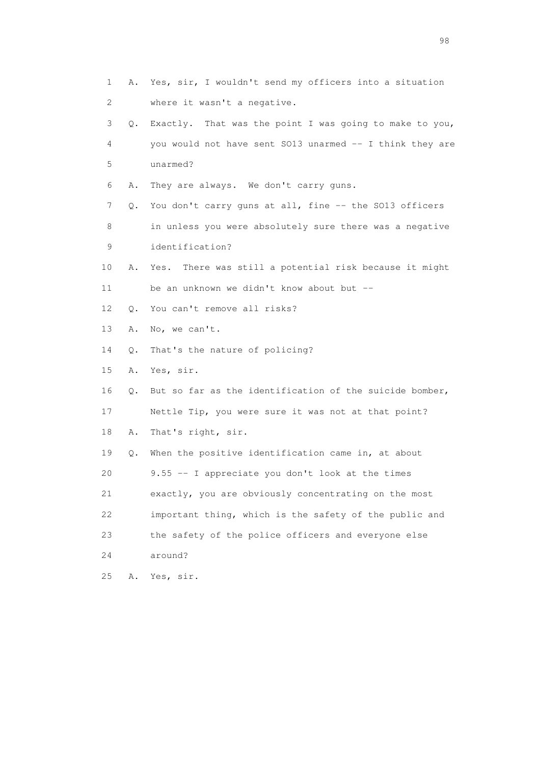| 1  | Α.        | Yes, sir, I wouldn't send my officers into a situation    |
|----|-----------|-----------------------------------------------------------|
| 2  |           | where it wasn't a negative.                               |
| 3  | Q.        | Exactly. That was the point I was going to make to you,   |
| 4  |           | you would not have sent SO13 unarmed -- I think they are  |
| 5  |           | unarmed?                                                  |
| 6  | Α.        | They are always. We don't carry guns.                     |
| 7  | Q.        | You don't carry guns at all, fine -- the SO13 officers    |
| 8  |           | in unless you were absolutely sure there was a negative   |
| 9  |           | identification?                                           |
| 10 | Α.        | There was still a potential risk because it might<br>Yes. |
| 11 |           | be an unknown we didn't know about but --                 |
| 12 | $\circ$ . | You can't remove all risks?                               |
| 13 | Α.        | No, we can't.                                             |
| 14 | Q.        | That's the nature of policing?                            |
| 15 | Α.        | Yes, sir.                                                 |
| 16 | Q.        | But so far as the identification of the suicide bomber,   |
| 17 |           | Nettle Tip, you were sure it was not at that point?       |
| 18 | Α.        | That's right, sir.                                        |
| 19 | Q.        | When the positive identification came in, at about        |
| 20 |           | 9.55 -- I appreciate you don't look at the times          |
| 21 |           | exactly, you are obviously concentrating on the most      |
| 22 |           | important thing, which is the safety of the public and    |
| 23 |           | the safety of the police officers and everyone else       |
| 24 |           | around?                                                   |
| 25 | Α.        | Yes, sir.                                                 |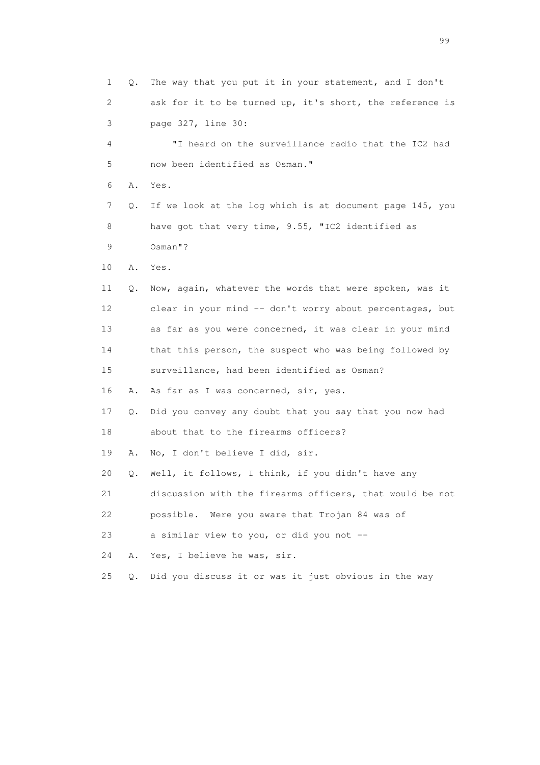1 Q. The way that you put it in your statement, and I don't 2 ask for it to be turned up, it's short, the reference is 3 page 327, line 30: 4 "I heard on the surveillance radio that the IC2 had 5 now been identified as Osman." 6 A. Yes. 7 Q. If we look at the log which is at document page 145, you 8 have got that very time, 9.55, "IC2 identified as 9 Osman"? 10 A. Yes. 11 Q. Now, again, whatever the words that were spoken, was it 12 clear in your mind -- don't worry about percentages, but 13 as far as you were concerned, it was clear in your mind 14 that this person, the suspect who was being followed by 15 surveillance, had been identified as Osman? 16 A. As far as I was concerned, sir, yes. 17 Q. Did you convey any doubt that you say that you now had 18 about that to the firearms officers? 19 A. No, I don't believe I did, sir. 20 Q. Well, it follows, I think, if you didn't have any 21 discussion with the firearms officers, that would be not 22 possible. Were you aware that Trojan 84 was of 23 a similar view to you, or did you not -- 24 A. Yes, I believe he was, sir. 25 Q. Did you discuss it or was it just obvious in the way

en de la construction de la construction de la construction de la construction de la construction de la constr<br>1990 : le construction de la construction de la construction de la construction de la construction de la const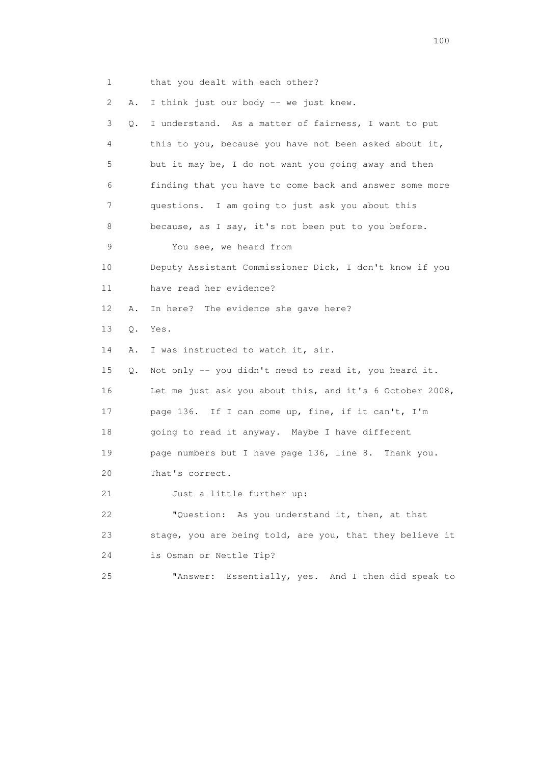| 1  |       | that you dealt with each other?                          |
|----|-------|----------------------------------------------------------|
| 2  | Α.    | I think just our body -- we just knew.                   |
| 3  | Q.    | I understand. As a matter of fairness, I want to put     |
| 4  |       | this to you, because you have not been asked about it,   |
| 5  |       | but it may be, I do not want you going away and then     |
| 6  |       | finding that you have to come back and answer some more  |
| 7  |       | questions. I am going to just ask you about this         |
| 8  |       | because, as I say, it's not been put to you before.      |
| 9  |       | You see, we heard from                                   |
| 10 |       | Deputy Assistant Commissioner Dick, I don't know if you  |
| 11 |       | have read her evidence?                                  |
| 12 | Α.    | In here? The evidence she gave here?                     |
| 13 | $Q$ . | Yes.                                                     |
| 14 | Α.    | I was instructed to watch it, sir.                       |
| 15 | Q.    | Not only -- you didn't need to read it, you heard it.    |
| 16 |       | Let me just ask you about this, and it's 6 October 2008, |
| 17 |       | page 136. If I can come up, fine, if it can't, I'm       |
| 18 |       | going to read it anyway. Maybe I have different          |
| 19 |       | page numbers but I have page 136, line 8. Thank you.     |
| 20 |       | That's correct.                                          |
| 21 |       | Just a little further up:                                |
| 22 |       | "Question: As you understand it, then, at that           |
| 23 |       | stage, you are being told, are you, that they believe it |
| 24 |       | is Osman or Nettle Tip?                                  |
| 25 |       | Essentially, yes. And I then did speak to<br>"Answer:    |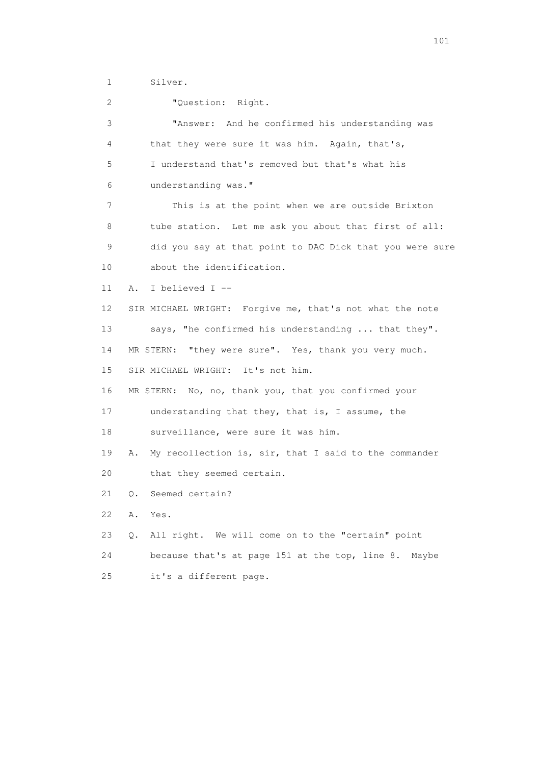1 Silver.

 2 "Question: Right. 3 "Answer: And he confirmed his understanding was 4 that they were sure it was him. Again, that's, 5 I understand that's removed but that's what his 6 understanding was." 7 This is at the point when we are outside Brixton 8 tube station. Let me ask you about that first of all: 9 did you say at that point to DAC Dick that you were sure 10 about the identification. 11 A. I believed I -- 12 SIR MICHAEL WRIGHT: Forgive me, that's not what the note 13 says, "he confirmed his understanding ... that they". 14 MR STERN: "they were sure". Yes, thank you very much. 15 SIR MICHAEL WRIGHT: It's not him. 16 MR STERN: No, no, thank you, that you confirmed your 17 understanding that they, that is, I assume, the 18 surveillance, were sure it was him. 19 A. My recollection is, sir, that I said to the commander 20 that they seemed certain. 21 Q. Seemed certain? 22 A. Yes. 23 Q. All right. We will come on to the "certain" point 24 because that's at page 151 at the top, line 8. Maybe 25 it's a different page.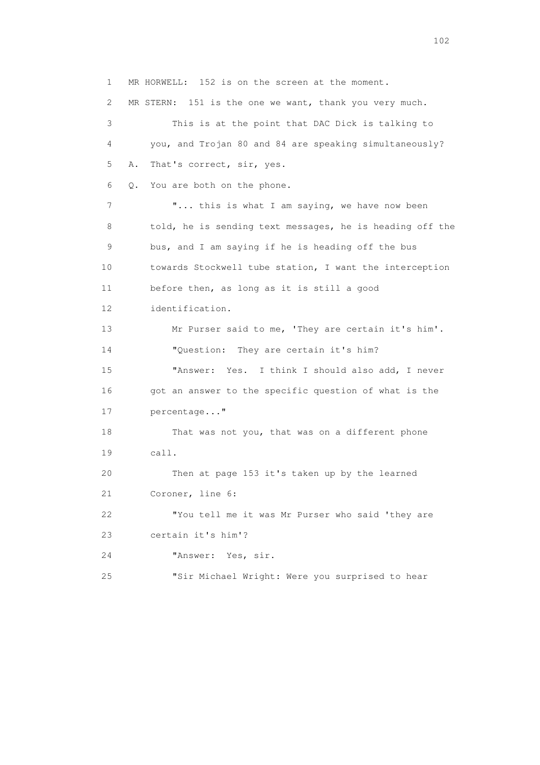1 MR HORWELL: 152 is on the screen at the moment. 2 MR STERN: 151 is the one we want, thank you very much. 3 This is at the point that DAC Dick is talking to 4 you, and Trojan 80 and 84 are speaking simultaneously? 5 A. That's correct, sir, yes. 6 Q. You are both on the phone. 7 **"...** this is what I am saying, we have now been 8 told, he is sending text messages, he is heading off the 9 bus, and I am saying if he is heading off the bus 10 towards Stockwell tube station, I want the interception 11 before then, as long as it is still a good 12 identification. 13 Mr Purser said to me, 'They are certain it's him'. 14 "Question: They are certain it's him? 15 "Answer: Yes. I think I should also add, I never 16 got an answer to the specific question of what is the 17 percentage..." 18 That was not you, that was on a different phone 19 call. 20 Then at page 153 it's taken up by the learned 21 Coroner, line 6: 22 "You tell me it was Mr Purser who said 'they are 23 certain it's him'? 24 "Answer: Yes, sir. 25 "Sir Michael Wright: Were you surprised to hear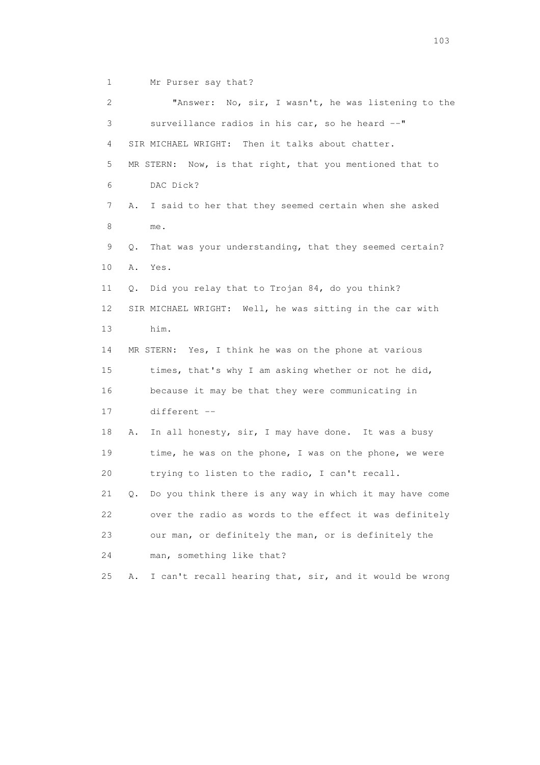1 Mr Purser say that?

 2 "Answer: No, sir, I wasn't, he was listening to the 3 surveillance radios in his car, so he heard --" 4 SIR MICHAEL WRIGHT: Then it talks about chatter. 5 MR STERN: Now, is that right, that you mentioned that to 6 DAC Dick? 7 A. I said to her that they seemed certain when she asked 8 me. 9 Q. That was your understanding, that they seemed certain? 10 A. Yes. 11 Q. Did you relay that to Trojan 84, do you think? 12 SIR MICHAEL WRIGHT: Well, he was sitting in the car with 13 him. 14 MR STERN: Yes, I think he was on the phone at various 15 times, that's why I am asking whether or not he did, 16 because it may be that they were communicating in 17 different -- 18 A. In all honesty, sir, I may have done. It was a busy 19 time, he was on the phone, I was on the phone, we were 20 trying to listen to the radio, I can't recall. 21 Q. Do you think there is any way in which it may have come 22 over the radio as words to the effect it was definitely 23 our man, or definitely the man, or is definitely the 24 man, something like that? 25 A. I can't recall hearing that, sir, and it would be wrong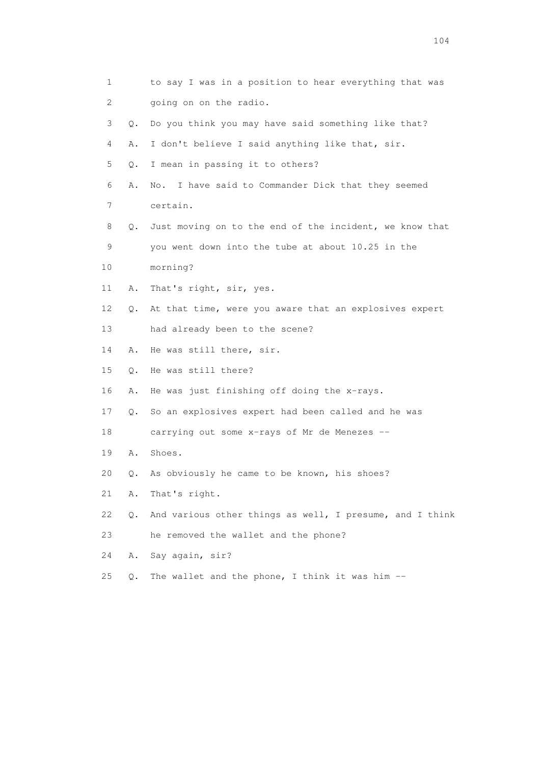| 1  |           | to say I was in a position to hear everything that was   |
|----|-----------|----------------------------------------------------------|
| 2  |           | going on on the radio.                                   |
| 3  | $\circ$ . | Do you think you may have said something like that?      |
| 4  | Α.        | I don't believe I said anything like that, sir.          |
| 5  | Q.        | I mean in passing it to others?                          |
| 6  | Α.        | I have said to Commander Dick that they seemed<br>No.    |
| 7  |           | certain.                                                 |
| 8  | Q.        | Just moving on to the end of the incident, we know that  |
| 9  |           | you went down into the tube at about 10.25 in the        |
| 10 |           | morning?                                                 |
| 11 | Α.        | That's right, sir, yes.                                  |
| 12 | Q.        | At that time, were you aware that an explosives expert   |
| 13 |           | had already been to the scene?                           |
| 14 | Α.        | He was still there, sir.                                 |
| 15 | Q.        | He was still there?                                      |
| 16 | Α.        | He was just finishing off doing the x-rays.              |
| 17 | Q.        | So an explosives expert had been called and he was       |
| 18 |           | carrying out some x-rays of Mr de Menezes --             |
| 19 | Α.        | Shoes.                                                   |
| 20 | Q.        | As obviously he came to be known, his shoes?             |
| 21 | Α.        | That's right.                                            |
| 22 | Q.        | And various other things as well, I presume, and I think |
| 23 |           | he removed the wallet and the phone?                     |
| 24 | Α.        | Say again, sir?                                          |
| 25 | $Q$ .     | The wallet and the phone, I think it was him --          |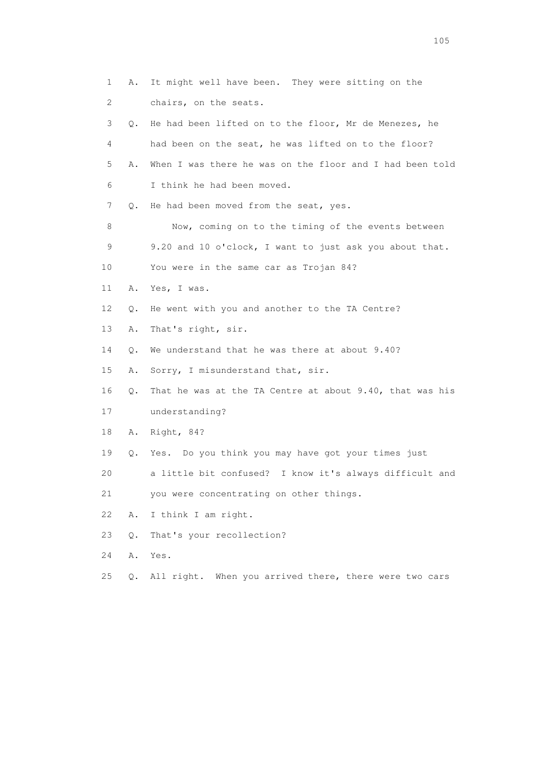|    | 1<br>Α.        | It might well have been. They were sitting on the          |
|----|----------------|------------------------------------------------------------|
|    | 2              | chairs, on the seats.                                      |
|    | 3<br>$\circ$ . | He had been lifted on to the floor, Mr de Menezes, he      |
|    | 4              | had been on the seat, he was lifted on to the floor?       |
|    | 5<br>Α.        | When I was there he was on the floor and I had been told   |
|    | 6              | I think he had been moved.                                 |
|    | 7<br>Q.        | He had been moved from the seat, yes.                      |
|    | 8              | Now, coming on to the timing of the events between         |
|    | 9              | 9.20 and 10 o'clock, I want to just ask you about that.    |
| 10 |                | You were in the same car as Trojan 84?                     |
| 11 | Α.             | Yes, I was.                                                |
| 12 | Q.             | He went with you and another to the TA Centre?             |
| 13 | Α.             | That's right, sir.                                         |
| 14 | Q.             | We understand that he was there at about 9.40?             |
| 15 | Α.             | Sorry, I misunderstand that, sir.                          |
| 16 | Q.             | That he was at the TA Centre at about 9.40, that was his   |
| 17 |                | understanding?                                             |
| 18 | Α.             | Right, 84?                                                 |
|    | 19<br>Q.       | Yes. Do you think you may have got your times just         |
| 20 |                | a little bit confused?<br>I know it's always difficult and |
| 21 |                | you were concentrating on other things.                    |
| 22 | Α.             | I think I am right.                                        |
| 23 | $Q$ .          | That's your recollection?                                  |
| 24 | Α.             | Yes.                                                       |
| 25 | $Q$ .          | All right. When you arrived there, there were two cars     |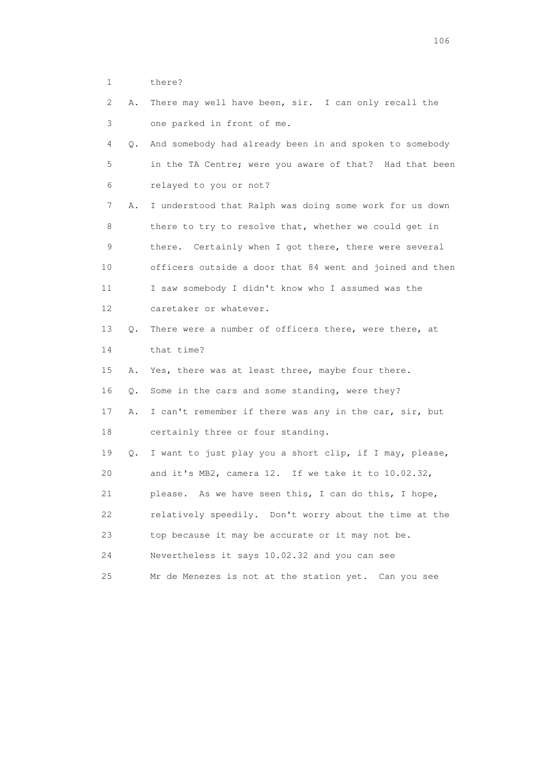1 there?

| 2  | Α. | There may well have been, sir. I can only recall the     |
|----|----|----------------------------------------------------------|
| 3  |    | one parked in front of me.                               |
| 4  | Q. | And somebody had already been in and spoken to somebody  |
| 5  |    | in the TA Centre; were you aware of that? Had that been  |
| 6  |    | relayed to you or not?                                   |
| 7  | Α. | I understood that Ralph was doing some work for us down  |
| 8  |    | there to try to resolve that, whether we could get in    |
| 9  |    | there. Certainly when I got there, there were several    |
| 10 |    | officers outside a door that 84 went and joined and then |
| 11 |    | I saw somebody I didn't know who I assumed was the       |
| 12 |    | caretaker or whatever.                                   |
| 13 | Q. | There were a number of officers there, were there, at    |
| 14 |    | that time?                                               |
| 15 | Α. | Yes, there was at least three, maybe four there.         |
| 16 | Q. | Some in the cars and some standing, were they?           |
| 17 | Α. | I can't remember if there was any in the car, sir, but   |
| 18 |    | certainly three or four standing.                        |
| 19 | Q. | I want to just play you a short clip, if I may, please,  |
| 20 |    | and it's MB2, camera 12. If we take it to 10.02.32,      |
| 21 |    | please. As we have seen this, I can do this, I hope,     |
| 22 |    | relatively speedily. Don't worry about the time at the   |
| 23 |    | top because it may be accurate or it may not be.         |
| 24 |    | Nevertheless it says 10.02.32 and you can see            |
| 25 |    | Mr de Menezes is not at the station yet.<br>Can you see  |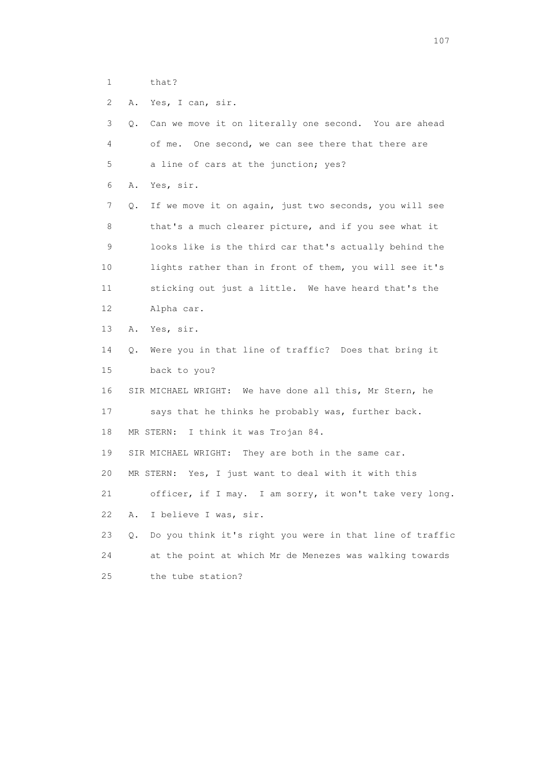1 that?

2 A. Yes, I can, sir.

| 3  | Can we move it on literally one second. You are ahead<br>0.    |
|----|----------------------------------------------------------------|
| 4  | of me.<br>One second, we can see there that there are          |
| 5  | a line of cars at the junction; yes?                           |
| 6  | Yes, sir.<br>Α.                                                |
| 7  | If we move it on again, just two seconds, you will see<br>Q.   |
| 8  | that's a much clearer picture, and if you see what it          |
| 9  | looks like is the third car that's actually behind the         |
| 10 | lights rather than in front of them, you will see it's         |
| 11 | sticking out just a little. We have heard that's the           |
| 12 | Alpha car.                                                     |
| 13 | Yes, sir.<br>Α.                                                |
| 14 | Were you in that line of traffic? Does that bring it<br>Q.     |
| 15 | back to you?                                                   |
| 16 | SIR MICHAEL WRIGHT: We have done all this, Mr Stern, he        |
| 17 | says that he thinks he probably was, further back.             |
| 18 | MR STERN: I think it was Trojan 84.                            |
| 19 | SIR MICHAEL WRIGHT: They are both in the same car.             |
| 20 | MR STERN: Yes, I just want to deal with it with this           |
| 21 | officer, if I may. I am sorry, it won't take very long.        |
| 22 | I believe I was, sir.<br>Α.                                    |
| 23 | Do you think it's right you were in that line of traffic<br>Q. |
| 24 | at the point at which Mr de Menezes was walking towards        |
| 25 | the tube station?                                              |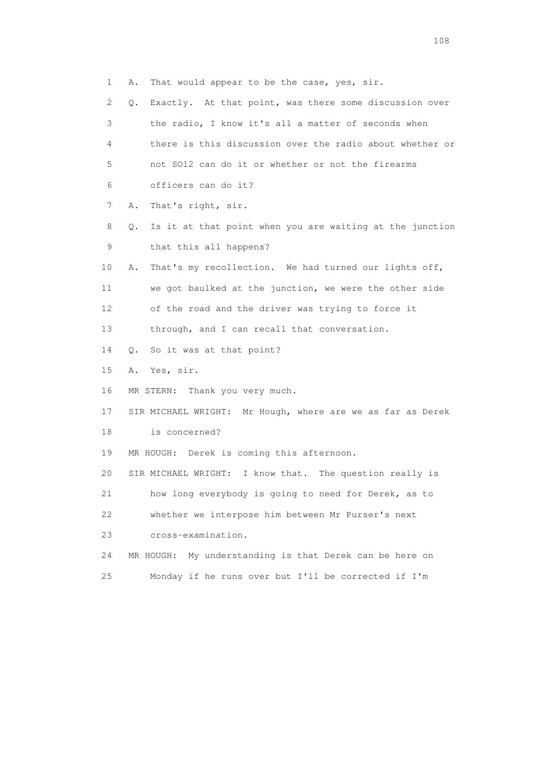1 A. That would appear to be the case, yes, sir. 2 Q. Exactly. At that point, was there some discussion over 3 the radio, I know it's all a matter of seconds when 4 there is this discussion over the radio about whether or 5 not SO12 can do it or whether or not the firearms 6 officers can do it? 7 A. That's right, sir. 8 Q. Is it at that point when you are waiting at the junction 9 that this all happens? 10 A. That's my recollection. We had turned our lights off, 11 we got baulked at the junction, we were the other side 12 of the road and the driver was trying to force it 13 through, and I can recall that conversation. 14 Q. So it was at that point? 15 A. Yes, sir. 16 MR STERN: Thank you very much. 17 SIR MICHAEL WRIGHT: Mr Hough, where are we as far as Derek 18 is concerned? 19 MR HOUGH: Derek is coming this afternoon. 20 SIR MICHAEL WRIGHT: I know that. The question really is 21 how long everybody is going to need for Derek, as to 22 whether we interpose him between Mr Purser's next 23 cross-examination. 24 MR HOUGH: My understanding is that Derek can be here on 25 Monday if he runs over but I'll be corrected if I'm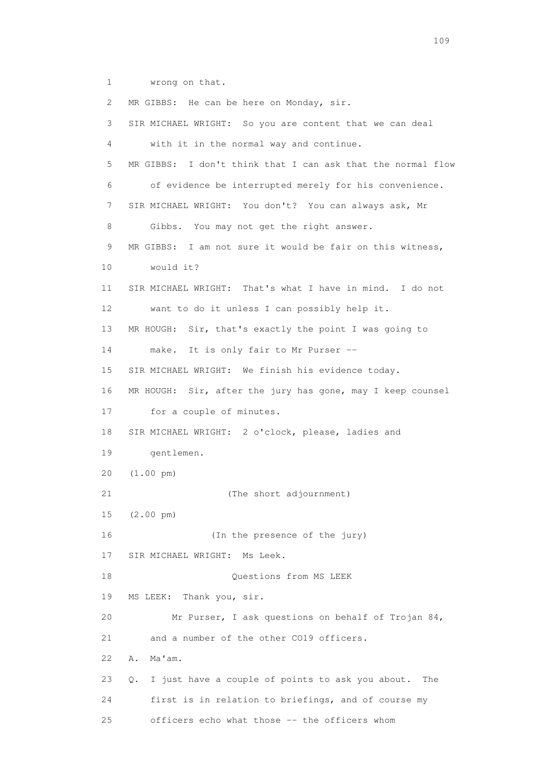1 wrong on that.

2 MR GIBBS: He can be here on Monday, sir. 3 SIR MICHAEL WRIGHT: So you are content that we can deal 4 with it in the normal way and continue. 5 MR GIBBS: I don't think that I can ask that the normal flow 6 of evidence be interrupted merely for his convenience. 7 SIR MICHAEL WRIGHT: You don't? You can always ask, Mr 8 Gibbs. You may not get the right answer. 9 MR GIBBS: I am not sure it would be fair on this witness, 10 would it? 11 SIR MICHAEL WRIGHT: That's what I have in mind. I do not 12 want to do it unless I can possibly help it. 13 MR HOUGH: Sir, that's exactly the point I was going to 14 make. It is only fair to Mr Purser -- 15 SIR MICHAEL WRIGHT: We finish his evidence today. 16 MR HOUGH: Sir, after the jury has gone, may I keep counsel 17 for a couple of minutes. 18 SIR MICHAEL WRIGHT: 2 o'clock, please, ladies and 19 gentlemen. 20 (1.00 pm) 21 (The short adjournment) 15 (2.00 pm) 16 (In the presence of the jury) 17 SIR MICHAEL WRIGHT: Ms Leek. 18 Questions from MS LEEK 19 MS LEEK: Thank you, sir. 20 Mr Purser, I ask questions on behalf of Trojan 84, 21 and a number of the other CO19 officers. 22 A. Ma'am. 23 Q. I just have a couple of points to ask you about. The 24 first is in relation to briefings, and of course my 25 officers echo what those -- the officers whom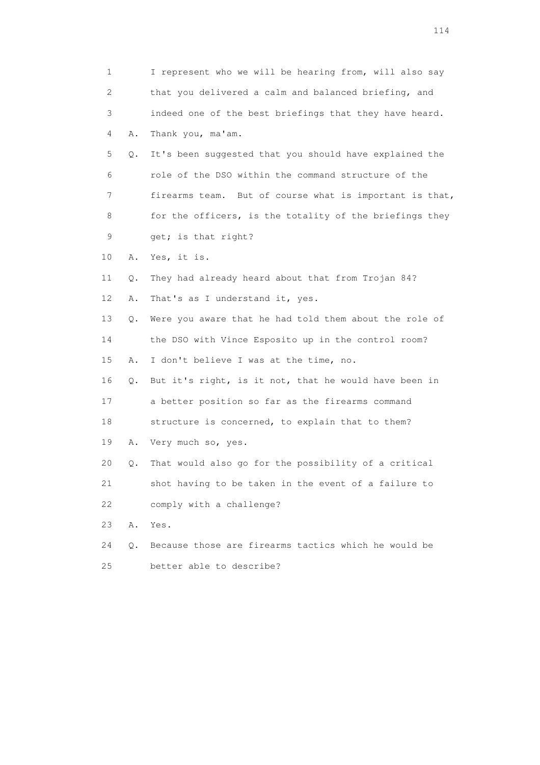|    | 1       | I represent who we will be hearing from, will also say  |
|----|---------|---------------------------------------------------------|
|    | 2       | that you delivered a calm and balanced briefing, and    |
|    | 3       | indeed one of the best briefings that they have heard.  |
|    | 4<br>Α. | Thank you, ma'am.                                       |
|    | 5<br>Q. | It's been suggested that you should have explained the  |
|    | 6       | role of the DSO within the command structure of the     |
|    | 7       | firearms team. But of course what is important is that, |
|    | 8       | for the officers, is the totality of the briefings they |
|    | 9       | get; is that right?                                     |
| 10 | Α.      | Yes, it is.                                             |
| 11 | Q.      | They had already heard about that from Trojan 84?       |
| 12 | Α.      | That's as I understand it, yes.                         |
| 13 | Q.      | Were you aware that he had told them about the role of  |
| 14 |         | the DSO with Vince Esposito up in the control room?     |
| 15 | Α.      | I don't believe I was at the time, no.                  |
| 16 | Q.      | But it's right, is it not, that he would have been in   |
| 17 |         | a better position so far as the firearms command        |
| 18 |         | structure is concerned, to explain that to them?        |
| 19 | Α.      | Very much so, yes.                                      |
| 20 | Q.      | That would also go for the possibility of a critical    |
| 21 |         | shot having to be taken in the event of a failure to    |
| 22 |         | comply with a challenge?                                |
| 23 | Α.      | Yes.                                                    |
| 24 | Q.      | Because those are firearms tactics which he would be    |
| 25 |         | better able to describe?                                |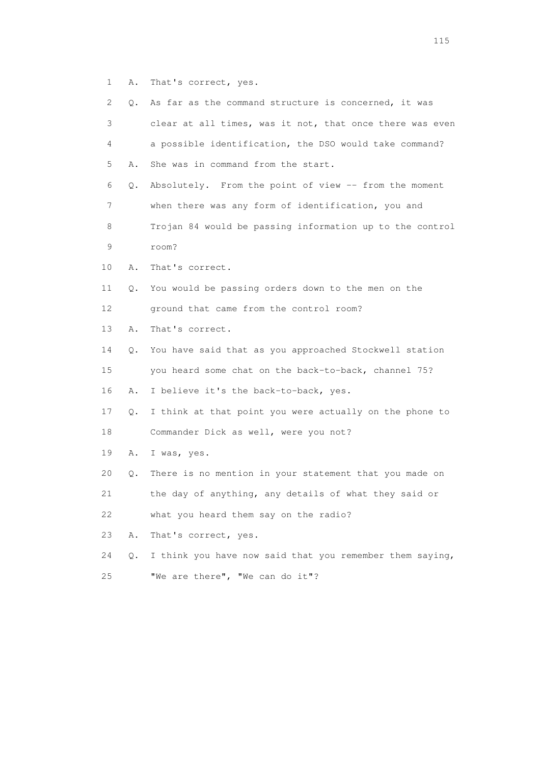1 A. That's correct, yes.

| 2.          | О. | As far as the command structure is concerned, it was     |
|-------------|----|----------------------------------------------------------|
| 3           |    | clear at all times, was it not, that once there was even |
| 4           |    | a possible identification, the DSO would take command?   |
| 5           | Α. | She was in command from the start.                       |
| 6           | Q. | Absolutely. From the point of view -- from the moment    |
| 7           |    | when there was any form of identification, you and       |
| 8           |    | Trojan 84 would be passing information up to the control |
| $\mathsf 9$ |    | room?                                                    |
| 10          | Α. | That's correct.                                          |
| 11          | Q. | You would be passing orders down to the men on the       |
| 12          |    | ground that came from the control room?                  |
| 13          | Α. | That's correct.                                          |
| 14          | Q. | You have said that as you approached Stockwell station   |
| 15          |    | you heard some chat on the back-to-back, channel 75?     |
| 16          | Α. | I believe it's the back-to-back, yes.                    |
| 17          | Q. | I think at that point you were actually on the phone to  |
| 18          |    | Commander Dick as well, were you not?                    |
| 19          | Α. | I was, yes.                                              |
| 20          | Q. | There is no mention in your statement that you made on   |
| 21          |    | the day of anything, any details of what they said or    |
| 22          |    | what you heard them say on the radio?                    |
| 23          | Α. | That's correct, yes.                                     |
| 24          | Q. | I think you have now said that you remember them saying, |
| 25          |    | "We are there", "We can do it"?                          |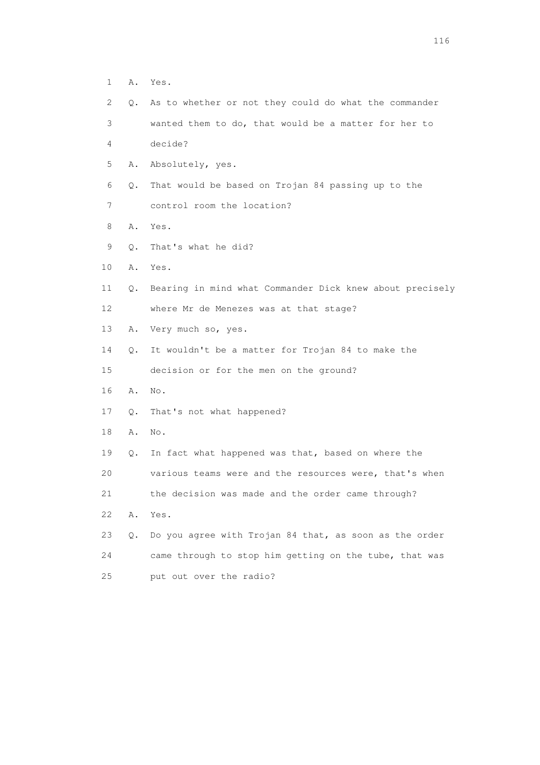- 1 A. Yes.
- 2 Q. As to whether or not they could do what the commander 3 wanted them to do, that would be a matter for her to
- 4 decide?
- 5 A. Absolutely, yes.
- 6 Q. That would be based on Trojan 84 passing up to the
- 7 control room the location?
- 8 A. Yes.
- 9 Q. That's what he did?
- 10 A. Yes.
- 11 Q. Bearing in mind what Commander Dick knew about precisely 12 where Mr de Menezes was at that stage?
- 13 A. Very much so, yes.
- 14 Q. It wouldn't be a matter for Trojan 84 to make the
- 15 decision or for the men on the ground?
- 16 A. No.
- 17 Q. That's not what happened?
- 18 A. No.
- 19 Q. In fact what happened was that, based on where the

20 various teams were and the resources were, that's when

21 the decision was made and the order came through?

- 22 A. Yes.
- 23 Q. Do you agree with Trojan 84 that, as soon as the order 24 came through to stop him getting on the tube, that was 25 put out over the radio?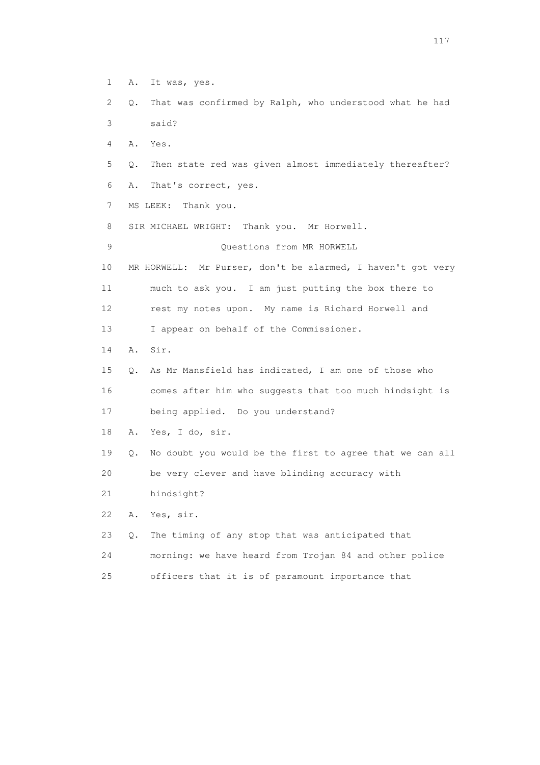- 1 A. It was, yes.
- 2 Q. That was confirmed by Ralph, who understood what he had 3 said?
- 4 A. Yes.
- 5 Q. Then state red was given almost immediately thereafter?
- 6 A. That's correct, yes.
- 7 MS LEEK: Thank you.
- 8 SIR MICHAEL WRIGHT: Thank you. Mr Horwell.

9 Questions from MR HORWELL

- 10 MR HORWELL: Mr Purser, don't be alarmed, I haven't got very 11 much to ask you. I am just putting the box there to
- 12 rest my notes upon. My name is Richard Horwell and
- 13 I appear on behalf of the Commissioner.
- 14 A. Sir.
- 15 Q. As Mr Mansfield has indicated, I am one of those who 16 comes after him who suggests that too much hindsight is 17 being applied. Do you understand?
- 18 A. Yes, I do, sir.
- 19 Q. No doubt you would be the first to agree that we can all
- 20 be very clever and have blinding accuracy with
- 21 hindsight?
- 22 A. Yes, sir.
- 23 Q. The timing of any stop that was anticipated that 24 morning: we have heard from Trojan 84 and other police 25 officers that it is of paramount importance that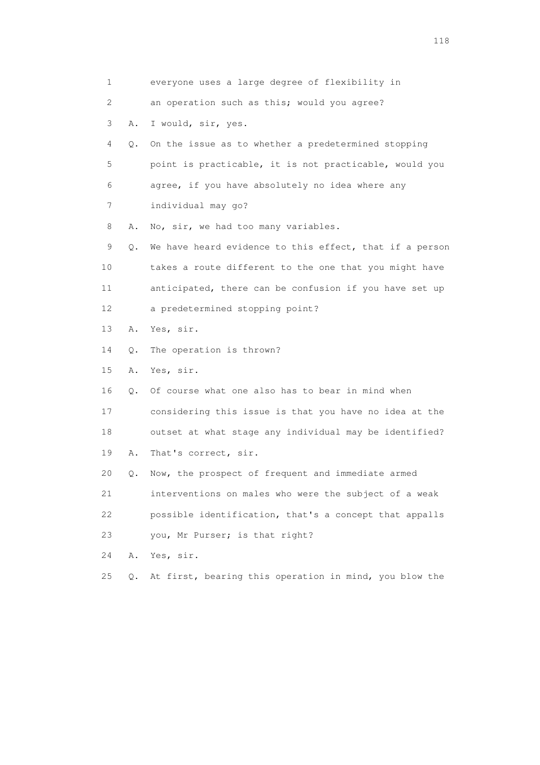|    | 1       | everyone uses a large degree of flexibility in          |
|----|---------|---------------------------------------------------------|
|    | 2       | an operation such as this; would you agree?             |
|    | 3<br>Α. | I would, sir, yes.                                      |
|    | 4<br>О. | On the issue as to whether a predetermined stopping     |
|    | 5       | point is practicable, it is not practicable, would you  |
|    | 6       | agree, if you have absolutely no idea where any         |
|    | 7       | individual may go?                                      |
|    | 8<br>Α. | No, sir, we had too many variables.                     |
|    | 9<br>Q. | We have heard evidence to this effect, that if a person |
| 10 |         | takes a route different to the one that you might have  |
| 11 |         | anticipated, there can be confusion if you have set up  |
| 12 |         | a predetermined stopping point?                         |
| 13 | Α.      | Yes, sir.                                               |
| 14 | О.      | The operation is thrown?                                |
| 15 | Α.      | Yes, sir.                                               |
| 16 | $Q$ .   | Of course what one also has to bear in mind when        |
| 17 |         | considering this issue is that you have no idea at the  |
| 18 |         | outset at what stage any individual may be identified?  |
| 19 | Α.      | That's correct, sir.                                    |
| 20 | Q.      | Now, the prospect of frequent and immediate armed       |
| 21 |         | interventions on males who were the subject of a weak   |
| 22 |         | possible identification, that's a concept that appalls  |
| 23 |         | you, Mr Purser; is that right?                          |
| 24 | Α.      | Yes, sir.                                               |
| 25 | О.      | At first, bearing this operation in mind, you blow the  |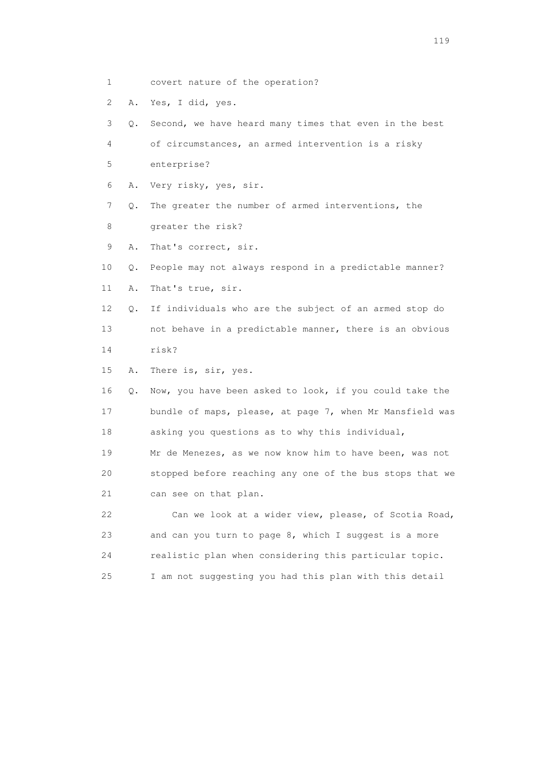- 1 covert nature of the operation?
- 2 A. Yes, I did, yes.

 3 Q. Second, we have heard many times that even in the best 4 of circumstances, an armed intervention is a risky 5 enterprise? 6 A. Very risky, yes, sir. 7 Q. The greater the number of armed interventions, the 8 greater the risk? 9 A. That's correct, sir. 10 Q. People may not always respond in a predictable manner? 11 A. That's true, sir. 12 Q. If individuals who are the subject of an armed stop do 13 not behave in a predictable manner, there is an obvious 14 risk? 15 A. There is, sir, yes. 16 Q. Now, you have been asked to look, if you could take the 17 bundle of maps, please, at page 7, when Mr Mansfield was 18 asking you questions as to why this individual, 19 Mr de Menezes, as we now know him to have been, was not 20 stopped before reaching any one of the bus stops that we 21 can see on that plan. 22 Can we look at a wider view, please, of Scotia Road, 23 and can you turn to page 8, which I suggest is a more 24 realistic plan when considering this particular topic. 25 I am not suggesting you had this plan with this detail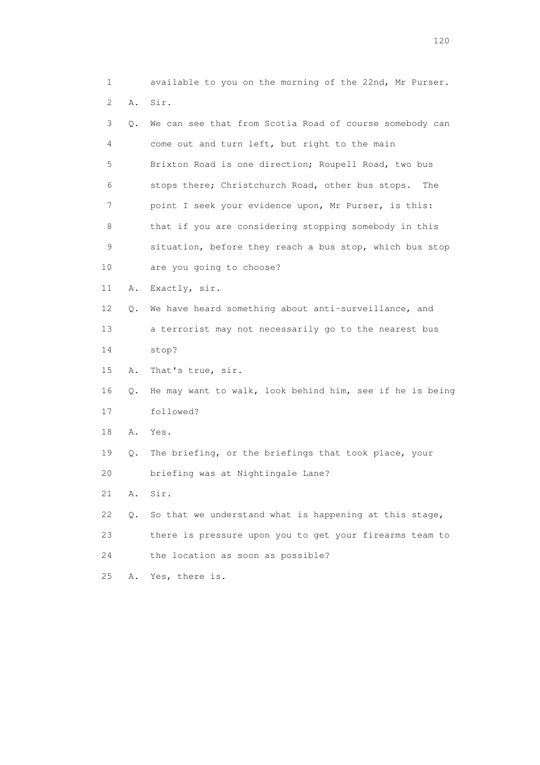| 1  |    | available to you on the morning of the 22nd, Mr Purser.  |
|----|----|----------------------------------------------------------|
| 2  | Α. | Sir.                                                     |
| 3  | Q. | We can see that from Scotia Road of course somebody can  |
| 4  |    | come out and turn left, but right to the main            |
| 5  |    | Brixton Road is one direction; Roupell Road, two bus     |
| 6  |    | stops there; Christchurch Road, other bus stops.<br>The  |
| 7  |    | point I seek your evidence upon, Mr Purser, is this:     |
| 8  |    | that if you are considering stopping somebody in this    |
| 9  |    | situation, before they reach a bus stop, which bus stop  |
| 10 |    | are you going to choose?                                 |
| 11 | Α. | Exactly, sir.                                            |
| 12 | Q. | We have heard something about anti-surveillance, and     |
| 13 |    | a terrorist may not necessarily go to the nearest bus    |
| 14 |    | stop?                                                    |
| 15 | Α. | That's true, sir.                                        |
| 16 | Q. | He may want to walk, look behind him, see if he is being |
| 17 |    | followed?                                                |
| 18 | Α. | Yes.                                                     |
| 19 | Q. | The briefing, or the briefings that took place, your     |
| 20 |    | briefing was at Nightingale Lane?                        |
| 21 | Α. | Sir.                                                     |
| 22 | Q. | So that we understand what is happening at this stage,   |
| 23 |    | there is pressure upon you to get your firearms team to  |
| 24 |    | the location as soon as possible?                        |
| 25 | Α. | Yes, there is.                                           |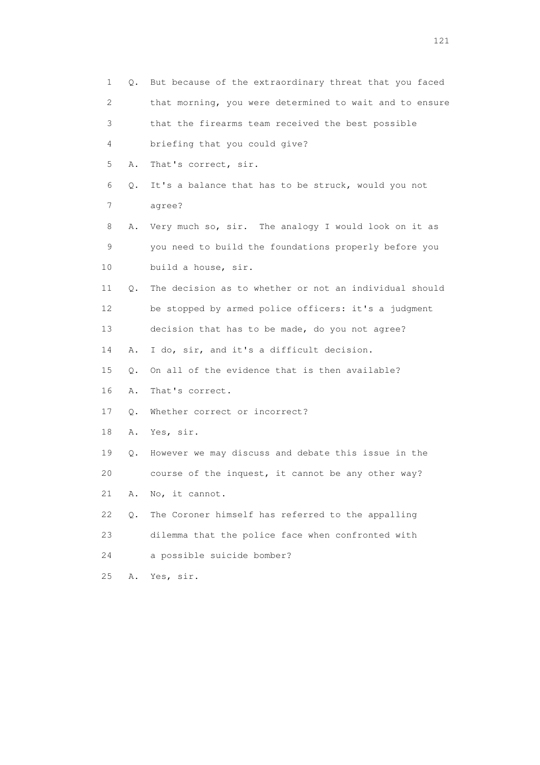| $\mathbf{1}$ | Q.        | But because of the extraordinary threat that you faced  |
|--------------|-----------|---------------------------------------------------------|
| 2            |           | that morning, you were determined to wait and to ensure |
| 3            |           | that the firearms team received the best possible       |
| 4            |           | briefing that you could give?                           |
| 5            | Α.        | That's correct, sir.                                    |
| 6            | Q.        | It's a balance that has to be struck, would you not     |
| 7            |           | agree?                                                  |
| 8            | Α.        | Very much so, sir. The analogy I would look on it as    |
| 9            |           | you need to build the foundations properly before you   |
| 10           |           | build a house, sir.                                     |
| 11           | О.        | The decision as to whether or not an individual should  |
| 12           |           | be stopped by armed police officers: it's a judgment    |
| 13           |           | decision that has to be made, do you not agree?         |
| 14           | Α.        | I do, sir, and it's a difficult decision.               |
| 15           | $\circ$ . | On all of the evidence that is then available?          |
| 16           | Α.        | That's correct.                                         |
| 17           | $\circ$ . | Whether correct or incorrect?                           |
| 18           | Α.        | Yes, sir.                                               |
| 19           | Q.        | However we may discuss and debate this issue in the     |
| 20           |           | course of the inquest, it cannot be any other way?      |
| 21           | Α.        | No, it cannot.                                          |
| 22           | О.        | The Coroner himself has referred to the appalling       |
| 23           |           | dilemma that the police face when confronted with       |
| 24           |           | a possible suicide bomber?                              |
| 25           | Α.        | Yes, sir.                                               |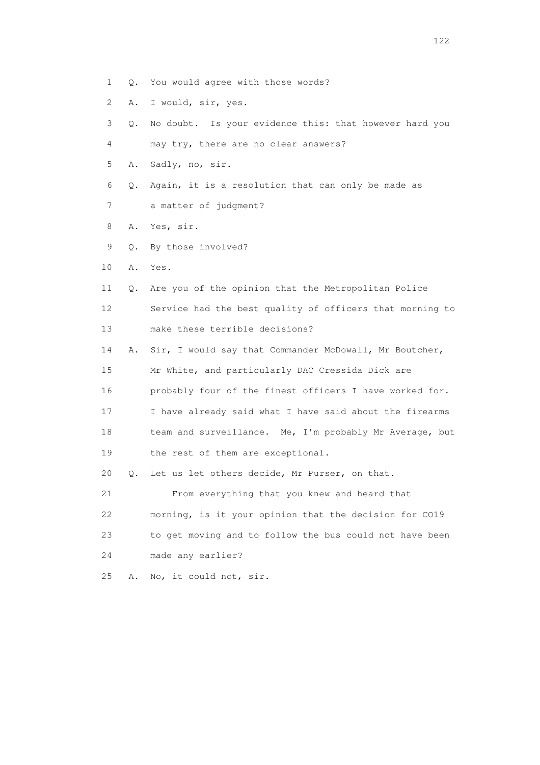- 1 Q. You would agree with those words?
- 2 A. I would, sir, yes.

 3 Q. No doubt. Is your evidence this: that however hard you 4 may try, there are no clear answers? 5 A. Sadly, no, sir. 6 Q. Again, it is a resolution that can only be made as 7 a matter of judgment? 8 A. Yes, sir. 9 Q. By those involved? 10 A. Yes. 11 Q. Are you of the opinion that the Metropolitan Police 12 Service had the best quality of officers that morning to 13 make these terrible decisions? 14 A. Sir, I would say that Commander McDowall, Mr Boutcher, 15 Mr White, and particularly DAC Cressida Dick are 16 probably four of the finest officers I have worked for. 17 I have already said what I have said about the firearms 18 team and surveillance. Me, I'm probably Mr Average, but 19 the rest of them are exceptional. 20 Q. Let us let others decide, Mr Purser, on that. 21 From everything that you knew and heard that 22 morning, is it your opinion that the decision for CO19 23 to get moving and to follow the bus could not have been 24 made any earlier? 25 A. No, it could not, sir.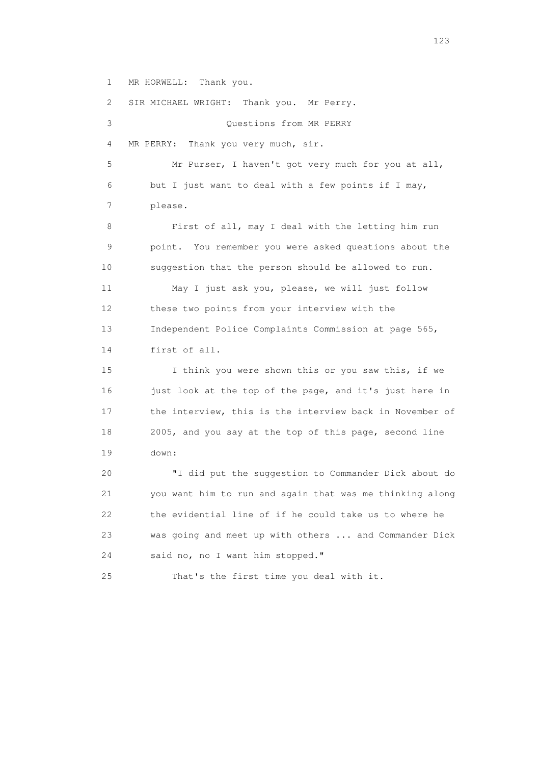1 MR HORWELL: Thank you.

 2 SIR MICHAEL WRIGHT: Thank you. Mr Perry. 3 Questions from MR PERRY 4 MR PERRY: Thank you very much, sir. 5 Mr Purser, I haven't got very much for you at all, 6 but I just want to deal with a few points if I may, 7 please. 8 First of all, may I deal with the letting him run 9 point. You remember you were asked questions about the 10 suggestion that the person should be allowed to run. 11 May I just ask you, please, we will just follow 12 these two points from your interview with the 13 Independent Police Complaints Commission at page 565, 14 first of all. 15 I think you were shown this or you saw this, if we 16 just look at the top of the page, and it's just here in 17 the interview, this is the interview back in November of 18 2005, and you say at the top of this page, second line 19 down: 20 "I did put the suggestion to Commander Dick about do 21 you want him to run and again that was me thinking along 22 the evidential line of if he could take us to where he 23 was going and meet up with others ... and Commander Dick 24 said no, no I want him stopped." 25 That's the first time you deal with it.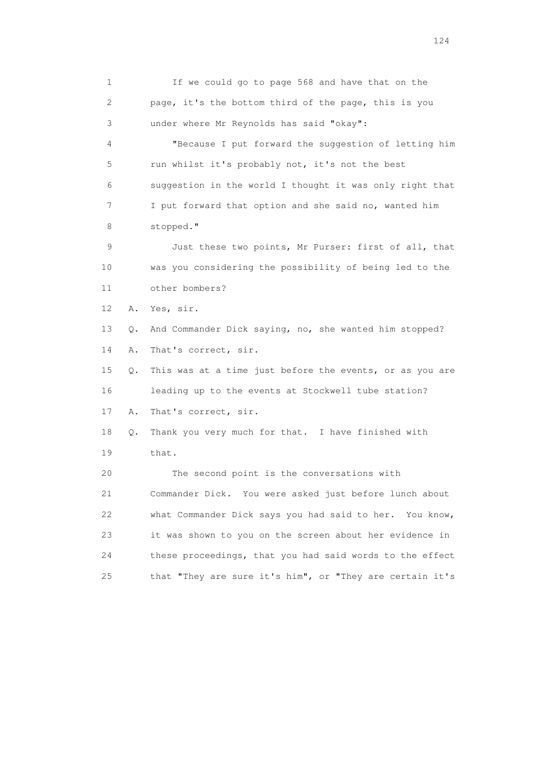1 If we could go to page 568 and have that on the 2 page, it's the bottom third of the page, this is you 3 under where Mr Reynolds has said "okay": 4 "Because I put forward the suggestion of letting him 5 run whilst it's probably not, it's not the best 6 suggestion in the world I thought it was only right that 7 I put forward that option and she said no, wanted him 8 stopped." 9 Just these two points, Mr Purser: first of all, that 10 was you considering the possibility of being led to the 11 other bombers? 12 A. Yes, sir. 13 Q. And Commander Dick saying, no, she wanted him stopped? 14 A. That's correct, sir. 15 Q. This was at a time just before the events, or as you are 16 leading up to the events at Stockwell tube station? 17 A. That's correct, sir. 18 Q. Thank you very much for that. I have finished with 19 that. 20 The second point is the conversations with 21 Commander Dick. You were asked just before lunch about 22 what Commander Dick says you had said to her. You know, 23 it was shown to you on the screen about her evidence in 24 these proceedings, that you had said words to the effect 25 that "They are sure it's him", or "They are certain it's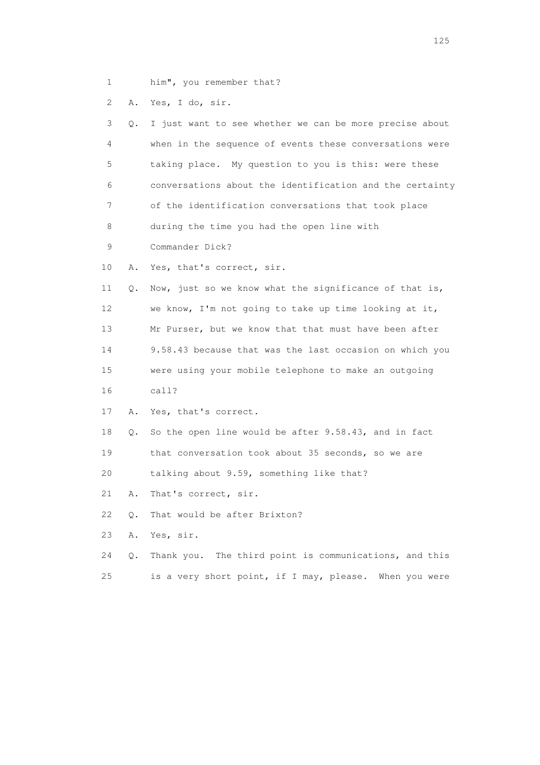1 him", you remember that?

2 A. Yes, I do, sir.

| 3  | Q. | I just want to see whether we can be more precise about  |
|----|----|----------------------------------------------------------|
| 4  |    | when in the sequence of events these conversations were  |
| 5  |    | taking place. My question to you is this: were these     |
| 6  |    | conversations about the identification and the certainty |
| 7  |    | of the identification conversations that took place      |
| 8  |    | during the time you had the open line with               |
| 9  |    | Commander Dick?                                          |
| 10 | Α. | Yes, that's correct, sir.                                |
| 11 | Q. | Now, just so we know what the significance of that is,   |
| 12 |    | we know, I'm not going to take up time looking at it,    |
| 13 |    | Mr Purser, but we know that that must have been after    |
| 14 |    | 9.58.43 because that was the last occasion on which you  |
| 15 |    | were using your mobile telephone to make an outgoing     |
| 16 |    | cal1?                                                    |
| 17 | Α. | Yes, that's correct.                                     |
| 18 | Q. | So the open line would be after 9.58.43, and in fact     |
| 19 |    | that conversation took about 35 seconds, so we are       |
| 20 |    | talking about 9.59, something like that?                 |
| 21 | Α. | That's correct, sir.                                     |
| 22 | Q. | That would be after Brixton?                             |
| 23 | Α. | Yes, sir.                                                |
| 24 | О. | Thank you. The third point is communications, and this   |
| 25 |    | is a very short point, if I may, please. When you were   |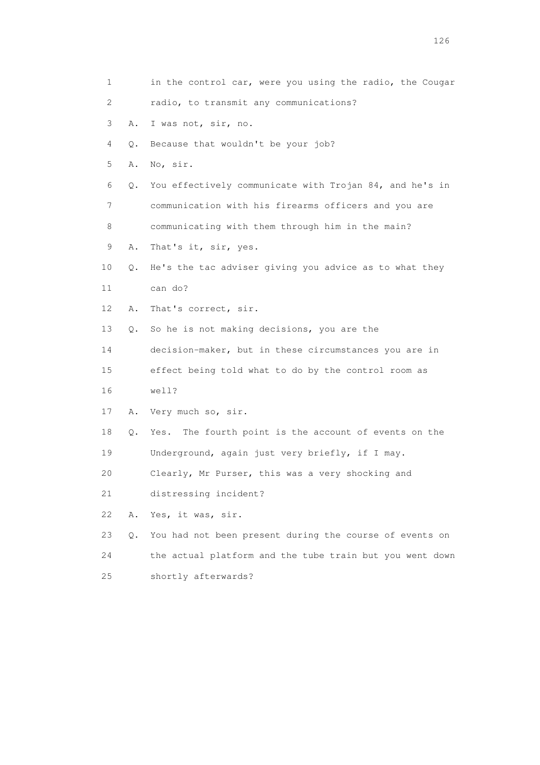| 1  |    | in the control car, were you using the radio, the Cougar |
|----|----|----------------------------------------------------------|
| 2  |    | radio, to transmit any communications?                   |
| 3  | Α. | I was not, sir, no.                                      |
| 4  | Q. | Because that wouldn't be your job?                       |
| 5  | Α. | No, sir.                                                 |
| 6  | Q. | You effectively communicate with Trojan 84, and he's in  |
| 7  |    | communication with his firearms officers and you are     |
| 8  |    | communicating with them through him in the main?         |
| 9  | Α. | That's it, sir, yes.                                     |
| 10 | Q. | He's the tac adviser giving you advice as to what they   |
| 11 |    | can do?                                                  |
| 12 | Α. | That's correct, sir.                                     |
| 13 | Q. | So he is not making decisions, you are the               |
| 14 |    | decision-maker, but in these circumstances you are in    |
| 15 |    | effect being told what to do by the control room as      |
| 16 |    | well?                                                    |
| 17 | Α. | Very much so, sir.                                       |
| 18 | Q. | The fourth point is the account of events on the<br>Yes. |
| 19 |    | Underground, again just very briefly, if I may.          |
| 20 |    | Clearly, Mr Purser, this was a very shocking and         |
| 21 |    | distressing incident?                                    |
| 22 | Α. | Yes, it was, sir.                                        |
| 23 | Q. | You had not been present during the course of events on  |
| 24 |    | the actual platform and the tube train but you went down |
| 25 |    | shortly afterwards?                                      |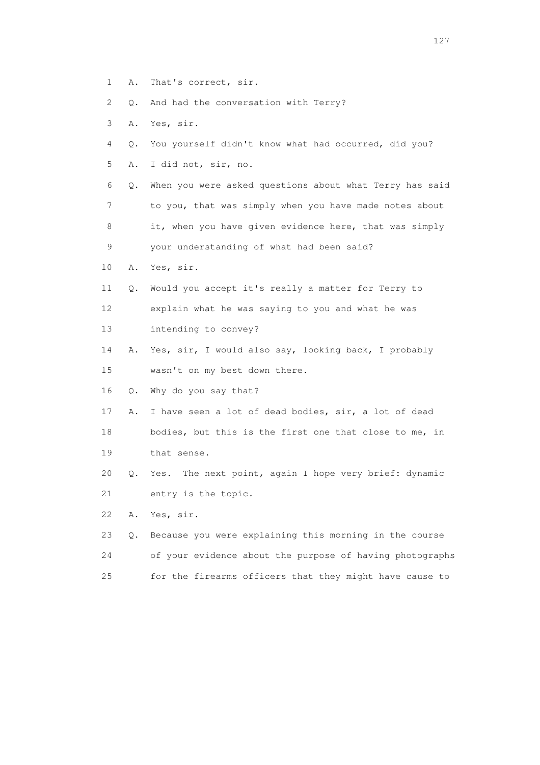- 1 A. That's correct, sir.
- 2 Q. And had the conversation with Terry?
- 3 A. Yes, sir.
- 4 Q. You yourself didn't know what had occurred, did you?
- 5 A. I did not, sir, no.

 6 Q. When you were asked questions about what Terry has said 7 to you, that was simply when you have made notes about 8 it, when you have given evidence here, that was simply 9 your understanding of what had been said?

- 10 A. Yes, sir.
- 11 Q. Would you accept it's really a matter for Terry to 12 explain what he was saying to you and what he was 13 intending to convey?
- 14 A. Yes, sir, I would also say, looking back, I probably 15 wasn't on my best down there.
- 16 Q. Why do you say that?
- 17 A. I have seen a lot of dead bodies, sir, a lot of dead
- 18 bodies, but this is the first one that close to me, in 19 that sense.
- 20 Q. Yes. The next point, again I hope very brief: dynamic 21 entry is the topic.
- 22 A. Yes, sir.
- 23 Q. Because you were explaining this morning in the course 24 of your evidence about the purpose of having photographs 25 for the firearms officers that they might have cause to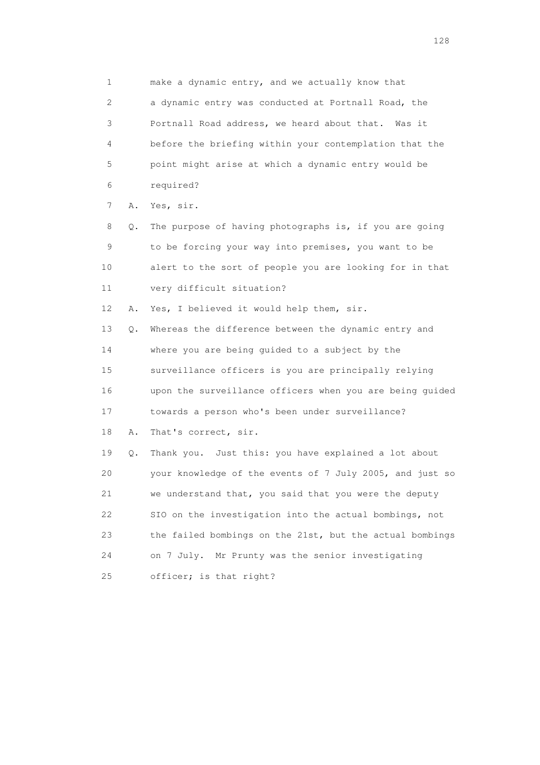1 make a dynamic entry, and we actually know that 2 a dynamic entry was conducted at Portnall Road, the 3 Portnall Road address, we heard about that. Was it 4 before the briefing within your contemplation that the 5 point might arise at which a dynamic entry would be 6 required? 7 A. Yes, sir. 8 Q. The purpose of having photographs is, if you are going 9 to be forcing your way into premises, you want to be 10 alert to the sort of people you are looking for in that 11 very difficult situation? 12 A. Yes, I believed it would help them, sir. 13 Q. Whereas the difference between the dynamic entry and 14 where you are being guided to a subject by the 15 surveillance officers is you are principally relying 16 upon the surveillance officers when you are being guided 17 towards a person who's been under surveillance? 18 A. That's correct, sir. 19 Q. Thank you. Just this: you have explained a lot about 20 your knowledge of the events of 7 July 2005, and just so 21 we understand that, you said that you were the deputy 22 SIO on the investigation into the actual bombings, not 23 the failed bombings on the 21st, but the actual bombings 24 on 7 July. Mr Prunty was the senior investigating 25 officer; is that right?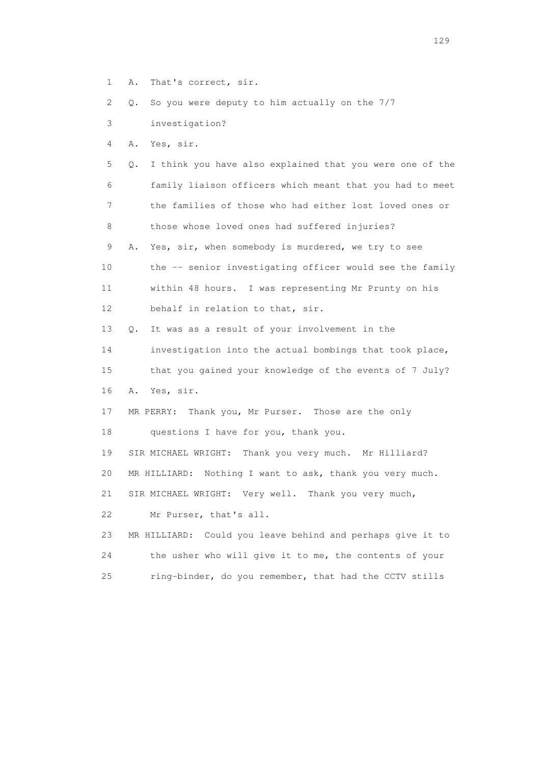1 A. That's correct, sir.

2 Q. So you were deputy to him actually on the 7/7

3 investigation?

4 A. Yes, sir.

 5 Q. I think you have also explained that you were one of the 6 family liaison officers which meant that you had to meet 7 the families of those who had either lost loved ones or 8 those whose loved ones had suffered injuries? 9 A. Yes, sir, when somebody is murdered, we try to see 10 the -- senior investigating officer would see the family

 11 within 48 hours. I was representing Mr Prunty on his 12 behalf in relation to that, sir.

13 Q. It was as a result of your involvement in the

14 investigation into the actual bombings that took place,

 15 that you gained your knowledge of the events of 7 July? 16 A. Yes, sir.

 17 MR PERRY: Thank you, Mr Purser. Those are the only 18 questions I have for you, thank you.

19 SIR MICHAEL WRIGHT: Thank you very much. Mr Hilliard?

20 MR HILLIARD: Nothing I want to ask, thank you very much.

21 SIR MICHAEL WRIGHT: Very well. Thank you very much,

22 Mr Purser, that's all.

 23 MR HILLIARD: Could you leave behind and perhaps give it to 24 the usher who will give it to me, the contents of your 25 ring-binder, do you remember, that had the CCTV stills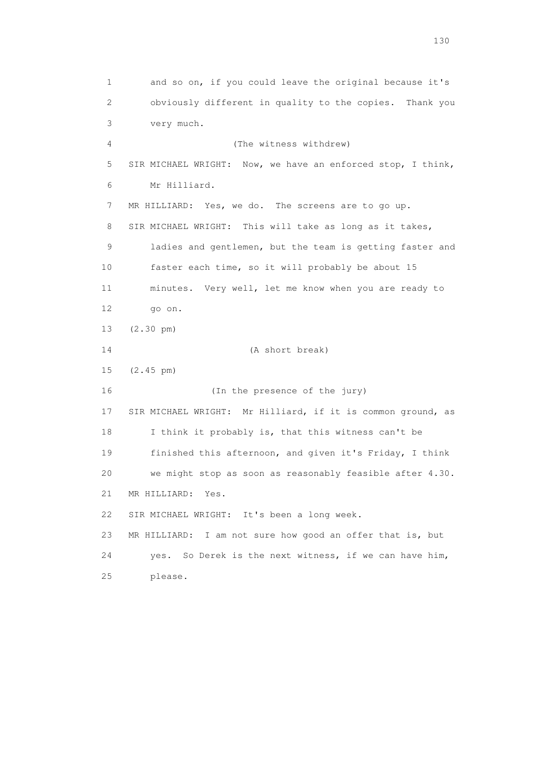1 and so on, if you could leave the original because it's 2 obviously different in quality to the copies. Thank you 3 very much. 4 (The witness withdrew) 5 SIR MICHAEL WRIGHT: Now, we have an enforced stop, I think, 6 Mr Hilliard. 7 MR HILLIARD: Yes, we do. The screens are to go up. 8 SIR MICHAEL WRIGHT: This will take as long as it takes, 9 ladies and gentlemen, but the team is getting faster and 10 faster each time, so it will probably be about 15 11 minutes. Very well, let me know when you are ready to 12 go on. 13 (2.30 pm) 14 (A short break) 15 (2.45 pm) 16 (In the presence of the jury) 17 SIR MICHAEL WRIGHT: Mr Hilliard, if it is common ground, as 18 I think it probably is, that this witness can't be 19 finished this afternoon, and given it's Friday, I think 20 we might stop as soon as reasonably feasible after 4.30. 21 MR HILLIARD: Yes. 22 SIR MICHAEL WRIGHT: It's been a long week. 23 MR HILLIARD: I am not sure how good an offer that is, but 24 yes. So Derek is the next witness, if we can have him, 25 please.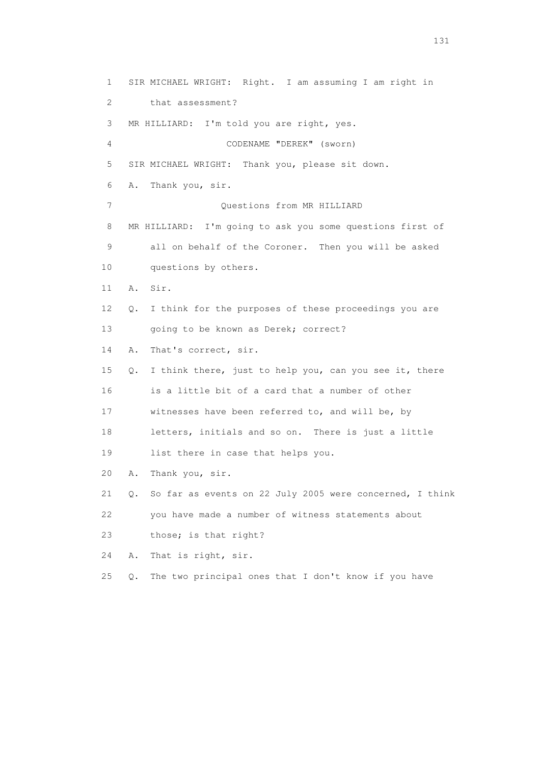1 SIR MICHAEL WRIGHT: Right. I am assuming I am right in 2 that assessment? 3 MR HILLIARD: I'm told you are right, yes. 4 CODENAME "DEREK" (sworn) 5 SIR MICHAEL WRIGHT: Thank you, please sit down. 6 A. Thank you, sir. 7 Ouestions from MR HILLIARD 8 MR HILLIARD: I'm going to ask you some questions first of 9 all on behalf of the Coroner. Then you will be asked 10 questions by others. 11 A. Sir. 12 Q. I think for the purposes of these proceedings you are 13 going to be known as Derek; correct? 14 A. That's correct, sir. 15 Q. I think there, just to help you, can you see it, there 16 is a little bit of a card that a number of other 17 witnesses have been referred to, and will be, by 18 letters, initials and so on. There is just a little 19 list there in case that helps you. 20 A. Thank you, sir. 21 Q. So far as events on 22 July 2005 were concerned, I think 22 you have made a number of witness statements about 23 those; is that right? 24 A. That is right, sir. 25 Q. The two principal ones that I don't know if you have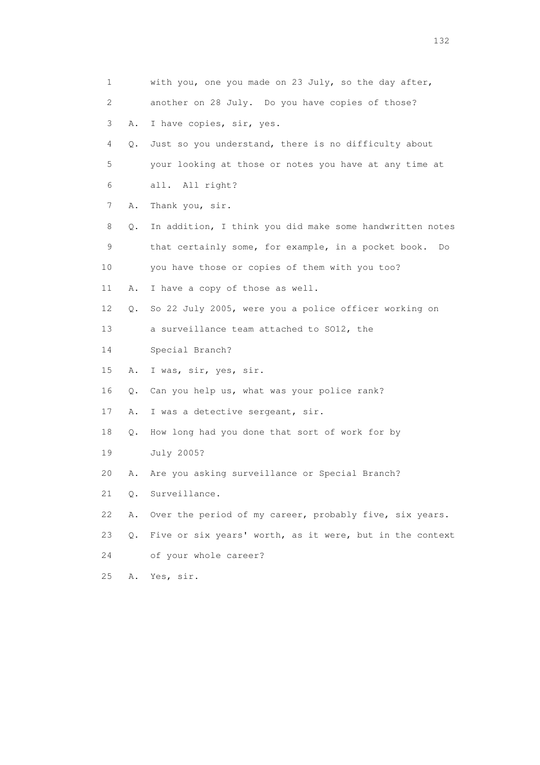| 1              |       | with you, one you made on 23 July, so the day after,      |
|----------------|-------|-----------------------------------------------------------|
| $\overline{c}$ |       | another on 28 July. Do you have copies of those?          |
| 3              | Α.    | I have copies, sir, yes.                                  |
| 4              | Q.    | Just so you understand, there is no difficulty about      |
| 5              |       | your looking at those or notes you have at any time at    |
| 6              |       | all. All right?                                           |
| 7              | Α.    | Thank you, sir.                                           |
| 8              | Q.    | In addition, I think you did make some handwritten notes  |
| 9              |       | that certainly some, for example, in a pocket book.<br>Do |
| 10             |       | you have those or copies of them with you too?            |
| 11             | Α.    | I have a copy of those as well.                           |
| 12             | Q.    | So 22 July 2005, were you a police officer working on     |
| 13             |       | a surveillance team attached to SO12, the                 |
| 14             |       | Special Branch?                                           |
| 15             | Α.    | I was, sir, yes, sir.                                     |
| 16             | Q.    | Can you help us, what was your police rank?               |
| 17             | Α.    | I was a detective sergeant, sir.                          |
| 18             | Q.    | How long had you done that sort of work for by            |
| 19             |       | July 2005?                                                |
| 20             | Α.    | Are you asking surveillance or Special Branch?            |
| 21             | Q.    | Surveillance.                                             |
| 22             | Α.    | Over the period of my career, probably five, six years.   |
| 23             | $Q$ . | Five or six years' worth, as it were, but in the context  |
| 24             |       | of your whole career?                                     |
| 25             | Α.    | Yes, sir.                                                 |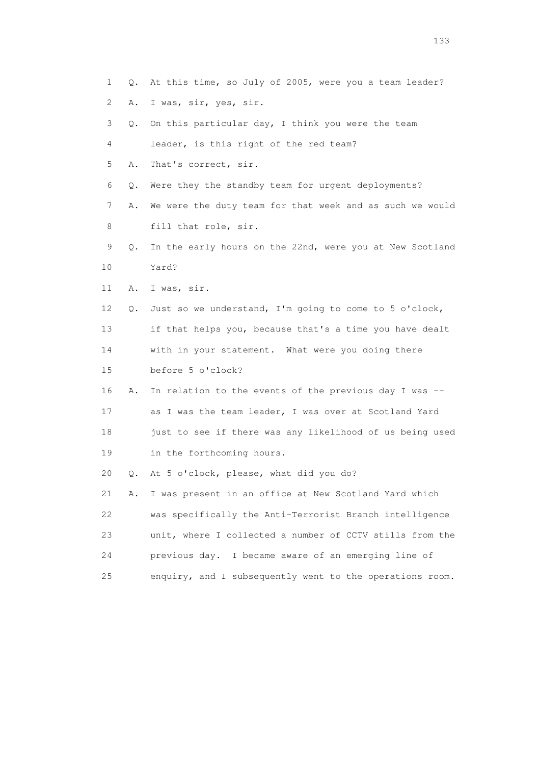- 1 Q. At this time, so July of 2005, were you a team leader?
- 2 A. I was, sir, yes, sir.
- 3 Q. On this particular day, I think you were the team
- 4 leader, is this right of the red team?
- 5 A. That's correct, sir.
- 6 Q. Were they the standby team for urgent deployments?
- 7 A. We were the duty team for that week and as such we would 8 fill that role, sir.
- 9 Q. In the early hours on the 22nd, were you at New Scotland 10 Yard?
- 11 A. I was, sir.
- 12 Q. Just so we understand, I'm going to come to 5 o'clock, 13 if that helps you, because that's a time you have dealt
- 14 with in your statement. What were you doing there
- 15 before 5 o'clock?
- 16 A. In relation to the events of the previous day I was -- 17 as I was the team leader, I was over at Scotland Yard 18 just to see if there was any likelihood of us being used
- 19 in the forthcoming hours.
- 20 Q. At 5 o'clock, please, what did you do?
- 21 A. I was present in an office at New Scotland Yard which 22 was specifically the Anti-Terrorist Branch intelligence 23 unit, where I collected a number of CCTV stills from the 24 previous day. I became aware of an emerging line of 25 enquiry, and I subsequently went to the operations room.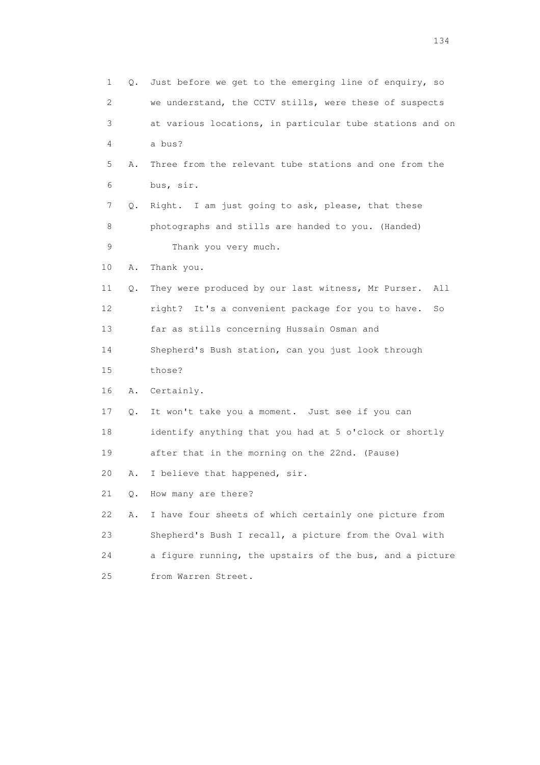| $\mathbf{1}$ | Q.            | Just before we get to the emerging line of enquiry, so     |
|--------------|---------------|------------------------------------------------------------|
| $\mathbf{2}$ |               | we understand, the CCTV stills, were these of suspects     |
| 3            |               | at various locations, in particular tube stations and on   |
| 4            |               | a bus?                                                     |
| 5            | Α.            | Three from the relevant tube stations and one from the     |
| 6            |               | bus, sir.                                                  |
| 7            | Q.            | Right. I am just going to ask, please, that these          |
| 8            |               | photographs and stills are handed to you. (Handed)         |
| 9            |               | Thank you very much.                                       |
| 10           | Α.            | Thank you.                                                 |
| 11           | Q.            | They were produced by our last witness, Mr Purser.<br>All  |
| 12           |               | It's a convenient package for you to have.<br>right?<br>So |
| 13           |               | far as stills concerning Hussain Osman and                 |
| 14           |               | Shepherd's Bush station, can you just look through         |
| 15           |               | those?                                                     |
| 16           | Α.            | Certainly.                                                 |
| 17           | $\mathbb Q$ . | It won't take you a moment. Just see if you can            |
| 18           |               | identify anything that you had at 5 o'clock or shortly     |
| 19           |               | after that in the morning on the 22nd. (Pause)             |
| 20           | Α.            | I believe that happened, sir.                              |
| 21           | О.            | How many are there?                                        |
| 22           | Α.            | I have four sheets of which certainly one picture from     |
| 23           |               | Shepherd's Bush I recall, a picture from the Oval with     |
| 24           |               | a figure running, the upstairs of the bus, and a picture   |
| 25           |               | from Warren Street.                                        |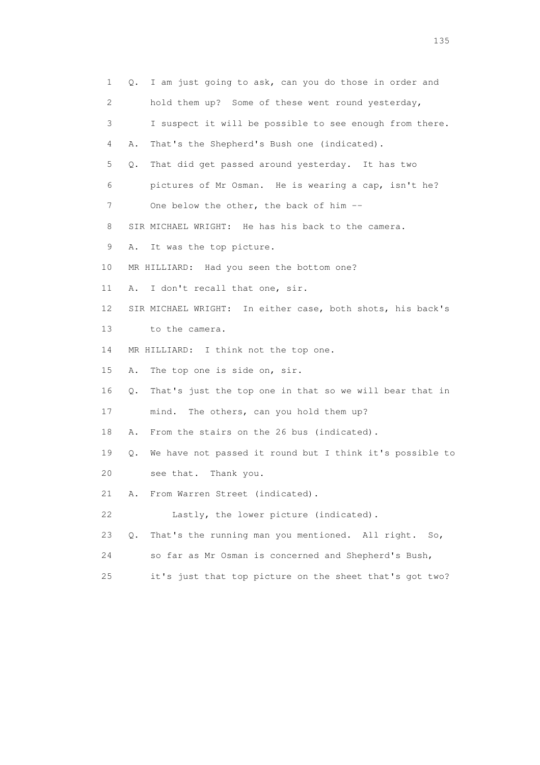| 1                         | Q. I am just going to ask, can you do those in order and       |
|---------------------------|----------------------------------------------------------------|
| $\mathbf{2}^{\mathsf{I}}$ | hold them up? Some of these went round yesterday,              |
| 3                         | I suspect it will be possible to see enough from there.        |
| 4                         | That's the Shepherd's Bush one (indicated).<br>Α.              |
| 5                         | That did get passed around yesterday. It has two<br>Q.         |
| 6                         | pictures of Mr Osman. He is wearing a cap, isn't he?           |
| 7                         | One below the other, the back of him --                        |
| 8                         | SIR MICHAEL WRIGHT: He has his back to the camera.             |
| 9                         | It was the top picture.<br>Α.                                  |
| 10                        | MR HILLIARD: Had you seen the bottom one?                      |
| 11                        | I don't recall that one, sir.<br>Α.                            |
| 12                        | SIR MICHAEL WRIGHT: In either case, both shots, his back's     |
| 13                        | to the camera.                                                 |
| 14                        | MR HILLIARD: I think not the top one.                          |
| 15                        | The top one is side on, sir.<br>Α.                             |
| 16                        | That's just the top one in that so we will bear that in<br>Q.  |
| 17                        | The others, can you hold them up?<br>mind.                     |
| 18                        | From the stairs on the 26 bus (indicated).<br>Α.               |
| 19                        | We have not passed it round but I think it's possible to<br>Q. |
| 20                        | see that. Thank you.                                           |
| 21                        | From Warren Street (indicated).<br>Α.                          |
| 22                        | Lastly, the lower picture (indicated).                         |
| 23                        | That's the running man you mentioned. All right.<br>Q.<br>So,  |
| 24                        | so far as Mr Osman is concerned and Shepherd's Bush,           |
| 25                        | it's just that top picture on the sheet that's got two?        |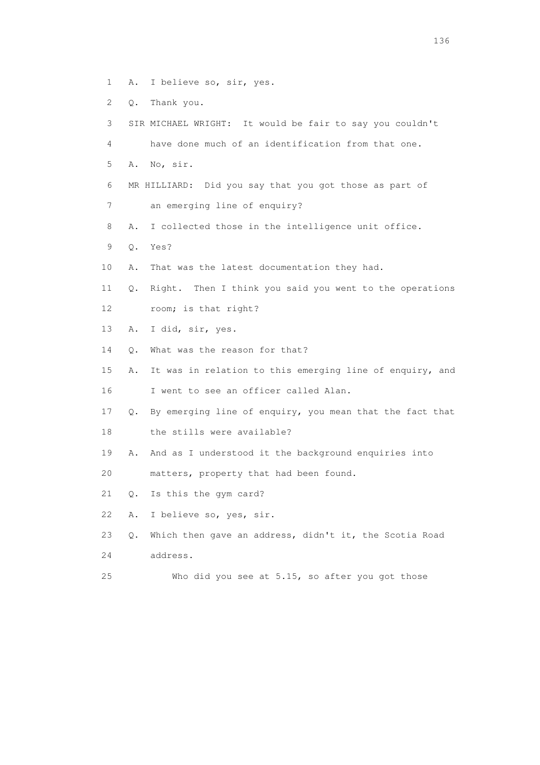- 1 A. I believe so, sir, yes.
- 2 Q. Thank you.
- 3 SIR MICHAEL WRIGHT: It would be fair to say you couldn't 4 have done much of an identification from that one. 5 A. No, sir. 6 MR HILLIARD: Did you say that you got those as part of 7 an emerging line of enquiry? 8 A. I collected those in the intelligence unit office. 9 Q. Yes? 10 A. That was the latest documentation they had. 11 Q. Right. Then I think you said you went to the operations 12 room; is that right? 13 A. I did, sir, yes. 14 Q. What was the reason for that? 15 A. It was in relation to this emerging line of enquiry, and 16 I went to see an officer called Alan. 17 Q. By emerging line of enquiry, you mean that the fact that 18 the stills were available? 19 A. And as I understood it the background enquiries into 20 matters, property that had been found. 21 Q. Is this the gym card? 22 A. I believe so, yes, sir. 23 Q. Which then gave an address, didn't it, the Scotia Road 24 address. 25 Who did you see at 5.15, so after you got those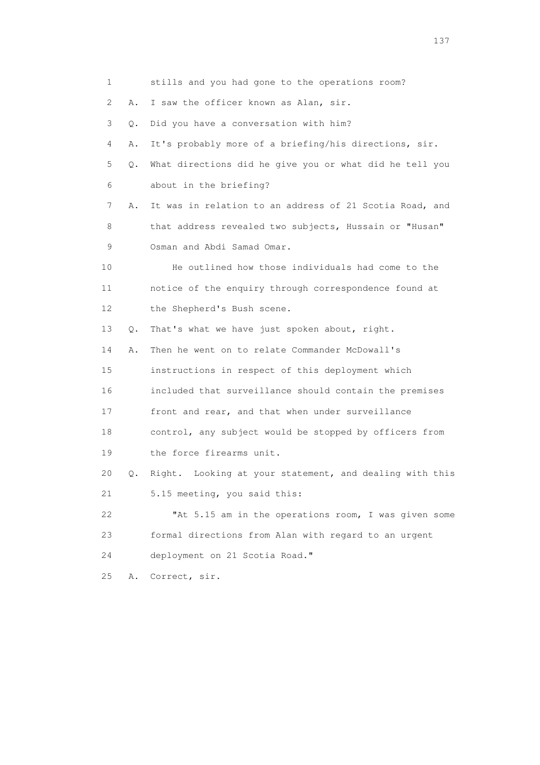1 stills and you had gone to the operations room? 2 A. I saw the officer known as Alan, sir. 3 Q. Did you have a conversation with him? 4 A. It's probably more of a briefing/his directions, sir. 5 Q. What directions did he give you or what did he tell you 6 about in the briefing? 7 A. It was in relation to an address of 21 Scotia Road, and 8 that address revealed two subjects, Hussain or "Husan" 9 Osman and Abdi Samad Omar. 10 He outlined how those individuals had come to the 11 notice of the enquiry through correspondence found at 12 the Shepherd's Bush scene. 13 Q. That's what we have just spoken about, right. 14 A. Then he went on to relate Commander McDowall's 15 instructions in respect of this deployment which 16 included that surveillance should contain the premises 17 front and rear, and that when under surveillance 18 control, any subject would be stopped by officers from 19 the force firearms unit. 20 Q. Right. Looking at your statement, and dealing with this 21 5.15 meeting, you said this: 22 "At 5.15 am in the operations room, I was given some 23 formal directions from Alan with regard to an urgent 24 deployment on 21 Scotia Road." 25 A. Correct, sir.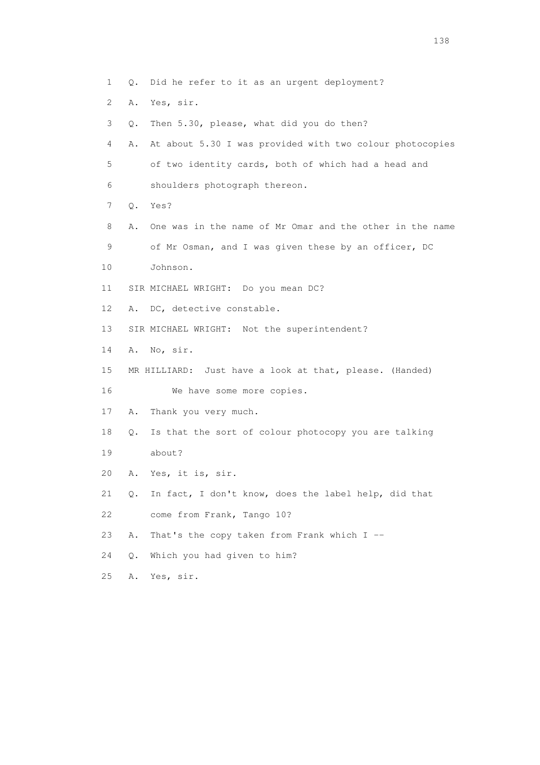- 1 Q. Did he refer to it as an urgent deployment?
- 2 A. Yes, sir.
- 3 Q. Then 5.30, please, what did you do then?

 4 A. At about 5.30 I was provided with two colour photocopies 5 of two identity cards, both of which had a head and 6 shoulders photograph thereon.

- 7 Q. Yes?
- 8 A. One was in the name of Mr Omar and the other in the name 9 of Mr Osman, and I was given these by an officer, DC
- 10 Johnson.
- 11 SIR MICHAEL WRIGHT: Do you mean DC?
- 12 A. DC, detective constable.
- 13 SIR MICHAEL WRIGHT: Not the superintendent?
- 14 A. No, sir.
- 15 MR HILLIARD: Just have a look at that, please. (Handed) 16 We have some more copies.
- 17 A. Thank you very much.
- 18 Q. Is that the sort of colour photocopy you are talking 19 about?
- 20 A. Yes, it is, sir.
- 21 Q. In fact, I don't know, does the label help, did that 22 come from Frank, Tango 10?
- 23 A. That's the copy taken from Frank which I --
- 24 Q. Which you had given to him?
- 25 A. Yes, sir.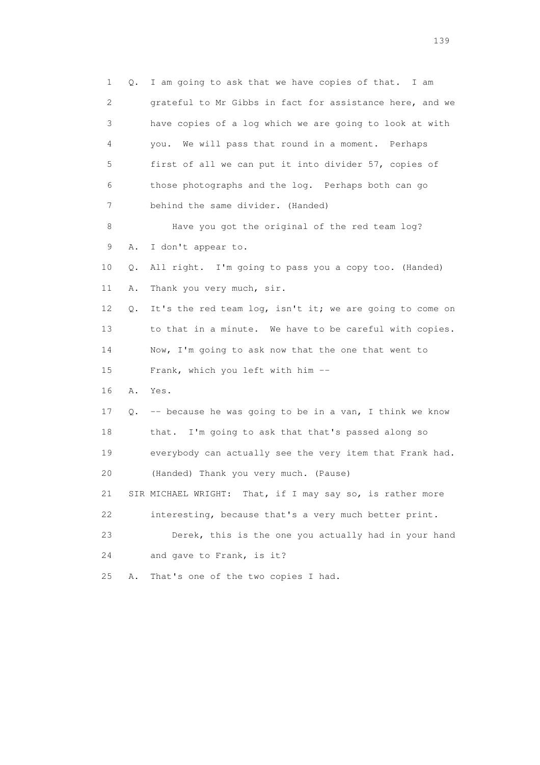1 Q. I am going to ask that we have copies of that. I am 2 grateful to Mr Gibbs in fact for assistance here, and we 3 have copies of a log which we are going to look at with 4 you. We will pass that round in a moment. Perhaps 5 first of all we can put it into divider 57, copies of 6 those photographs and the log. Perhaps both can go 7 behind the same divider. (Handed) 8 Have you got the original of the red team log? 9 A. I don't appear to. 10 Q. All right. I'm going to pass you a copy too. (Handed) 11 A. Thank you very much, sir. 12 Q. It's the red team log, isn't it; we are going to come on 13 to that in a minute. We have to be careful with copies. 14 Now, I'm going to ask now that the one that went to 15 Frank, which you left with him -- 16 A. Yes. 17 Q. -- because he was going to be in a van, I think we know 18 that. I'm going to ask that that's passed along so 19 everybody can actually see the very item that Frank had. 20 (Handed) Thank you very much. (Pause) 21 SIR MICHAEL WRIGHT: That, if I may say so, is rather more 22 interesting, because that's a very much better print. 23 Derek, this is the one you actually had in your hand 24 and gave to Frank, is it? 25 A. That's one of the two copies I had.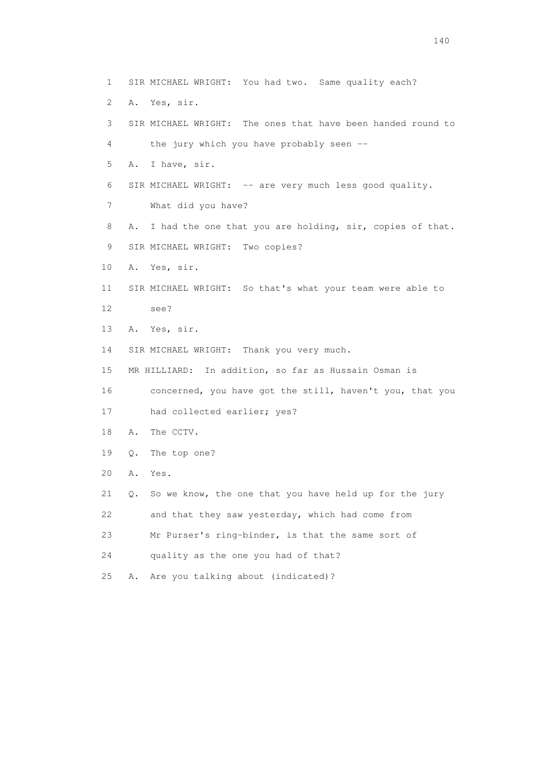1 SIR MICHAEL WRIGHT: You had two. Same quality each? 2 A. Yes, sir. 3 SIR MICHAEL WRIGHT: The ones that have been handed round to 4 the jury which you have probably seen -- 5 A. I have, sir. 6 SIR MICHAEL WRIGHT: -- are very much less good quality. 7 What did you have? 8 A. I had the one that you are holding, sir, copies of that. 9 SIR MICHAEL WRIGHT: Two copies? 10 A. Yes, sir. 11 SIR MICHAEL WRIGHT: So that's what your team were able to 12 see? 13 A. Yes, sir. 14 SIR MICHAEL WRIGHT: Thank you very much. 15 MR HILLIARD: In addition, so far as Hussain Osman is 16 concerned, you have got the still, haven't you, that you 17 had collected earlier; yes? 18 A. The CCTV. 19 Q. The top one? 20 A. Yes. 21 Q. So we know, the one that you have held up for the jury 22 and that they saw yesterday, which had come from 23 Mr Purser's ring-binder, is that the same sort of 24 quality as the one you had of that? 25 A. Are you talking about (indicated)?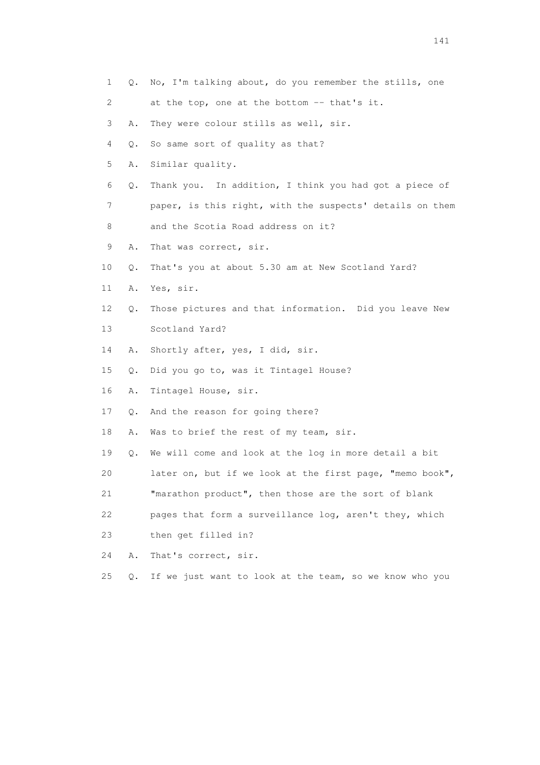| 1  | Q.    | No, I'm talking about, do you remember the stills, one   |
|----|-------|----------------------------------------------------------|
| 2  |       | at the top, one at the bottom -- that's it.              |
| 3  | Α.    | They were colour stills as well, sir.                    |
| 4  | Q.    | So same sort of quality as that?                         |
| 5  | Α.    | Similar quality.                                         |
| 6  | Q.    | Thank you. In addition, I think you had got a piece of   |
| 7  |       | paper, is this right, with the suspects' details on them |
| 8  |       | and the Scotia Road address on it?                       |
| 9  | Α.    | That was correct, sir.                                   |
| 10 | Q.    | That's you at about 5.30 am at New Scotland Yard?        |
| 11 | Α.    | Yes, sir.                                                |
| 12 | Q.    | Those pictures and that information. Did you leave New   |
| 13 |       | Scotland Yard?                                           |
| 14 | Α.    | Shortly after, yes, I did, sir.                          |
| 15 | Q.    | Did you go to, was it Tintagel House?                    |
| 16 | Α.    | Tintagel House, sir.                                     |
| 17 | Q.    | And the reason for going there?                          |
| 18 | Α.    | Was to brief the rest of my team, sir.                   |
| 19 | Q.    | We will come and look at the log in more detail a bit    |
| 20 |       | later on, but if we look at the first page, "memo book", |
| 21 |       | "marathon product", then those are the sort of blank     |
| 22 |       | pages that form a surveillance log, aren't they, which   |
| 23 |       | then get filled in?                                      |
| 24 | Α.    | That's correct, sir.                                     |
| 25 | $Q$ . | If we just want to look at the team, so we know who you  |
|    |       |                                                          |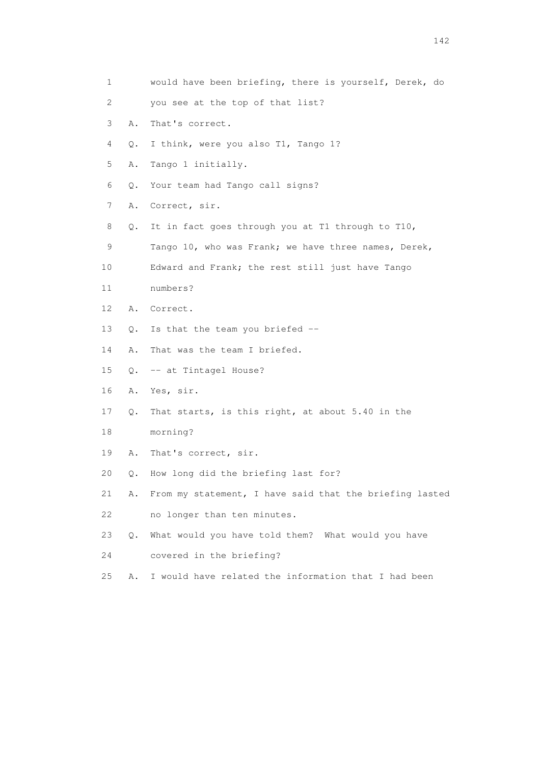| $\mathbf{1}$ |           | would have been briefing, there is yourself, Derek, do  |
|--------------|-----------|---------------------------------------------------------|
| 2            |           | you see at the top of that list?                        |
| 3            | Α.        | That's correct.                                         |
| 4            | Q.        | I think, were you also T1, Tango 1?                     |
| 5            | Α.        | Tango 1 initially.                                      |
| 6            | Q.        | Your team had Tango call signs?                         |
| 7            | Α.        | Correct, sir.                                           |
| 8            | Q.        | It in fact goes through you at T1 through to T10,       |
| 9            |           | Tango 10, who was Frank; we have three names, Derek,    |
| 10           |           | Edward and Frank; the rest still just have Tango        |
| 11           |           | numbers?                                                |
| 12           | Α.        | Correct.                                                |
| 13           | $\circ$ . | Is that the team you briefed --                         |
| 14           | Α.        | That was the team I briefed.                            |
| 15           | Q.        | -- at Tintagel House?                                   |
| 16           | Α.        | Yes, sir.                                               |
| 17           | Q.        | That starts, is this right, at about 5.40 in the        |
| 18           |           | morning?                                                |
| 19           | Α.        | That's correct, sir.                                    |
| 20           | Q.        | How long did the briefing last for?                     |
| 21           | Α.        | From my statement, I have said that the briefing lasted |
| 22           |           | no longer than ten minutes.                             |
| 23           | $Q$ .     | What would you have told them? What would you have      |
| 24           |           | covered in the briefing?                                |
| 25           | Α.        | I would have related the information that I had been    |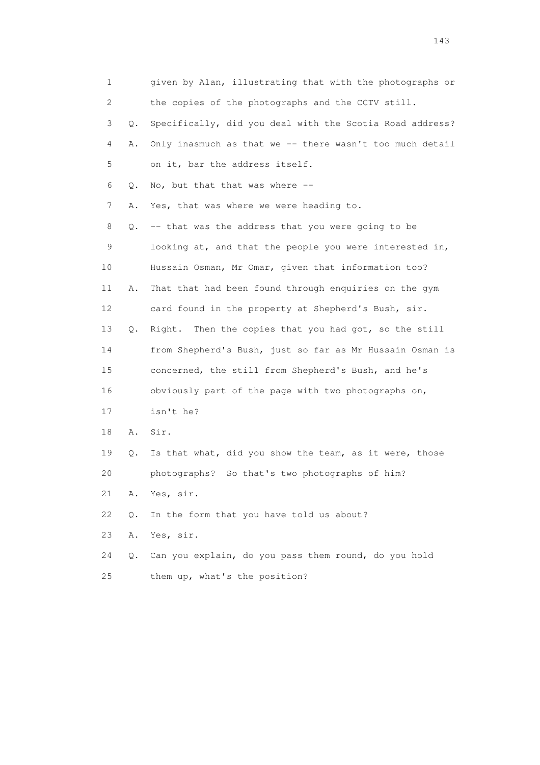| 1  |    | given by Alan, illustrating that with the photographs or |
|----|----|----------------------------------------------------------|
| 2  |    | the copies of the photographs and the CCTV still.        |
| 3  | Q. | Specifically, did you deal with the Scotia Road address? |
| 4  | Α. | Only inasmuch as that we -- there wasn't too much detail |
| 5  |    | on it, bar the address itself.                           |
| 6  | Q. | No, but that that was where --                           |
| 7  | Α. | Yes, that was where we were heading to.                  |
| 8  | Q. | -- that was the address that you were going to be        |
| 9  |    | looking at, and that the people you were interested in,  |
| 10 |    | Hussain Osman, Mr Omar, given that information too?      |
| 11 | Α. | That that had been found through enquiries on the gym    |
| 12 |    | card found in the property at Shepherd's Bush, sir.      |
| 13 | Q. | Then the copies that you had got, so the still<br>Right. |
| 14 |    | from Shepherd's Bush, just so far as Mr Hussain Osman is |
| 15 |    | concerned, the still from Shepherd's Bush, and he's      |
| 16 |    | obviously part of the page with two photographs on,      |
| 17 |    | isn't he?                                                |
| 18 | Α. | Sir.                                                     |
| 19 | Q. | Is that what, did you show the team, as it were, those   |
| 20 |    | So that's two photographs of him?<br>photographs?        |
| 21 | Α. | Yes, sir.                                                |
| 22 | Q. | In the form that you have told us about?                 |
| 23 | Α. | Yes, sir.                                                |
| 24 | Q. | Can you explain, do you pass them round, do you hold     |
| 25 |    | them up, what's the position?                            |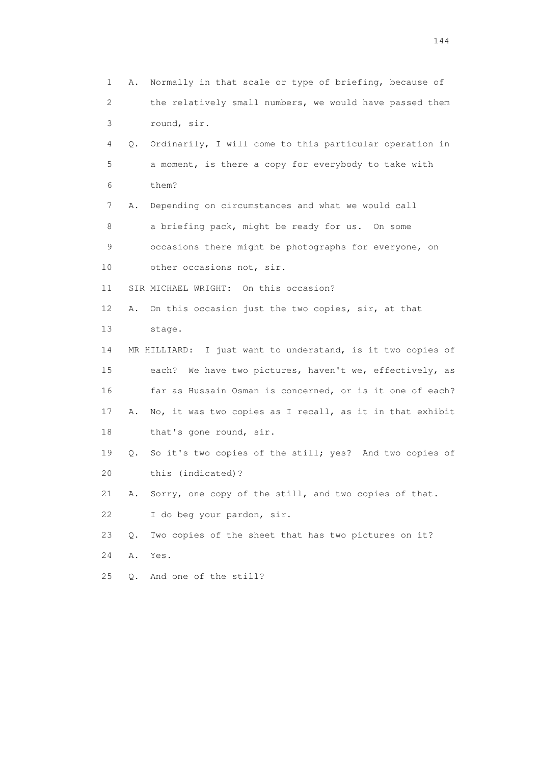1 A. Normally in that scale or type of briefing, because of 2 the relatively small numbers, we would have passed them 3 round, sir. 4 Q. Ordinarily, I will come to this particular operation in 5 a moment, is there a copy for everybody to take with 6 them? 7 A. Depending on circumstances and what we would call 8 a briefing pack, might be ready for us. On some 9 occasions there might be photographs for everyone, on 10 other occasions not, sir. 11 SIR MICHAEL WRIGHT: On this occasion? 12 A. On this occasion just the two copies, sir, at that 13 stage. 14 MR HILLIARD: I just want to understand, is it two copies of 15 each? We have two pictures, haven't we, effectively, as 16 far as Hussain Osman is concerned, or is it one of each? 17 A. No, it was two copies as I recall, as it in that exhibit 18 that's gone round, sir. 19 Q. So it's two copies of the still; yes? And two copies of 20 this (indicated)? 21 A. Sorry, one copy of the still, and two copies of that. 22 I do beg your pardon, sir. 23 Q. Two copies of the sheet that has two pictures on it? 24 A. Yes. 25 Q. And one of the still?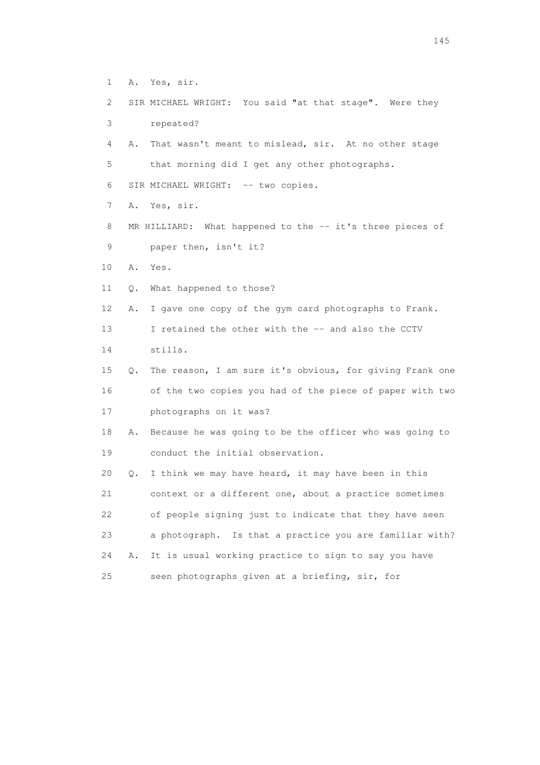- 1 A. Yes, sir.
- 2 SIR MICHAEL WRIGHT: You said "at that stage". Were they 3 repeated?
- 4 A. That wasn't meant to mislead, sir. At no other stage 5 that morning did I get any other photographs.
- 6 SIR MICHAEL WRIGHT: -- two copies.
- 7 A. Yes, sir.
- 8 MR HILLIARD: What happened to the -- it's three pieces of 9 paper then, isn't it?
- 10 A. Yes.
- 11 Q. What happened to those?
- 12 A. I gave one copy of the gym card photographs to Frank.
- 13 I retained the other with the -- and also the CCTV
- 14 stills.
- 15 Q. The reason, I am sure it's obvious, for giving Frank one 16 of the two copies you had of the piece of paper with two 17 photographs on it was?
- 18 A. Because he was going to be the officer who was going to 19 conduct the initial observation.
- 20 Q. I think we may have heard, it may have been in this 21 context or a different one, about a practice sometimes 22 of people signing just to indicate that they have seen 23 a photograph. Is that a practice you are familiar with? 24 A. It is usual working practice to sign to say you have 25 seen photographs given at a briefing, sir, for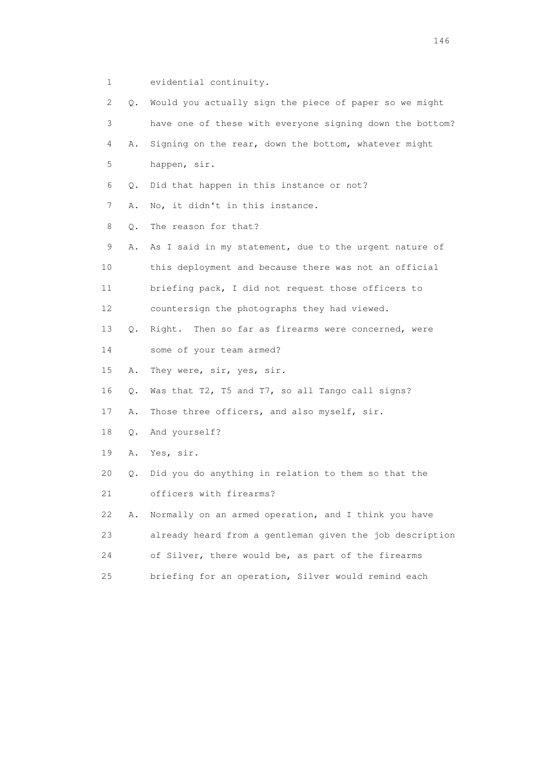1 evidential continuity.

| $\mathbf{2}^{\mathsf{I}}$ | 0.        | Would you actually sign the piece of paper so we might   |
|---------------------------|-----------|----------------------------------------------------------|
| 3                         |           | have one of these with everyone signing down the bottom? |
| 4                         | Α.        | Signing on the rear, down the bottom, whatever might     |
| 5                         |           | happen, sir.                                             |
| 6                         | Q.        | Did that happen in this instance or not?                 |
| 7                         | Α.        | No, it didn't in this instance.                          |
| 8                         | $Q$ .     | The reason for that?                                     |
| 9                         | Α.        | As I said in my statement, due to the urgent nature of   |
| 10                        |           | this deployment and because there was not an official    |
| 11                        |           | briefing pack, I did not request those officers to       |
| 12                        |           | countersign the photographs they had viewed.             |
| 13                        | Q.        | Right. Then so far as firearms were concerned, were      |
| 14                        |           | some of your team armed?                                 |
| 15                        | Α.        | They were, sir, yes, sir.                                |
| 16                        | Q.        | Was that T2, T5 and T7, so all Tango call signs?         |
| 17                        | Α.        | Those three officers, and also myself, sir.              |
| 18                        | Q.        | And yourself?                                            |
| 19                        | Α.        | Yes, sir.                                                |
| 20                        | $\circ$ . | Did you do anything in relation to them so that the      |
| 21                        |           | officers with firearms?                                  |
| 22                        | Α.        | Normally on an armed operation, and I think you have     |
| 23                        |           | already heard from a gentleman given the job description |
| 24                        |           | of Silver, there would be, as part of the firearms       |
| 25                        |           | briefing for an operation, Silver would remind each      |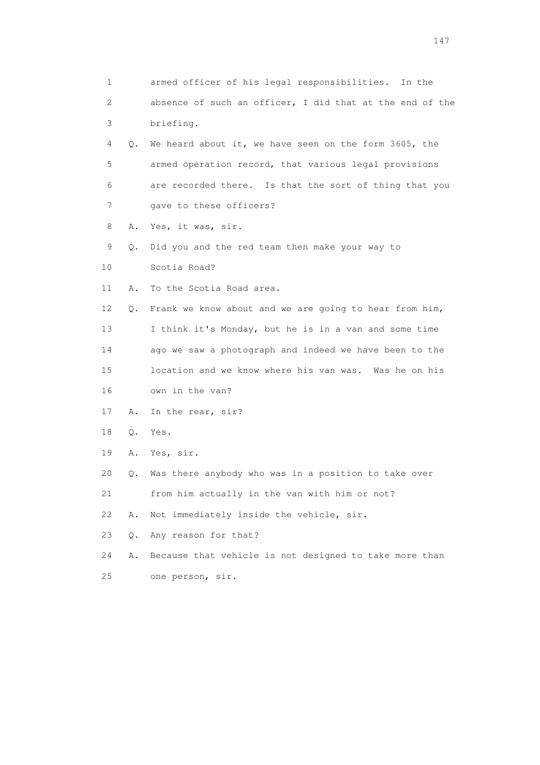| 1  |       | armed officer of his legal responsibilities. In the      |
|----|-------|----------------------------------------------------------|
| 2  |       | absence of such an officer, I did that at the end of the |
| 3  |       | briefing.                                                |
| 4  | Q.    | We heard about it, we have seen on the form 3605, the    |
| 5  |       | armed operation record, that various legal provisions    |
| 6  |       | are recorded there. Is that the sort of thing that you   |
| 7  |       | gave to these officers?                                  |
| 8  | Α.    | Yes, it was, sir.                                        |
| 9  | Q.    | Did you and the red team then make your way to           |
| 10 |       | Scotia Road?                                             |
| 11 | Α.    | To the Scotia Road area.                                 |
| 12 | Q.    | Frank we know about and we are going to hear from him,   |
| 13 |       | I think it's Monday, but he is in a van and some time    |
| 14 |       | ago we saw a photograph and indeed we have been to the   |
| 15 |       | location and we know where his van was. Was he on his    |
| 16 |       | own in the van?                                          |
| 17 | Α.    | In the rear, sir?                                        |
| 18 | Q.    | Yes.                                                     |
| 19 | Α.    | Yes, sir.                                                |
| 20 | Q.    | Was there anybody who was in a position to take over     |
| 21 |       | from him actually in the van with him or not?            |
| 22 | Α.    | Not immediately inside the vehicle, sir.                 |
| 23 | $Q$ . | Any reason for that?                                     |
| 24 | Α.    | Because that vehicle is not designed to take more than   |
| 25 |       | one person, sir.                                         |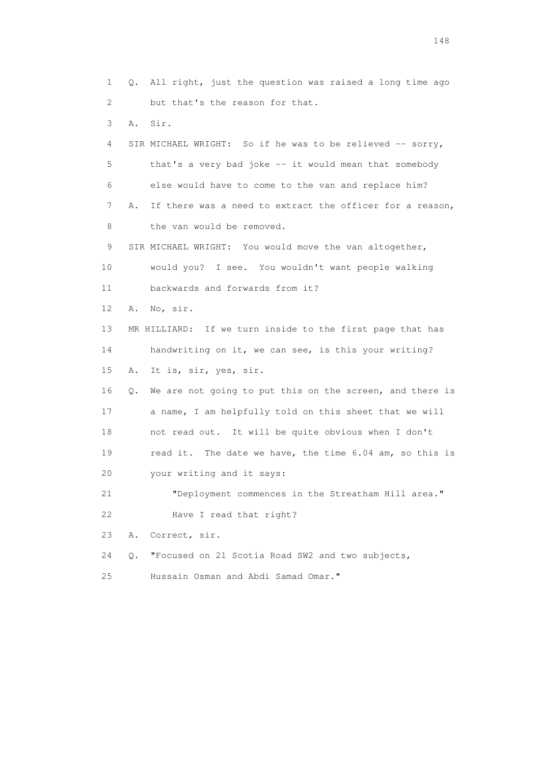1 Q. All right, just the question was raised a long time ago 2 but that's the reason for that. 3 A. Sir. 4 SIR MICHAEL WRIGHT: So if he was to be relieved -- sorry, 5 that's a very bad joke -- it would mean that somebody 6 else would have to come to the van and replace him? 7 A. If there was a need to extract the officer for a reason, 8 the van would be removed. 9 SIR MICHAEL WRIGHT: You would move the van altogether, 10 would you? I see. You wouldn't want people walking 11 backwards and forwards from it? 12 A. No, sir. 13 MR HILLIARD: If we turn inside to the first page that has 14 handwriting on it, we can see, is this your writing? 15 A. It is, sir, yes, sir. 16 Q. We are not going to put this on the screen, and there is 17 a name, I am helpfully told on this sheet that we will 18 not read out. It will be quite obvious when I don't 19 read it. The date we have, the time 6.04 am, so this is 20 your writing and it says: 21 "Deployment commences in the Streatham Hill area." 22 Have I read that right? 23 A. Correct, sir. 24 Q. "Focused on 21 Scotia Road SW2 and two subjects, 25 Hussain Osman and Abdi Samad Omar."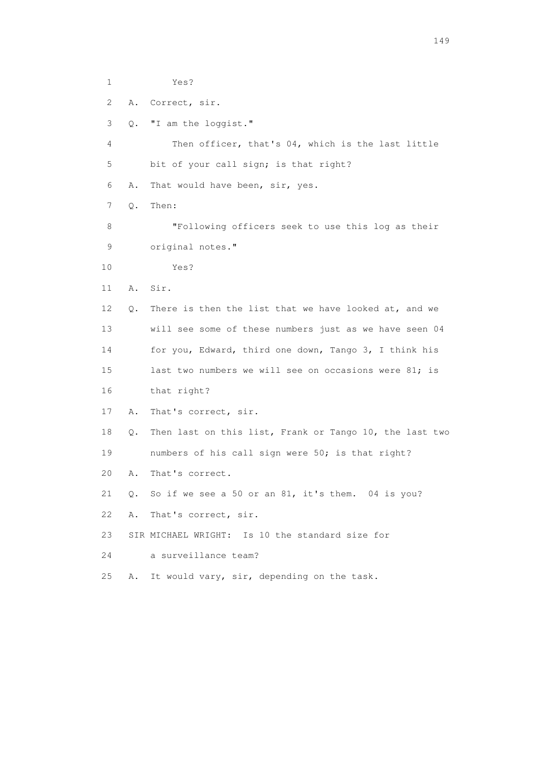1 Yes? 2 A. Correct, sir. 3 Q. "I am the loggist." 4 Then officer, that's 04, which is the last little 5 bit of your call sign; is that right? 6 A. That would have been, sir, yes. 7 Q. Then: 8 "Following officers seek to use this log as their 9 original notes." 10 Yes? 11 A. Sir. 12 Q. There is then the list that we have looked at, and we 13 will see some of these numbers just as we have seen 04 14 for you, Edward, third one down, Tango 3, I think his 15 last two numbers we will see on occasions were 81; is 16 that right? 17 A. That's correct, sir. 18 Q. Then last on this list, Frank or Tango 10, the last two 19 numbers of his call sign were 50; is that right? 20 A. That's correct. 21 Q. So if we see a 50 or an 81, it's them. 04 is you? 22 A. That's correct, sir. 23 SIR MICHAEL WRIGHT: Is 10 the standard size for 24 a surveillance team? 25 A. It would vary, sir, depending on the task.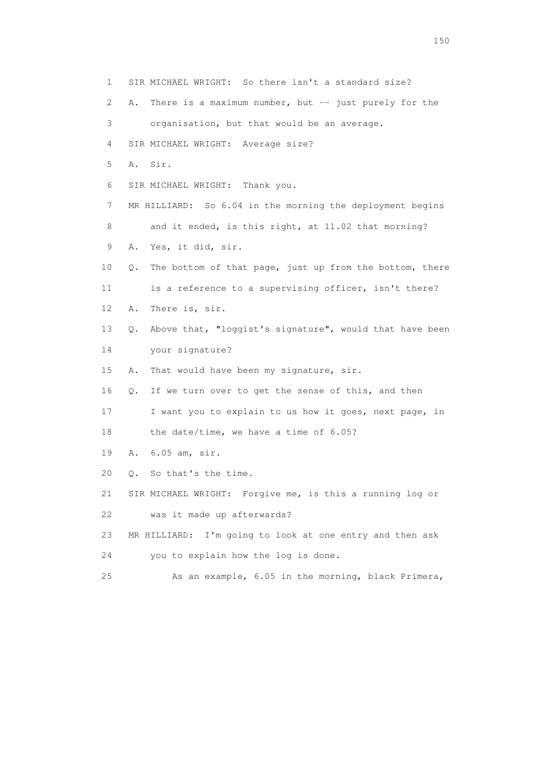1 SIR MICHAEL WRIGHT: So there isn't a standard size? 2 A. There is a maximum number, but -- just purely for the 3 organisation, but that would be an average. 4 SIR MICHAEL WRIGHT: Average size? 5 A. Sir. 6 SIR MICHAEL WRIGHT: Thank you. 7 MR HILLIARD: So 6.04 in the morning the deployment begins 8 and it ended, is this right, at 11.02 that morning? 9 A. Yes, it did, sir. 10 Q. The bottom of that page, just up from the bottom, there 11 is a reference to a supervising officer, isn't there? 12 A. There is, sir. 13 Q. Above that, "loggist's signature", would that have been 14 your signature? 15 A. That would have been my signature, sir. 16 Q. If we turn over to get the sense of this, and then 17 I want you to explain to us how it goes, next page, in 18 the date/time, we have a time of 6.05? 19 A. 6.05 am, sir. 20 Q. So that's the time. 21 SIR MICHAEL WRIGHT: Forgive me, is this a running log or 22 was it made up afterwards? 23 MR HILLIARD: I'm going to look at one entry and then ask 24 you to explain how the log is done. 25 As an example, 6.05 in the morning, black Primera,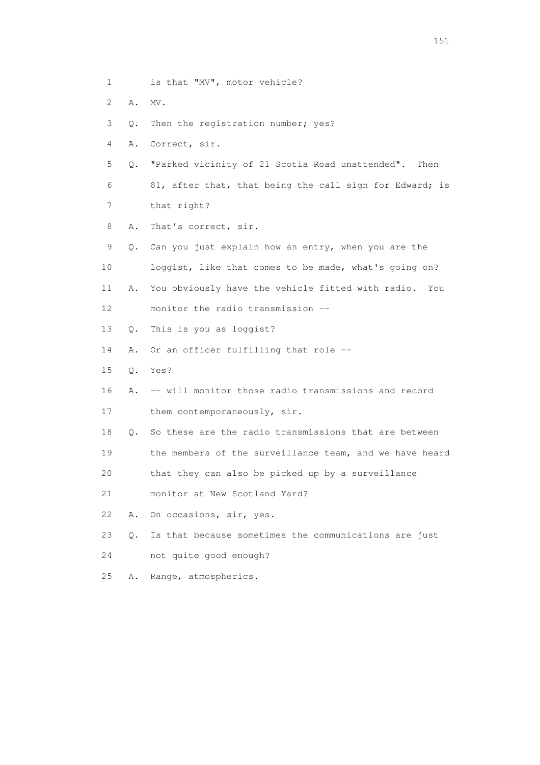- 1 is that "MV", motor vehicle?
- 2 A. MV.
- 3 Q. Then the registration number; yes?
- 4 A. Correct, sir.
- 5 Q. "Parked vicinity of 21 Scotia Road unattended". Then 6 81, after that, that being the call sign for Edward; is
- 7 that right?
- 8 A. That's correct, sir.
- 9 Q. Can you just explain how an entry, when you are the 10 loggist, like that comes to be made, what's going on?
- 11 A. You obviously have the vehicle fitted with radio. You 12 monitor the radio transmission --
- 13 Q. This is you as loggist?
- 14 A. Or an officer fulfilling that role --
- 15 Q. Yes?
- 16 A. -- will monitor those radio transmissions and record
- 17 them contemporaneously, sir.
- 18 Q. So these are the radio transmissions that are between
- 19 the members of the surveillance team, and we have heard
- 20 that they can also be picked up by a surveillance
- 21 monitor at New Scotland Yard?
- 22 A. On occasions, sir, yes.
- 23 Q. Is that because sometimes the communications are just
- 24 not quite good enough?
- 25 A. Range, atmospherics.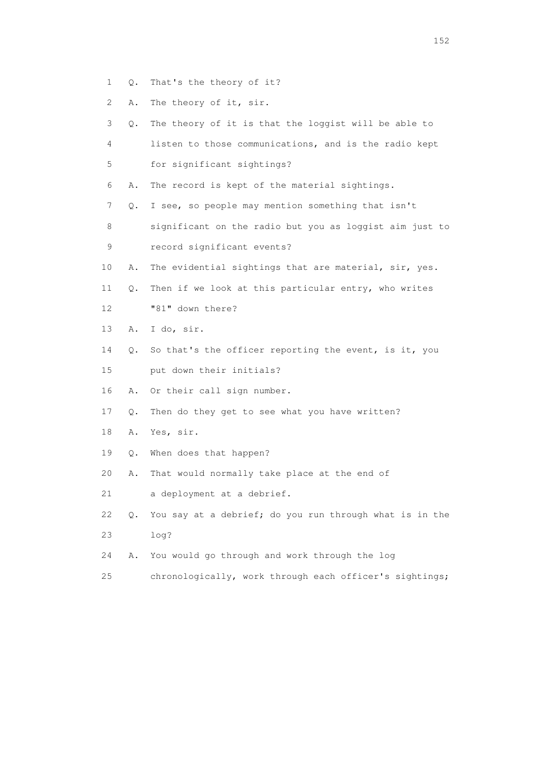- 1 Q. That's the theory of it?
- 2 A. The theory of it, sir.

| 3  | Q. | The theory of it is that the loggist will be able to    |
|----|----|---------------------------------------------------------|
| 4  |    | listen to those communications, and is the radio kept   |
| 5  |    | for significant sightings?                              |
| 6  | Α. | The record is kept of the material sightings.           |
| 7  | Q. | I see, so people may mention something that isn't       |
| 8  |    | significant on the radio but you as loggist aim just to |
| 9  |    | record significant events?                              |
| 10 | Α. | The evidential sightings that are material, sir, yes.   |
| 11 | Q. | Then if we look at this particular entry, who writes    |
| 12 |    | "81" down there?                                        |
| 13 | Α. | I do, sir.                                              |
| 14 | Q. | So that's the officer reporting the event, is it, you   |
| 15 |    | put down their initials?                                |
| 16 | Α. | Or their call sign number.                              |
| 17 | Q. | Then do they get to see what you have written?          |
| 18 | Α. | Yes, sir.                                               |
| 19 | Q. | When does that happen?                                  |
| 20 | Α. | That would normally take place at the end of            |
| 21 |    | a deployment at a debrief.                              |
| 22 | Q. | You say at a debrief; do you run through what is in the |
| 23 |    | log?                                                    |
| 24 | Α. | You would go through and work through the log           |
| 25 |    | chronologically, work through each officer's sightings; |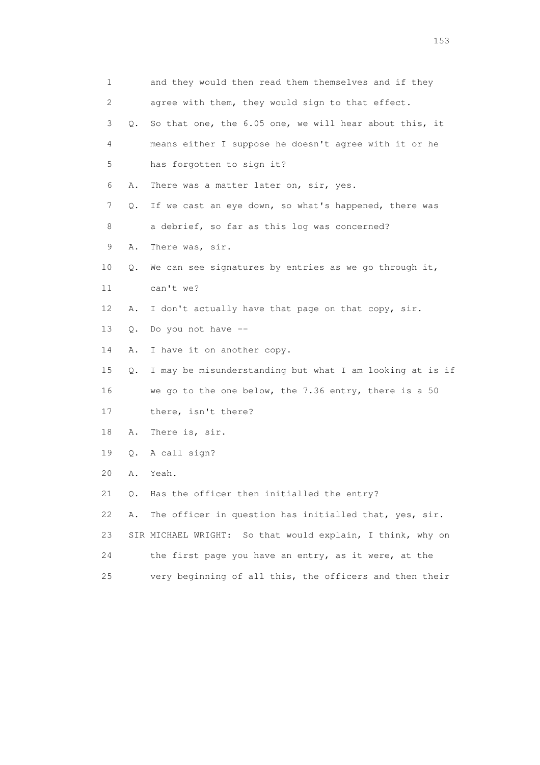| 1  |    | and they would then read them themselves and if they          |
|----|----|---------------------------------------------------------------|
| 2  |    | agree with them, they would sign to that effect.              |
| 3  | Q. | So that one, the 6.05 one, we will hear about this, it        |
| 4  |    | means either I suppose he doesn't agree with it or he         |
| 5  |    | has forgotten to sign it?                                     |
| 6  | Α. | There was a matter later on, sir, yes.                        |
| 7  | Q. | If we cast an eye down, so what's happened, there was         |
| 8  |    | a debrief, so far as this log was concerned?                  |
| 9  | Α. | There was, sir.                                               |
| 10 | Q. | We can see signatures by entries as we go through it,         |
| 11 |    | can't we?                                                     |
| 12 | Α. | I don't actually have that page on that copy, sir.            |
| 13 | Q. | Do you not have --                                            |
| 14 | Α. | I have it on another copy.                                    |
| 15 | Q. | I may be misunderstanding but what I am looking at is if      |
| 16 |    | we go to the one below, the 7.36 entry, there is a 50         |
| 17 |    | there, isn't there?                                           |
| 18 | Α. | There is, sir.                                                |
| 19 | Q. | A call sign?                                                  |
| 20 | Α. | Yeah.                                                         |
| 21 | Q. | Has the officer then initialled the entry?                    |
| 22 | Α. | The officer in question has initialled that, yes, sir.        |
| 23 |    | So that would explain, I think, why on<br>SIR MICHAEL WRIGHT: |
| 24 |    | the first page you have an entry, as it were, at the          |
| 25 |    | very beginning of all this, the officers and then their       |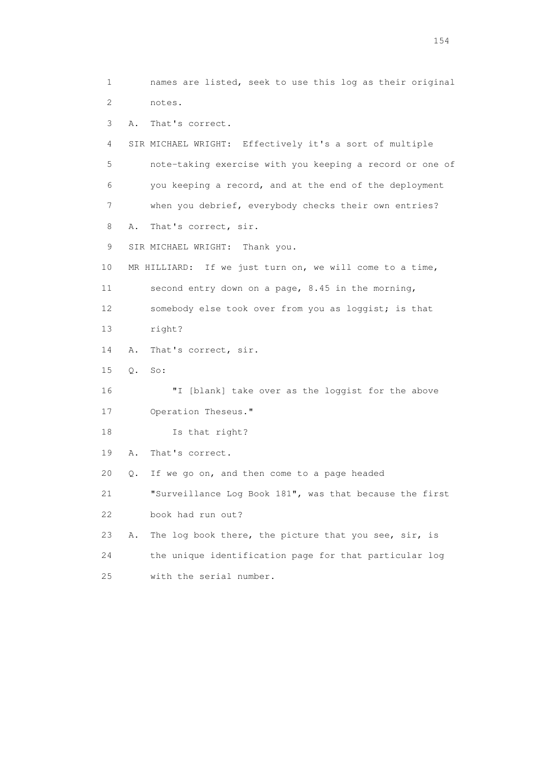1 names are listed, seek to use this log as their original 2 notes. 3 A. That's correct. 4 SIR MICHAEL WRIGHT: Effectively it's a sort of multiple 5 note-taking exercise with you keeping a record or one of 6 you keeping a record, and at the end of the deployment 7 when you debrief, everybody checks their own entries? 8 A. That's correct, sir. 9 SIR MICHAEL WRIGHT: Thank you. 10 MR HILLIARD: If we just turn on, we will come to a time, 11 second entry down on a page, 8.45 in the morning, 12 somebody else took over from you as loggist; is that 13 right? 14 A. That's correct, sir. 15 Q. So: 16 "I [blank] take over as the loggist for the above 17 Operation Theseus." 18 Is that right? 19 A. That's correct. 20 Q. If we go on, and then come to a page headed 21 "Surveillance Log Book 181", was that because the first 22 book had run out? 23 A. The log book there, the picture that you see, sir, is 24 the unique identification page for that particular log 25 with the serial number.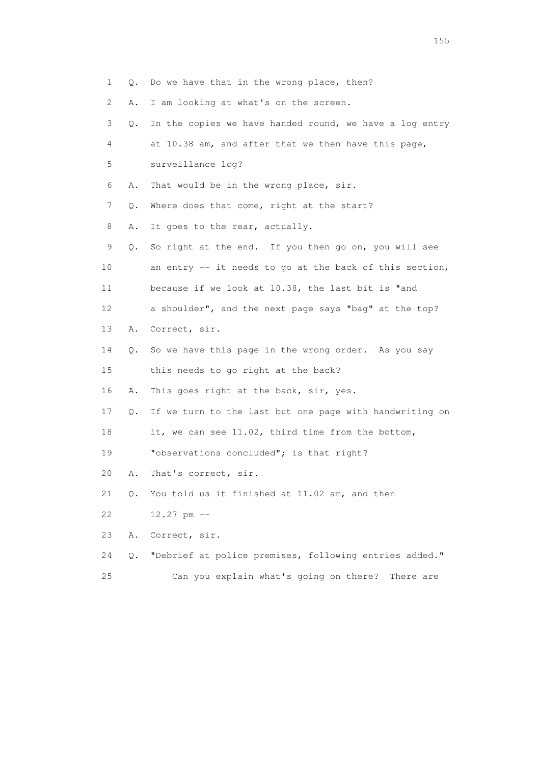| $\mathbf{1}$<br>Q. | Do we have that in the wrong place, then?                |  |
|--------------------|----------------------------------------------------------|--|
| 2<br>Α.            | I am looking at what's on the screen.                    |  |
| 3<br>Q.            | In the copies we have handed round, we have a log entry  |  |
| 4                  | at 10.38 am, and after that we then have this page,      |  |
| 5                  | surveillance log?                                        |  |
| 6<br>Α.            | That would be in the wrong place, sir.                   |  |
| 7<br>Q.            | Where does that come, right at the start?                |  |
| 8<br>Α.            | It goes to the rear, actually.                           |  |
| 9<br>Q.            | So right at the end. If you then go on, you will see     |  |
| 10                 | an entry $-$ it needs to go at the back of this section, |  |
| 11                 | because if we look at 10.38, the last bit is "and        |  |
| 12                 | a shoulder", and the next page says "bag" at the top?    |  |
| 13<br>Α.           | Correct, sir.                                            |  |
| 14<br>Q.           | So we have this page in the wrong order. As you say      |  |
| 15                 | this needs to go right at the back?                      |  |
| 16<br>Α.           | This goes right at the back, sir, yes.                   |  |
| 17<br>Q.           | If we turn to the last but one page with handwriting on  |  |
| 18                 | it, we can see 11.02, third time from the bottom,        |  |
| 19                 | "observations concluded"; is that right?                 |  |
| 20<br>Α.           | That's correct, sir.                                     |  |
| 21<br>Q.           | You told us it finished at 11.02 am, and then            |  |
| 22                 | $12.27$ pm $-$                                           |  |
| 23<br>Α.           | Correct, sir.                                            |  |
| 24<br>$Q$ .        | "Debrief at police premises, following entries added."   |  |
| 25                 | Can you explain what's going on there?<br>There are      |  |

n 155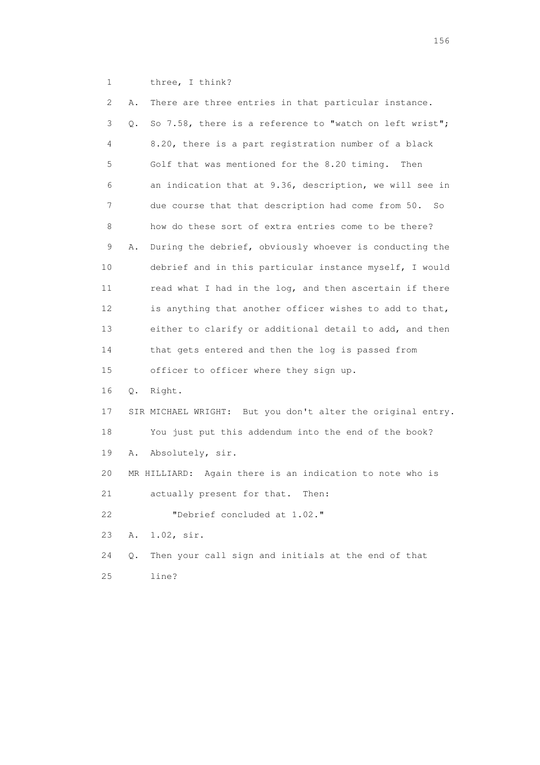1 three, I think?

| 2  | Α. | There are three entries in that particular instance.        |
|----|----|-------------------------------------------------------------|
| 3  | Q. | So 7.58, there is a reference to "watch on left wrist";     |
| 4  |    | 8.20, there is a part registration number of a black        |
| 5  |    | Golf that was mentioned for the 8.20 timing.<br>Then        |
| 6  |    | an indication that at 9.36, description, we will see in     |
| 7  |    | due course that that description had come from 50. So       |
| 8  |    | how do these sort of extra entries come to be there?        |
| 9  | Α. | During the debrief, obviously whoever is conducting the     |
| 10 |    | debrief and in this particular instance myself, I would     |
| 11 |    | read what I had in the log, and then ascertain if there     |
| 12 |    | is anything that another officer wishes to add to that,     |
| 13 |    | either to clarify or additional detail to add, and then     |
| 14 |    | that gets entered and then the log is passed from           |
| 15 |    | officer to officer where they sign up.                      |
| 16 | Q. | Right.                                                      |
| 17 |    | SIR MICHAEL WRIGHT: But you don't alter the original entry. |
| 18 |    | You just put this addendum into the end of the book?        |
| 19 | Α. | Absolutely, sir.                                            |
| 20 |    | MR HILLIARD: Again there is an indication to note who is    |
| 21 |    | actually present for that.<br>Then:                         |
| 22 |    | "Debrief concluded at 1.02."                                |
| 23 | Α. | $1.02$ , sir.                                               |
| 24 | Q. | Then your call sign and initials at the end of that         |
| 25 |    | line?                                                       |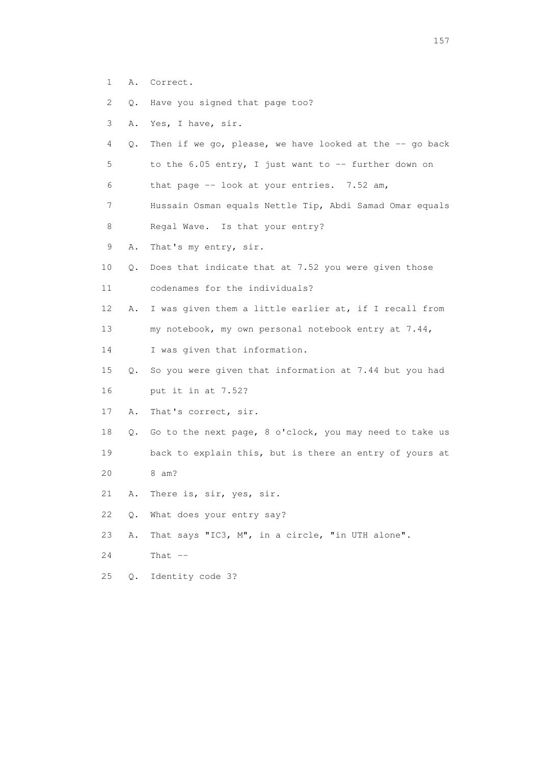- 1 A. Correct.
- 2 Q. Have you signed that page too?
- 3 A. Yes, I have, sir.
- 4 Q. Then if we go, please, we have looked at the -- go back 5 to the 6.05 entry, I just want to -- further down on
- 6 that page -- look at your entries. 7.52 am,
- 7 Hussain Osman equals Nettle Tip, Abdi Samad Omar equals 8 Regal Wave. Is that your entry?
- 9 A. That's my entry, sir.
- 10 Q. Does that indicate that at 7.52 you were given those 11 codenames for the individuals?
- 12 A. I was given them a little earlier at, if I recall from 13 my notebook, my own personal notebook entry at 7.44,
- 14 I was given that information.
- 15 Q. So you were given that information at 7.44 but you had 16 put it in at 7.52?
- 17 A. That's correct, sir.
- 18 Q. Go to the next page, 8 o'clock, you may need to take us 19 back to explain this, but is there an entry of yours at 20 8 am?
- 21 A. There is, sir, yes, sir.
- 22 Q. What does your entry say?
- 23 A. That says "IC3, M", in a circle, "in UTH alone".
- 24 That --
- 25 Q. Identity code 3?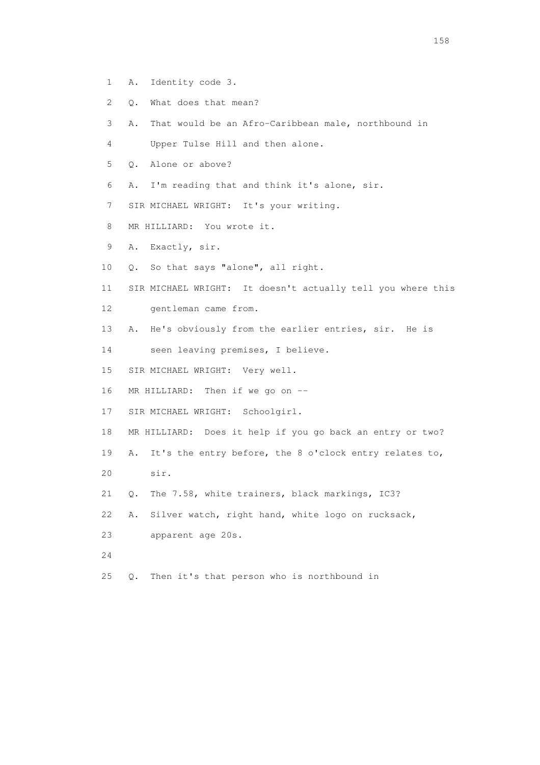- 1 A. Identity code 3.
- 2 Q. What does that mean?
- 3 A. That would be an Afro-Caribbean male, northbound in
- 4 Upper Tulse Hill and then alone.
- 5 Q. Alone or above?
- 6 A. I'm reading that and think it's alone, sir.
- 7 SIR MICHAEL WRIGHT: It's your writing.
- 8 MR HILLIARD: You wrote it.
- 9 A. Exactly, sir.
- 10 Q. So that says "alone", all right.
- 11 SIR MICHAEL WRIGHT: It doesn't actually tell you where this 12 gentleman came from.
- 13 A. He's obviously from the earlier entries, sir. He is
- 14 seen leaving premises, I believe.
- 15 SIR MICHAEL WRIGHT: Very well.
- 16 MR HILLIARD: Then if we go on --
- 17 SIR MICHAEL WRIGHT: Schoolgirl.
- 18 MR HILLIARD: Does it help if you go back an entry or two?
- 19 A. It's the entry before, the 8 o'clock entry relates to,
- 20 sir.
- 21 Q. The 7.58, white trainers, black markings, IC3?
- 22 A. Silver watch, right hand, white logo on rucksack,
- 23 apparent age 20s.
- 24
- 25 Q. Then it's that person who is northbound in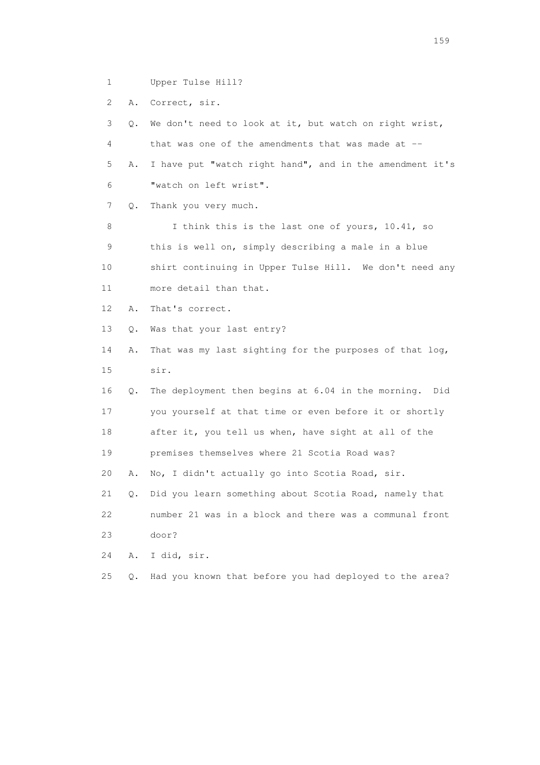1 Upper Tulse Hill?

2 A. Correct, sir.

 3 Q. We don't need to look at it, but watch on right wrist, 4 that was one of the amendments that was made at -- 5 A. I have put "watch right hand", and in the amendment it's 6 "watch on left wrist". 7 Q. Thank you very much. 8 I think this is the last one of yours, 10.41, so 9 this is well on, simply describing a male in a blue 10 shirt continuing in Upper Tulse Hill. We don't need any 11 more detail than that. 12 A. That's correct. 13 Q. Was that your last entry? 14 A. That was my last sighting for the purposes of that log, 15 sir. 16 Q. The deployment then begins at 6.04 in the morning. Did 17 you yourself at that time or even before it or shortly 18 after it, you tell us when, have sight at all of the 19 premises themselves where 21 Scotia Road was? 20 A. No, I didn't actually go into Scotia Road, sir. 21 Q. Did you learn something about Scotia Road, namely that 22 number 21 was in a block and there was a communal front 23 door? 24 A. I did, sir. 25 Q. Had you known that before you had deployed to the area?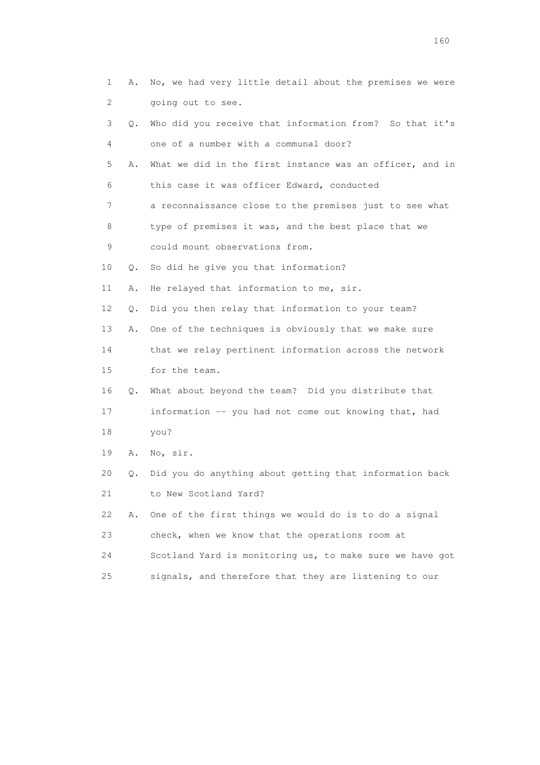| 1  | Α. | No, we had very little detail about the premises we were |
|----|----|----------------------------------------------------------|
| 2  |    | going out to see.                                        |
| 3  | О. | Who did you receive that information from? So that it's  |
| 4  |    | one of a number with a communal door?                    |
| 5  | Α. | What we did in the first instance was an officer, and in |
| 6  |    | this case it was officer Edward, conducted               |
| 7  |    | a reconnaissance close to the premises just to see what  |
| 8  |    | type of premises it was, and the best place that we      |
| 9  |    | could mount observations from.                           |
| 10 | Q. | So did he give you that information?                     |
| 11 | Α. | He relayed that information to me, sir.                  |
| 12 | Q. | Did you then relay that information to your team?        |
| 13 | Α. | One of the techniques is obviously that we make sure     |
| 14 |    | that we relay pertinent information across the network   |
| 15 |    | for the team.                                            |
| 16 | Q. | What about beyond the team? Did you distribute that      |
| 17 |    | information -- you had not come out knowing that, had    |
| 18 |    | you?                                                     |
| 19 | Α. | No, sir.                                                 |
| 20 | Q. | Did you do anything about getting that information back  |
| 21 |    | to New Scotland Yard?                                    |
| 22 | Α. | One of the first things we would do is to do a signal    |
| 23 |    | check, when we know that the operations room at          |
| 24 |    | Scotland Yard is monitoring us, to make sure we have got |
| 25 |    | signals, and therefore that they are listening to our    |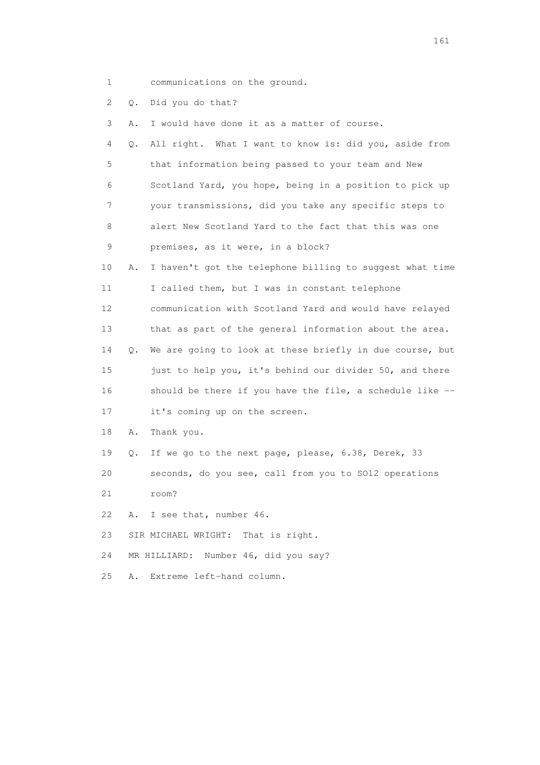1 communications on the ground.

2 Q. Did you do that?

3 A. I would have done it as a matter of course.

|   | 4 Q. All right. What I want to know is: did you, aside from |
|---|-------------------------------------------------------------|
| 5 | that information being passed to your team and New          |
| 6 | Scotland Yard, you hope, being in a position to pick up     |
| 7 | your transmissions, did you take any specific steps to      |
| 8 | alert New Scotland Yard to the fact that this was one       |
| 9 | premises, as it were, in a block?                           |

 10 A. I haven't got the telephone billing to suggest what time 11 I called them, but I was in constant telephone 12 communication with Scotland Yard and would have relayed 13 that as part of the general information about the area. 14 Q. We are going to look at these briefly in due course, but 15 just to help you, it's behind our divider 50, and there 16 should be there if you have the file, a schedule like --

17 it's coming up on the screen.

18 A. Thank you.

19 Q. If we go to the next page, please, 6.38, Derek, 33

20 seconds, do you see, call from you to SO12 operations

21 room?

22 A. I see that, number 46.

23 SIR MICHAEL WRIGHT: That is right.

24 MR HILLIARD: Number 46, did you say?

25 A. Extreme left-hand column.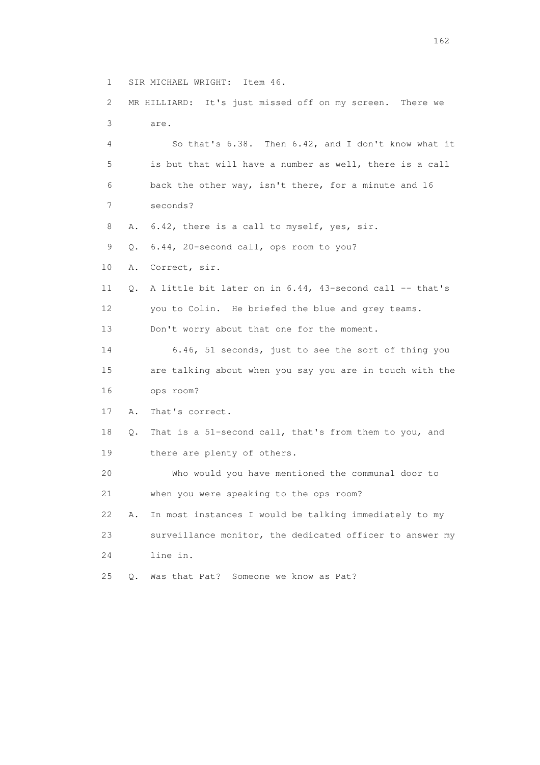1 SIR MICHAEL WRIGHT: Item 46.

 2 MR HILLIARD: It's just missed off on my screen. There we 3 are.

 4 So that's 6.38. Then 6.42, and I don't know what it 5 is but that will have a number as well, there is a call 6 back the other way, isn't there, for a minute and 16 7 seconds?

8 A. 6.42, there is a call to myself, yes, sir.

9 Q. 6.44, 20-second call, ops room to you?

10 A. Correct, sir.

 11 Q. A little bit later on in 6.44, 43-second call -- that's 12 you to Colin. He briefed the blue and grey teams. 13 Don't worry about that one for the moment.

 14 6.46, 51 seconds, just to see the sort of thing you 15 are talking about when you say you are in touch with the 16 ops room?

17 A. That's correct.

 18 Q. That is a 51-second call, that's from them to you, and 19 there are plenty of others.

 20 Who would you have mentioned the communal door to 21 when you were speaking to the ops room? 22 A. In most instances I would be talking immediately to my

 23 surveillance monitor, the dedicated officer to answer my 24 line in.

25 Q. Was that Pat? Someone we know as Pat?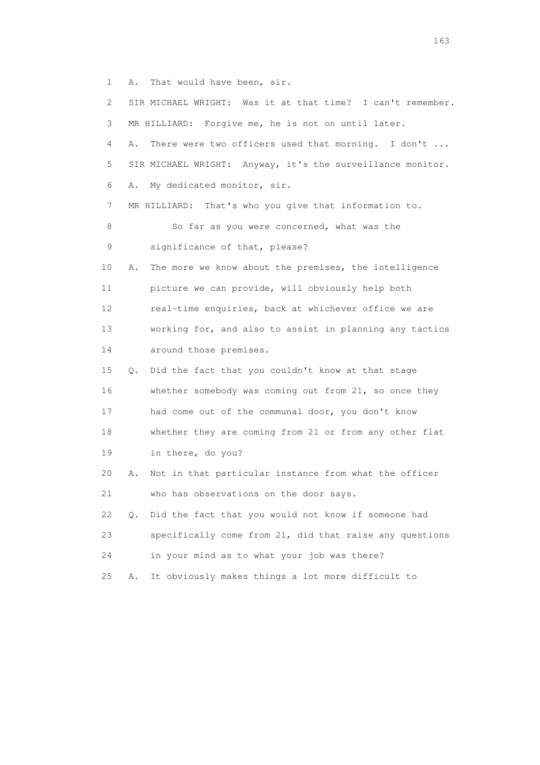1 A. That would have been, sir.

| $\mathbf{2}$ |    | SIR MICHAEL WRIGHT: Was it at that time? I can't remember. |
|--------------|----|------------------------------------------------------------|
| 3            |    | MR HILLIARD: Forgive me, he is not on until later.         |
| 4            | Α. | There were two officers used that morning. I don't         |
| 5            |    | SIR MICHAEL WRIGHT: Anyway, it's the surveillance monitor. |
| 6            | Α. | My dedicated monitor, sir.                                 |
| 7            |    | MR HILLIARD: That's who you give that information to.      |
| 8            |    | So far as you were concerned, what was the                 |
| 9            |    | significance of that, please?                              |
| 10           | Α. | The more we know about the premises, the intelligence      |
| 11           |    | picture we can provide, will obviously help both           |
| 12           |    | real-time enquiries, back at whichever office we are       |
| 13           |    | working for, and also to assist in planning any tactics    |
| 14           |    | around those premises.                                     |
| 15           | Q. | Did the fact that you couldn't know at that stage          |
| 16           |    | whether somebody was coming out from 21, so once they      |
| 17           |    | had come out of the communal door, you don't know          |
| 18           |    | whether they are coming from 21 or from any other flat     |
| 19           |    | in there, do you?                                          |
| 20           | Α. | Not in that particular instance from what the officer      |
| 21           |    | who has observations on the door says.                     |
| 22           | Q. | Did the fact that you would not know if someone had        |
| 23           |    | specifically come from 21, did that raise any questions    |
| 24           |    | in your mind as to what your job was there?                |
| 25           | Α. | It obviously makes things a lot more difficult to          |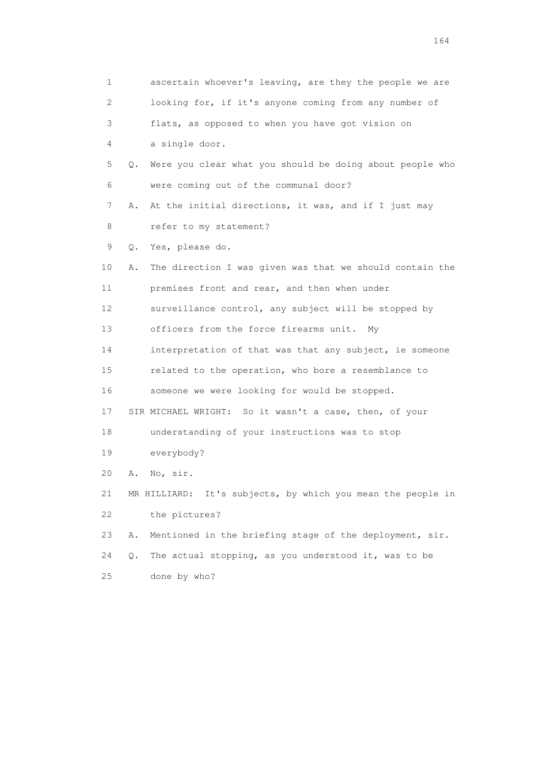| 1                         | ascertain whoever's leaving, are they the people we are        |
|---------------------------|----------------------------------------------------------------|
| $\mathbf{2}^{\mathsf{I}}$ | looking for, if it's anyone coming from any number of          |
| 3                         | flats, as opposed to when you have got vision on               |
| 4                         | a single door.                                                 |
| 5                         | Were you clear what you should be doing about people who<br>Q. |
| 6                         | were coming out of the communal door?                          |
| 7                         | At the initial directions, it was, and if I just may<br>Α.     |
| 8                         | refer to my statement?                                         |
| 9                         | Yes, please do.<br>Q.                                          |
| 10                        | The direction I was given was that we should contain the<br>Α. |
| 11                        | premises front and rear, and then when under                   |
| 12                        | surveillance control, any subject will be stopped by           |
| 13                        | officers from the force firearms unit.<br>Mv                   |
| 14                        | interpretation of that was that any subject, ie someone        |
| 15                        | related to the operation, who bore a resemblance to            |
| 16                        | someone we were looking for would be stopped.                  |
| 17                        | SIR MICHAEL WRIGHT: So it wasn't a case, then, of your         |
| 18                        | understanding of your instructions was to stop                 |
| 19                        | everybody?                                                     |
| 20                        | No, sir.<br>Α.                                                 |
| 21                        | It's subjects, by which you mean the people in<br>MR HILLIARD: |
| 22                        | the pictures?                                                  |
| 23                        | Mentioned in the briefing stage of the deployment, sir.<br>Α.  |
| 24                        | The actual stopping, as you understood it, was to be<br>Q.     |
| 25                        | done by who?                                                   |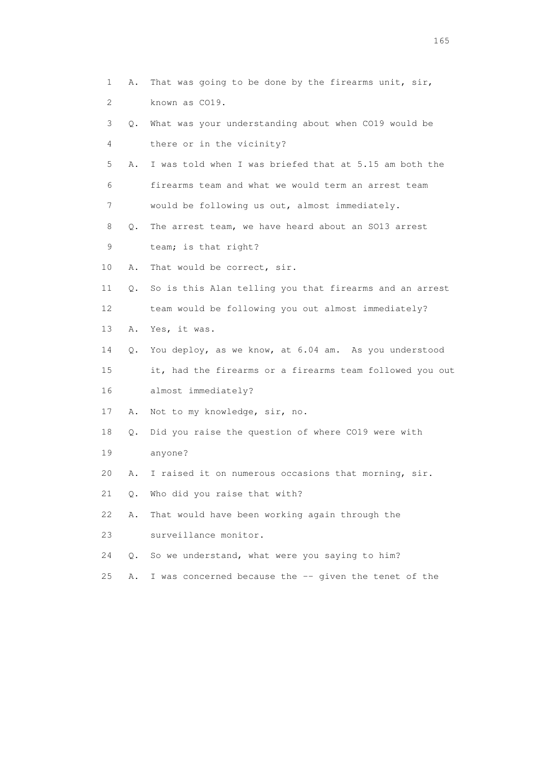| 1                         | Α.    | That was going to be done by the firearms unit, sir,     |
|---------------------------|-------|----------------------------------------------------------|
| $\mathbf{2}^{\mathsf{I}}$ |       | known as CO19.                                           |
| 3                         | Q.    | What was your understanding about when CO19 would be     |
| 4                         |       | there or in the vicinity?                                |
| 5                         | Α.    | I was told when I was briefed that at 5.15 am both the   |
| 6                         |       | firearms team and what we would term an arrest team      |
| 7                         |       | would be following us out, almost immediately.           |
| 8                         | Q.    | The arrest team, we have heard about an SO13 arrest      |
| 9                         |       | team; is that right?                                     |
| 10                        | Α.    | That would be correct, sir.                              |
| 11                        | Q.    | So is this Alan telling you that firearms and an arrest  |
| 12                        |       | team would be following you out almost immediately?      |
| 13                        | Α.    | Yes, it was.                                             |
| 14                        | Q.    | You deploy, as we know, at 6.04 am. As you understood    |
| 15                        |       | it, had the firearms or a firearms team followed you out |
| 16                        |       | almost immediately?                                      |
| 17                        | Α.    | Not to my knowledge, sir, no.                            |
| 18                        | $Q$ . | Did you raise the question of where CO19 were with       |
| 19                        |       | anyone?                                                  |
| 20                        | Α.    | I raised it on numerous occasions that morning, sir.     |
| 21                        | Q.    | Who did you raise that with?                             |
| 22                        | Α.    | That would have been working again through the           |
| 23                        |       | surveillance monitor.                                    |
| 24                        | Q.    | So we understand, what were you saying to him?           |
| 25                        | Α.    | I was concerned because the -- given the tenet of the    |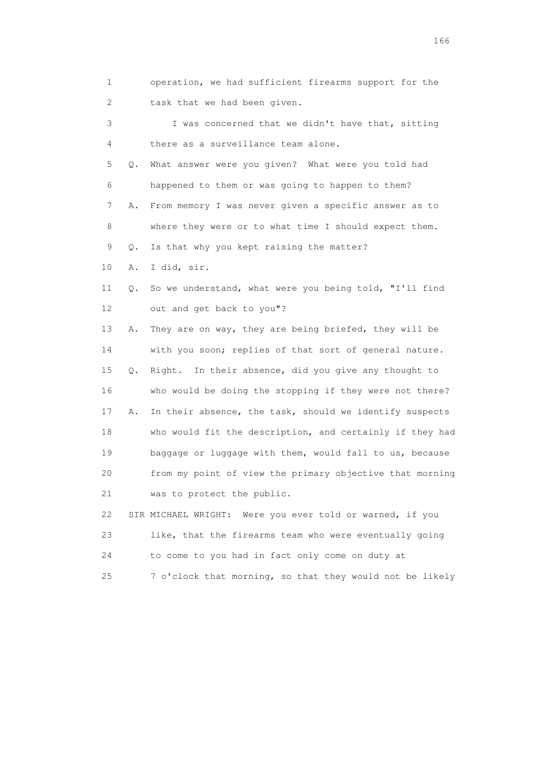1 operation, we had sufficient firearms support for the 2 task that we had been given.

 3 I was concerned that we didn't have that, sitting 4 there as a surveillance team alone. 5 Q. What answer were you given? What were you told had 6 happened to them or was going to happen to them? 7 A. From memory I was never given a specific answer as to 8 where they were or to what time I should expect them. 9 Q. Is that why you kept raising the matter? 10 A. I did, sir. 11 Q. So we understand, what were you being told, "I'll find 12 out and get back to you"? 13 A. They are on way, they are being briefed, they will be 14 with you soon; replies of that sort of general nature. 15 Q. Right. In their absence, did you give any thought to 16 who would be doing the stopping if they were not there? 17 A. In their absence, the task, should we identify suspects 18 who would fit the description, and certainly if they had 19 baggage or luggage with them, would fall to us, because 20 from my point of view the primary objective that morning 21 was to protect the public. 22 SIR MICHAEL WRIGHT: Were you ever told or warned, if you 23 like, that the firearms team who were eventually going

 24 to come to you had in fact only come on duty at 25 7 o'clock that morning, so that they would not be likely

<u>166</u> **166**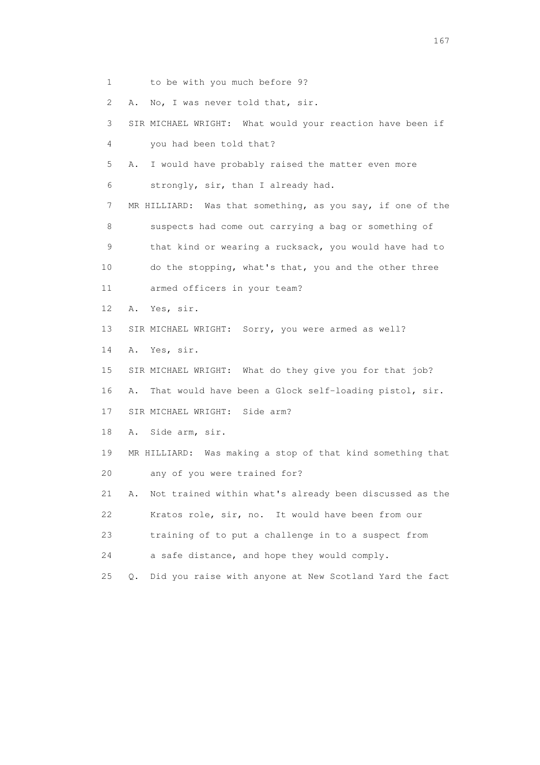1 to be with you much before 9?

2 A. No, I was never told that, sir.

 3 SIR MICHAEL WRIGHT: What would your reaction have been if 4 you had been told that?

 5 A. I would have probably raised the matter even more 6 strongly, sir, than I already had.

 7 MR HILLIARD: Was that something, as you say, if one of the 8 suspects had come out carrying a bag or something of 9 that kind or wearing a rucksack, you would have had to 10 do the stopping, what's that, you and the other three

11 armed officers in your team?

12 A. Yes, sir.

13 SIR MICHAEL WRIGHT: Sorry, you were armed as well?

14 A. Yes, sir.

15 SIR MICHAEL WRIGHT: What do they give you for that job?

16 A. That would have been a Glock self-loading pistol, sir.

17 SIR MICHAEL WRIGHT: Side arm?

18 A. Side arm, sir.

 19 MR HILLIARD: Was making a stop of that kind something that 20 any of you were trained for?

 21 A. Not trained within what's already been discussed as the 22 Kratos role, sir, no. It would have been from our

23 training of to put a challenge in to a suspect from

24 a safe distance, and hope they would comply.

25 Q. Did you raise with anyone at New Scotland Yard the fact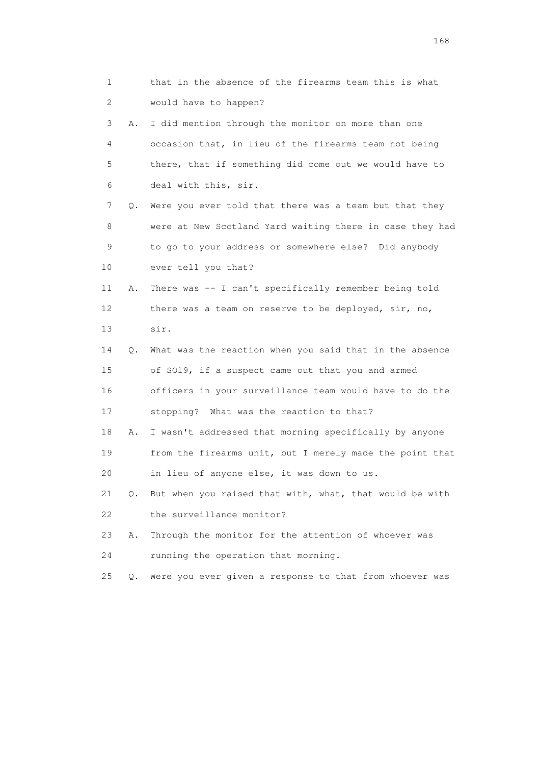| 1                         |    | that in the absence of the firearms team this is what    |
|---------------------------|----|----------------------------------------------------------|
| $\mathbf{2}^{\mathsf{I}}$ |    | would have to happen?                                    |
| 3                         | Α. | I did mention through the monitor on more than one       |
| 4                         |    | occasion that, in lieu of the firearms team not being    |
| 5                         |    | there, that if something did come out we would have to   |
| 6                         |    | deal with this, sir.                                     |
| 7                         | Q. | Were you ever told that there was a team but that they   |
| 8                         |    | were at New Scotland Yard waiting there in case they had |
| 9                         |    | to go to your address or somewhere else? Did anybody     |
| 10                        |    | ever tell you that?                                      |
| 11                        | Α. | There was -- I can't specifically remember being told    |
| 12                        |    | there was a team on reserve to be deployed, sir, no,     |
| 13                        |    | sir.                                                     |
| 14                        | Q. | What was the reaction when you said that in the absence  |
| 15                        |    | of SO19, if a suspect came out that you and armed        |
| 16                        |    | officers in your surveillance team would have to do the  |
| 17                        |    | stopping? What was the reaction to that?                 |
| 18                        | Α. | I wasn't addressed that morning specifically by anyone   |
| 19                        |    | from the firearms unit, but I merely made the point that |
| 20                        |    | in lieu of anyone else, it was down to us.               |
| 21                        | Q. | But when you raised that with, what, that would be with  |
| 22                        |    | the surveillance monitor?                                |
| 23                        | Α. | Through the monitor for the attention of whoever was     |
| 24                        |    | running the operation that morning.                      |
| 25                        | Q. | Were you ever given a response to that from whoever was  |

<u>168</u> **168**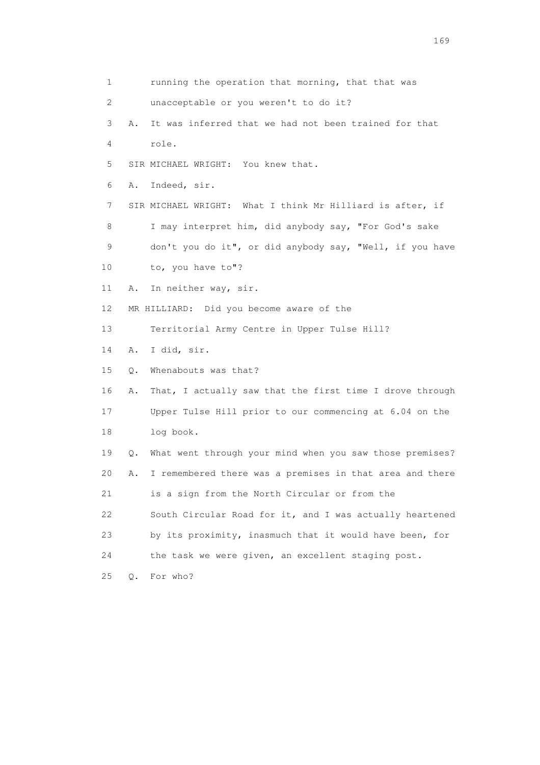1 running the operation that morning, that that was 2 unacceptable or you weren't to do it? 3 A. It was inferred that we had not been trained for that 4 role. 5 SIR MICHAEL WRIGHT: You knew that. 6 A. Indeed, sir. 7 SIR MICHAEL WRIGHT: What I think Mr Hilliard is after, if 8 I may interpret him, did anybody say, "For God's sake 9 don't you do it", or did anybody say, "Well, if you have 10 to, you have to"? 11 A. In neither way, sir. 12 MR HILLIARD: Did you become aware of the 13 Territorial Army Centre in Upper Tulse Hill? 14 A. I did, sir. 15 Q. Whenabouts was that? 16 A. That, I actually saw that the first time I drove through 17 Upper Tulse Hill prior to our commencing at 6.04 on the 18 log book. 19 Q. What went through your mind when you saw those premises? 20 A. I remembered there was a premises in that area and there 21 is a sign from the North Circular or from the 22 South Circular Road for it, and I was actually heartened 23 by its proximity, inasmuch that it would have been, for 24 the task we were given, an excellent staging post. 25 Q. For who?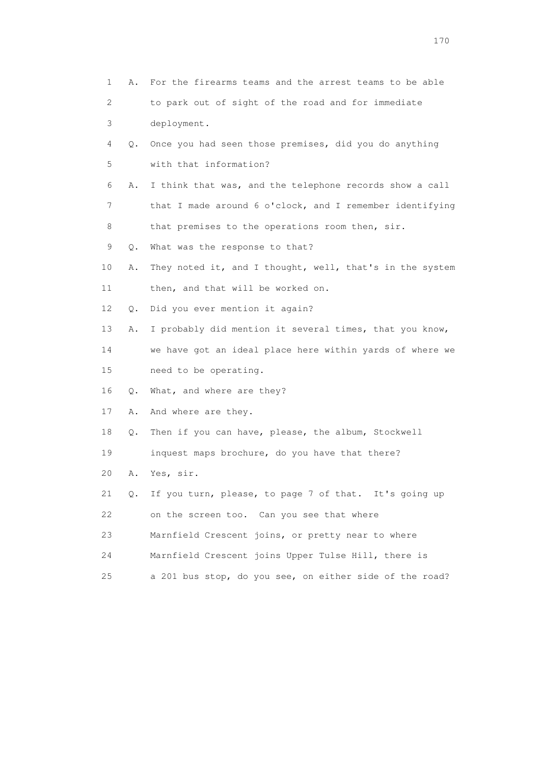| 1  | Α. | For the firearms teams and the arrest teams to be able   |
|----|----|----------------------------------------------------------|
| 2  |    | to park out of sight of the road and for immediate       |
| 3  |    | deployment.                                              |
| 4  | Q. | Once you had seen those premises, did you do anything    |
| 5  |    | with that information?                                   |
| 6  | Α. | I think that was, and the telephone records show a call  |
| 7  |    | that I made around 6 o'clock, and I remember identifying |
| 8  |    | that premises to the operations room then, sir.          |
| 9  | Q. | What was the response to that?                           |
| 10 | Α. | They noted it, and I thought, well, that's in the system |
| 11 |    | then, and that will be worked on.                        |
| 12 | Q. | Did you ever mention it again?                           |
| 13 | Α. | I probably did mention it several times, that you know,  |
| 14 |    | we have got an ideal place here within yards of where we |
| 15 |    | need to be operating.                                    |
| 16 | Q. | What, and where are they?                                |
| 17 | Α. | And where are they.                                      |
| 18 | Q. | Then if you can have, please, the album, Stockwell       |
| 19 |    | inquest maps brochure, do you have that there?           |
| 20 | Α. | Yes, sir.                                                |
| 21 | Q. | If you turn, please, to page 7 of that. It's going up    |
| 22 |    | on the screen too. Can you see that where                |
| 23 |    | Marnfield Crescent joins, or pretty near to where        |
| 24 |    | Marnfield Crescent joins Upper Tulse Hill, there is      |
| 25 |    | a 201 bus stop, do you see, on either side of the road?  |
|    |    |                                                          |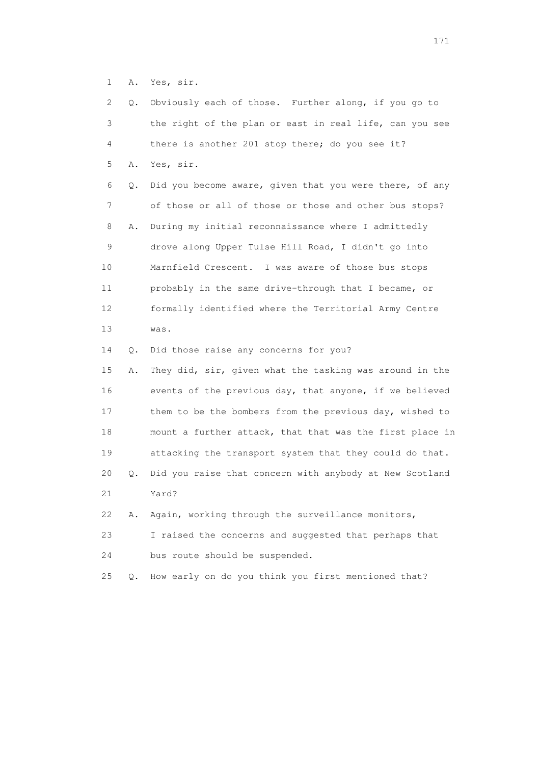1 A. Yes, sir.

| 2  | Q. | Obviously each of those. Further along, if you go to     |
|----|----|----------------------------------------------------------|
| 3  |    | the right of the plan or east in real life, can you see  |
| 4  |    | there is another 201 stop there; do you see it?          |
| 5  | Α. | Yes, sir.                                                |
| 6  | Q. | Did you become aware, given that you were there, of any  |
| 7  |    | of those or all of those or those and other bus stops?   |
| 8  | Α. | During my initial reconnaissance where I admittedly      |
| 9  |    | drove along Upper Tulse Hill Road, I didn't go into      |
| 10 |    | Marnfield Crescent. I was aware of those bus stops       |
| 11 |    | probably in the same drive-through that I became, or     |
| 12 |    | formally identified where the Territorial Army Centre    |
| 13 |    | was.                                                     |
| 14 | Q. | Did those raise any concerns for you?                    |
| 15 | Α. | They did, sir, given what the tasking was around in the  |
| 16 |    | events of the previous day, that anyone, if we believed  |
| 17 |    | them to be the bombers from the previous day, wished to  |
| 18 |    | mount a further attack, that that was the first place in |
| 19 |    | attacking the transport system that they could do that.  |
| 20 | Q. | Did you raise that concern with anybody at New Scotland  |
| 21 |    | Yard?                                                    |
| 22 | Α. | Again, working through the surveillance monitors,        |
| 23 |    | I raised the concerns and suggested that perhaps that    |
| 24 |    | bus route should be suspended.                           |
| 25 | О. | How early on do you think you first mentioned that?      |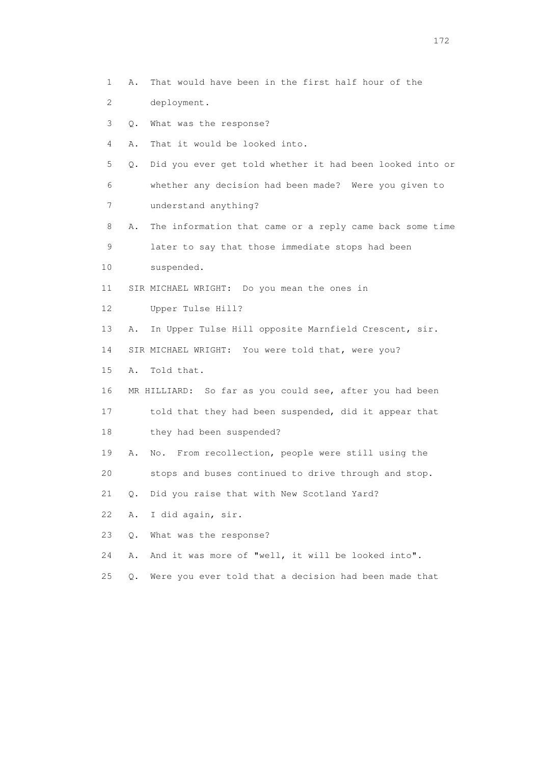- 1 A. That would have been in the first half hour of the
- 2 deployment.
- 3 Q. What was the response?
- 4 A. That it would be looked into.
- 5 Q. Did you ever get told whether it had been looked into or 6 whether any decision had been made? Were you given to 7 understand anything?
- 8 A. The information that came or a reply came back some time 9 later to say that those immediate stops had been
- 10 suspended.
- 11 SIR MICHAEL WRIGHT: Do you mean the ones in
- 12 Upper Tulse Hill?
- 13 A. In Upper Tulse Hill opposite Marnfield Crescent, sir.
- 14 SIR MICHAEL WRIGHT: You were told that, were you?
- 15 A. Told that.
- 16 MR HILLIARD: So far as you could see, after you had been
- 17 told that they had been suspended, did it appear that 18 they had been suspended?
- 19 A. No. From recollection, people were still using the
- 20 stops and buses continued to drive through and stop.
- 21 Q. Did you raise that with New Scotland Yard?
- 22 A. I did again, sir.
- 23 Q. What was the response?
- 24 A. And it was more of "well, it will be looked into".
- 25 Q. Were you ever told that a decision had been made that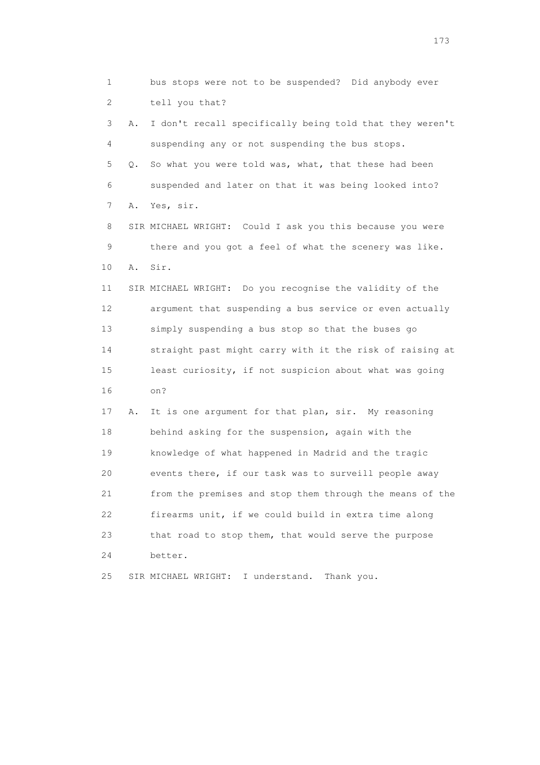1 bus stops were not to be suspended? Did anybody ever 2 tell you that? 3 A. I don't recall specifically being told that they weren't 4 suspending any or not suspending the bus stops. 5 Q. So what you were told was, what, that these had been 6 suspended and later on that it was being looked into? 7 A. Yes, sir. 8 SIR MICHAEL WRIGHT: Could I ask you this because you were 9 there and you got a feel of what the scenery was like. 10 A. Sir. 11 SIR MICHAEL WRIGHT: Do you recognise the validity of the 12 argument that suspending a bus service or even actually 13 simply suspending a bus stop so that the buses go 14 straight past might carry with it the risk of raising at 15 least curiosity, if not suspicion about what was going 16 on? 17 A. It is one argument for that plan, sir. My reasoning 18 behind asking for the suspension, again with the 19 knowledge of what happened in Madrid and the tragic 20 events there, if our task was to surveill people away 21 from the premises and stop them through the means of the 22 firearms unit, if we could build in extra time along 23 that road to stop them, that would serve the purpose 24 better. 25 SIR MICHAEL WRIGHT: I understand. Thank you.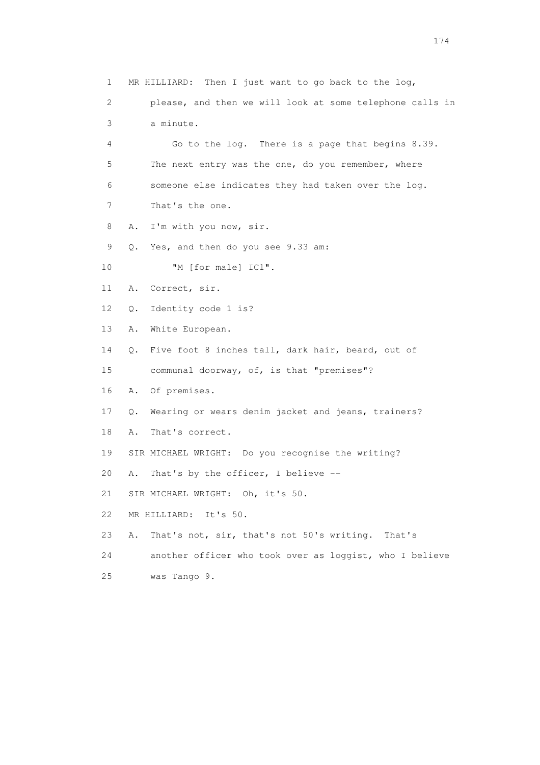1 MR HILLIARD: Then I just want to go back to the log, 2 please, and then we will look at some telephone calls in 3 a minute. 4 Go to the log. There is a page that begins 8.39. 5 The next entry was the one, do you remember, where 6 someone else indicates they had taken over the log. 7 That's the one. 8 A. I'm with you now, sir. 9 Q. Yes, and then do you see 9.33 am: 10 "M [for male] IC1". 11 A. Correct, sir. 12 Q. Identity code 1 is? 13 A. White European. 14 Q. Five foot 8 inches tall, dark hair, beard, out of 15 communal doorway, of, is that "premises"? 16 A. Of premises. 17 Q. Wearing or wears denim jacket and jeans, trainers? 18 A. That's correct. 19 SIR MICHAEL WRIGHT: Do you recognise the writing? 20 A. That's by the officer, I believe -- 21 SIR MICHAEL WRIGHT: Oh, it's 50. 22 MR HILLIARD: It's 50. 23 A. That's not, sir, that's not 50's writing. That's 24 another officer who took over as loggist, who I believe 25 was Tango 9.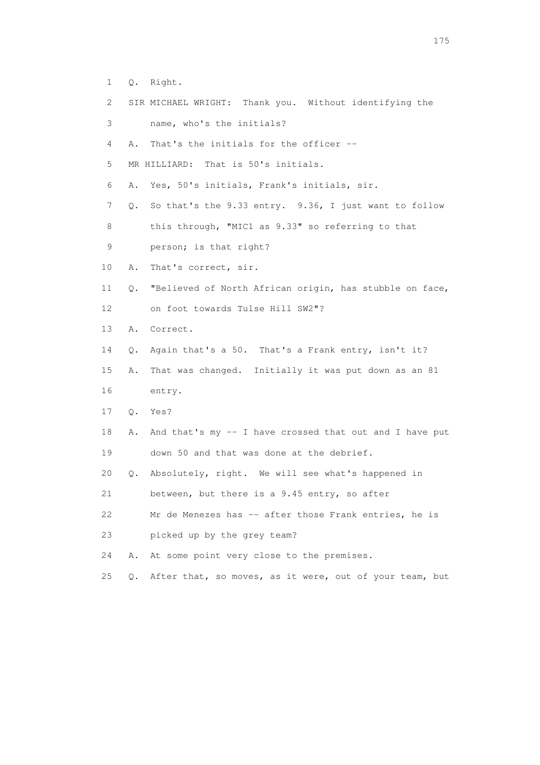- 1 Q. Right.
- 2 SIR MICHAEL WRIGHT: Thank you. Without identifying the
- 3 name, who's the initials?
- 4 A. That's the initials for the officer --
- 5 MR HILLIARD: That is 50's initials.
- 6 A. Yes, 50's initials, Frank's initials, sir.
- 7 Q. So that's the 9.33 entry. 9.36, I just want to follow
- 8 this through, "MIC1 as 9.33" so referring to that
- 9 person; is that right?
- 10 A. That's correct, sir.
- 11 Q. "Believed of North African origin, has stubble on face, 12 on foot towards Tulse Hill SW2"?
- 13 A. Correct.
- 14 Q. Again that's a 50. That's a Frank entry, isn't it?
- 15 A. That was changed. Initially it was put down as an 81 16 entry.
- 17 Q. Yes?
- 18 A. And that's my -- I have crossed that out and I have put 19 down 50 and that was done at the debrief.
- 20 Q. Absolutely, right. We will see what's happened in

21 between, but there is a 9.45 entry, so after

- 22 Mr de Menezes has -- after those Frank entries, he is 23 picked up by the grey team?
- 24 A. At some point very close to the premises.
- 25 Q. After that, so moves, as it were, out of your team, but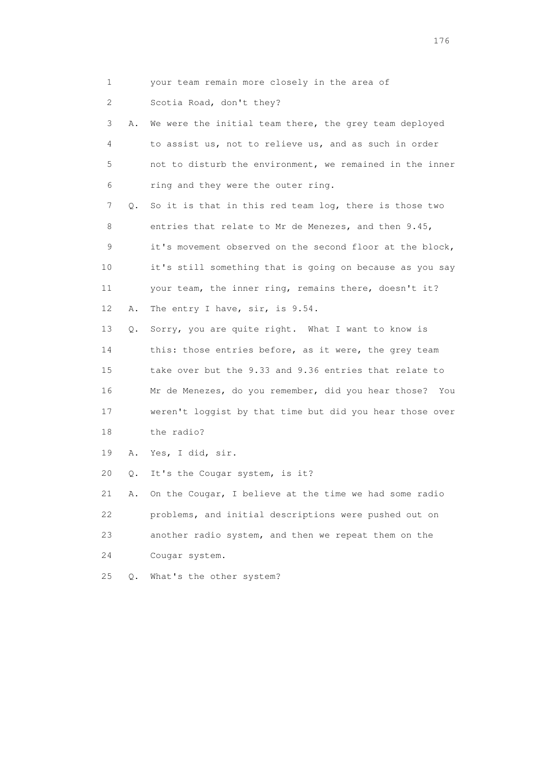- 
- 1 your team remain more closely in the area of
- 2 Scotia Road, don't they?

 3 A. We were the initial team there, the grey team deployed 4 to assist us, not to relieve us, and as such in order 5 not to disturb the environment, we remained in the inner 6 ring and they were the outer ring.

 7 Q. So it is that in this red team log, there is those two 8 entries that relate to Mr de Menezes, and then 9.45, 9 it's movement observed on the second floor at the block, 10 it's still something that is going on because as you say 11 your team, the inner ring, remains there, doesn't it? 12 A. The entry I have, sir, is 9.54.

 13 Q. Sorry, you are quite right. What I want to know is 14 this: those entries before, as it were, the grey team 15 take over but the 9.33 and 9.36 entries that relate to 16 Mr de Menezes, do you remember, did you hear those? You 17 weren't loggist by that time but did you hear those over 18 the radio?

19 A. Yes, I did, sir.

20 Q. It's the Cougar system, is it?

 21 A. On the Cougar, I believe at the time we had some radio 22 problems, and initial descriptions were pushed out on 23 another radio system, and then we repeat them on the 24 Cougar system.

25 Q. What's the other system?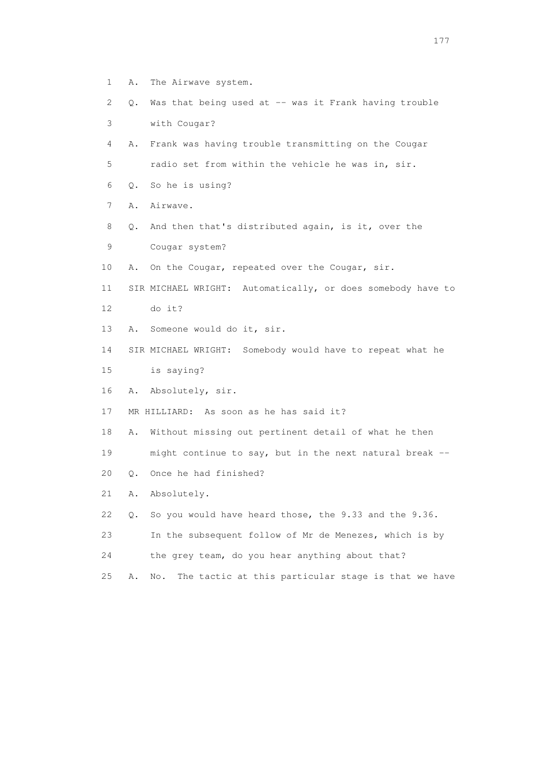- 1 A. The Airwave system.
- 2 Q. Was that being used at -- was it Frank having trouble
- 3 with Cougar?
- 4 A. Frank was having trouble transmitting on the Cougar 5 radio set from within the vehicle he was in, sir.
- 6 Q. So he is using?
- 
- 7 A. Airwave.
- 8 Q. And then that's distributed again, is it, over the
- 9 Cougar system?
- 10 A. On the Cougar, repeated over the Cougar, sir.
- 11 SIR MICHAEL WRIGHT: Automatically, or does somebody have to 12 do it?
- 13 A. Someone would do it, sir.
- 14 SIR MICHAEL WRIGHT: Somebody would have to repeat what he 15 is saying?
- 16 A. Absolutely, sir.
- 17 MR HILLIARD: As soon as he has said it?
- 18 A. Without missing out pertinent detail of what he then
- 19 might continue to say, but in the next natural break --
- 20 Q. Once he had finished?
- 21 A. Absolutely.
- 22 Q. So you would have heard those, the 9.33 and the 9.36.
- 23 In the subsequent follow of Mr de Menezes, which is by
- 24 the grey team, do you hear anything about that?
- 25 A. No. The tactic at this particular stage is that we have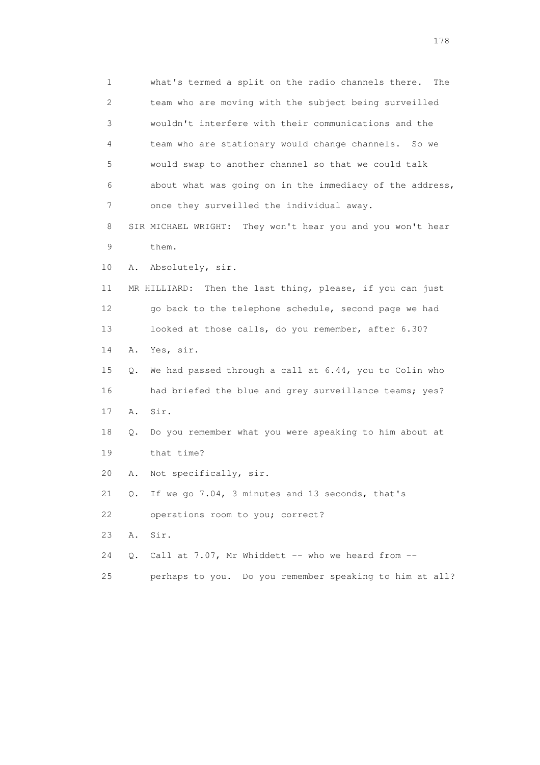1 what's termed a split on the radio channels there. The 2 team who are moving with the subject being surveilled 3 wouldn't interfere with their communications and the 4 team who are stationary would change channels. So we 5 would swap to another channel so that we could talk 6 about what was going on in the immediacy of the address, 7 once they surveilled the individual away. 8 SIR MICHAEL WRIGHT: They won't hear you and you won't hear 9 them. 10 A. Absolutely, sir. 11 MR HILLIARD: Then the last thing, please, if you can just 12 go back to the telephone schedule, second page we had 13 looked at those calls, do you remember, after 6.30? 14 A. Yes, sir. 15 Q. We had passed through a call at 6.44, you to Colin who 16 had briefed the blue and grey surveillance teams; yes? 17 A. Sir. 18 Q. Do you remember what you were speaking to him about at 19 that time? 20 A. Not specifically, sir. 21 Q. If we go 7.04, 3 minutes and 13 seconds, that's 22 operations room to you; correct? 23 A. Sir. 24  $Q.$  Call at 7.07, Mr Whiddett -- who we heard from  $-$ 25 perhaps to you. Do you remember speaking to him at all?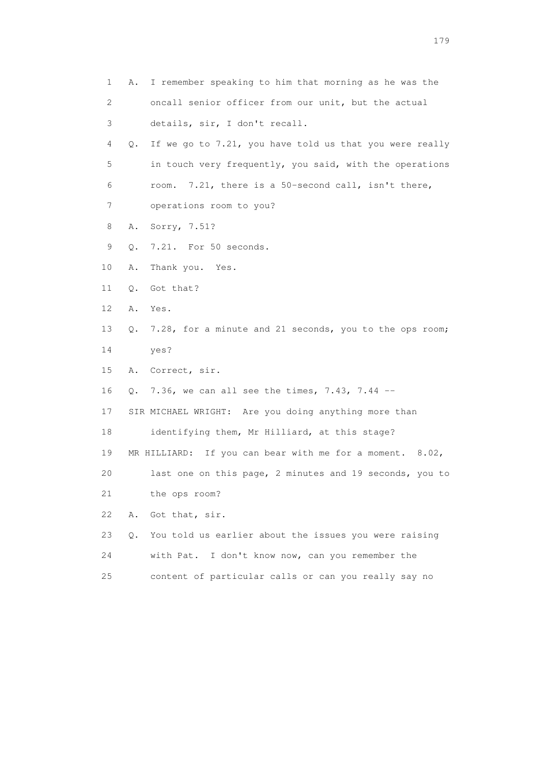| $\mathbf{1}$ | Α. | I remember speaking to him that morning as he was the       |
|--------------|----|-------------------------------------------------------------|
| 2            |    | oncall senior officer from our unit, but the actual         |
| 3            |    | details, sir, I don't recall.                               |
| 4            | Q. | If we go to 7.21, you have told us that you were really     |
| 5            |    | in touch very frequently, you said, with the operations     |
| 6            |    | 7.21, there is a 50-second call, isn't there,<br>room.      |
| 7            |    | operations room to you?                                     |
| 8            | Α. | Sorry, 7.51?                                                |
| 9            | Q. | 7.21. For 50 seconds.                                       |
| 10           | Α. | Thank you. Yes.                                             |
| 11           | Q. | Got that?                                                   |
| 12           | Α. | Yes.                                                        |
| 13           | Q. | 7.28, for a minute and 21 seconds, you to the ops room;     |
| 14           |    | yes?                                                        |
| 15           | Α. | Correct, sir.                                               |
| 16           | Q. | 7.36, we can all see the times, 7.43, 7.44 $-$              |
| 17           |    | SIR MICHAEL WRIGHT: Are you doing anything more than        |
| 18           |    | identifying them, Mr Hilliard, at this stage?               |
| 19           |    | MR HILLIARD: If you can bear with me for a moment. $8.02$ , |
| 20           |    | last one on this page, 2 minutes and 19 seconds, you to     |
| 21           |    | the ops room?                                               |
| 22           | Α. | Got that, sir.                                              |
| 23           | О. | You told us earlier about the issues you were raising       |
| 24           |    | with Pat. I don't know now, can you remember the            |
| 25           |    | content of particular calls or can you really say no        |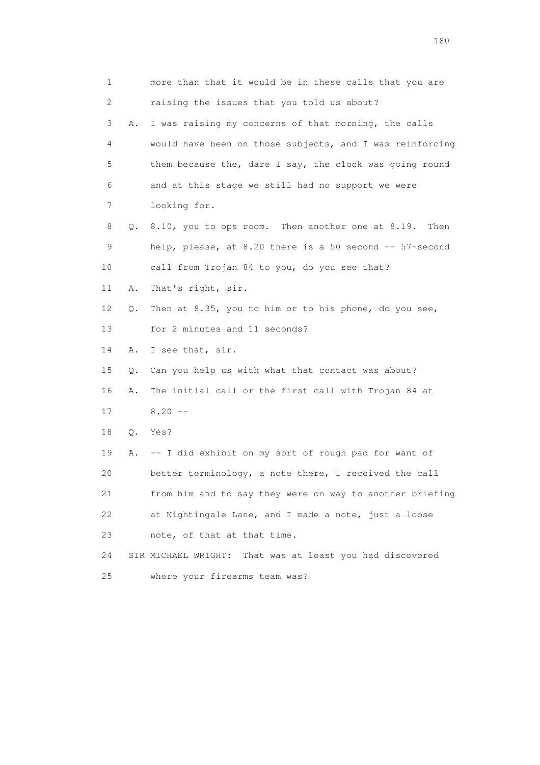1 more than that it would be in these calls that you are 2 raising the issues that you told us about? 3 A. I was raising my concerns of that morning, the calls 4 would have been on those subjects, and I was reinforcing 5 them because the, dare I say, the clock was going round 6 and at this stage we still had no support we were 7 looking for. 8 Q. 8.10, you to ops room. Then another one at 8.19. Then 9 help, please, at 8.20 there is a 50 second -- 57-second 10 call from Trojan 84 to you, do you see that? 11 A. That's right, sir. 12 Q. Then at 8.35, you to him or to his phone, do you see, 13 for 2 minutes and 11 seconds? 14 A. I see that, sir. 15 Q. Can you help us with what that contact was about? 16 A. The initial call or the first call with Trojan 84 at  $17 \qquad 8.20 \qquad -$  18 Q. Yes? 19 A. -- I did exhibit on my sort of rough pad for want of 20 better terminology, a note there, I received the call 21 from him and to say they were on way to another briefing 22 at Nightingale Lane, and I made a note, just a loose 23 note, of that at that time. 24 SIR MICHAEL WRIGHT: That was at least you had discovered 25 where your firearms team was?

180 and 180 and 180 and 180 and 180 and 180 and 180 and 180 and 180 and 180 and 180 and 180 and 180 and 180 and 180 and 180 and 180 and 180 and 180 and 180 and 180 and 180 and 180 and 180 and 180 and 180 and 180 and 180 an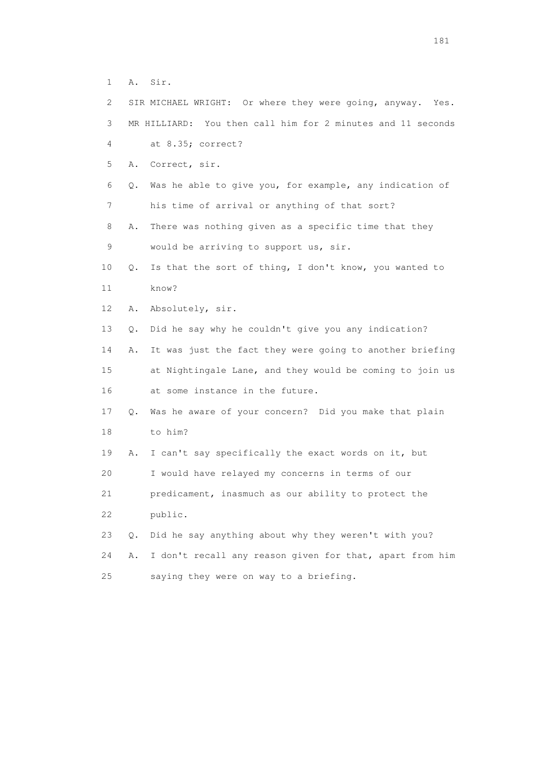1 A. Sir.

| $\mathbf{2}^{\mathsf{I}}$ |       | SIR MICHAEL WRIGHT: Or where they were going, anyway. Yes.  |
|---------------------------|-------|-------------------------------------------------------------|
| 3                         |       | MR HILLIARD: You then call him for 2 minutes and 11 seconds |
| 4                         |       | at 8.35; correct?                                           |
| 5                         | Α.    | Correct, sir.                                               |
| 6                         | Q.    | Was he able to give you, for example, any indication of     |
| 7                         |       | his time of arrival or anything of that sort?               |
| 8                         | Α.    | There was nothing given as a specific time that they        |
| 9                         |       | would be arriving to support us, sir.                       |
| 10                        | Q.    | Is that the sort of thing, I don't know, you wanted to      |
| 11                        |       | know?                                                       |
| 12                        | Α.    | Absolutely, sir.                                            |
| 13                        | Q.    | Did he say why he couldn't give you any indication?         |
| 14                        | Α.    | It was just the fact they were going to another briefing    |
| 15                        |       | at Nightingale Lane, and they would be coming to join us    |
| 16                        |       | at some instance in the future.                             |
| 17                        |       | Q. Was he aware of your concern? Did you make that plain    |
| 18                        |       | to him?                                                     |
| 19                        | Α.    | I can't say specifically the exact words on it, but         |
| 20                        |       | I would have relayed my concerns in terms of our            |
| 21                        |       | predicament, inasmuch as our ability to protect the         |
| 22                        |       | public.                                                     |
| 23                        | $Q$ . | Did he say anything about why they weren't with you?        |
| 24                        | Α.    | I don't recall any reason given for that, apart from him    |
| 25                        |       | saying they were on way to a briefing.                      |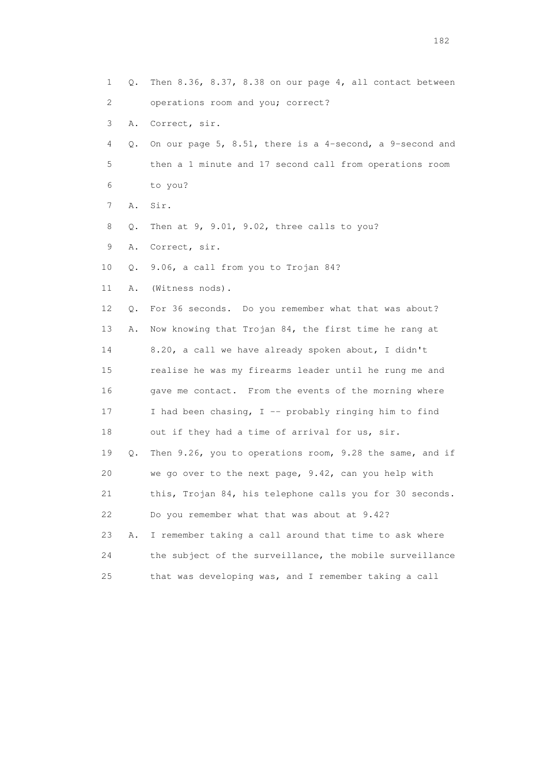| 1  | Q. | Then 8.36, 8.37, 8.38 on our page 4, all contact between |
|----|----|----------------------------------------------------------|
| 2  |    | operations room and you; correct?                        |
| 3  | Α. | Correct, sir.                                            |
| 4  | Q. | On our page 5, 8.51, there is a 4-second, a 9-second and |
| 5  |    | then a 1 minute and 17 second call from operations room  |
| 6  |    | to you?                                                  |
| 7  | Α. | Sir.                                                     |
| 8  | Q. | Then at 9, 9.01, 9.02, three calls to you?               |
| 9  | Α. | Correct, sir.                                            |
| 10 | Q. | 9.06, a call from you to Trojan 84?                      |
| 11 | Α. | (Witness nods).                                          |
| 12 | Q. | For 36 seconds. Do you remember what that was about?     |
| 13 | Α. | Now knowing that Trojan 84, the first time he rang at    |
| 14 |    | 8.20, a call we have already spoken about, I didn't      |
| 15 |    | realise he was my firearms leader until he rung me and   |
| 16 |    | gave me contact. From the events of the morning where    |
| 17 |    | I had been chasing, $I$ -- probably ringing him to find  |
| 18 |    | out if they had a time of arrival for us, sir.           |
| 19 | Q. | Then 9.26, you to operations room, 9.28 the same, and if |
| 20 |    | we go over to the next page, 9.42, can you help with     |
| 21 |    | this, Trojan 84, his telephone calls you for 30 seconds. |
| 22 |    | Do you remember what that was about at 9.42?             |
| 23 | Α. | I remember taking a call around that time to ask where   |
| 24 |    | the subject of the surveillance, the mobile surveillance |
| 25 |    | that was developing was, and I remember taking a call    |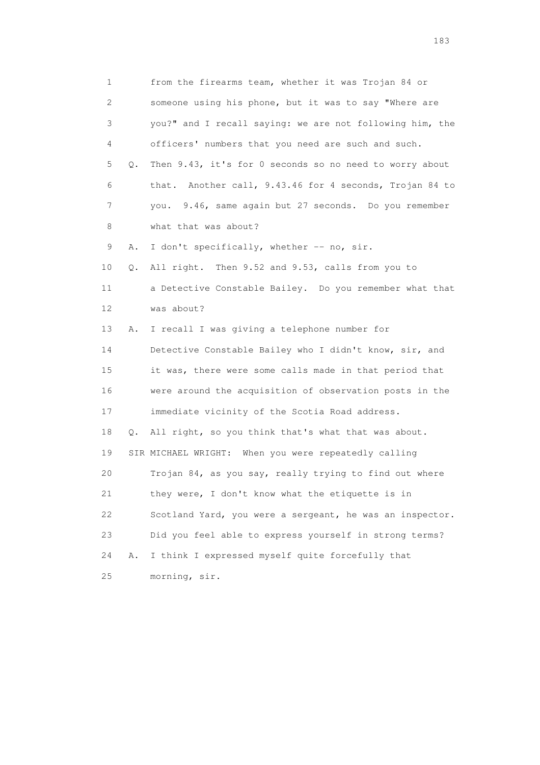1 from the firearms team, whether it was Trojan 84 or 2 someone using his phone, but it was to say "Where are 3 you?" and I recall saying: we are not following him, the 4 officers' numbers that you need are such and such. 5 Q. Then 9.43, it's for 0 seconds so no need to worry about 6 that. Another call, 9.43.46 for 4 seconds, Trojan 84 to 7 you. 9.46, same again but 27 seconds. Do you remember 8 what that was about? 9 A. I don't specifically, whether -- no, sir. 10 Q. All right. Then 9.52 and 9.53, calls from you to 11 a Detective Constable Bailey. Do you remember what that 12 was about? 13 A. I recall I was giving a telephone number for 14 Detective Constable Bailey who I didn't know, sir, and 15 it was, there were some calls made in that period that 16 were around the acquisition of observation posts in the 17 immediate vicinity of the Scotia Road address. 18 Q. All right, so you think that's what that was about. 19 SIR MICHAEL WRIGHT: When you were repeatedly calling 20 Trojan 84, as you say, really trying to find out where 21 they were, I don't know what the etiquette is in 22 Scotland Yard, you were a sergeant, he was an inspector. 23 Did you feel able to express yourself in strong terms? 24 A. I think I expressed myself quite forcefully that 25 morning, sir.

183 and the contract of the contract of the contract of the contract of the contract of the contract of the contract of the contract of the contract of the contract of the contract of the contract of the contract of the co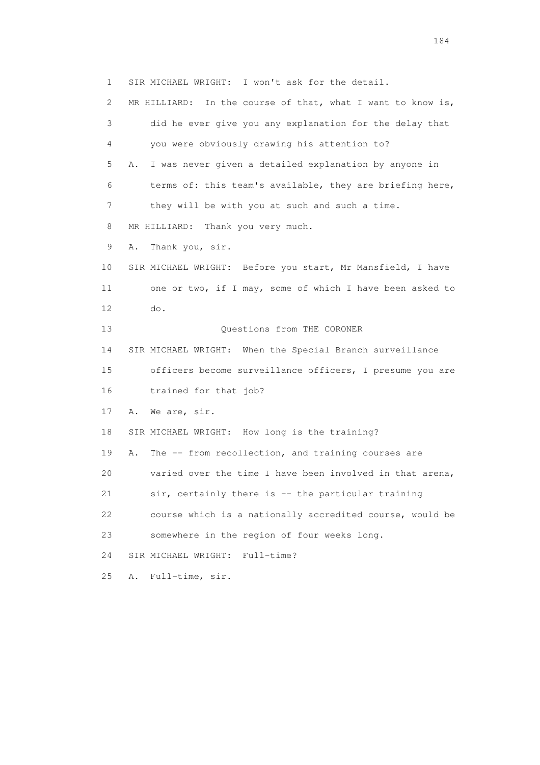1 SIR MICHAEL WRIGHT: I won't ask for the detail. 2 MR HILLIARD: In the course of that, what I want to know is, 3 did he ever give you any explanation for the delay that 4 you were obviously drawing his attention to? 5 A. I was never given a detailed explanation by anyone in 6 terms of: this team's available, they are briefing here, 7 they will be with you at such and such a time. 8 MR HILLIARD: Thank you very much. 9 A. Thank you, sir. 10 SIR MICHAEL WRIGHT: Before you start, Mr Mansfield, I have 11 one or two, if I may, some of which I have been asked to 12 do. 13 Ouestions from THE CORONER 14 SIR MICHAEL WRIGHT: When the Special Branch surveillance 15 officers become surveillance officers, I presume you are 16 trained for that job? 17 A. We are, sir. 18 SIR MICHAEL WRIGHT: How long is the training? 19 A. The -- from recollection, and training courses are 20 varied over the time I have been involved in that arena, 21 sir, certainly there is -- the particular training 22 course which is a nationally accredited course, would be 23 somewhere in the region of four weeks long. 24 SIR MICHAEL WRIGHT: Full-time? 25 A. Full-time, sir.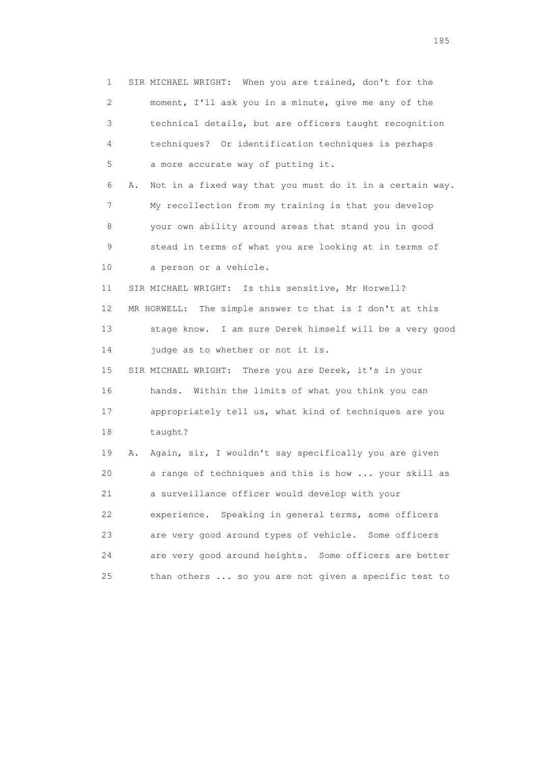1 SIR MICHAEL WRIGHT: When you are trained, don't for the 2 moment, I'll ask you in a minute, give me any of the 3 technical details, but are officers taught recognition 4 techniques? Or identification techniques is perhaps 5 a more accurate way of putting it. 6 A. Not in a fixed way that you must do it in a certain way. 7 My recollection from my training is that you develop 8 your own ability around areas that stand you in good 9 stead in terms of what you are looking at in terms of 10 a person or a vehicle. 11 SIR MICHAEL WRIGHT: Is this sensitive, Mr Horwell? 12 MR HORWELL: The simple answer to that is I don't at this 13 stage know. I am sure Derek himself will be a very good 14 judge as to whether or not it is. 15 SIR MICHAEL WRIGHT: There you are Derek, it's in your 16 hands. Within the limits of what you think you can 17 appropriately tell us, what kind of techniques are you 18 taught? 19 A. Again, sir, I wouldn't say specifically you are given 20 a range of techniques and this is how ... your skill as 21 a surveillance officer would develop with your 22 experience. Speaking in general terms, some officers 23 are very good around types of vehicle. Some officers 24 are very good around heights. Some officers are better 25 than others ... so you are not given a specific test to

<u>185</u>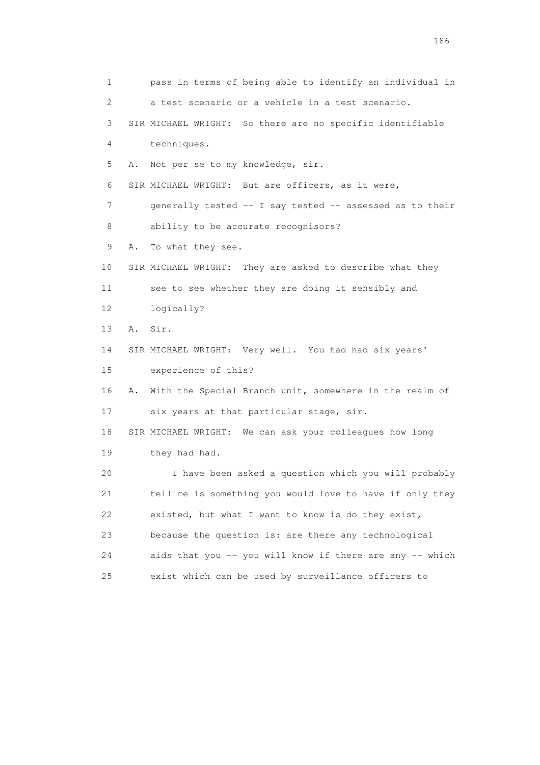1 pass in terms of being able to identify an individual in 2 a test scenario or a vehicle in a test scenario. 3 SIR MICHAEL WRIGHT: So there are no specific identifiable 4 techniques. 5 A. Not per se to my knowledge, sir. 6 SIR MICHAEL WRIGHT: But are officers, as it were, 7 generally tested -- I say tested -- assessed as to their 8 ability to be accurate recognisors? 9 A. To what they see. 10 SIR MICHAEL WRIGHT: They are asked to describe what they 11 see to see whether they are doing it sensibly and 12 logically? 13 A. Sir. 14 SIR MICHAEL WRIGHT: Very well. You had had six years' 15 experience of this? 16 A. With the Special Branch unit, somewhere in the realm of 17 six years at that particular stage, sir. 18 SIR MICHAEL WRIGHT: We can ask your colleagues how long 19 they had had. 20 I have been asked a question which you will probably 21 tell me is something you would love to have if only they 22 existed, but what I want to know is do they exist, 23 because the question is: are there any technological 24 aids that you -- you will know if there are any -- which 25 exist which can be used by surveillance officers to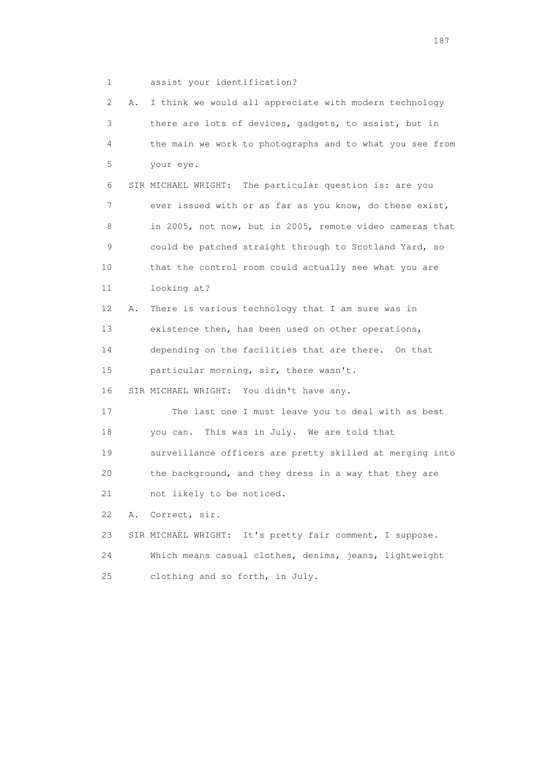1 assist your identification?

 2 A. I think we would all appreciate with modern technology 3 there are lots of devices, gadgets, to assist, but in 4 the main we work to photographs and to what you see from 5 your eye. 6 SIR MICHAEL WRIGHT: The particular question is: are you 7 ever issued with or as far as you know, do these exist, 8 in 2005, not now, but in 2005, remote video cameras that 9 could be patched straight through to Scotland Yard, so 10 that the control room could actually see what you are 11 looking at? 12 A. There is various technology that I am sure was in 13 existence then, has been used on other operations, 14 depending on the facilities that are there. On that 15 particular morning, sir, there wasn't. 16 SIR MICHAEL WRIGHT: You didn't have any. 17 The last one I must leave you to deal with as best 18 you can. This was in July. We are told that 19 surveillance officers are pretty skilled at merging into 20 the background, and they dress in a way that they are 21 not likely to be noticed. 22 A. Correct, sir. 23 SIR MICHAEL WRIGHT: It's pretty fair comment, I suppose. 24 Which means casual clothes, denims, jeans, lightweight 25 clothing and so forth, in July.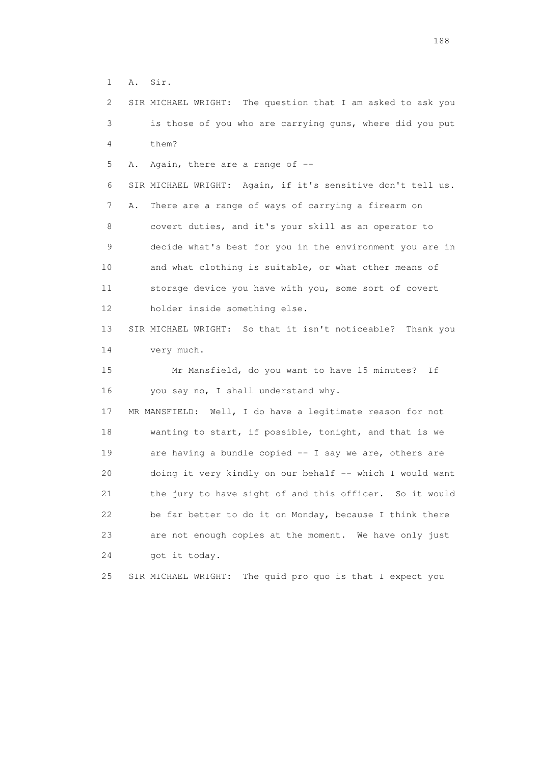1 A. Sir.

 2 SIR MICHAEL WRIGHT: The question that I am asked to ask you 3 is those of you who are carrying guns, where did you put 4 them?

5 A. Again, there are a range of --

 6 SIR MICHAEL WRIGHT: Again, if it's sensitive don't tell us. 7 A. There are a range of ways of carrying a firearm on 8 covert duties, and it's your skill as an operator to 9 decide what's best for you in the environment you are in 10 and what clothing is suitable, or what other means of 11 storage device you have with you, some sort of covert 12 holder inside something else.

 13 SIR MICHAEL WRIGHT: So that it isn't noticeable? Thank you 14 very much.

 15 Mr Mansfield, do you want to have 15 minutes? If 16 you say no, I shall understand why.

 17 MR MANSFIELD: Well, I do have a legitimate reason for not 18 wanting to start, if possible, tonight, and that is we 19 are having a bundle copied -- I say we are, others are 20 doing it very kindly on our behalf -- which I would want 21 the jury to have sight of and this officer. So it would 22 be far better to do it on Monday, because I think there 23 are not enough copies at the moment. We have only just 24 got it today.

25 SIR MICHAEL WRIGHT: The quid pro quo is that I expect you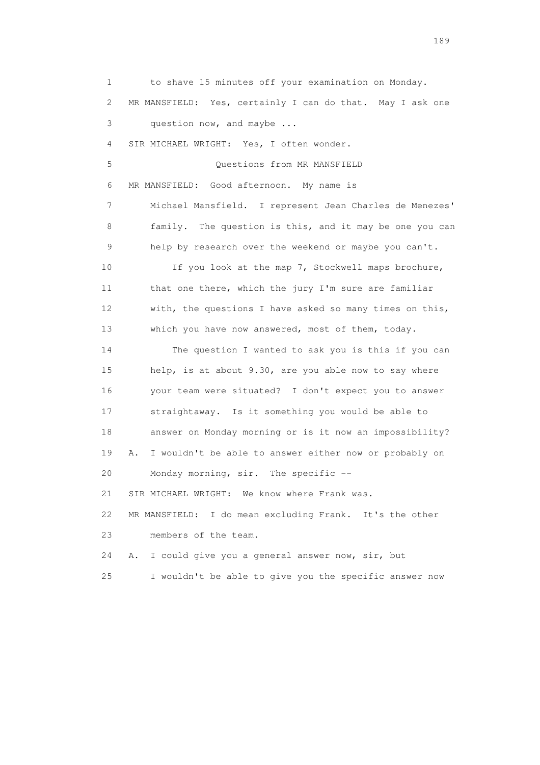1 to shave 15 minutes off your examination on Monday. 2 MR MANSFIELD: Yes, certainly I can do that. May I ask one 3 question now, and maybe ... 4 SIR MICHAEL WRIGHT: Yes, I often wonder. 5 Questions from MR MANSFIELD 6 MR MANSFIELD: Good afternoon. My name is 7 Michael Mansfield. I represent Jean Charles de Menezes' 8 family. The question is this, and it may be one you can 9 help by research over the weekend or maybe you can't. 10 If you look at the map 7, Stockwell maps brochure, 11 that one there, which the jury I'm sure are familiar 12 with, the questions I have asked so many times on this, 13 which you have now answered, most of them, today. 14 The question I wanted to ask you is this if you can 15 help, is at about 9.30, are you able now to say where 16 your team were situated? I don't expect you to answer 17 straightaway. Is it something you would be able to 18 answer on Monday morning or is it now an impossibility? 19 A. I wouldn't be able to answer either now or probably on 20 Monday morning, sir. The specific -- 21 SIR MICHAEL WRIGHT: We know where Frank was. 22 MR MANSFIELD: I do mean excluding Frank. It's the other 23 members of the team. 24 A. I could give you a general answer now, sir, but 25 I wouldn't be able to give you the specific answer now

189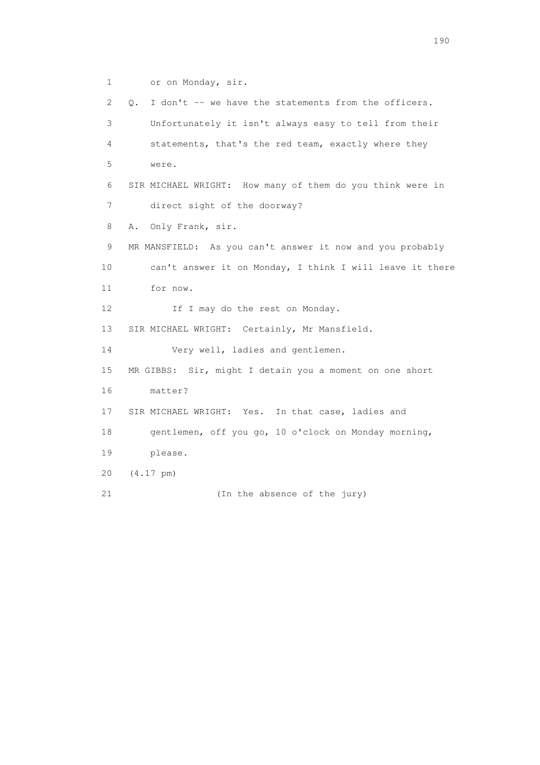1 or on Monday, sir.

 2 Q. I don't -- we have the statements from the officers. 3 Unfortunately it isn't always easy to tell from their 4 statements, that's the red team, exactly where they 5 were. 6 SIR MICHAEL WRIGHT: How many of them do you think were in 7 direct sight of the doorway? 8 A. Only Frank, sir. 9 MR MANSFIELD: As you can't answer it now and you probably 10 can't answer it on Monday, I think I will leave it there 11 for now. 12 If I may do the rest on Monday. 13 SIR MICHAEL WRIGHT: Certainly, Mr Mansfield. 14 Very well, ladies and gentlemen. 15 MR GIBBS: Sir, might I detain you a moment on one short 16 matter? 17 SIR MICHAEL WRIGHT: Yes. In that case, ladies and 18 gentlemen, off you go, 10 o'clock on Monday morning, 19 please. 20 (4.17 pm) 21 (In the absence of the jury)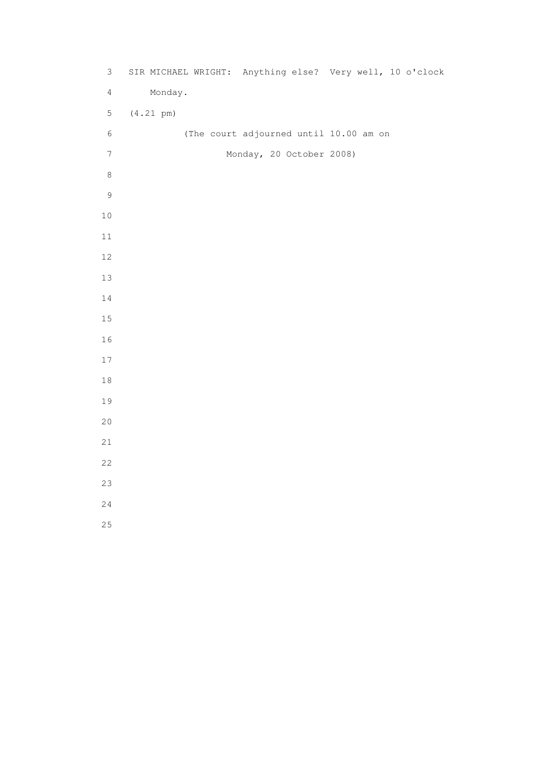| $\mathfrak{Z}$ | SIR MICHAEL WRIGHT: Anything else? Very well, 10 o'clock |                                        |  |
|----------------|----------------------------------------------------------|----------------------------------------|--|
| $\overline{4}$ | Monday.                                                  |                                        |  |
| 5              | $(4.21 \text{ pm})$                                      |                                        |  |
| $\epsilon$     |                                                          | (The court adjourned until 10.00 am on |  |
| $\overline{7}$ |                                                          | Monday, 20 October 2008)               |  |
| $\,8\,$        |                                                          |                                        |  |
| $\mathsf 9$    |                                                          |                                        |  |
| $1\,0$         |                                                          |                                        |  |
| 11             |                                                          |                                        |  |
| 12             |                                                          |                                        |  |
| 13             |                                                          |                                        |  |
| $1\,4$         |                                                          |                                        |  |
| 15             |                                                          |                                        |  |
| 16             |                                                          |                                        |  |
| 17             |                                                          |                                        |  |
| $1\,8$         |                                                          |                                        |  |
| 19             |                                                          |                                        |  |
| 20             |                                                          |                                        |  |
| 21             |                                                          |                                        |  |
| 22             |                                                          |                                        |  |
| 23             |                                                          |                                        |  |
| 24             |                                                          |                                        |  |
| 25             |                                                          |                                        |  |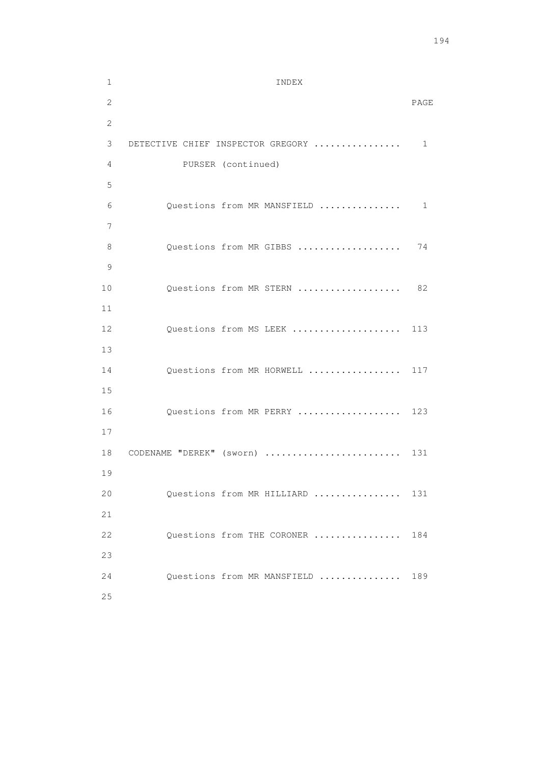```
 1 INDEX 
2 PAGE 
       2 
       3 DETECTIVE CHIEF INSPECTOR GREGORY ................ 1 
       4 PURSER (continued) 
       5 
       6 Questions from MR MANSFIELD ............... 1 
7 
      8 Questions from MR GIBBS .................... 74
       9 
     10 Questions from MR STERN .................... 82
      11 
     12 Questions from MS LEEK ..................... 113
      13 
     14 Questions from MR HORWELL .................. 117
      15 
     16 Questions from MR PERRY .................... 123
      17 
     18 CODENAME "DEREK" (sworn) ........................... 131
      19 
     20 Questions from MR HILLIARD ................ 131
      21 
     22 Questions from THE CORONER ................ 184
      23 
      24 Questions from MR MANSFIELD ............... 189 
      25
```